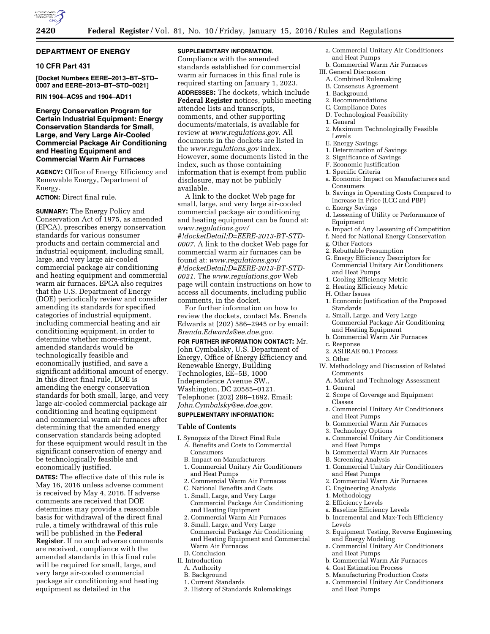

## **DEPARTMENT OF ENERGY**

# **10 CFR Part 431**

**[Docket Numbers EERE–2013–BT–STD– 0007 and EERE–2013–BT–STD–0021]** 

**RIN 1904–AC95 and 1904–AD11** 

# **Energy Conservation Program for Certain Industrial Equipment: Energy Conservation Standards for Small, Large, and Very Large Air-Cooled Commercial Package Air Conditioning and Heating Equipment and Commercial Warm Air Furnaces**

**AGENCY:** Office of Energy Efficiency and Renewable Energy, Department of Energy.

# **ACTION:** Direct final rule.

**SUMMARY:** The Energy Policy and Conservation Act of 1975, as amended (EPCA), prescribes energy conservation standards for various consumer products and certain commercial and industrial equipment, including small, large, and very large air-cooled commercial package air conditioning and heating equipment and commercial warm air furnaces. EPCA also requires that the U.S. Department of Energy (DOE) periodically review and consider amending its standards for specified categories of industrial equipment, including commercial heating and air conditioning equipment, in order to determine whether more-stringent, amended standards would be technologically feasible and economically justified, and save a significant additional amount of energy. In this direct final rule, DOE is amending the energy conservation standards for both small, large, and very large air-cooled commercial package air conditioning and heating equipment and commercial warm air furnaces after determining that the amended energy conservation standards being adopted for these equipment would result in the significant conservation of energy and be technologically feasible and economically justified.

**DATES:** The effective date of this rule is May 16, 2016 unless adverse comment is received by May 4, 2016. If adverse comments are received that DOE determines may provide a reasonable basis for withdrawal of the direct final rule, a timely withdrawal of this rule will be published in the **Federal Register**. If no such adverse comments are received, compliance with the amended standards in this final rule will be required for small, large, and very large air-cooled commercial package air conditioning and heating equipment as detailed in the

# **SUPPLEMENTARY INFORMATION**.

Compliance with the amended standards established for commercial warm air furnaces in this final rule is required starting on January 1, 2023. **ADDRESSES:** The dockets, which include **Federal Register** notices, public meeting attendee lists and transcripts, comments, and other supporting documents/materials, is available for review at *[www.regulations.gov](http://www.regulations.gov)*. All documents in the dockets are listed in the *[www.regulations.gov](http://www.regulations.gov)* index. However, some documents listed in the index, such as those containing information that is exempt from public disclosure, may not be publicly available.

A link to the docket Web page for small, large, and very large air-cooled commercial package air conditioning and heating equipment can be found at: *[www.regulations.gov/](http://www.regulations.gov/#!docketDetail;D=EERE-2013-BT-STD-0007) [#!docketDetail;D=EERE-2013-BT-STD-](http://www.regulations.gov/#!docketDetail;D=EERE-2013-BT-STD-0007)[0007](http://www.regulations.gov/#!docketDetail;D=EERE-2013-BT-STD-0007)*. A link to the docket Web page for commercial warm air furnaces can be found at: *[www.regulations.gov/](http://www.regulations.gov/#!docketDetail;D=EERE-2013-BT-STD-0021) [#!docketDetail;D=EERE-2013-BT-STD-](http://www.regulations.gov/#!docketDetail;D=EERE-2013-BT-STD-0021)[0021.](http://www.regulations.gov/#!docketDetail;D=EERE-2013-BT-STD-0021)* The *[www.regulations.gov](http://www.regulations.gov)* Web page will contain instructions on how to access all documents, including public comments, in the docket.

For further information on how to review the dockets, contact Ms. Brenda Edwards at (202) 586–2945 or by email: *[Brenda.Edwards@ee.doe.gov](mailto:Brenda.Edwards@ee.doe.gov)*.

# **FOR FURTHER INFORMATION CONTACT:** Mr. John Cymbalsky, U.S. Department of Energy, Office of Energy Efficiency and Renewable Energy, Building Technologies, EE–5B, 1000 Independence Avenue SW., Washington, DC 20585–0121. Telephone: (202) 286–1692. Email: *[John.Cymbalsky@ee.doe.gov](mailto:John.Cymbalsky@ee.doe.gov)*.

# **SUPPLEMENTARY INFORMATION:**

# **Table of Contents**

- I. Synopsis of the Direct Final Rule A. Benefits and Costs to Commercial Consumers
	- B. Impact on Manufacturers
	- 1. Commercial Unitary Air Conditioners and Heat Pumps
	- 2. Commercial Warm Air Furnaces
- C. National Benefits and Costs
- 1. Small, Large, and Very Large Commercial Package Air Conditioning and Heating Equipment
- 2. Commercial Warm Air Furnaces
- 3. Small, Large, and Very Large Commercial Package Air Conditioning and Heating Equipment and Commercial Warm Air Furnaces
- D. Conclusion
- II. Introduction
	- A. Authority
	- B. Background
	- 1. Current Standards
	- 2. History of Standards Rulemakings
- a. Commercial Unitary Air Conditioners and Heat Pumps
- b. Commercial Warm Air Furnaces
- III. General Discussion
- A. Combined Rulemaking
- B. Consensus Agreement
- 1. Background
- 2. Recommendations
- C. Compliance Dates
- D. Technological Feasibility
- 1. General
- 2. Maximum Technologically Feasible Levels
- E. Energy Savings
- 1. Determination of Savings
- 2. Significance of Savings
- F. Economic Justification
- 1. Specific Criteria
- a. Economic Impact on Manufacturers and Consumers
- b. Savings in Operating Costs Compared to Increase in Price (LCC and PBP) c. Energy Savings
- d. Lessening of Utility or Performance of
- Equipment
- e. Impact of Any Lessening of Competition
- f. Need for National Energy Conservation
- g. Other Factors
- 2. Rebuttable Presumption
- G. Energy Efficiency Descriptors for Commercial Unitary Air Conditioners and Heat Pumps
- 1. Cooling Efficiency Metric
- 2. Heating Efficiency Metric
- H. Other Issues
- 1. Economic Justification of the Proposed Standards
- a. Small, Large, and Very Large Commercial Package Air Conditioning and Heating Equipment
- b. Commercial Warm Air Furnaces
- c. Response
- 2. ASHRAE 90.1 Process
- 3. Other
- IV. Methodology and Discussion of Related Comments
	- A. Market and Technology Assessment
- 1. General
- 2. Scope of Coverage and Equipment Classes
- a. Commercial Unitary Air Conditioners and Heat Pumps
- b. Commercial Warm Air Furnaces
- 3. Technology Options
- a. Commercial Unitary Air Conditioners and Heat Pumps
- b. Commercial Warm Air Furnaces
- B. Screening Analysis
- 1. Commercial Unitary Air Conditioners and Heat Pumps
- 2. Commercial Warm Air Furnaces
- C. Engineering Analysis
- 1. Methodology
- 2. Efficiency Levels
- a. Baseline Efficiency Levels
- b. Incremental and Max-Tech Efficiency Levels
- 3. Equipment Testing, Reverse Engineering and Energy Modeling
- a. Commercial Unitary Air Conditioners and Heat Pumps
- b. Commercial Warm Air Furnaces
- 4. Cost Estimation Process
- 5. Manufacturing Production Costs
- a. Commercial Unitary Air Conditioners and Heat Pumps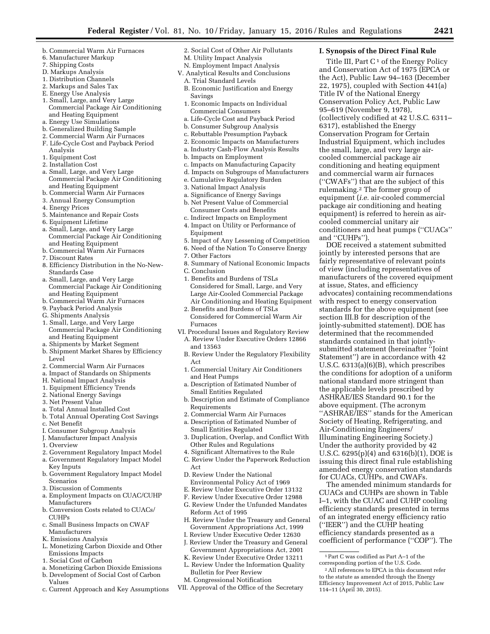- b. Commercial Warm Air Furnaces
- 6. Manufacturer Markup
- 7. Shipping Costs
- D. Markups Analysis
- 1. Distribution Channels
- 2. Markups and Sales Tax
- E. Energy Use Analysis
- 1. Small, Large, and Very Large Commercial Package Air Conditioning and Heating Equipment
- a. Energy Use Simulations
- b. Generalized Building Sample
- 2. Commercial Warm Air Furnaces
- F. Life-Cycle Cost and Payback Period Analysis
- 1. Equipment Cost
- 2. Installation Cost
- a. Small, Large, and Very Large Commercial Package Air Conditioning and Heating Equipment
- b. Commercial Warm Air Furnaces
- 3. Annual Energy Consumption
- 4. Energy Prices
- 5. Maintenance and Repair Costs
- 6. Equipment Lifetime
- a. Small, Large, and Very Large Commercial Package Air Conditioning and Heating Equipment
- b. Commercial Warm Air Furnaces
- 7. Discount Rates
- 8. Efficiency Distribution in the No-New-Standards Case
- a. Small, Large, and Very Large Commercial Package Air Conditioning and Heating Equipment
- b. Commercial Warm Air Furnaces
- 9. Payback Period Analysis
- G. Shipments Analysis
- 1. Small, Large, and Very Large Commercial Package Air Conditioning and Heating Equipment
- a. Shipments by Market Segment
- b. Shipment Market Shares by Efficiency Level
- 2. Commercial Warm Air Furnaces
- a. Impact of Standards on Shipments
- H. National Impact Analysis
- 1. Equipment Efficiency Trends
- 2. National Energy Savings
- 3. Net Present Value
- a. Total Annual Installed Cost
- b. Total Annual Operating Cost Savings
- c. Net Benefit
- I. Consumer Subgroup Analysis
- J. Manufacturer Impact Analysis
- 1. Overview
- 2. Government Regulatory Impact Model
- a. Government Regulatory Impact Model Key Inputs
- b. Government Regulatory Impact Model
- Scenarios
- 3. Discussion of Comments
- a. Employment Impacts on CUAC/CUHP Manufacturers
- b. Conversion Costs related to CUACs/ CUHPs
- c. Small Business Impacts on CWAF Manufacturers
- K. Emissions Analysis
- L. Monetizing Carbon Dioxide and Other Emissions Impacts
- 1. Social Cost of Carbon
- a. Monetizing Carbon Dioxide Emissions
- b. Development of Social Cost of Carbon Values
- c. Current Approach and Key Assumptions
- 2. Social Cost of Other Air Pollutants M. Utility Impact Analysis
- N. Employment Impact Analysis
- V. Analytical Results and Conclusions A. Trial Standard Levels
	- B. Economic Justification and Energy Savings
	- 1. Economic Impacts on Individual Commercial Consumers
	- a. Life-Cycle Cost and Payback Period
	- b. Consumer Subgroup Analysis
	- c. Rebuttable Presumption Payback
	- 2. Economic Impacts on Manufacturers
	- a. Industry Cash-Flow Analysis Results
	- b. Impacts on Employment
	- c. Impacts on Manufacturing Capacity
	- d. Impacts on Subgroups of Manufacturers
	- e. Cumulative Regulatory Burden
	- 3. National Impact Analysis
	-
	- a. Significance of Energy Savings b. Net Present Value of Commercial Consumer Costs and Benefits
	- c. Indirect Impacts on Employment
	- 4. Impact on Utility or Performance of Equipment
	- 5. Impact of Any Lessening of Competition
	- 6. Need of the Nation To Conserve Energy
	- 7. Other Factors
	- 8. Summary of National Economic Impacts
	- C. Conclusion
	- 1. Benefits and Burdens of TSLs Considered for Small, Large, and Very Large Air-Cooled Commercial Package Air Conditioning and Heating Equipment
	- 2. Benefits and Burdens of TSLs Considered for Commercial Warm Air Furnaces
- VI. Procedural Issues and Regulatory Review A. Review Under Executive Orders 12866 and 13563
	- B. Review Under the Regulatory Flexibility Act
	- 1. Commercial Unitary Air Conditioners and Heat Pumps
	- a. Description of Estimated Number of Small Entities Regulated
	- b. Description and Estimate of Compliance Requirements
	- 2. Commercial Warm Air Furnaces
	- a. Description of Estimated Number of Small Entities Regulated
	- 3. Duplication, Overlap, and Conflict With Other Rules and Regulations
	- 4. Significant Alternatives to the Rule
	- C. Review Under the Paperwork Reduction Act
	- D. Review Under the National Environmental Policy Act of 1969
	- E. Review Under Executive Order 13132
	- F. Review Under Executive Order 12988
	- G. Review Under the Unfunded Mandates Reform Act of 1995
	- H. Review Under the Treasury and General Government Appropriations Act, 1999

Government Appropriations Act, 2001 K. Review Under Executive Order 13211 L. Review Under the Information Quality

1Part C was codified as Part A–1 of the corresponding portion of the U.S. Code.

**I. Synopsis of the Direct Final Rule**  Title III, Part  $C<sup>1</sup>$  of the Energy Policy and Conservation Act of 1975 (EPCA or the Act), Public Law 94–163 (December 22, 1975), coupled with Section 441(a) Title IV of the National Energy Conservation Policy Act, Public Law

(collectively codified at 42 U.S.C. 6311–

95–619 (November 9, 1978),

6317), established the Energy Conservation Program for Certain Industrial Equipment, which includes the small, large, and very large aircooled commercial package air conditioning and heating equipment and commercial warm air furnaces (''CWAFs'') that are the subject of this rulemaking.2 The former group of equipment (*i.e.* air-cooled commercial package air conditioning and heating equipment) is referred to herein as air-

cooled commercial unitary air

at issue, States, and efficiency

Air-Conditioning Engineers/ Illuminating Engineering Society.) Under the authority provided by 42 U.S.C. 6295(p)(4) and 6316(b)(1), DOE is issuing this direct final rule establishing amended energy conservation standards for CUACs, CUHPs, and CWAFs.

and ''CUHPs'').

conditioners and heat pumps (''CUACs''

DOE received a statement submitted jointly by interested persons that are fairly representative of relevant points of view (including representatives of manufacturers of the covered equipment

advocates) containing recommendations with respect to energy conservation standards for the above equipment (see section III.B for description of the jointly-submitted statement). DOE has determined that the recommended standards contained in that jointlysubmitted statement (hereinafter ''Joint Statement'') are in accordance with 42 U.S.C. 6313(a)(6)(B), which prescribes the conditions for adoption of a uniform national standard more stringent than the applicable levels prescribed by ASHRAE/IES Standard 90.1 for the above equipment. (The acronym ''ASHRAE/IES'' stands for the American Society of Heating, Refrigerating, and

114–11 (April 30, 2015).

2All references to EPCA in this document refer to the statute as amended through the Energy Efficiency Improvement Act of 2015, Public Law

The amended minimum standards for CUACs and CUHPs are shown in Table I–1, with the CUAC and CUHP cooling efficiency standards presented in terms of an integrated energy efficiency ratio (''IEER'') and the CUHP heating efficiency standards presented as a coefficient of performance (''COP''). The

I. Review Under Executive Order 12630 J. Review Under the Treasury and General

Bulletin for Peer Review M. Congressional Notification VII. Approval of the Office of the Secretary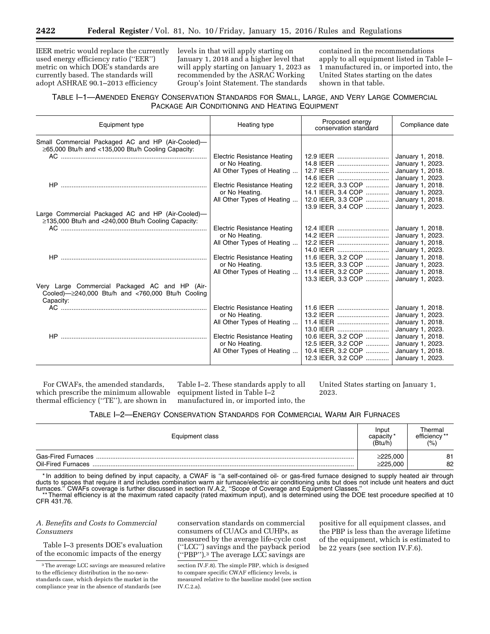IEER metric would replace the currently used energy efficiency ratio (''EER'') metric on which DOE's standards are currently based. The standards will adopt ASHRAE 90.1–2013 efficiency

levels in that will apply starting on January 1, 2018 and a higher level that will apply starting on January 1, 2023 as recommended by the ASRAC Working Group's Joint Statement. The standards

contained in the recommendations apply to all equipment listed in Table I– 1 manufactured in, or imported into, the United States starting on the dates shown in that table.

# TABLE I–1—AMENDED ENERGY CONSERVATION STANDARDS FOR SMALL, LARGE, AND VERY LARGE COMMERCIAL PACKAGE AIR CONDITIONING AND HEATING EQUIPMENT

|                                    | Proposed energy<br>conservation standard                                                                                                                                                                                                                                                              | Compliance date                                                                                                                                                                                                                                                |
|------------------------------------|-------------------------------------------------------------------------------------------------------------------------------------------------------------------------------------------------------------------------------------------------------------------------------------------------------|----------------------------------------------------------------------------------------------------------------------------------------------------------------------------------------------------------------------------------------------------------------|
|                                    |                                                                                                                                                                                                                                                                                                       |                                                                                                                                                                                                                                                                |
| <b>Electric Resistance Heating</b> | 12.9 IEER                                                                                                                                                                                                                                                                                             | January 1, 2018.                                                                                                                                                                                                                                               |
| or No Heating.                     |                                                                                                                                                                                                                                                                                                       | January 1, 2023.                                                                                                                                                                                                                                               |
|                                    |                                                                                                                                                                                                                                                                                                       | January 1, 2018.                                                                                                                                                                                                                                               |
|                                    |                                                                                                                                                                                                                                                                                                       | January 1, 2023.                                                                                                                                                                                                                                               |
|                                    |                                                                                                                                                                                                                                                                                                       | January 1, 2018.                                                                                                                                                                                                                                               |
|                                    |                                                                                                                                                                                                                                                                                                       | January 1, 2023.                                                                                                                                                                                                                                               |
|                                    |                                                                                                                                                                                                                                                                                                       | January 1, 2018.<br>January 1, 2023.                                                                                                                                                                                                                           |
|                                    |                                                                                                                                                                                                                                                                                                       |                                                                                                                                                                                                                                                                |
|                                    |                                                                                                                                                                                                                                                                                                       |                                                                                                                                                                                                                                                                |
|                                    |                                                                                                                                                                                                                                                                                                       | January 1, 2018.                                                                                                                                                                                                                                               |
|                                    | 14.2 IEER                                                                                                                                                                                                                                                                                             | January 1, 2023.                                                                                                                                                                                                                                               |
| All Other Types of Heating         | 12.2 IEER                                                                                                                                                                                                                                                                                             | January 1, 2018.                                                                                                                                                                                                                                               |
|                                    | 14.0 IEER                                                                                                                                                                                                                                                                                             | January 1, 2023.                                                                                                                                                                                                                                               |
| Electric Resistance Heating        | 11.6 IEER, 3.2 COP                                                                                                                                                                                                                                                                                    | January 1, 2018.                                                                                                                                                                                                                                               |
| or No Heating.                     |                                                                                                                                                                                                                                                                                                       | January 1, 2023.                                                                                                                                                                                                                                               |
|                                    |                                                                                                                                                                                                                                                                                                       | January 1, 2018.                                                                                                                                                                                                                                               |
|                                    |                                                                                                                                                                                                                                                                                                       | January 1, 2023.                                                                                                                                                                                                                                               |
|                                    |                                                                                                                                                                                                                                                                                                       |                                                                                                                                                                                                                                                                |
|                                    |                                                                                                                                                                                                                                                                                                       | January 1, 2018.                                                                                                                                                                                                                                               |
|                                    |                                                                                                                                                                                                                                                                                                       | January 1, 2023.                                                                                                                                                                                                                                               |
|                                    |                                                                                                                                                                                                                                                                                                       | January 1, 2018.                                                                                                                                                                                                                                               |
|                                    |                                                                                                                                                                                                                                                                                                       | January 1, 2023.                                                                                                                                                                                                                                               |
| Electric Resistance Heating        | 10.6 IEER, 3.2 COP                                                                                                                                                                                                                                                                                    | January 1, 2018.                                                                                                                                                                                                                                               |
| or No Heating.                     | 12.5 IEER, 3.2 COP                                                                                                                                                                                                                                                                                    | January 1, 2023.                                                                                                                                                                                                                                               |
| All Other Types of Heating         | 10.4 IEER, 3.2 COP                                                                                                                                                                                                                                                                                    | January 1, 2018.                                                                                                                                                                                                                                               |
|                                    | 12.3 IEER, 3.2 COP                                                                                                                                                                                                                                                                                    | January 1, 2023.                                                                                                                                                                                                                                               |
|                                    | Heating type<br>All Other Types of Heating<br><b>Electric Resistance Heating</b><br>or No Heating.<br>All Other Types of Heating<br>Electric Resistance Heating<br>or No Heating.<br>All Other Types of Heating<br><b>Electric Resistance Heating</b><br>or No Heating.<br>All Other Types of Heating | 14.8 IEER<br>12.7 IEER<br>14.6 IEER<br>12.2 IEER, 3.3 COP<br>14.1 IEER, 3.4 COP<br>12.0 IEER, 3.3 COP<br>13.9 IEER, 3.4 COP<br>12.4 IEER<br>13.5 IEER, 3.3 COP<br>11.4 IEER, 3.2 COP<br>13.3 IEER, 3.3 COP<br>11.6 IEER<br>13.2 IEER<br>11.4 IEER<br>13.0 IEER |

For CWAFs, the amended standards, which prescribe the minimum allowable thermal efficiency (''TE''), are shown in

Table I–2. These standards apply to all equipment listed in Table I–2 manufactured in, or imported into, the

United States starting on January 1, 2023.

# TABLE I–2—ENERGY CONSERVATION STANDARDS FOR COMMERCIAL WARM AIR FURNACES

| Equipment class    |                      | Thermal<br>efficiency **<br>(% |
|--------------------|----------------------|--------------------------------|
| Oil-Fired Furnaces | ≥225.000<br>≥225.000 | 81<br>82                       |

\* In addition to being defined by input capacity, a CWAF is ''a self-contained oil- or gas-fired furnace designed to supply heated air through ducts to spaces that require it and includes combination warm air furnace/electric air conditioning units but does not include unit heaters and duct furnaces.'' CWAFs coverage is further discussed in section IV.A.2, ''Scope of Coverage and Equipment Classes.''

\*\* Thermal efficiency is at the maximum rated capacity (rated maximum input), and is determined using the DOE test procedure specified at 10 CFR 431.76.

# *A. Benefits and Costs to Commercial Consumers*

Table I–3 presents DOE's evaluation of the economic impacts of the energy

conservation standards on commercial consumers of CUACs and CUHPs, as measured by the average life-cycle cost (''LCC'') savings and the payback period (''PBP'').3 The average LCC savings are

section IV.F.8). The simple PBP, which is designed to compare specific CWAF efficiency levels, is measured relative to the baseline model (see section IV.C.2.a).

positive for all equipment classes, and the PBP is less than the average lifetime of the equipment, which is estimated to be 22 years (see section IV.F.6).

<sup>3</sup>The average LCC savings are measured relative to the efficiency distribution in the no-newstandards case, which depicts the market in the compliance year in the absence of standards (see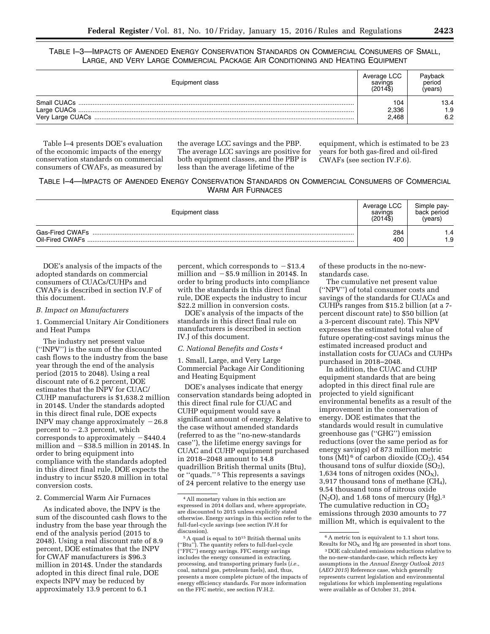TABLE I–3—IMPACTS OF AMENDED ENERGY CONSERVATION STANDARDS ON COMMERCIAL CONSUMERS OF SMALL, LARGE, AND VERY LARGE COMMERCIAL PACKAGE AIR CONDITIONING AND HEATING EQUIPMENT

| Equipment class | Average LCC<br>savings<br>$(2014\bar{3})$ | Payback<br>period<br>(vears) |
|-----------------|-------------------------------------------|------------------------------|
|                 | 104                                       | 13.4                         |
|                 | 2,336                                     | 1.9                          |
|                 | 2.468                                     | 6.2                          |

Table I–4 presents DOE's evaluation of the economic impacts of the energy conservation standards on commercial consumers of CWAFs, as measured by the average LCC savings and the PBP. The average LCC savings are positive for both equipment classes, and the PBP is less than the average lifetime of the

equipment, which is estimated to be 23 years for both gas-fired and oil-fired CWAFs (see section IV.F.6).

# TABLE I–4—IMPACTS OF AMENDED ENERGY CONSERVATION STANDARDS ON COMMERCIAL CONSUMERS OF COMMERCIAL WARM AIR FURNACES

| Equipment class                    | Average LCC<br>savings<br>$(2014\bar{3})$ | Simple pay-<br>back period<br>(years) |
|------------------------------------|-------------------------------------------|---------------------------------------|
| Gas-Fired CWAFs<br>Oil-Fired CWAFs | 284<br>400                                | $\mathsf{I}$ .4<br>1.9                |

DOE's analysis of the impacts of the adopted standards on commercial consumers of CUACs/CUHPs and CWAFs is described in section IV.F of this document.

### *B. Impact on Manufacturers*

1. Commercial Unitary Air Conditioners and Heat Pumps

The industry net present value (''INPV'') is the sum of the discounted cash flows to the industry from the base year through the end of the analysis period (2015 to 2048). Using a real discount rate of 6.2 percent, DOE estimates that the INPV for CUAC/ CUHP manufacturers is \$1,638.2 million in 2014\$. Under the standards adopted in this direct final rule, DOE expects INPV may change approximately  $-26.8$ percent to  $-2.3$  percent, which corresponds to approximately  $-$ \$440.4 million and  $-$  \$38.5 million in 2014\$. In order to bring equipment into compliance with the standards adopted in this direct final rule, DOE expects the industry to incur \$520.8 million in total conversion costs.

# 2. Commercial Warm Air Furnaces

As indicated above, the INPV is the sum of the discounted cash flows to the industry from the base year through the end of the analysis period (2015 to 2048). Using a real discount rate of 8.9 percent, DOE estimates that the INPV for CWAF manufacturers is \$96.3 million in 2014\$. Under the standards adopted in this direct final rule, DOE expects INPV may be reduced by approximately 13.9 percent to 6.1

percent, which corresponds to  $-$ \$13.4 million and  $-$ \$5.9 million in 2014\$. In order to bring products into compliance with the standards in this direct final rule, DOE expects the industry to incur \$22.2 million in conversion costs.

DOE's analysis of the impacts of the standards in this direct final rule on manufacturers is described in section IV.J of this document.

## *C. National Benefits and Costs 4*

1. Small, Large, and Very Large Commercial Package Air Conditioning and Heating Equipment

DOE's analyses indicate that energy conservation standards being adopted in this direct final rule for CUAC and CUHP equipment would save a significant amount of energy. Relative to the case without amended standards (referred to as the ''no-new-standards case''), the lifetime energy savings for CUAC and CUHP equipment purchased in 2018–2048 amount to 14.8 quadrillion British thermal units (Btu), or ''quads.'' 5 This represents a savings of 24 percent relative to the energy use

of these products in the no-newstandards case.

The cumulative net present value (''NPV'') of total consumer costs and savings of the standards for CUACs and CUHPs ranges from \$15.2 billion (at a 7 percent discount rate) to \$50 billion (at a 3-percent discount rate). This NPV expresses the estimated total value of future operating-cost savings minus the estimated increased product and installation costs for CUACs and CUHPs purchased in 2018–2048.

In addition, the CUAC and CUHP equipment standards that are being adopted in this direct final rule are projected to yield significant environmental benefits as a result of the improvement in the conservation of energy. DOE estimates that the standards would result in cumulative greenhouse gas (''GHG'') emission reductions (over the same period as for energy savings) of 873 million metric tons (Mt)  $\epsilon$  of carbon dioxide (CO<sub>2</sub>), 454 thousand tons of sulfur dioxide  $(SO<sub>2</sub>)$ , 1,634 tons of nitrogen oxides  $(NO<sub>X</sub>)$ , 3,917 thousand tons of methane  $(CH_4)$ , 9.54 thousand tons of nitrous oxide  $(N_2O)$ , and 1.68 tons of mercury (Hg).<sup>3</sup> The cumulative reduction in  $CO<sub>2</sub>$ emissions through 2030 amounts to 77 million Mt, which is equivalent to the

<sup>4</sup>All monetary values in this section are expressed in 2014 dollars and, where appropriate, are discounted to 2015 unless explicitly stated otherwise. Energy savings in this section refer to the full-fuel-cycle savings (see section IV.H for discussion).

<sup>5</sup>A quad is equal to 1015 British thermal units (''Btu''). The quantity refers to full-fuel-cycle (''FFC'') energy savings. FFC energy savings includes the energy consumed in extracting, processing, and transporting primary fuels (*i.e.,*  coal, natural gas, petroleum fuels), and, thus, presents a more complete picture of the impacts of energy efficiency standards. For more information on the FFC metric, see section IV.H.2.

 $^6\mbox{\AA}$  metric ton is equivalent to 1.1 short tons. Results for  $NO<sub>x</sub>$  and Hg are presented in short tons.

<sup>3</sup> DOE calculated emissions reductions relative to the no-new-standards-case, which reflects key assumptions in the *Annual Energy Outlook 2015*  (*AEO 2015*) Reference case, which generally represents current legislation and environmental regulations for which implementing regulations were available as of October 31, 2014.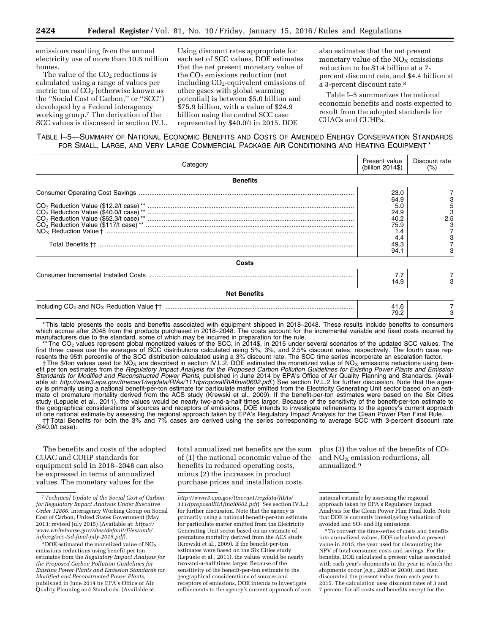emissions resulting from the annual electricity use of more than 10.6 million homes.

The value of the  $CO<sub>2</sub>$  reductions is calculated using a range of values per metric ton of  $CO<sub>2</sub>$  (otherwise known as the ''Social Cost of Carbon,'' or ''SCC'') developed by a Federal interagency working group.7 The derivation of the SCC values is discussed in section IV.L.

Using discount rates appropriate for each set of SCC values, DOE estimates that the net present monetary value of the  $CO<sub>2</sub>$  emissions reduction (not including  $CO<sub>2</sub>$ -equivalent emissions of other gases with global warming potential) is between \$5.0 billion and \$75.9 billion, with a value of \$24.9 billion using the central SCC case represented by \$40.0/t in 2015. DOE

also estimates that the net present monetary value of the  $NO<sub>x</sub>$  emissions reduction to be \$1.4 billion at a 7 percent discount rate, and \$4.4 billion at a 3-percent discount rate.8

Table I–5 summarizes the national economic benefits and costs expected to result from the adopted standards for CUACs and CUHPs.

# TABLE I–5—SUMMARY OF NATIONAL ECONOMIC BENEFITS AND COSTS OF AMENDED ENERGY CONSERVATION STANDARDS FOR SMALL, LARGE, AND VERY LARGE COMMERCIAL PACKAGE AIR CONDITIONING AND HEATING EQUIPMENT \*

| Category            | Present value<br>(billion 2014\$)                                  | Discount rate<br>(%) |
|---------------------|--------------------------------------------------------------------|----------------------|
| <b>Benefits</b>     |                                                                    |                      |
|                     | 23.0<br>64.9<br>5.0<br>24.9<br>40.2<br>75.9<br>4.4<br>49.3<br>94.1 | 5<br>2.5             |
| Costs               |                                                                    |                      |
|                     | 14.9                                                               |                      |
| <b>Net Benefits</b> |                                                                    |                      |
|                     | 41.6<br>79.2                                                       |                      |

\* This table presents the costs and benefits associated with equipment shipped in 2018–2048. These results include benefits to consumers which accrue after 2048 from the products purchased in 2018–2048. The costs account for the incremental variable and fixed costs incurred by manufacturers due to the standard, some of which may be incurred in preparation for the rule.

\*\* The CO<sub>2</sub> values represent global monetized values of the SCC, in 2014\$, in 2015 under several scenarios of the updated SCC values. The fourth case rep-<br>first three cases use the averages of SCC distributions calculate resents the 95th percentile of the SCC distribution calculated using a 3% discount rate. The SCC time series incorporate an escalation factor.

† The \$/ton values used for NO<sub>X</sub> are described in section IV.L.2. DOE estimated the monetized value of NO<sub>X</sub> emissions reductions using benefit per ton estimates from the *Regulatory Impact Analysis for the Proposed Carbon Pollution Guidelines for Existing Power Plants and Emission*  Standards for Modified and Reconstructed Power Plants, published in June 2014 by EPA's Office of Air Quality Planning and Standards. (Available at: *<http://www3.epa.gov/ttnecas1/regdata/RIAs/111dproposalRIAfinal0602.pdf>*.) See section IV.L.2 for further discussion. Note that the agency is primarily using a national benefit-per-ton estimate for particulate matter emitted from the Electricity Generating Unit sector based on an estimate of premature mortality derived from the ACS study (Krewski et al., 2009). If the benefit-per-ton estimates were based on the Six Cities study (Lepuele et al., 2011), the values would be nearly two-and-a-half times larger. Because of the sensitivity of the benefit-per-ton estimate to the geographical considerations of sources and receptors of emissions, DOE intends to investigate refinements to the agency's current approach of one national estimate by assessing the regional approach taken by EPA's Regulatory Impact Analysis for the Clean Power Plan Final Rule. †† Total Benefits for both the 3% and 7% cases are derived using the series corresponding to average SCC with 3-percent discount rate

(\$40.0/t case).

The benefits and costs of the adopted CUAC and CUHP standards for equipment sold in 2018–2048 can also be expressed in terms of annualized values. The monetary values for the

total annualized net benefits are the sum of (1) the national economic value of the benefits in reduced operating costs, minus (2) the increases in product purchase prices and installation costs,

plus (3) the value of the benefits of  $CO<sub>2</sub>$ and  $NO<sub>X</sub>$  emission reductions, all annualized.9

9To convert the time-series of costs and benefits into annualized values, DOE calculated a present value in 2015, the year used for discounting the NPV of total consumer costs and savings. For the benefits, DOE calculated a present value associated with each year's shipments in the year in which the shipments occur (*e.g.,* 2020 or 2030), and then discounted the present value from each year to 2015. The calculation uses discount rates of 3 and 7 percent for all costs and benefits except for the

<sup>7</sup>*Technical Update of the Social Cost of Carbon for Regulatory Impact Analysis Under Executive Order 12866.* Interagency Working Group on Social Cost of Carbon, United States Government (May 2013; revised July 2015) (Available at: *[https://](https://www.whitehouse.gov/sites/default/files/omb/inforeg/scc-tsd-final-july-2015.pdf) [www.whitehouse.gov/sites/default/files/omb/](https://www.whitehouse.gov/sites/default/files/omb/inforeg/scc-tsd-final-july-2015.pdf) [inforeg/scc-tsd-final-july-2015.pdf](https://www.whitehouse.gov/sites/default/files/omb/inforeg/scc-tsd-final-july-2015.pdf)*).

 $8$  DOE estimated the monetized value of  $NO<sub>x</sub>$ emissions reductions using benefit per ton estimates from the *Regulatory Impact Analysis for the Proposed Carbon Pollution Guidelines for Existing Power Plants and Emission Standards for Modified and Reconstructed Power Plants,*  published in June 2014 by EPA's Office of Air Quality Planning and Standards. (Available at:

*[http://www3.epa.gov/ttnecas1/regdata/RIAs/](http://www3.epa.gov/ttnecas1/regdata/RIAs/111dproposalRIAfinal0602.pdf) [111dproposalRIAfinal0602.pdf](http://www3.epa.gov/ttnecas1/regdata/RIAs/111dproposalRIAfinal0602.pdf)*). See section IV.L.2 for further discussion. Note that the agency is primarily using a national benefit-per-ton estimate for particulate matter emitted from the Electricity Generating Unit sector based on an estimate of premature mortality derived from the ACS study (Krewski et al., 2009). If the benefit-per-ton estimates were based on the Six Cities study (Lepuele et al., 2011), the values would be nearly two-and-a-half times larger. Because of the sensitivity of the benefit-per-ton estimate to the geographical considerations of sources and receptors of emissions, DOE intends to investigate refinements to the agency's current approach of one

national estimate by assessing the regional approach taken by EPA's Regulatory Impact Analysis for the Clean Power Plan Final Rule. Note that DOE is currently investigating valuation of avoided and SO<sub>2</sub> and Hg emissions.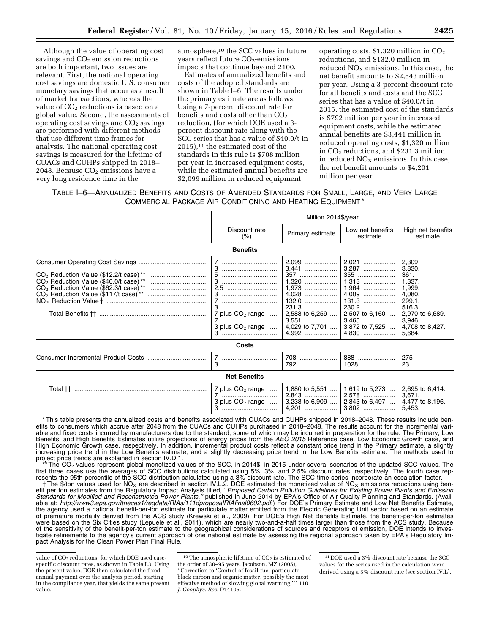Although the value of operating cost savings and  $CO<sub>2</sub>$  emission reductions are both important, two issues are relevant. First, the national operating cost savings are domestic U.S. consumer monetary savings that occur as a result of market transactions, whereas the value of  $CO<sub>2</sub>$  reductions is based on a global value. Second, the assessments of operating cost savings and  $CO<sub>2</sub>$  savings are performed with different methods that use different time frames for analysis. The national operating cost savings is measured for the lifetime of CUACs and CUHPs shipped in 2018– 2048. Because  $CO<sub>2</sub>$  emissions have a very long residence time in the

atmosphere,10 the SCC values in future years reflect future  $CO<sub>2</sub>$ -emissions impacts that continue beyond 2100.

Estimates of annualized benefits and costs of the adopted standards are shown in Table I–6. The results under the primary estimate are as follows. Using a 7-percent discount rate for benefits and costs other than CO<sub>2</sub> reduction, (for which DOE used a 3 percent discount rate along with the SCC series that has a value of \$40.0/t in  $2015$ ,<sup>11</sup> the estimated cost of the standards in this rule is \$708 million per year in increased equipment costs, while the estimated annual benefits are \$2,099 million in reduced equipment

operating costs,  $$1,320$  million in  $CO<sub>2</sub>$ reductions, and \$132.0 million in reduced  $NO<sub>x</sub>$  emissions. In this case, the net benefit amounts to \$2,843 million per year. Using a 3-percent discount rate for all benefits and costs and the SCC series that has a value of \$40.0/t in 2015, the estimated cost of the standards is \$792 million per year in increased equipment costs, while the estimated annual benefits are \$3,441 million in reduced operating costs, \$1,320 million in  $CO<sub>2</sub>$  reductions, and \$231.3 million in reduced  $NO<sub>X</sub>$  emissions. In this case, the net benefit amounts to \$4,201 million per year.

TABLE I–6—ANNUALIZED BENEFITS AND COSTS OF AMENDED STANDARDS FOR SMALL, LARGE, AND VERY LARGE COMMERCIAL PACKAGE AIR CONDITIONING AND HEATING EQUIPMENT \*

|                                   | Million 2014\$/year                                                                                                                                                                  |                                                                                                          |                                                                                                                          |                                                                                                                                     |
|-----------------------------------|--------------------------------------------------------------------------------------------------------------------------------------------------------------------------------------|----------------------------------------------------------------------------------------------------------|--------------------------------------------------------------------------------------------------------------------------|-------------------------------------------------------------------------------------------------------------------------------------|
|                                   | Discount rate<br>Low net benefits<br>Primary estimate<br>estimate<br>(%)                                                                                                             |                                                                                                          | High net benefits<br>estimate                                                                                            |                                                                                                                                     |
|                                   | <b>Benefits</b>                                                                                                                                                                      |                                                                                                          |                                                                                                                          |                                                                                                                                     |
|                                   | 7<br>5<br>3<br>2.5<br>7<br>7 plus $CO2$ range<br>7<br>3 plus $CO2$ range                                                                                                             | 2,099<br>357<br>1,320<br>1,973<br>132.0<br>231.3<br>2,588 to 6,259<br>3,551<br>4,029 to 7,701<br>$4.992$ | 2,021<br>3,287<br>355<br>1,313<br>1,964<br>4,009<br>131.3<br>230.2<br>2,507 to 6,160<br>3,465<br>3,872 to 7,525<br>4,830 | 2,309<br>3,830.<br>361.<br>1,337.<br>1,999.<br>4,080.<br>299.1.<br>516.3.<br>2,970 to 6,689.<br>3,946.<br>4,708 to 8,427.<br>5,684. |
|                                   | Costs                                                                                                                                                                                |                                                                                                          |                                                                                                                          |                                                                                                                                     |
|                                   |                                                                                                                                                                                      | 708<br>792                                                                                               | 888<br>1028                                                                                                              | 275<br>231.                                                                                                                         |
|                                   | <b>Net Benefits</b>                                                                                                                                                                  |                                                                                                          |                                                                                                                          |                                                                                                                                     |
| Total †† ……………………………………………………………… | 7 plus CO <sub>2</sub> range<br>3 plus $CO2$ range<br>$\mathbf{r}$ , and $\mathbf{r}$ , and $\mathbf{r}$ , and $\mathbf{r}$ , and $\mathbf{r}$ , and $\mathbf{r}$ , and $\mathbf{r}$ | 1,880 to 5,551                                                                                           | 1,619 to 5,273<br>2,578<br>3,238 to 6,909    2,843 to 6,497                                                              | 2,695 to 6,414.<br>3,671.<br>4,477 to 8,196.<br>5,453.                                                                              |

This table presents the annualized costs and benefits associated with CUACs and CUHPs shipped in 2018–2048. These results include benefits to consumers which accrue after 2048 from the CUACs and CUHPs purchased in 2018–2048. The results account for the incremental variable and fixed costs incurred by manufacturers due to the standard, some of which may be incurred in preparation for the rule. The Primary, Low Benefits, and High Benefits Estimates utilize projections of energy prices from the *AEO 2015* Reference case, Low Economic Growth case, and High Economic Growth case, respectively. In addition, incremental product costs reflect a constant price trend in the Primary estimate, a slightly increasing price trend in the Low Benefits estimate, and a slightly decreasing price trend in the Low Benefits estimate. The methods used to project price trends are explained in section IV.D.1.

The CO<sub>2</sub> values represent global monetized values of the SCC, in 2014\$, in 2015 under several scenarios of the updated SCC values. The first three cases use the averages of SCC distributions calculated using 5%, 3%, and 2.5% discount rates, respectively. The fourth case represents the 95th percentile of the SCC distribution calculated using a 3% discount rate. The SCC time series incorporate an escalation factor.

† The \$/ton values used for NO<sub>X</sub> are described in section IV.L.2. DOE estimated the monetized value of NO<sub>X</sub> emissions reductions using benefit per ton estimates from the Regulatory Impact Analysis titled, ''*Proposed Carbon Pollution Guidelines for Existing Power Plants and Emission*  Standards for Modified and Reconstructed Power Plants," published in June 2014 by EPA's Office of Air Quality Planning and Standards. (Available at: *<http://www3.epa.gov/ttnecas1/regdata/RIAs/111dproposalRIAfinal0602.pdf>*.) For DOE's Primary Estimate and Low Net Benefits Estimate, the agency used a national benefit-per-ton estimate for particulate matter emitted from the Electric Generating Unit sector based on an estimate of premature mortality derived from the ACS study (Krewski et al., 2009). For DOE's High Net Benefits Estimate, the benefit-per-ton estimates were based on the Six Cities study (Lepuele et al., 2011), which are nearly two-and-a-half times larger than those from the ACS study. Because of the sensitivity of the benefit-per-ton estimate to the geographical considerations of sources and receptors of emission, DOE intends to investigate refinements to the agency's current approach of one national estimate by assessing the regional approach taken by EPA's Regulatory Impact Analysis for the Clean Power Plan Final Rule.

value of CO2 reductions, for which DOE used casespecific discount rates, as shown in Table I.3. Using the present value, DOE then calculated the fixed annual payment over the analysis period, starting in the compliance year, that yields the same present value.

 $10$  The atmospheric lifetime of  $CO<sub>2</sub>$  is estimated of the order of 30–95 years. Jacobson, MZ (2005), ''Correction to 'Control of fossil-fuel particulate black carbon and organic matter, possibly the most effective method of slowing global warming,' '' 110 *J. Geophys. Res.* D14105.

<sup>11</sup> DOE used a 3% discount rate because the SCC values for the series used in the calculation were derived using a 3% discount rate (see section IV.L).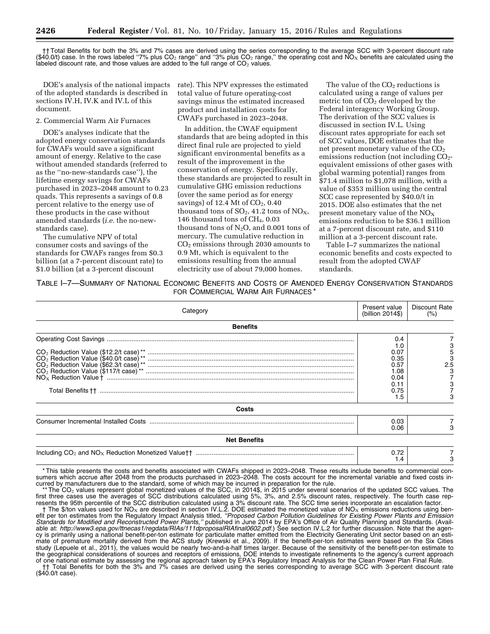†† Total Benefits for both the 3% and 7% cases are derived using the series corresponding to the average SCC with 3-percent discount rate (\$40.0/t) case. In the rows labeled "7% plus CO<sub>2</sub> range" and "3% plus CO<sub>2</sub> range," the operating cost and NO<sub>X</sub> benefits are calculated using the labeled discount rate, and those values are added to the full range of  $CO<sub>2</sub>$  values.

DOE's analysis of the national impacts of the adopted standards is described in sections IV.H, IV.K and IV.L of this document.

#### 2. Commercial Warm Air Furnaces

DOE's analyses indicate that the adopted energy conservation standards for CWAFs would save a significant amount of energy. Relative to the case without amended standards (referred to as the ''no-new-standards case''), the lifetime energy savings for CWAFs purchased in 2023–2048 amount to 0.23 quads. This represents a savings of 0.8 percent relative to the energy use of these products in the case without amended standards (*i.e.* the no-newstandards case).

The cumulative NPV of total consumer costs and savings of the standards for CWAFs ranges from \$0.3 billion (at a 7-percent discount rate) to \$1.0 billion (at a 3-percent discount

rate). This NPV expresses the estimated total value of future operating-cost savings minus the estimated increased product and installation costs for CWAFs purchased in 2023–2048.

In addition, the CWAF equipment standards that are being adopted in this direct final rule are projected to yield significant environmental benefits as a result of the improvement in the conservation of energy. Specifically, these standards are projected to result in cumulative GHG emission reductions (over the same period as for energy savings) of  $12.4$  Mt of  $CO<sub>2</sub>$ , 0.40 thousand tons of  $SO_2$ , 41.2 tons of  $NO_X$ , 146 thousand tons of CH4, 0.03 thousand tons of  $N_2O$ , and 0.001 tons of mercury. The cumulative reduction in CO2 emissions through 2030 amounts to 0.9 Mt, which is equivalent to the emissions resulting from the annual electricity use of about 79,000 homes.

The value of the  $CO<sub>2</sub>$  reductions is calculated using a range of values per metric ton of  $CO<sub>2</sub>$  developed by the Federal interagency Working Group. The derivation of the SCC values is discussed in section IV.L. Using discount rates appropriate for each set of SCC values, DOE estimates that the net present monetary value of the  $CO<sub>2</sub>$ emissions reduction (not including  $CO<sub>2</sub>$ equivalent emissions of other gases with global warming potential) ranges from \$71.4 million to \$1,078 million, with a value of \$353 million using the central SCC case represented by \$40.0/t in 2015. DOE also estimates that the net present monetary value of the  $NO<sub>X</sub>$ emissions reduction to be \$36.1 million at a 7-percent discount rate, and \$110 million at a 3-percent discount rate.

Table I–7 summarizes the national economic benefits and costs expected to result from the adopted CWAF standards.

TABLE I–7—SUMMARY OF NATIONAL ECONOMIC BENEFITS AND COSTS OF AMENDED ENERGY CONSERVATION STANDARDS FOR COMMERCIAL WARM AIR FURNACES<sup>\*</sup>

| Category            |                                                                           | Discount Rate<br>$(\% )$ |
|---------------------|---------------------------------------------------------------------------|--------------------------|
| <b>Benefits</b>     |                                                                           |                          |
|                     | 0.4<br>1.0<br>0.07<br>0.35<br>0.57<br>1.08<br>0.04<br>0.11<br>0.75<br>1.5 | 5<br>3<br>2.5            |
| Costs               |                                                                           |                          |
|                     | 0.03<br>0.06                                                              |                          |
| <b>Net Benefits</b> |                                                                           |                          |
|                     | 0.72<br>1.4                                                               |                          |

\* This table presents the costs and benefits associated with CWAFs shipped in 2023–2048. These results include benefits to commercial consumers which accrue after 2048 from the products purchased in 2023–2048. The costs account for the incremental variable and fixed costs incurred by manufacturers due to the standard, some of which may be incurred in preparation for the rule.

\*\* The CO<sub>2</sub> values represent global monetized values of the SCC, in 2014\$, in 2015 under several scenarios of the updated SCC values. The first three cases use the averages of SCC distributions calculated using 5%, 3%, and 2.5% discount rates, respectively. The fourth case represents the 95th percentile of the SCC distribution calculated using a 3% discount rate. The SCC time series incorporate an escalation factor.

† The \$/ton values used for NO<sub>X</sub> are described in section IV.L.2. DOE estimated the monetized value of NO<sub>X</sub> emissions reductions using benefit per ton estimates from the Regulatory Impact Analysis titled, *''Proposed Carbon Pollution Guidelines for Existing Power Plants and Emission*  Standards for Modified and Reconstructed Power Plants," published in June 2014 by EPA's Office of Air Quality Planning and Standards. (Available at: *[http://www3.epa.gov/ttnecas1/regdata/RIAs/111dproposalRIAfinal0602.pdf.](http://www3.epa.gov/ttnecas1/regdata/RIAs/111dproposalRIAfinal0602.pdf)*) See section IV.L.2 for further discussion. Note that the agency is primarily using a national benefit-per-ton estimate for particulate matter emitted from the Electricity Generating Unit sector based on an estimate of premature mortality derived from the ACS study (Krewski et al., 2009). If the benefit-per-ton estimates were based on the Six Cities study (Lepuele et al., 2011), the values would be nearly two-and-a-half times larger. Because of the sensitivity of the benefit-per-ton estimate to the geographical considerations of sources and receptors of emissions, DOE intends to investigate refinements to the agency's current approach of one national estimate by assessing the regional approach taken by EPA's Regulatory Impact Analysis for the Clean Power Plan Final Rule.

†† Total Benefits for both the 3% and 7% cases are derived using the series corresponding to average SCC with 3-percent discount rate (\$40.0/t case).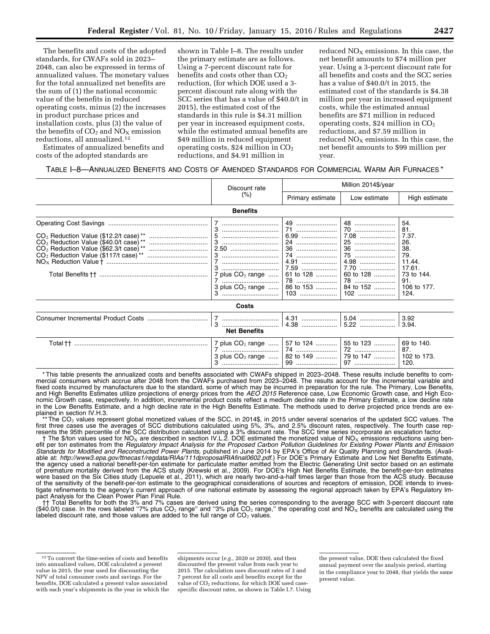The benefits and costs of the adopted standards, for CWAFs sold in 2023– 2048, can also be expressed in terms of annualized values. The monetary values for the total annualized net benefits are the sum of (1) the national economic value of the benefits in reduced operating costs, minus (2) the increases in product purchase prices and installation costs, plus (3) the value of the benefits of  $CO<sub>2</sub>$  and  $NO<sub>X</sub>$  emission reductions, all annualized.12

Estimates of annualized benefits and costs of the adopted standards are

shown in Table I–8. The results under the primary estimate are as follows. Using a 7-percent discount rate for benefits and costs other than  $CO<sub>2</sub>$ reduction, (for which DOE used a 3 percent discount rate along with the SCC series that has a value of \$40.0/t in 2015), the estimated cost of the standards in this rule is \$4.31 million per year in increased equipment costs, while the estimated annual benefits are \$49 million in reduced equipment operating costs,  $$24$  million in  $CO<sub>2</sub>$ reductions, and \$4.91 million in

reduced  $NO<sub>x</sub>$  emissions. In this case, the net benefit amounts to \$74 million per year. Using a 3-percent discount rate for all benefits and costs and the SCC series has a value of \$40.0/t in 2015, the estimated cost of the standards is \$4.38 million per year in increased equipment costs, while the estimated annual benefits are \$71 million in reduced operating costs, \$24 million in CO2 reductions, and \$7.59 million in reduced  $NO<sub>x</sub>$  emissions. In this case, the net benefit amounts to \$99 million per year.

# TABLE I–8—ANNUALIZED BENEFITS AND COSTS OF AMENDED STANDARDS FOR COMMERCIAL WARM AIR FURNACES \*

|                                   | Discount rate                                                                  |                                                                                           | Million 2014\$/year                                                                   |                                                                                                         |
|-----------------------------------|--------------------------------------------------------------------------------|-------------------------------------------------------------------------------------------|---------------------------------------------------------------------------------------|---------------------------------------------------------------------------------------------------------|
|                                   | (%)                                                                            | Primary estimate                                                                          | Low estimate                                                                          | High estimate                                                                                           |
|                                   | <b>Benefits</b>                                                                |                                                                                           |                                                                                       |                                                                                                         |
|                                   | 3<br>5<br>2.50<br>3<br>7<br>3<br>7 plus $CO2$ range<br>7<br>3 plus $CO2$ range | 49<br>71<br>6.99<br>24<br>36<br>74<br>4.91<br>7.59<br>61 to 128<br>78<br>86 to 153<br>103 | 48<br>70<br>7.08<br>25<br>36<br>4.98<br>7.70<br>60 to 128<br>78<br>84 to 152<br>$102$ | 54.<br>81.<br>7.37.<br>26.<br>38.<br>79.<br>11.44.<br>17.61.<br>73 to 144<br>91.<br>106 to 177.<br>124. |
|                                   | Costs                                                                          |                                                                                           |                                                                                       |                                                                                                         |
|                                   | <b>Net Benefits</b>                                                            |                                                                                           |                                                                                       |                                                                                                         |
| Total †† ……………………………………………………………… | 7 plus $CO2$ range<br>3 plus $CO2$ range                                       | $\frac{57}{2}$ to 124<br>99                                                               | 55 to 123<br>72<br>97                                                                 | 69 to 140.<br>87.<br>102 to 173.<br>120.                                                                |

\* This table presents the annualized costs and benefits associated with CWAFs shipped in 2023–2048. These results include benefits to commercial consumers which accrue after 2048 from the CWAFs purchased from 2023–2048. The results account for the incremental variable and fixed costs incurred by manufacturers due to the standard, some of which may be incurred in preparation for the rule. The Primary, Low Benefits, and High Benefits Estimates utilize projections of energy prices from the *AEO 2015* Reference case, Low Economic Growth case, and High Economic Growth case, respectively. In addition, incremental product costs reflect a medium decline rate in the Primary Estimate, a low decline rate in the Low Benefits Estimate, and a high decline rate in the High Benefits Estimate. The methods used to derive projected price trends are explained in section IV.H.3.

<sup>\*\*</sup>The CO<sub>2</sub> values represent global monetized values of the SCC, in 2014\$, in 2015 under several scenarios of the updated SCC values. The first three cases use the averages of SCC distributions calculated using 5%, 3%,

efit per ton estimates from the *Regulatory Impact Analysis for the Proposed Carbon Pollution Guidelines for Existing Power Plants and Emission*  Standards for Modified and Reconstructed Power Plants, published in June 2014 by EPA's Office of Air Quality Planning and Standards. (Available at: *<http://www3.epa.gov/ttnecas1/regdata/RIAs/111dproposalRIAfinal0602.pdf>*.) For DOE's Primary Estimate and Low Net Benefits Estimate, the agency used a national benefit-per-ton estimate for particulate matter emitted from the Electric Generating Unit sector based on an estimate of premature mortality derived from the ACS study (Krewski et al., 2009). For DOE's High Net Benefits Estimate, the benefit-per-ton estimates were based on the Six Cities study (Lepuele et al., 2011), which are nearly two-and-a-half times larger than those from the ACS study. Because of the sensitivity of the benefit-per-ton estimate to the geographical considerations of sources and receptors of emission, DOE intends to investigate refinements to the agency's current approach of one national estimate by assessing the regional approach taken by EPA's Regulatory Impact Analysis for the Clean Power Plan Final Rule.

† Total Benefits for both the 3% and 7% cases are derived using the series corresponding to the average SCC with 3-percent discount rate<br>(\$40.0/t) case. In the rows labeled "7% plus CO<sub>2</sub> range" and "3% plus CO<sub>2</sub> range," labeled discount rate, and those values are added to the full range of  $CO<sub>2</sub>$  values.

shipments occur (*e.g.,* 2020 or 2030), and then discounted the present value from each year to 2015. The calculation uses discount rates of 3 and 7 percent for all costs and benefits except for the value of  $CO<sub>2</sub>$  reductions, for which DOE used casespecific discount rates, as shown in Table I.7. Using

<sup>12</sup>To convert the time-series of costs and benefits into annualized values, DOE calculated a present value in 2015, the year used for discounting the NPV of total consumer costs and savings. For the benefits, DOE calculated a present value associated with each year's shipments in the year in which the

the present value, DOE then calculated the fixed annual payment over the analysis period, starting in the compliance year to 2048, that yields the same present value.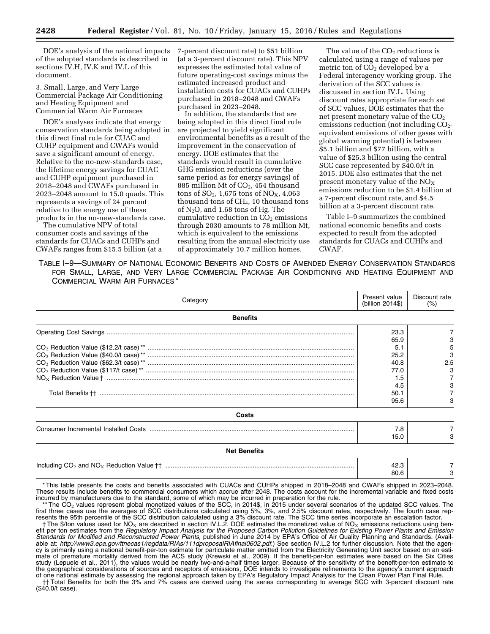DOE's analysis of the national impacts of the adopted standards is described in sections IV.H, IV.K and IV.L of this document.

3. Small, Large, and Very Large Commercial Package Air Conditioning and Heating Equipment and Commercial Warm Air Furnaces

DOE's analyses indicate that energy conservation standards being adopted in this direct final rule for CUAC and CUHP equipment and CWAFs would save a significant amount of energy. Relative to the no-new-standards case, the lifetime energy savings for CUAC and CUHP equipment purchased in 2018–2048 and CWAFs purchased in 2023–2048 amount to 15.0 quads. This represents a savings of 24 percent relative to the energy use of these products in the no-new-standards case.

The cumulative NPV of total consumer costs and savings of the standards for CUACs and CUHPs and CWAFs ranges from \$15.5 billion (at a 7-percent discount rate) to \$51 billion (at a 3-percent discount rate). This NPV expresses the estimated total value of future operating-cost savings minus the estimated increased product and installation costs for CUACs and CUHPs purchased in 2018–2048 and CWAFs purchased in 2023–2048.

In addition, the standards that are being adopted in this direct final rule are projected to yield significant environmental benefits as a result of the improvement in the conservation of energy. DOE estimates that the standards would result in cumulative GHG emission reductions (over the same period as for energy savings) of 885 million Mt of CO<sub>2</sub>, 454 thousand tons of  $SO_2$ , 1,675 tons of  $NO<sub>X</sub>$ , 4,063 thousand tons of CH4, 10 thousand tons of  $N_2O$ , and 1.68 tons of Hg. The cumulative reduction in  $CO<sub>2</sub>$  emissions through 2030 amounts to 78 million Mt, which is equivalent to the emissions resulting from the annual electricity use of approximately 10.7 million homes.

The value of the  $CO<sub>2</sub>$  reductions is calculated using a range of values per metric ton of  $CO<sub>2</sub>$  developed by a Federal interagency working group. The derivation of the SCC values is discussed in section IV.L. Using discount rates appropriate for each set of SCC values, DOE estimates that the net present monetary value of the  $CO<sub>2</sub>$ emissions reduction (not including  $CO<sub>2</sub>$ equivalent emissions of other gases with global warming potential) is between \$5.1 billion and \$77 billion, with a value of \$25.3 billion using the central SCC case represented by \$40.0/t in 2015. DOE also estimates that the net present monetary value of the  $NO<sub>x</sub>$ emissions reduction to be \$1.4 billion at a 7-percent discount rate, and \$4.5 billion at a 3-percent discount rate.

Table I–9 summarizes the combined national economic benefits and costs expected to result from the adopted standards for CUACs and CUHPs and **CWAF** 

TABLE I–9—SUMMARY OF NATIONAL ECONOMIC BENEFITS AND COSTS OF AMENDED ENERGY CONSERVATION STANDARDS FOR SMALL, LARGE, AND VERY LARGE COMMERCIAL PACKAGE AIR CONDITIONING AND HEATING EQUIPMENT AND COMMERCIAL WARM AIR FURNACES \*

| Category            | Present value<br>(billion 2014\$) | Discount rate<br>(%) |
|---------------------|-----------------------------------|----------------------|
| <b>Benefits</b>     |                                   |                      |
|                     | 23.3                              |                      |
|                     | 65.9                              |                      |
|                     | 5.1                               |                      |
|                     | 25.2                              |                      |
|                     | 40.8                              | 2.5                  |
|                     | 77.0                              |                      |
|                     | 1.5                               |                      |
|                     | 4.5                               |                      |
|                     | 50.1                              |                      |
|                     | 95.6                              |                      |
| Costs               |                                   |                      |
|                     | 7.8                               |                      |
|                     | 15.0                              |                      |
| <b>Net Benefits</b> |                                   |                      |
|                     | 42.3                              |                      |
|                     | 80.6                              |                      |

\* This table presents the costs and benefits associated with CUACs and CUHPs shipped in 2018–2048 and CWAFs shipped in 2023–2048. These results include benefits to commercial consumers which accrue after 2048. The costs account for the incremental variable and fixed costs incurred by manufacturers due to the standard, some of which may be incurred in preparation for the rule.

\*\* The CO<sub>2</sub> values represent global monetized values of the SCC, in 2014\$, in 2015 under several scenarios of the updated SCC values. The fourth case rep-<br>first three cases use the averages of SCC distributions calculate resents the 95th percentile of the SCC distribution calculated using a 3% discount rate. The SCC time series incorporate an escalation factor.

† The \$/ton values used for NO<sub>X</sub> are described in section IV.L.2. DOE estimated the monetized value of NO<sub>X</sub> emissions reductions using benefit per ton estimates from the *Regulatory Impact Analysis for the Proposed Carbon Pollution Guidelines for Existing Power Plants and Emission*  Standards for Modified and Reconstructed Power Plants, published in June 2014 by EPA's Office of Air Quality Planning and Standards. (Available at: *[http://www3.epa.gov/ttnecas1/regdata/RIAs/111dproposalRIAfinal0602.pdf.](http://www3.epa.gov/ttnecas1/regdata/RIAs/111dproposalRIAfinal0602.pdf)*) See section IV.L.2 for further discussion. Note that the agency is primarily using a national benefit-per-ton estimate for particulate matter emitted from the Electricity Generating Unit sector based on an estimate of premature mortality derived from the ACS study (Krewski et al., 2009). If the benefit-per-ton estimates were based on the Six Cities study (Lepuele et al., 2011), the values would be nearly two-and-a-half times larger. Because of the sensitivity of the benefit-per-ton estimate to the geographical considerations of sources and receptors of emissions, DOE intends to investigate refinements to the agency's current approach of one national estimate by assessing the regional approach taken by EPA's Regulatory Impact Analysis for the Clean Power Plan Final Rule.

†† Total Benefits for both the 3% and 7% cases are derived using the series corresponding to average SCC with 3-percent discount rate (\$40.0/t case).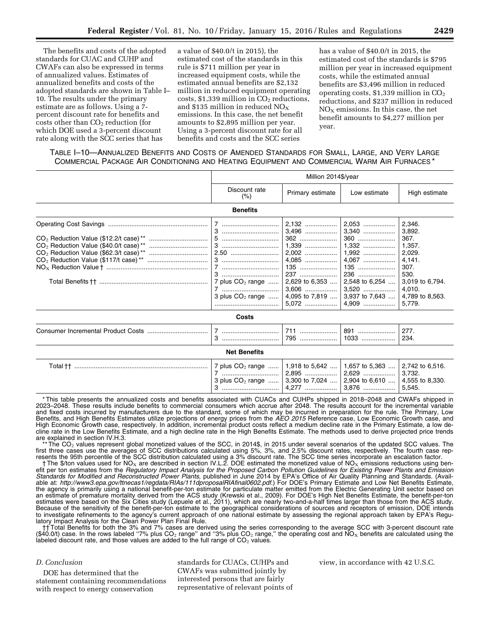The benefits and costs of the adopted standards for CUAC and CUHP and CWAFs can also be expressed in terms of annualized values. Estimates of annualized benefits and costs of the adopted standards are shown in Table I– 10. The results under the primary estimate are as follows. Using a 7 percent discount rate for benefits and costs other than  $CO<sub>2</sub>$  reduction (for which DOE used a 3-percent discount rate along with the SCC series that has

a value of \$40.0/t in 2015), the estimated cost of the standards in this rule is \$711 million per year in increased equipment costs, while the estimated annual benefits are \$2,132 million in reduced equipment operating costs, \$1,339 million in  $CO<sub>2</sub>$  reductions, and \$135 million in reduced  $NO_X$ emissions. In this case, the net benefit amounts to \$2,895 million per year. Using a 3-percent discount rate for all benefits and costs and the SCC series

has a value of \$40.0/t in 2015, the estimated cost of the standards is \$795 million per year in increased equipment costs, while the estimated annual benefits are \$3,496 million in reduced operating costs,  $$1,339$  million in  $CO<sub>2</sub>$ reductions, and \$237 million in reduced  $NO<sub>X</sub>$  emissions. In this case, the net benefit amounts to \$4,277 million per year.

# TABLE I–10—ANNUALIZED BENEFITS AND COSTS OF AMENDED STANDARDS FOR SMALL, LARGE, AND VERY LARGE COMMERCIAL PACKAGE AIR CONDITIONING AND HEATING EQUIPMENT AND COMMERCIAL WARM AIR FURNACES \*

|                                  |                                                    | Million 2014\$/year                                                    |                                                                                                                             |                                                                                                                                  |  |
|----------------------------------|----------------------------------------------------|------------------------------------------------------------------------|-----------------------------------------------------------------------------------------------------------------------------|----------------------------------------------------------------------------------------------------------------------------------|--|
|                                  | Discount rate<br>(% )                              | Primary estimate<br>Low estimate                                       |                                                                                                                             | High estimate                                                                                                                    |  |
|                                  | <b>Benefits</b>                                    |                                                                        |                                                                                                                             |                                                                                                                                  |  |
|                                  | 7<br>7 plus $CO2$ range<br>7<br>3 plus $CO2$ range | 2,132<br>$3,496$<br>362<br>$1.339$<br>$2.002$<br>$4.085$<br>135<br>237 | 2,053<br>$360$<br>$1.332$<br>1,992<br>4,067<br>135<br>2,629 to 6,353    2,548 to 6,254   <br>4,095 to 7,819  3,937 to 7,643 | 2,346.<br>3,892.<br>367.<br>1,357.<br>2,029.<br>4,141.<br>307.<br>530.<br>3,019 to 6,794.<br>4.010.<br>4,789 to 8,563.<br>5,779. |  |
|                                  | Costs                                              |                                                                        |                                                                                                                             |                                                                                                                                  |  |
|                                  |                                                    | 795                                                                    | 891<br>$1033$                                                                                                               | 277.<br>234.                                                                                                                     |  |
|                                  | <b>Net Benefits</b>                                |                                                                        |                                                                                                                             |                                                                                                                                  |  |
| Total †† …………………………………………………………… | 7 plus $CO2$ range<br>3 plus $CO2$ range           |                                                                        | 1,918 to 5,642    1,657 to 5,363    2,742 to 6,516.<br>3,300 to 7,024    2,904 to 6,610                                     | 3,732.<br>4,555 to 8,330.<br>5,545.                                                                                              |  |

\* This table presents the annualized costs and benefits associated with CUACs and CUHPs shipped in 2018–2048 and CWAFs shipped in 2023–2048. These results include benefits to commercial consumers which accrue after 2048. The results account for the incremental variable and fixed costs incurred by manufacturers due to the standard, some of which may be incurred in preparation for the rule. The Primary, Low Benefits, and High Benefits Estimates utilize projections of energy prices from the *AEO 2015* Reference case, Low Economic Growth case, and High Economic Growth case, respectively. In addition, incremental product costs reflect a medium decline rate in the Primary Estimate, a low de-<br>cline rate in the Low Benefits Estimate, and a high decline rate in the High are explained in section IV.H.3.

\*\* The CO<sub>2</sub> values represent global monetized values of the SCC, in 2014\$, in 2015 under several scenarios of the updated SCC values. The fourth case rep-<br>first three cases use the averages of SCC distributions calculate resents the 95th percentile of the SCC distribution calculated using a 3% discount rate. The SCC time series incorporate an escalation factor.

† The \$/ton values used for NO $_{\rm X}$  are described in section IV.L.2. DOE estimated the monetized value of NO $_{\rm X}$  emissions reductions using benefit per ton estimates from the *Regulatory Impact Analysis for the Proposed Carbon Pollution Guidelines for Existing Power Plants and Emission Standards for Modified and Reconstructed Power Plants, published in June 2014 by EPA's Office of Air Quality Planning and Standards. (Avail*able at: *<http://www3.epa.gov/ttnecas1/regdata/RIAs/111dproposalRIAfinal0602.pdf>*.) For DOE's Primary Estimate and Low Net Benefits Estimate, the agency is primarily using a national benefit-per-ton estimate for particulate matter emitted from the Electric Generating Unit sector based on an estimate of premature mortality derived from the ACS study (Krewski et al., 2009). For DOE's High Net Benefits Estimate, the benefit-per-ton estimates were based on the Six Cities study (Lepuele et al., 2011), which are nearly two-and-a-half times larger than those from the ACS study. Because of the sensitivity of the benefit-per-ton estimate to the geographical considerations of sources and receptors of emission, DOE intends to investigate refinements to the agency's current approach of one national estimate by assessing the regional approach taken by EPA's Regulatory Impact Analysis for the Clean Power Plan Final Rule.

†† Total Benefits for both the 3% and 7% cases are derived using the series corresponding to the average SCC with 3-percent discount rate (\$40.0/t) case. In the rows labeled "7% plus CO<sub>2</sub> range" and "3% plus CO<sub>2</sub> range," the operating cost and NO<sub>X</sub> benefits are calculated using the labeled discount rate, and those values are added to the full range of  $CO<sub>2</sub>$  values.

# *D. Conclusion*

DOE has determined that the statement containing recommendations with respect to energy conservation

standards for CUACs, CUHPs and CWAFs was submitted jointly by interested persons that are fairly representative of relevant points of view, in accordance with 42 U.S.C.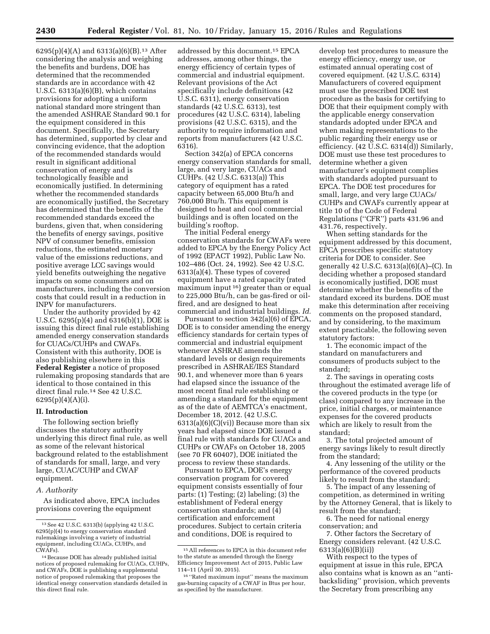$6295(p)(4)(A)$  and  $6313(a)(6)(B).$ <sup>13</sup> After considering the analysis and weighing the benefits and burdens, DOE has determined that the recommended standards are in accordance with 42 U.S.C. 6313(a)(6)(B), which contains provisions for adopting a uniform national standard more stringent than the amended ASHRAE Standard 90.1 for the equipment considered in this document. Specifically, the Secretary has determined, supported by clear and convincing evidence, that the adoption of the recommended standards would result in significant additional conservation of energy and is technologically feasible and economically justified. In determining whether the recommended standards are economically justified, the Secretary has determined that the benefits of the recommended standards exceed the burdens, given that, when considering the benefits of energy savings, positive NPV of consumer benefits, emission reductions, the estimated monetary value of the emissions reductions, and positive average LCC savings would yield benefits outweighing the negative impacts on some consumers and on manufacturers, including the conversion costs that could result in a reduction in INPV for manufacturers.

Under the authority provided by 42 U.S.C. 6295(p)(4) and 6316(b)(1), DOE is issuing this direct final rule establishing amended energy conservation standards for CUACs/CUHPs and CWAFs. Consistent with this authority, DOE is also publishing elsewhere in this **Federal Register** a notice of proposed rulemaking proposing standards that are identical to those contained in this direct final rule.14 See 42 U.S.C. 6295(p)(4)(A)(i).

## **II. Introduction**

The following section briefly discusses the statutory authority underlying this direct final rule, as well as some of the relevant historical background related to the establishment of standards for small, large, and very large, CUAC/CUHP and CWAF equipment.

#### *A. Authority*

As indicated above, EPCA includes provisions covering the equipment

addressed by this document.15 EPCA addresses, among other things, the energy efficiency of certain types of commercial and industrial equipment. Relevant provisions of the Act specifically include definitions (42 U.S.C. 6311), energy conservation standards (42 U.S.C. 6313), test procedures (42 U.S.C. 6314), labeling provisions (42 U.S.C. 6315), and the authority to require information and reports from manufacturers (42 U.S.C. 6316).

Section 342(a) of EPCA concerns energy conservation standards for small, large, and very large, CUACs and CUHPs. (42 U.S.C. 6313(a)) This category of equipment has a rated capacity between 65,000 Btu/h and 760,000 Btu/h. This equipment is designed to heat and cool commercial buildings and is often located on the building's rooftop.

The initial Federal energy conservation standards for CWAFs were added to EPCA by the Energy Policy Act of 1992 (EPACT 1992), Public Law No. 102–486 (Oct. 24, 1992). See 42 U.S.C. 6313(a)(4). These types of covered equipment have a rated capacity (rated maximum input 16) greater than or equal to 225,000 Btu/h, can be gas-fired or oilfired, and are designed to heat commercial and industrial buildings. *Id.* 

Pursuant to section 342(a)(6) of EPCA, DOE is to consider amending the energy efficiency standards for certain types of commercial and industrial equipment whenever ASHRAE amends the standard levels or design requirements prescribed in ASHRAE/IES Standard 90.1, and whenever more than 6 years had elapsed since the issuance of the most recent final rule establishing or amending a standard for the equipment as of the date of AEMTCA's enactment, December 18, 2012. (42 U.S.C.  $6313(a)(6)(C)(vi)$  Because more than six years had elapsed since DOE issued a final rule with standards for CUACs and CUHPs or CWAFs on October 18, 2005 (see 70 FR 60407), DOE initiated the process to review these standards.

Pursuant to EPCA, DOE's energy conservation program for covered equipment consists essentially of four parts: (1) Testing; (2) labeling; (3) the establishment of Federal energy conservation standards; and (4) certification and enforcement procedures. Subject to certain criteria and conditions, DOE is required to

develop test procedures to measure the energy efficiency, energy use, or estimated annual operating cost of covered equipment. (42 U.S.C. 6314) Manufacturers of covered equipment must use the prescribed DOE test procedure as the basis for certifying to DOE that their equipment comply with the applicable energy conservation standards adopted under EPCA and when making representations to the public regarding their energy use or efficiency. (42 U.S.C. 6314(d)) Similarly, DOE must use these test procedures to determine whether a given manufacturer's equipment complies with standards adopted pursuant to EPCA. The DOE test procedures for small, large, and very large CUACs/ CUHPs and CWAFs currently appear at title 10 of the Code of Federal Regulations (''CFR'') parts 431.96 and 431.76, respectively.

When setting standards for the equipment addressed by this document, EPCA prescribes specific statutory criteria for DOE to consider. See generally 42 U.S.C. 6313(a)(6)(A)–(C). In deciding whether a proposed standard is economically justified, DOE must determine whether the benefits of the standard exceed its burdens. DOE must make this determination after receiving comments on the proposed standard, and by considering, to the maximum extent practicable, the following seven statutory factors:

1. The economic impact of the standard on manufacturers and consumers of products subject to the standard;

2. The savings in operating costs throughout the estimated average life of the covered products in the type (or class) compared to any increase in the price, initial charges, or maintenance expenses for the covered products which are likely to result from the standard;

3. The total projected amount of energy savings likely to result directly from the standard;

4. Any lessening of the utility or the performance of the covered products likely to result from the standard;

5. The impact of any lessening of competition, as determined in writing by the Attorney General, that is likely to result from the standard;

6. The need for national energy conservation; and

7. Other factors the Secretary of Energy considers relevant. (42 U.S.C. 6313(a)(6)(B)(ii))

With respect to the types of equipment at issue in this rule, EPCA also contains what is known as an ''antibacksliding'' provision, which prevents the Secretary from prescribing any

<sup>13</sup>See 42 U.S.C. 6313(b) (applying 42 U.S.C. 6295(p)(4) to energy conservation standard rulemakings involving a variety of industrial equipment, including CUACs, CUHPs, and CWAFs).

<sup>14</sup>Because DOE has already published initial notices of proposed rulemaking for CUACs, CUHPs, and CWAFs, DOE is publishing a supplemental notice of proposed rulemaking that proposes the identical energy conservation standards detailed in this direct final rule.

<sup>15</sup>All references to EPCA in this document refer to the statute as amended through the Energy Efficiency Improvement Act of 2015, Public Law 114–11 (April 30, 2015).

<sup>16</sup> ''Rated maximum input'' means the maximum gas-burning capacity of a CWAF in Btus per hour, as specified by the manufacturer.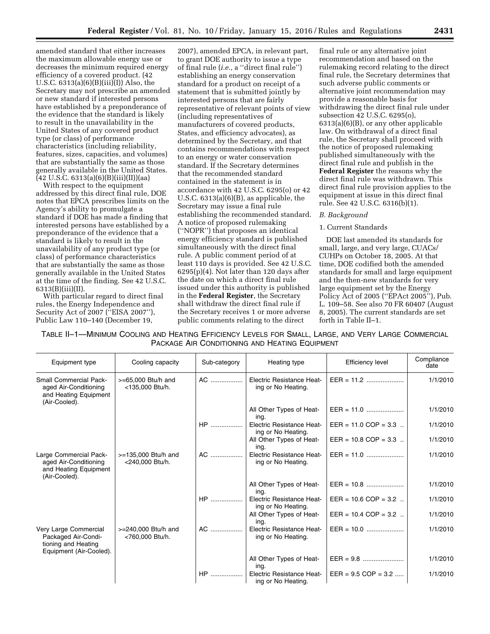amended standard that either increases the maximum allowable energy use or decreases the minimum required energy efficiency of a covered product. (42 U.S.C.  $6313(a)(6)(B)(iii)(I))$  Also, the Secretary may not prescribe an amended or new standard if interested persons have established by a preponderance of the evidence that the standard is likely to result in the unavailability in the United States of any covered product type (or class) of performance characteristics (including reliability, features, sizes, capacities, and volumes) that are substantially the same as those generally available in the United States.  $(42 \text{ U.S.C. } 6313(a)(6)(B)(iii)(II))(aa)$ 

With respect to the equipment addressed by this direct final rule, DOE notes that EPCA prescribes limits on the Agency's ability to promulgate a standard if DOE has made a finding that interested persons have established by a preponderance of the evidence that a standard is likely to result in the unavailability of any product type (or class) of performance characteristics that are substantially the same as those generally available in the United States at the time of the finding. See 42 U.S.C. 6313(B)(iii)(II).

With particular regard to direct final rules, the Energy Independence and Security Act of 2007 (''EISA 2007''), Public Law 110–140 (December 19,

2007), amended EPCA, in relevant part, to grant DOE authority to issue a type of final rule (*i.e.,* a ''direct final rule'') establishing an energy conservation standard for a product on receipt of a statement that is submitted jointly by interested persons that are fairly representative of relevant points of view (including representatives of manufacturers of covered products, States, and efficiency advocates), as determined by the Secretary, and that contains recommendations with respect to an energy or water conservation standard. If the Secretary determines that the recommended standard contained in the statement is in accordance with 42 U.S.C. 6295(o) or 42 U.S.C. 6313(a)(6)(B), as applicable, the Secretary may issue a final rule establishing the recommended standard. A notice of proposed rulemaking (''NOPR'') that proposes an identical energy efficiency standard is published simultaneously with the direct final rule. A public comment period of at least 110 days is provided. See 42 U.S.C.  $6295(p)(4)$ . Not later than 120 days after the date on which a direct final rule issued under this authority is published in the **Federal Register**, the Secretary shall withdraw the direct final rule if the Secretary receives 1 or more adverse public comments relating to the direct

final rule or any alternative joint recommendation and based on the rulemaking record relating to the direct final rule, the Secretary determines that such adverse public comments or alternative joint recommendation may provide a reasonable basis for withdrawing the direct final rule under subsection 42 U.S.C. 6295(o), 6313(a)(6)(B), or any other applicable law. On withdrawal of a direct final rule, the Secretary shall proceed with the notice of proposed rulemaking published simultaneously with the direct final rule and publish in the **Federal Register** the reasons why the direct final rule was withdrawn. This direct final rule provision applies to the equipment at issue in this direct final rule. See 42 U.S.C. 6316(b)(1).

## *B. Background*

## 1. Current Standards

DOE last amended its standards for small, large, and very large, CUACs/ CUHPs on October 18, 2005. At that time, DOE codified both the amended standards for small and large equipment and the then-new standards for very large equipment set by the Energy Policy Act of 2005 (''EPAct 2005''), Pub. L. 109–58. See also 70 FR 60407 (August 8, 2005). The current standards are set forth in Table II–1.

TABLE II–1—MINIMUM COOLING AND HEATING EFFICIENCY LEVELS FOR SMALL, LARGE, AND VERY LARGE COMMERCIAL PACKAGE AIR CONDITIONING AND HEATING EQUIPMENT

| Equipment type                                                                                   | Cooling capacity                         | Sub-category | Heating type                                           | <b>Efficiency level</b> | Compliance<br>date |
|--------------------------------------------------------------------------------------------------|------------------------------------------|--------------|--------------------------------------------------------|-------------------------|--------------------|
| <b>Small Commercial Pack-</b><br>aged Air-Conditioning<br>and Heating Equipment<br>(Air-Cooled). | $>= 65,000$ Btu/h and<br><135,000 Btu/h. | AC           | <b>Electric Resistance Heat-</b><br>ing or No Heating. | $EER = 11.2$            | 1/1/2010           |
|                                                                                                  |                                          |              | All Other Types of Heat-<br>ing.                       | $EER = 11.0$            | 1/1/2010           |
|                                                                                                  |                                          | HP           | Electric Resistance Heat-<br>ing or No Heating.        | $EER = 11.0 COP = 3.3$  | 1/1/2010           |
|                                                                                                  |                                          |              | All Other Types of Heat-<br>ing.                       | $EER = 10.8$ COP = 3.3  | 1/1/2010           |
| Large Commercial Pack-<br>aged Air-Conditioning<br>and Heating Equipment<br>(Air-Cooled).        | >=135,000 Btu/h and<br><240,000 Btu/h.   | $AC$         | <b>Electric Resistance Heat-</b><br>ing or No Heating. | $EER = 11.0$            | 1/1/2010           |
|                                                                                                  |                                          |              | All Other Types of Heat-<br>ing.                       | $EER = 10.8$            | 1/1/2010           |
|                                                                                                  |                                          | $HP$         | Electric Resistance Heat-<br>ing or No Heating.        | $EER = 10.6 COP = 3.2$  | 1/1/2010           |
|                                                                                                  |                                          |              | All Other Types of Heat-<br>ing.                       | $EER = 10.4 COP = 3.2$  | 1/1/2010           |
| Very Large Commercial<br>Packaged Air-Condi-<br>tioning and Heating<br>Equipment (Air-Cooled).   | >=240,000 Btu/h and<br><760,000 Btu/h.   | AC           | Electric Resistance Heat-<br>ing or No Heating.        | $EER = 10.0$            | 1/1/2010           |
|                                                                                                  |                                          |              | All Other Types of Heat-<br>ing.                       |                         | 1/1/2010           |
|                                                                                                  |                                          | $HP$         | Electric Resistance Heat-<br>ing or No Heating.        | $EER = 9.5 COP = 3.2 $  | 1/1/2010           |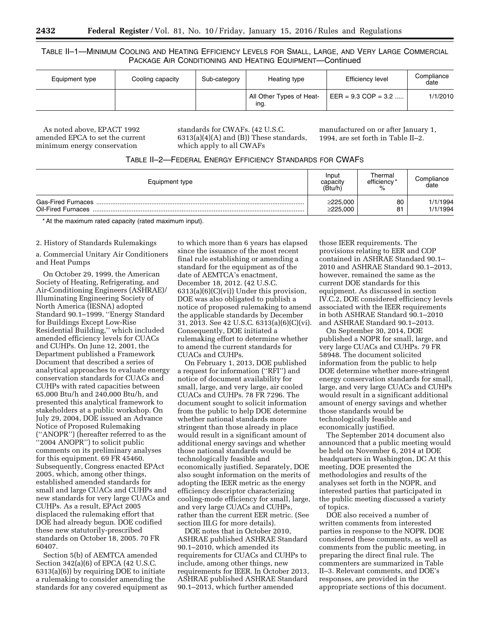# TABLE II–1—MINIMUM COOLING AND HEATING EFFICIENCY LEVELS FOR SMALL, LARGE, AND VERY LARGE COMMERCIAL PACKAGE AIR CONDITIONING AND HEATING EQUIPMENT—Continued

| Equipment type | Cooling capacity | Sub-category | Heating type                     | Efficiency level       | Compliance<br>date |
|----------------|------------------|--------------|----------------------------------|------------------------|--------------------|
|                |                  |              | All Other Types of Heat-<br>ing. | $EER = 9.3 COP = 3.2 $ | 1/1/2010           |

As noted above, EPACT 1992 amended EPCA to set the current minimum energy conservation

standards for CWAFs. (42 U.S.C. 6313(a)(4)(A) and (B)) These standards, which apply to all CWAFs

manufactured on or after January 1, 1994, are set forth in Table II–2.

## TABLE II–2—FEDERAL ENERGY EFFICIENCY STANDARDS FOR CWAFS

| Equipment type | Input<br>capacity<br>(Btu/h | Thermal<br>efficiency*<br>% | Compliance<br>date |
|----------------|-----------------------------|-----------------------------|--------------------|
|                | $\geq$ 225,000              | 80                          | 1/1/1994           |
|                | ≥225.000                    | 81                          | 1/1/1994           |

\* At the maximum rated capacity (rated maximum input).

# 2. History of Standards Rulemakings

a. Commercial Unitary Air Conditioners and Heat Pumps

On October 29, 1999, the American Society of Heating, Refrigerating, and Air-Conditioning Engineers (ASHRAE)/ Illuminating Engineering Society of North America (IESNA) adopted Standard 90.1–1999, ''Energy Standard for Buildings Except Low-Rise Residential Building,'' which included amended efficiency levels for CUACs and CUHPs. On June 12, 2001, the Department published a Framework Document that described a series of analytical approaches to evaluate energy conservation standards for CUACs and CUHPs with rated capacities between 65,000 Btu/h and 240,000 Btu/h, and presented this analytical framework to stakeholders at a public workshop. On July 29, 2004, DOE issued an Advance Notice of Proposed Rulemaking (''ANOPR'') (hereafter referred to as the ''2004 ANOPR'') to solicit public comments on its preliminary analyses for this equipment. 69 FR 45460. Subsequently, Congress enacted EPAct 2005, which, among other things, established amended standards for small and large CUACs and CUHPs and new standards for very large CUACs and CUHPs. As a result, EPAct 2005 displaced the rulemaking effort that DOE had already begun. DOE codified these new statutorily-prescribed standards on October 18, 2005. 70 FR 60407.

Section 5(b) of AEMTCA amended Section 342(a)(6) of EPCA (42 U.S.C. 6313(a)(6)) by requiring DOE to initiate a rulemaking to consider amending the standards for any covered equipment as

to which more than 6 years has elapsed since the issuance of the most recent final rule establishing or amending a standard for the equipment as of the date of AEMTCA's enactment, December 18, 2012. (42 U.S.C.  $6313(a)(6)(C)(vi)$  Under this provision, DOE was also obligated to publish a notice of proposed rulemaking to amend the applicable standards by December 31, 2013. See 42 U.S.C. 6313(a)(6)(C)(vi). Consequently, DOE initiated a rulemaking effort to determine whether to amend the current standards for CUACs and CUHPs.

On February 1, 2013, DOE published a request for information (''RFI'') and notice of document availability for small, large, and very large, air cooled CUACs and CUHPs. 78 FR 7296. The document sought to solicit information from the public to help DOE determine whether national standards more stringent than those already in place would result in a significant amount of additional energy savings and whether those national standards would be technologically feasible and economically justified. Separately, DOE also sought information on the merits of adopting the IEER metric as the energy efficiency descriptor characterizing cooling-mode efficiency for small, large, and very large CUACs and CUHPs, rather than the current EER metric. (See section III.G for more details).

DOE notes that in October 2010, ASHRAE published ASHRAE Standard 90.1–2010, which amended its requirements for CUACs and CUHPs to include, among other things, new requirements for IEER. In October 2013, ASHRAE published ASHRAE Standard 90.1–2013, which further amended

those IEER requirements. The provisions relating to EER and COP contained in ASHRAE Standard 90.1– 2010 and ASHRAE Standard 90.1–2013, however, remained the same as the current DOE standards for this equipment. As discussed in section IV.C.2, DOE considered efficiency levels associated with the IEER requirements in both ASHRAE Standard 90.1–2010 and ASHRAE Standard 90.1–2013.

On September 30, 2014, DOE published a NOPR for small, large, and very large CUACs and CUHPs. 79 FR 58948. The document solicited information from the public to help DOE determine whether more-stringent energy conservation standards for small, large, and very large CUACs and CUHPs would result in a significant additional amount of energy savings and whether those standards would be technologically feasible and economically justified.

The September 2014 document also announced that a public meeting would be held on November 6, 2014 at DOE headquarters in Washington, DC At this meeting, DOE presented the methodologies and results of the analyses set forth in the NOPR, and interested parties that participated in the public meeting discussed a variety of topics.

DOE also received a number of written comments from interested parties in response to the NOPR. DOE considered these comments, as well as comments from the public meeting, in preparing the direct final rule. The commenters are summarized in Table II–3. Relevant comments, and DOE's responses, are provided in the appropriate sections of this document.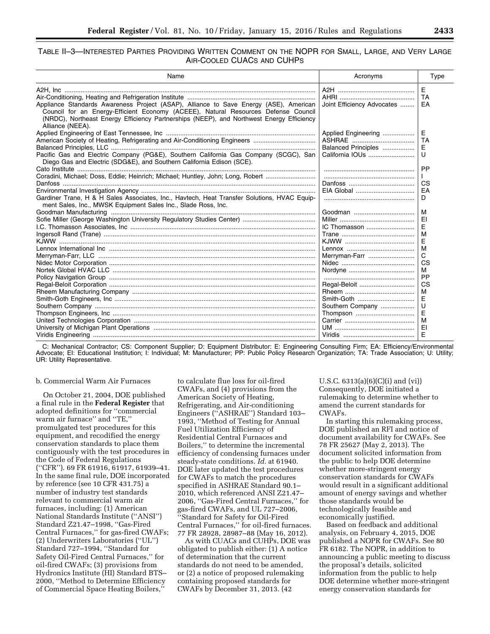# TABLE II–3—INTERESTED PARTIES PROVIDING WRITTEN COMMENT ON THE NOPR FOR SMALL, LARGE, AND VERY LARGE AIR-COOLED CUACS AND CUHPS

| Name                                                                                                                                                                                                                                                                                        | Acronyms                   | Type      |
|---------------------------------------------------------------------------------------------------------------------------------------------------------------------------------------------------------------------------------------------------------------------------------------------|----------------------------|-----------|
|                                                                                                                                                                                                                                                                                             |                            | E         |
|                                                                                                                                                                                                                                                                                             |                            | <b>TA</b> |
| Appliance Standards Awareness Project (ASAP), Alliance to Save Energy (ASE), American<br>Council for an Energy-Efficient Economy (ACEEE), Natural Resources Defense Council<br>(NRDC), Northeast Energy Efficiency Partnerships (NEEP), and Northwest Energy Efficiency<br>Alliance (NEEA). | Joint Efficiency Advocates | EA        |
|                                                                                                                                                                                                                                                                                             | Applied Engineering        | Е         |
|                                                                                                                                                                                                                                                                                             |                            | <b>TA</b> |
|                                                                                                                                                                                                                                                                                             | Balanced Principles        | Е         |
| Pacific Gas and Electric Company (PG&E), Southern California Gas Company (SCGC), San<br>Diego Gas and Electric (SDG&E), and Southern California Edison (SCE).                                                                                                                               | California IOUs            | U         |
|                                                                                                                                                                                                                                                                                             |                            | <b>PP</b> |
| Coradini, Michael; Doss, Eddie; Heinrich; Michael; Huntley, John; Long, Robert                                                                                                                                                                                                              |                            |           |
|                                                                                                                                                                                                                                                                                             |                            | CS        |
|                                                                                                                                                                                                                                                                                             |                            | EA        |
| Gardiner Trane, H & H Sales Associates, Inc., Havtech, Heat Transfer Solutions, HVAC Equip-<br>ment Sales, Inc., MWSK Equipment Sales Inc., Slade Ross, Inc.                                                                                                                                |                            | D         |
|                                                                                                                                                                                                                                                                                             |                            | м         |
|                                                                                                                                                                                                                                                                                             |                            | EI        |
|                                                                                                                                                                                                                                                                                             | IC Thomasson               | E         |
|                                                                                                                                                                                                                                                                                             |                            | M         |
|                                                                                                                                                                                                                                                                                             |                            | E         |
|                                                                                                                                                                                                                                                                                             |                            | M         |
|                                                                                                                                                                                                                                                                                             | Merryman-Farr              | C         |
|                                                                                                                                                                                                                                                                                             |                            | CS        |
|                                                                                                                                                                                                                                                                                             |                            | м         |
|                                                                                                                                                                                                                                                                                             |                            | PP        |
|                                                                                                                                                                                                                                                                                             | Regal-Beloit               | CS        |
|                                                                                                                                                                                                                                                                                             |                            | м         |
|                                                                                                                                                                                                                                                                                             | Smith-Goth                 | Е         |
|                                                                                                                                                                                                                                                                                             | Southern Company           | U         |
|                                                                                                                                                                                                                                                                                             | Thompson                   | Е         |
|                                                                                                                                                                                                                                                                                             |                            | M         |
|                                                                                                                                                                                                                                                                                             |                            | EI        |
|                                                                                                                                                                                                                                                                                             |                            | Е         |

C: Mechanical Contractor; CS: Component Supplier; D: Equipment Distributor: E: Engineering Consulting Firm; EA: Efficiency/Environmental Advocate; EI: Educational Institution; I: Individual; M: Manufacturer; PP: Public Policy Research Organization; TA: Trade Association; U: Utility; UR: Utility Representative.

#### b. Commercial Warm Air Furnaces

On October 21, 2004, DOE published a final rule in the **Federal Register** that adopted definitions for ''commercial warm air furnace'' and ''TE,'' promulgated test procedures for this equipment, and recodified the energy conservation standards to place them contiguously with the test procedures in the Code of Federal Regulations (''CFR''). 69 FR 61916, 61917, 61939–41. In the same final rule, DOE incorporated by reference (see 10 CFR 431.75) a number of industry test standards relevant to commercial warm air furnaces, including: (1) American National Standards Institute (''ANSI'') Standard Z21.47–1998, ''Gas-Fired Central Furnaces,'' for gas-fired CWAFs; (2) Underwriters Laboratories (''UL'') Standard 727–1994, ''Standard for Safety Oil-Fired Central Furnaces,'' for oil-fired CWAFs; (3) provisions from Hydronics Institute (HI) Standard BTS– 2000, ''Method to Determine Efficiency of Commercial Space Heating Boilers,''

to calculate flue loss for oil-fired CWAFs, and (4) provisions from the American Society of Heating, Refrigerating, and Air-conditioning Engineers ("ASHRAE") Standard 103-1993, ''Method of Testing for Annual Fuel Utilization Efficiency of Residential Central Furnaces and Boilers,'' to determine the incremental efficiency of condensing furnaces under steady-state conditions. *Id.* at 61940. DOE later updated the test procedures for CWAFs to match the procedures specified in ASHRAE Standard 90.1– 2010, which referenced ANSI Z21.47– 2006, ''Gas-Fired Central Furnaces,'' for gas-fired CWAFs, and UL 727–2006, ''Standard for Safety for Oil-Fired Central Furnaces,'' for oil-fired furnaces. 77 FR 28928, 28987–88 (May 16, 2012).

As with CUACs and CUHPs, DOE was obligated to publish either: (1) A notice of determination that the current standards do not need to be amended, or (2) a notice of proposed rulemaking containing proposed standards for CWAFs by December 31, 2013. (42

U.S.C. 6313(a)(6)(C)(i) and (vi)) Consequently, DOE initiated a rulemaking to determine whether to amend the current standards for CWAFs.

In starting this rulemaking process, DOE published an RFI and notice of document availability for CWAFs. See 78 FR 25627 (May 2, 2013). The document solicited information from the public to help DOE determine whether more-stringent energy conservation standards for CWAFs would result in a significant additional amount of energy savings and whether those standards would be technologically feasible and economically justified.

Based on feedback and additional analysis, on February 4, 2015, DOE published a NOPR for CWAFs. See 80 FR 6182. The NOPR, in addition to announcing a public meeting to discuss the proposal's details, solicited information from the public to help DOE determine whether more-stringent energy conservation standards for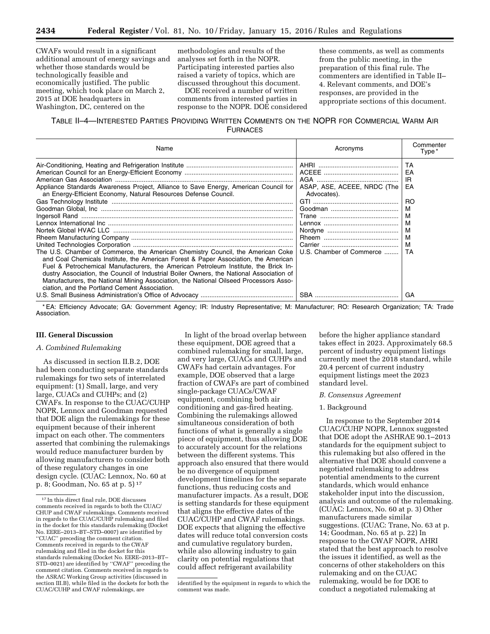CWAFs would result in a significant additional amount of energy savings and whether those standards would be technologically feasible and economically justified. The public meeting, which took place on March 2, 2015 at DOE headquarters in Washington, DC, centered on the

methodologies and results of the analyses set forth in the NOPR. Participating interested parties also raised a variety of topics, which are discussed throughout this document.

DOE received a number of written comments from interested parties in response to the NOPR. DOE considered

these comments, as well as comments from the public meeting, in the preparation of this final rule. The commenters are identified in Table II– 4. Relevant comments, and DOE's responses, are provided in the appropriate sections of this document.

TABLE II–4—INTERESTED PARTIES PROVIDING WRITTEN COMMENTS ON THE NOPR FOR COMMERCIAL WARM AIR FURNACES

| Name                                                                                                                                                                                                                                                                                                                                                                                                                                                                                                                                                                                                                                                           | Acronyms                                                               | Commenter<br>Type*                                              |
|----------------------------------------------------------------------------------------------------------------------------------------------------------------------------------------------------------------------------------------------------------------------------------------------------------------------------------------------------------------------------------------------------------------------------------------------------------------------------------------------------------------------------------------------------------------------------------------------------------------------------------------------------------------|------------------------------------------------------------------------|-----------------------------------------------------------------|
| Appliance Standards Awareness Project, Alliance to Save Energy, American Council for<br>an Energy-Efficient Economy, Natural Resources Defense Council.<br>The U.S. Chamber of Commerce, the American Chemistry Council, the American Coke<br>and Coal Chemicals Institute, the American Forest & Paper Association, the American<br>Fuel & Petrochemical Manufacturers, the American Petroleum Institute, the Brick In-<br>dustry Association, the Council of Industrial Boiler Owners, the National Association of<br>Manufacturers, the National Mining Association, the National Oilseed Processors Asso-<br>ciation, and the Portland Cement Association. | ASAP, ASE, ACEEE, NRDC (The<br>Advocates).<br>U.S. Chamber of Commerce | TA<br>EA<br>IR<br>EA<br>RO.<br>м<br>м<br>м<br>м<br>М<br>м<br>TA |
|                                                                                                                                                                                                                                                                                                                                                                                                                                                                                                                                                                                                                                                                |                                                                        | GA                                                              |

\* EA: Efficiency Advocate; GA: Government Agency; IR: Industry Representative; M: Manufacturer; RO: Research Organization; TA: Trade Association.

#### **III. General Discussion**

## *A. Combined Rulemaking*

As discussed in section II.B.2, DOE had been conducting separate standards rulemakings for two sets of interrelated equipment: (1) Small, large, and very large, CUACs and CUHPs; and (2) CWAFs. In response to the CUAC/CUHP NOPR, Lennox and Goodman requested that DOE align the rulemakings for these equipment because of their inherent impact on each other. The commenters asserted that combining the rulemakings would reduce manufacturer burden by allowing manufacturers to consider both of these regulatory changes in one design cycle. (CUAC: Lennox, No. 60 at p. 8; Goodman, No. 65 at p. 5) 17

In light of the broad overlap between these equipment, DOE agreed that a combined rulemaking for small, large, and very large, CUACs and CUHPs and CWAFs had certain advantages. For example, DOE observed that a large fraction of CWAFs are part of combined single-package CUACs/CWAF equipment, combining both air conditioning and gas-fired heating. Combining the rulemakings allowed simultaneous consideration of both functions of what is generally a single piece of equipment, thus allowing DOE to accurately account for the relations between the different systems. This approach also ensured that there would be no divergence of equipment development timelines for the separate functions, thus reducing costs and manufacturer impacts. As a result, DOE is setting standards for these equipment that aligns the effective dates of the CUAC/CUHP and CWAF rulemakings. DOE expects that aligning the effective dates will reduce total conversion costs and cumulative regulatory burden, while also allowing industry to gain clarity on potential regulations that could affect refrigerant availability

before the higher appliance standard takes effect in 2023. Approximately 68.5 percent of industry equipment listings currently meet the 2018 standard, while 20.4 percent of current industry equipment listings meet the 2023 standard level.

### *B. Consensus Agreement*

#### 1. Background

In response to the September 2014 CUAC/CUHP NOPR, Lennox suggested that DOE adopt the ASHRAE 90.1–2013 standards for the equipment subject to this rulemaking but also offered in the alternative that DOE should convene a negotiated rulemaking to address potential amendments to the current standards, which would enhance stakeholder input into the discussion, analysis and outcome of the rulemaking. (CUAC: Lennox, No. 60 at p. 3) Other manufacturers made similar suggestions. (CUAC: Trane, No. 63 at p. 14; Goodman, No. 65 at p. 22) In response to the CWAF NOPR, AHRI stated that the best approach to resolve the issues it identified, as well as the concerns of other stakeholders on this rulemaking and on the CUAC rulemaking, would be for DOE to conduct a negotiated rulemaking at

 $^{\rm 17}$  In this direct final rule, DOE discusses comments received in regards to both the CUAC/ CHUP and CWAF rulemakings. Comments received in regards to the CUAC/CUHP rulemaking and filed in the docket for this standards rulemaking (Docket No. EERE–2013–BT–STD–0007) are identified by ''CUAC'' preceding the comment citation. Comments received in regards to the CWAF rulemaking and filed in the docket for this standards rulemaking (Docket No. EERE–2013–BT– STD–0021) are identified by ''CWAF'' preceding the comment citation. Comments received in regards to the ASRAC Working Group activities (discussed in section III.B), while filed in the dockets for both the CUAC/CUHP and CWAF rulemakings, are

identified by the equipment in regards to which the comment was made.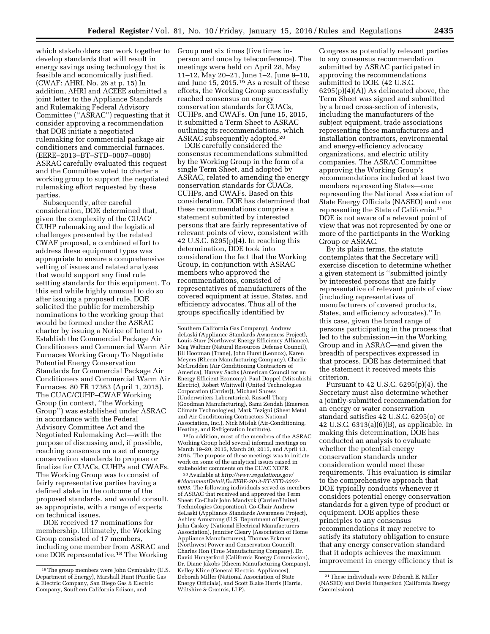which stakeholders can work together to develop standards that will result in energy savings using technology that is feasible and economically justified. (CWAF: AHRI, No. 26 at p. 15) In addition, AHRI and ACEEE submitted a joint letter to the Appliance Standards and Rulemaking Federal Advisory Committee (''ASRAC'') requesting that it consider approving a recommendation that DOE initiate a negotiated rulemaking for commercial package air conditioners and commercial furnaces. (EERE–2013–BT–STD–0007–0080) ASRAC carefully evaluated this request and the Committee voted to charter a working group to support the negotiated rulemaking effort requested by these parties.

Subsequently, after careful consideration, DOE determined that, given the complexity of the CUAC/ CUHP rulemaking and the logistical challenges presented by the related CWAF proposal, a combined effort to address these equipment types was appropriate to ensure a comprehensive vetting of issues and related analyses that would support any final rule settting standards for this equipment. To this end while highly unusual to do so after issuing a proposed rule, DOE solicited the public for membership nominations to the working group that would be formed under the ASRAC charter by issuing a Notice of Intent to Establish the Commercial Package Air Conditioners and Commercial Warm Air Furnaces Working Group To Negotiate Potential Energy Conservation Standards for Commercial Package Air Conditioners and Commercial Warm Air Furnaces. 80 FR 17363 (April 1, 2015). The CUAC/CUHP–CWAF Working Group (in context, ''the Working Group'') was established under ASRAC in accordance with the Federal Advisory Committee Act and the Negotiated Rulemaking Act—with the purpose of discussing and, if possible, reaching consensus on a set of energy conservation standards to propose or finalize for CUACs, CUHPs and CWAFs. The Working Group was to consist of fairly representative parties having a defined stake in the outcome of the proposed standards, and would consult, as appropriate, with a range of experts on technical issues.

DOE received 17 nominations for membership. Ultimately, the Working Group consisted of 17 members, including one member from ASRAC and one DOE representative.18 The Working

Group met six times (five times inperson and once by teleconference). The meetings were held on April 28, May 11–12, May 20–21, June 1–2, June 9–10, and June 15, 2015.19 As a result of these efforts, the Working Group successfully reached consensus on energy conservation standards for CUACs, CUHPs, and CWAFs. On June 15, 2015, it submitted a Term Sheet to ASRAC outlining its recommendations, which ASRAC subsequently adopted.20

DOE carefully considered the consensus recommendations submitted by the Working Group in the form of a single Term Sheet, and adopted by ASRAC, related to amending the energy conservation standards for CUACs, CUHPs, and CWAFs. Based on this consideration, DOE has determined that these recommendations comprise a statement submitted by interested persons that are fairly representative of relevant points of view, consistent with 42 U.S.C. 6295(p)(4). In reaching this determination, DOE took into consideration the fact that the Working Group, in conjunction with ASRAC members who approved the recommendations, consisted of representatives of manufacturers of the covered equipment at issue, States, and efficiency advocates. Thus all of the groups specifically identified by

19 In addition, most of the members of the ASRAC Working Group held several informal meetings on March 19–20, 2015, March 30, 2015, and April 13, 2015. The purpose of these meetings was to initiate work on some of the analytical issues raised in stakeholder comments on the CUAC NOPR.

20Available at *[http://www.regulations.gov/](http://www.regulations.gov/#!documentDetail;D=EERE-2013-BT-STD-0007-0093) [#!documentDetail;D=EERE-2013-BT-STD-0007-](http://www.regulations.gov/#!documentDetail;D=EERE-2013-BT-STD-0007-0093) [0093.](http://www.regulations.gov/#!documentDetail;D=EERE-2013-BT-STD-0007-0093)* The following individuals served as members of ASRAC that received and approved the Term Sheet: Co-Chair John Mandyck (Carrier/United Technologies Corporation), Co-Chair Andrew deLaski (Appliance Standards Awareness Project), Ashley Armstrong (U.S. Department of Energy), John Caskey (National Electrical Manufacturers Association), Jennifer Cleary (Association of Home Appliance Manufacturers), Thomas Eckman (Northwest Power and Conservation Council), Charles Hon (True Manufacturing Company), Dr. David Hungerford (California Energy Commission), Dr. Diane Jakobs (Rheem Manufacturing Company), Kelley Kline (General Electric, Appliances), Deborah Miller (National Association of State Energy Officials), and Scott Blake Harris (Harris, Wiltshire & Grannis, LLP).

Congress as potentially relevant parties to any consensus recommendation submitted by ASRAC participated in approving the recommendations submitted to DOE. (42 U.S.C.  $6295(p)(4)(A)$  As delineated above, the Term Sheet was signed and submitted by a broad cross-section of interests, including the manufacturers of the subject equipment, trade associations representing these manufacturers and installation contractors, environmental and energy-efficiency advocacy organizations, and electric utility companies. The ASRAC Committee approving the Working Group's recommendations included at least two members representing States—one representing the National Association of State Energy Officials (NASEO) and one representing the State of California.21 DOE is not aware of a relevant point of view that was not represented by one or more of the participants in the Working Group or ASRAC.

By its plain terms, the statute contemplates that the Secretary will exercise discetion to determine whether a given statement is ''submitted jointly by interested persons that are fairly representative of relevant points of view (including representatives of manufacturers of covered products, States, and efficiency advocates).'' In this case, given the broad range of persons participating in the process that led to the submission—in the Working Group and in ASRAC—and given the breadth of perspectives expressed in that process, DOE has determined that the statement it received meets this criterion.

Pursuant to 42 U.S.C. 6295(p)(4), the Secretary must also determine whether a jointly-submitted recommendation for an energy or water conservation standard satisfies 42 U.S.C. 6295(o) or 42 U.S.C. 6313(a)(6)(B), as applicable. In making this determination, DOE has conducted an analysis to evaluate whether the potential energy conservation standards under consideration would meet these requirements. This evaluation is similar to the comprehensive approach that DOE typically conducts whenever it considers potential energy conservation standards for a given type of product or equipment. DOE applies these principles to any consensus recommendations it may receive to satisfy its statutory obligation to ensure that any energy conservation standard that it adopts achieves the maximum improvement in energy efficiency that is

<sup>18</sup>The group members were John Cymbalsky (U.S. Department of Energy), Marshall Hunt (Pacific Gas & Electric Company, San Diego Gas & Electric Company, Southern California Edison, and

Southern California Gas Company), Andrew deLaski (Appliance Standards Awareness Project), Louis Starr (Northwest Energy Efficiency Alliance), Meg Waltner (Natural Resources Defense Council), Jill Hootman (Trane), John Hurst (Lennox), Karen Meyers (Rheem Manufacturing Company), Charlie McCrudden (Air Conditioning Contractors of America), Harvey Sachs (American Council for an Energy Efficient Economy), Paul Doppel (Mitsubishi Electric), Robert Whitwell (United Technologies Corporation (Carrier)), Michael Shows (Underwriters Laboratories), Russell Tharp (Goodman Manufacturing), Sami Zendah (Emerson Climate Technologies), Mark Tezigni (Sheet Metal and Air Conditioning Contractors National Association, Inc.), Nick Mislak (Air-Conditioning, Heating, and Refrigeration Institute).

<sup>21</sup>These individuals were Deborah E. Miller (NASEO) and David Hungerford (California Energy Commission).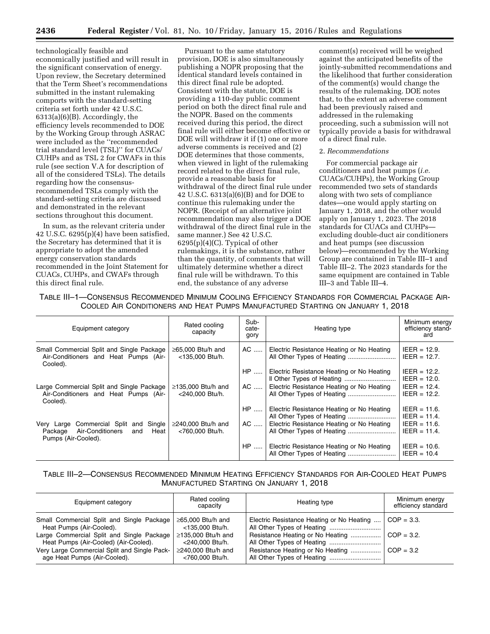technologically feasible and economically justified and will result in the significant conservation of energy. Upon review, the Secretary determined that the Term Sheet's recommendations submitted in the instant rulemaking comports with the standard-setting criteria set forth under 42 U.S.C. 6313(a)(6)(B). Accordingly, the efficiency levels recommended to DOE by the Working Group through ASRAC were included as the ''recommended trial standard level (TSL)'' for CUACs/ CUHPs and as TSL 2 for CWAFs in this rule (see section V.A for description of all of the considered TSLs). The details regarding how the consensusrecommended TSLs comply with the standard-setting criteria are discussed and demonstrated in the relevant sections throughout this document.

In sum, as the relevant criteria under 42 U.S.C. 6295(p)(4) have been satisfied, the Secretary has determined that it is appropriate to adopt the amended energy conservation standards recommended in the Joint Statement for CUACs, CUHPs, and CWAFs through this direct final rule.

Pursuant to the same statutory provision, DOE is also simultaneously publishing a NOPR proposing that the identical standard levels contained in this direct final rule be adopted. Consistent with the statute, DOE is providing a 110-day public comment period on both the direct final rule and the NOPR. Based on the comments received during this period, the direct final rule will either become effective or DOE will withdraw it if (1) one or more adverse comments is received and (2) DOE determines that those comments, when viewed in light of the rulemaking record related to the direct final rule, provide a reasonable basis for withdrawal of the direct final rule under 42 U.S.C. 6313(a)(6)(B) and for DOE to continue this rulemaking under the NOPR. (Receipt of an alternative joint recommendation may also trigger a DOE withdrawal of the direct final rule in the same manner.) See 42 U.S.C.  $6295(p)(4)(C)$ . Typical of other rulemakings, it is the substance, rather than the quantity, of comments that will ultimately determine whether a direct final rule will be withdrawn. To this end, the substance of any adverse

comment(s) received will be weighed against the anticipated benefits of the jointly-submitted recommendations and the likelihood that further consideration of the comment(s) would change the results of the rulemaking. DOE notes that, to the extent an adverse comment had been previously raised and addressed in the rulemaking proceeding, such a submission will not typically provide a basis for withdrawal of a direct final rule.

# 2. *Recommendations*

For commercial package air conditioners and heat pumps (*i.e.*  CUACs/CUHPs), the Working Group recommended two sets of standards along with two sets of compliance dates—one would apply starting on January 1, 2018, and the other would apply on January 1, 2023. The 2018 standards for CUACs and CUHPs excluding double-duct air conditioners and heat pumps (see discussion below)—recommended by the Working Group are contained in Table III–1 and Table III–2. The 2023 standards for the same equipment are contained in Table III–3 and Table III–4.

| TABLE III—1—CONSENSUS RECOMMENDED MINIMUM COOLING EFFICIENCY STANDARDS FOR COMMERCIAL PACKAGE AIR- |  |
|----------------------------------------------------------------------------------------------------|--|
| COOLED AIR CONDITIONERS AND HEAT PUMPS MANUFACTURED STARTING ON JANUARY 1, 2018                    |  |

| Equipment category                                                                                       | Rated cooling<br>capacity                   | Sub-<br>cate-<br>gory | Heating type                                                            | Minimum energy<br>efficiency stand-<br>ard |
|----------------------------------------------------------------------------------------------------------|---------------------------------------------|-----------------------|-------------------------------------------------------------------------|--------------------------------------------|
| Small Commercial Split and Single Package<br>Air-Conditioners and Heat Pumps (Air-<br>Cooled).           | $\geq$ 65,000 Btu/h and<br><135,000 Btu/h.  | AC                    | Electric Resistance Heating or No Heating                               | $IEER = 12.9.$<br>$IEER = 12.7.$           |
|                                                                                                          |                                             | <b>HP</b>             | Electric Resistance Heating or No Heating<br>Il Other Types of Heating  | $IEER = 12.2.$<br>$IEER = 12.0.$           |
| Large Commercial Split and Single Package<br>Air-Conditioners and Heat Pumps (Air-<br>Cooled).           | $\geq$ 135,000 Btu/h and<br><240,000 Btu/h. | AC                    | Electric Resistance Heating or No Heating                               | $IEER = 12.4.$<br>$IEER = 12.2.$           |
|                                                                                                          |                                             | HP                    | Electric Resistance Heating or No Heating<br>All Other Types of Heating | $IEER = 11.6.$<br>$IEER = 11.4.$           |
| Very Large Commercial Split and Single<br>Package Air-Conditioners<br>Heat<br>and<br>Pumps (Air-Cooled). | $\geq$ 240,000 Btu/h and<br><760,000 Btu/h. | AC                    | Electric Resistance Heating or No Heating                               | $IEER = 11.6.$<br>$IEER = 11.4$ .          |
|                                                                                                          |                                             | HP                    | Electric Resistance Heating or No Heating                               | $IEER = 10.6$ .<br>$IEER = 10.4$           |

# TABLE III–2—CONSENSUS RECOMMENDED MINIMUM HEATING EFFICIENCY STANDARDS FOR AIR-COOLED HEAT PUMPS MANUFACTURED STARTING ON JANUARY 1, 2018

| Equipment category                           | Rated cooling<br>capacity | Heating type                              | Minimum energy<br>efficiency standard |
|----------------------------------------------|---------------------------|-------------------------------------------|---------------------------------------|
| Small Commercial Split and Single Package    | $\geq$ 65.000 Btu/h and   | Electric Resistance Heating or No Heating | $\vert$ COP = 3.3.                    |
| Heat Pumps (Air-Cooled).                     | <135,000 Btu/h.           |                                           |                                       |
| Large Commercial Split and Single Package    | $\geq$ 135,000 Btu/h and  | Resistance Heating or No Heating          | $\vert$ COP = 3.2.                    |
| Heat Pumps (Air-Cooled) (Air-Cooled).        | <240,000 Btu/h.           |                                           |                                       |
| Very Large Commercial Split and Single Pack- | $\geq$ 240.000 Btu/h and  | Resistance Heating or No Heating          | $\overline{COP} = 3.2$                |
| age Heat Pumps (Air-Cooled).                 | <760,000 Btu/h.           |                                           |                                       |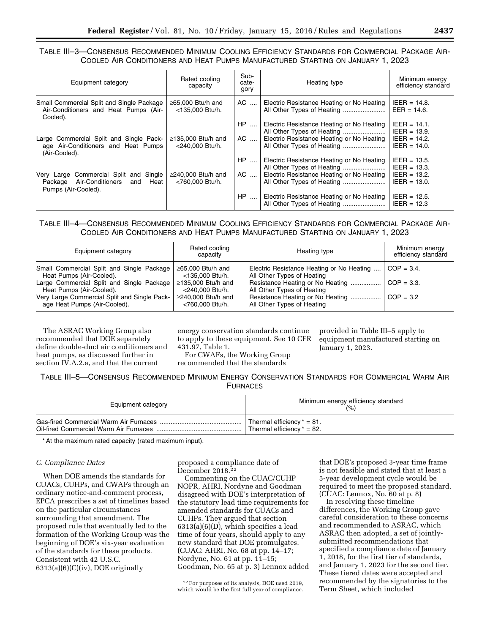TABLE III–3—CONSENSUS RECOMMENDED MINIMUM COOLING EFFICIENCY STANDARDS FOR COMMERCIAL PACKAGE AIR-COOLED AIR CONDITIONERS AND HEAT PUMPS MANUFACTURED STARTING ON JANUARY 1, 2023

| Equipment category                                                                                    | Rated cooling<br>capacity                   | Sub-<br>cate-<br>gory | Heating type                                                            | Minimum energy<br>efficiency standard |
|-------------------------------------------------------------------------------------------------------|---------------------------------------------|-----------------------|-------------------------------------------------------------------------|---------------------------------------|
| Small Commercial Split and Single Package<br>Air-Conditioners and Heat Pumps (Air-<br>Cooled).        | $\geq$ 65,000 Btu/h and<br><135,000 Btu/h.  | AC                    | Electric Resistance Heating or No Heating<br>All Other Types of Heating | $IEER = 14.8.$<br>$EER = 14.6$ .      |
|                                                                                                       |                                             | HP                    | Electric Resistance Heating or No Heating                               | $IEER = 14.1.$<br>$IEER = 13.9.$      |
| Large Commercial Split and Single Pack-<br>age Air-Conditioners and Heat Pumps<br>(Air-Cooled).       | $\geq$ 135,000 Btu/h and<br><240,000 Btu/h. | AC  1                 | Electric Resistance Heating or No Heating                               | $IEER = 14.2.$<br>$IEER = 14.0.$      |
|                                                                                                       |                                             | HP                    | Electric Resistance Heating or No Heating                               | $IEER = 13.5.$<br>$IEER = 13.3.$      |
| Very Large Commercial Split and Single<br>Package Air-Conditioners and<br>Heat<br>Pumps (Air-Cooled). | $\geq$ 240,000 Btu/h and<br><760,000 Btu/h. | AC                    | Electric Resistance Heating or No Heating                               | $IEER = 13.2.$<br>$IEER = 13.0.$      |
|                                                                                                       |                                             | $HP$                  | Electric Resistance Heating or No Heating<br>All Other Types of Heating | $IEER = 12.5.$<br>$IEER = 12.3$       |

TABLE III–4—CONSENSUS RECOMMENDED MINIMUM COOLING EFFICIENCY STANDARDS FOR COMMERCIAL PACKAGE AIR-COOLED AIR CONDITIONERS AND HEAT PUMPS MANUFACTURED STARTING ON JANUARY 1, 2023

| Equipment category                           | Rated cooling<br>capacity | Heating type                              | Minimum energy<br>efficiency standard |
|----------------------------------------------|---------------------------|-------------------------------------------|---------------------------------------|
| Small Commercial Split and Single Package    | ≥65.000 Btu/h and         | Electric Resistance Heating or No Heating | $COP = 3.4$ .                         |
| Heat Pumps (Air-Cooled).                     | <135.000 Btu/h.           | All Other Types of Heating                |                                       |
| Large Commercial Split and Single Package    | $\geq$ 135.000 Btu/h and  | Resistance Heating or No Heating          | $COP = 3.3.$                          |
| Heat Pumps (Air-Cooled).                     | <240.000 Btu/h.           | All Other Types of Heating                |                                       |
| Very Large Commercial Split and Single Pack- | $\geq$ 240.000 Btu/h and  | Resistance Heating or No Heating          | $COP = 3.2$                           |
| age Heat Pumps (Air-Cooled).                 | <760,000 Btu/h.           | All Other Types of Heating                |                                       |

The ASRAC Working Group also recommended that DOE separately define double-duct air conditioners and heat pumps, as discussed further in section IV.A.2.a, and that the current

energy conservation standards continue to apply to these equipment. See 10 CFR 431.97, Table 1.

For CWAFs, the Working Group recommended that the standards

provided in Table III–5 apply to equipment manufactured starting on January 1, 2023.

TABLE III–5—CONSENSUS RECOMMENDED MINIMUM ENERGY CONSERVATION STANDARDS FOR COMMERCIAL WARM AIR FURNACES

| Equipment category | Minimum energy efficiency standard |
|--------------------|------------------------------------|
|                    | Thermal efficiency $* = 81$ .      |
|                    | Thermal efficiency $* = 82$ .      |

\* At the maximum rated capacity (rated maximum input).

# *C. Compliance Dates*

When DOE amends the standards for CUACs, CUHPs, and CWAFs through an ordinary notice-and-comment process, EPCA prescribes a set of timelines based on the particular circumstances surrounding that amendment. The proposed rule that eventually led to the formation of the Working Group was the beginning of DOE's six-year evaluation of the standards for these products. Consistent with 42 U.S.C. 6313(a)(6)(C)(iv), DOE originally

proposed a compliance date of December 2018.22

Commenting on the CUAC/CUHP NOPR, AHRI, Nordyne and Goodman disagreed with DOE's interpretation of the statutory lead time requirements for amended standards for CUACs and CUHPs. They argued that section 6313(a)(6)(D), which specifies a lead time of four years, should apply to any new standard that DOE promulgates. (CUAC: AHRI, No. 68 at pp. 14–17; Nordyne, No. 61 at pp. 11–15; Goodman, No. 65 at p. 3) Lennox added that DOE's proposed 3-year time frame is not feasible and stated that at least a 5-year development cycle would be required to meet the proposed standard. (CUAC: Lennox, No. 60 at p. 8)

In resolving these timeline differences, the Working Group gave careful consideration to these concerns and recommended to ASRAC, which ASRAC then adopted, a set of jointlysubmitted recommendations that specified a compliance date of January 1, 2018, for the first tier of standards, and January 1, 2023 for the second tier. These tiered dates were accepted and recommended by the signatories to the Term Sheet, which included

<sup>22</sup>For purposes of its analysis, DOE used 2019, which would be the first full year of compliance.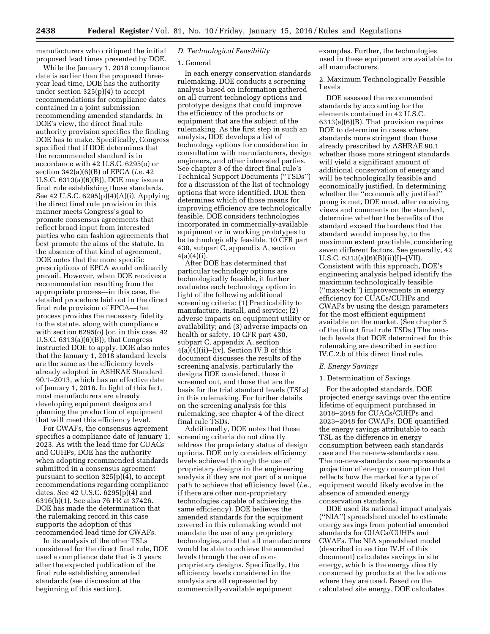manufacturers who critiqued the initial proposed lead times presented by DOE.

While the January 1, 2018 compliance date is earlier than the proposed threeyear lead time, DOE has the authority under section 325(p)(4) to accept recommendations for compliance dates contained in a joint submission recommending amended standards. In DOE's view, the direct final rule authority provision specifies the finding DOE has to make. Specifically, Congress specified that if DOE determines that the recommended standard is in accordance with 42 U.S.C. 6295(o) or section 342(a)(6)(B) of EPCA (*i.e.* 42 U.S.C. 6313(a)(6)(B)), DOE may issue a final rule establishing those standards. See 42 U.S.C. 6295(p)(4)(A)(i). Applying the direct final rule provision in this manner meets Congress's goal to promote consensus agreements that reflect broad input from interested parties who can fashion agreements that best promote the aims of the statute. In the absence of that kind of agreement, DOE notes that the more specific prescriptions of EPCA would ordinarily prevail. However, when DOE receives a recommendation resulting from the appropriate process—in this case, the detailed procedure laid out in the direct final rule provision of EPCA—that process provides the necessary fidelity to the statute, along with compliance with section 6295(o) (or, in this case, 42 U.S.C. 6313(a)(6)(B)), that Congress instructed DOE to apply. DOE also notes that the January 1, 2018 standard levels are the same as the efficiency levels already adopted in ASHRAE Standard 90.1–2013, which has an effective date of January 1, 2016. In light of this fact, most manufacturers are already developing equipment designs and planning the production of equipment that will meet this efficiency level.

For CWAFs, the consensus agreement specifies a compliance date of January 1, 2023. As with the lead time for CUACs and CUHPs, DOE has the authority when adopting recommended standards submitted in a consensus agreement pursuant to section 325(p)(4), to accept recommendations regarding compliance dates. See 42 U.S.C. 6295(p)(4) and 6316(b)(1). See also 76 FR at 37426. DOE has made the determination that the rulemaking record in this case supports the adoption of this recommended lead time for CWAFs.

In its analysis of the other TSLs considered for the direct final rule, DOE used a compliance date that is 3 years after the expected publication of the final rule establishing amended standards (see discussion at the beginning of this section).

# *D. Technological Feasibility*

## 1. General

In each energy conservation standards rulemaking, DOE conducts a screening analysis based on information gathered on all current technology options and prototype designs that could improve the efficiency of the products or equipment that are the subject of the rulemaking. As the first step in such an analysis, DOE develops a list of technology options for consideration in consultation with manufacturers, design engineers, and other interested parties. See chapter 3 of the direct final rule's Technical Support Documents (''TSDs'') for a discussion of the list of technology options that were identified. DOE then determines which of those means for improving efficiency are technologically feasible. DOE considers technologies incorporated in commercially-available equipment or in working prototypes to be technologically feasible. 10 CFR part 430, subpart C, appendix A, section  $4(a)(4)(i)$ .

After DOE has determined that particular technology options are technologically feasible, it further evaluates each technology option in light of the following additional screening criteria: (1) Practicability to manufacture, install, and service; (2) adverse impacts on equipment utility or availability; and (3) adverse impacts on health or safety. 10 CFR part 430, subpart C, appendix A, section 4(a)(4)(ii)–(iv). Section IV.B of this document discusses the results of the screening analysis, particularly the designs DOE considered, those it screened out, and those that are the basis for the trial standard levels (TSLs) in this rulemaking. For further details on the screening analysis for this rulemaking, see chapter 4 of the direct final rule TSDs.

Additionally, DOE notes that these screening criteria do not directly address the proprietary status of design options. DOE only considers efficiency levels achieved through the use of proprietary designs in the engineering analysis if they are not part of a unique path to achieve that efficiency level (*i.e.,*  if there are other non-proprietary technologies capable of achieving the same efficiency). DOE believes the amended standards for the equipment covered in this rulemaking would not mandate the use of any proprietary technologies, and that all manufacturers would be able to achieve the amended levels through the use of nonproprietary designs. Specifically, the efficiency levels considered in the analysis are all represented by commercially-available equipment

examples. Further, the technologies used in these equipment are available to all manufacturers.

2. Maximum Technologically Feasible Levels

DOE assessed the recommended standards by accounting for the elements contained in 42 U.S.C. 6313(a)(6)(B). That provision requires DOE to determine in cases where standards more stringent than those already prescribed by ASHRAE 90.1 whether those more stringent standards will yield a significant amount of additional conservation of energy and will be technologically feasible and economically justified. In determining whether the ''economically justified'' prong is met, DOE must, after receiving views and comments on the standard, determine whether the benefits of the standard exceed the burdens that the standard would impose by, to the maximum extent practiable, considering seven different factors. See generally, 42 U.S.C. 6313(a)(6)(B)(ii)(I)–(VII). Consistent with this approach, DOE's engineering analysis helped identify the maximum technologically feasible (''max-tech'') improvements in energy efficiency for CUACs/CUHPs and CWAFs by using the design parameters for the most efficient equipment available on the market. (See chapter 5 of the direct final rule TSDs.) The maxtech levels that DOE determined for this rulemaking are described in section IV.C.2.b of this direct final rule.

#### *E. Energy Savings*

## 1. Determination of Savings

For the adopted standards, DOE projected energy savings over the entire lifetime of equipment purchased in 2018–2048 for CUACs/CUHPs and 2023–2048 for CWAFs. DOE quantified the energy savings attributable to each TSL as the difference in energy consumption between each standards case and the no-new-standards case. The no-new-standards case represents a projection of energy consumption that reflects how the market for a type of equipment would likely evolve in the absence of amended energy conservation standards.

DOE used its national impact analysis (''NIA'') spreadsheet model to estimate energy savings from potential amended standards for CUACs/CUHPs and CWAFs. The NIA spreadsheet model (described in section IV.H of this document) calculates savings in site energy, which is the energy directly consumed by products at the locations where they are used. Based on the calculated site energy, DOE calculates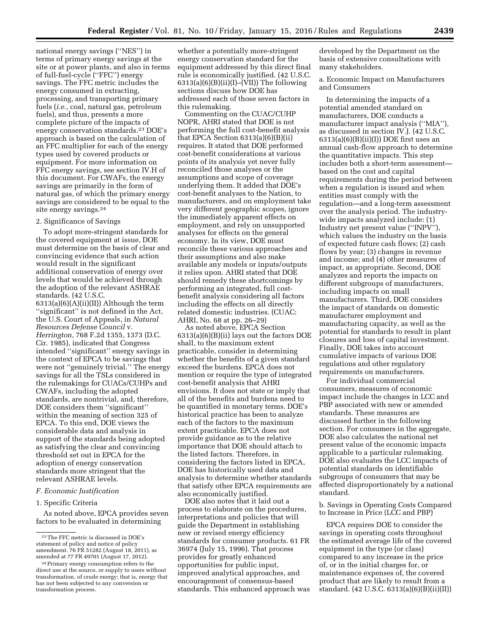national energy savings (''NES'') in terms of primary energy savings at the site or at power plants, and also in terms of full-fuel-cycle (''FFC'') energy savings. The FFC metric includes the energy consumed in extracting, processing, and transporting primary fuels (*i.e.,* coal, natural gas, petroleum fuels), and thus, presents a more complete picture of the impacts of energy conservation standards.23 DOE's approach is based on the calculation of an FFC multiplier for each of the energy types used by covered products or equipment. For more information on FFC energy savings, see section IV.H of this document. For CWAFs, the energy savings are primarily in the form of natural gas, of which the primary energy savings are considered to be equal to the site energy savings.24

## 2. Significance of Savings

To adopt more-stringent standards for the covered equipment at issue, DOE must determine on the basis of clear and convincing evidence that such action would result in the significant additional conservation of energy over levels that would be achieved through the adoption of the relevant ASHRAE standards. (42 U.S.C.  $6313(a)(6)(A)(ii)(II))$  Although the term ''significant'' is not defined in the Act, the U.S. Court of Appeals, in *Natural Resources Defense Council* v. *Herrington,* 768 F.2d 1355, 1373 (D.C. Cir. 1985), indicated that Congress intended ''significant'' energy savings in the context of EPCA to be savings that were not ''genuinely trivial.'' The energy savings for all the TSLs considered in the rulemakings for CUACs/CUHPs and CWAFs, including the adopted standards, are nontrivial, and, therefore, DOE considers them ''significant'' within the meaning of section 325 of EPCA. To this end, DOE views the considerable data and analysis in support of the standards being adopted as satisfying the clear and convincing threshold set out in EPCA for the adoption of energy conservation standards more stringent that the relevant ASHRAE levels.

#### *F. Economic Justification*

## 1. Specific Criteria

As noted above, EPCA provides seven factors to be evaluated in determining

whether a potentially more-stringent energy conservation standard for the equipment addressed by this direct final rule is economically justified. (42 U.S.C.  $6313(a)(6)(B)(ii)(I)$ –(VII)) The following sections discuss how DOE has addressed each of those seven factors in this rulemaking.

Commenting on the CUAC/CUHP NOPR, AHRI stated that DOE is not performing the full cost-benefit analysis that EPCA Section 6313(a)(6)(B)(ii) requires. It stated that DOE performed cost-benefit considerations at various points of its analysis yet never fully reconciled those analyses or the assumptions and scope of coverage underlying them. It added that DOE's cost-benefit analyses to the Nation, to manufacturers, and on employment take very different geographic scopes, ignore the immediately apparent effects on employment, and rely on unsupported analyses for effects on the general economy. In its view, DOE must reconcile these various approaches and their assumptions and also make available any models or inputs/outputs it relies upon. AHRI stated that DOE should remedy these shortcomings by performing an integrated, full costbenefit analysis considering all factors including the effects on all directly related domestic industries. (CUAC: AHRI, No. 68 at pp. 26–29)

As noted above, EPCA Section 6313(a)(6)(B)(ii) lays out the factors DOE shall, to the maximum extent practicable, consider in determining whether the benefits of a given standard exceed the burdens. EPCA does not mention or require the type of integrated cost-benefit analysis that AHRI envisions. It does not state or imply that all of the benefits and burdens need to be quantified in monetary terms. DOE's historical practice has been to analyze each of the factors to the maximum extent practicable. EPCA does not provide guidance as to the relative importance that DOE should attach to the listed factors. Therefore, in considering the factors listed in EPCA, DOE has historically used data and analysis to determine whether standards that satisfy other EPCA requirements are also economically justified.

DOE also notes that it laid out a process to elaborate on the procedures, interpretations and policies that will guide the Department in establishing new or revised energy efficiency standards for consumer products. 61 FR 36974 (July 15, 1996). That process provides for greatly enhanced opportunities for public input, improved analytical approaches, and encouragement of consensus-based standards. This enhanced approach was

developed by the Department on the basis of extensive consultations with many stakeholders.

a. Economic Impact on Manufacturers and Consumers

In determining the impacts of a potential amended standard on manufacturers, DOE conducts a manufacturer impact analysis (''MIA''), as discussed in section IV.J. (42 U.S.C.  $6313(a)(6)(B)(ii)(I))$  DOE first uses an annual cash-flow approach to determine the quantitative impacts. This step includes both a short-term assessment based on the cost and capital requirements during the period between when a regulation is issued and when entities must comply with the regulation—and a long-term assessment over the analysis period. The industrywide impacts analyzed include: (1) Industry net present value (''INPV''), which values the industry on the basis of expected future cash flows; (2) cash flows by year; (3) changes in revenue and income; and (4) other measures of impact, as appropriate. Second, DOE analyzes and reports the impacts on different subgroups of manufacturers, including impacts on small manufacturers. Third, DOE considers the impact of standards on domestic manufacturer employment and manufacturing capacity, as well as the potential for standards to result in plant closures and loss of capital investment. Finally, DOE takes into account cumulative impacts of various DOE regulations and other regulatory requirements on manufacturers.

For individual commercial consumers, measures of economic impact include the changes in LCC and PBP associated with new or amended standards. These measures are discussed further in the following section. For consumers in the aggregate, DOE also calculates the national net present value of the economic impacts applicable to a particular rulemaking. DOE also evaluates the LCC impacts of potential standards on identifiable subgroups of consumers that may be affected disproportionately by a national standard.

b. Savings in Operating Costs Compared to Increase in Price (LCC and PBP)

EPCA requires DOE to consider the savings in operating costs throughout the estimated average life of the covered equipment in the type (or class) compared to any increase in the price of, or in the initial charges for, or maintenance expenses of, the covered product that are likely to result from a standard. (42 U.S.C. 6313(a)(6)(B)(ii)(II))

<sup>23</sup>The FFC metric is discussed in DOE's statement of policy and notice of policy amendment. 76 FR 51282 (August 18, 2011), as amended at 77 FR 49701 (August 17, 2012).

<sup>24</sup>Primary energy consumption refers to the direct use at the source, or supply to users without transformation, of crude energy; that is, energy that has not been subjected to any conversion or transformation process.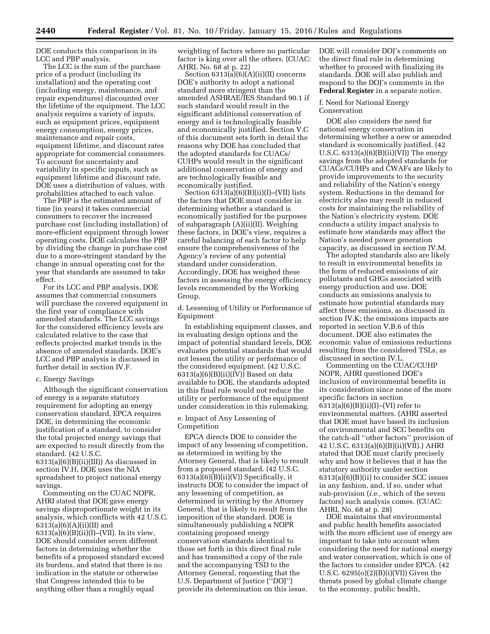DOE conducts this comparison in its LCC and PBP analysis.

The LCC is the sum of the purchase price of a product (including its installation) and the operating cost (including energy, maintenance, and repair expenditures) discounted over the lifetime of the equipment. The LCC analysis requires a variety of inputs, such as equipment prices, equipment energy consumption, energy prices, maintenance and repair costs, equipment lifetime, and discount rates appropriate for commercial consumers. To account for uncertainty and variability in specific inputs, such as equipment lifetime and discount rate, DOE uses a distribution of values, with probabilities attached to each value.

The PBP is the estimated amount of time (in years) it takes commercial consumers to recover the increased purchase cost (including installation) of more-efficient equipment through lower operating costs. DOE calculates the PBP by dividing the change in purchase cost due to a more-stringent standard by the change in annual operating cost for the year that standards are assumed to take effect.

For its LCC and PBP analysis, DOE assumes that commercial consumers will purchase the covered equipment in the first year of compliance with amended standards. The LCC savings for the considered efficiency levels are calculated relative to the case that reflects projected market trends in the absence of amended standards. DOE's LCC and PBP analysis is discussed in further detail in section IV.F.

## c. Energy Savings

Although the significant conservation of energy is a separate statutory requirement for adopting an energy conservation standard, EPCA requires DOE, in determining the economic justification of a standard, to consider the total projected energy savings that are expected to result directly from the standard. (42 U.S.C.  $6313(a)(6)(B)(ii)(III)$ ) As discussed in section IV.H, DOE uses the NIA spreadsheet to project national energy savings.

Commenting on the CUAC NOPR, AHRI stated that DOE gave energy savings disproportionate weight in its analysis, which conflicts with 42 U.S.C.  $6313(a)(6)(A)(ii)(II)$  and  $6313(a)(6)(B)(ii)(I)–(VII)$ . In its view, DOE should consider seven different factors in determining whether the benefits of a proposed standard exceed its burdens, and stated that there is no indication in the statute or otherwise that Congress intended this to be anything other than a roughly equal

weighting of factors where no particular factor is king over all the others. (CUAC: AHRI, No. 68 at p. 22)

Section  $6313(a)(6)(A)(ii)(II)$  concerns DOE's authority to adopt a national standard more stringent than the amended ASHRAE/IES Standard 90.1 if such standard would result in the significant additional conservation of energy and is technologically feasible and economically justified. Section V.C of this document sets forth in detail the reasons why DOE has concluded that the adopted standards for CUACs/ CUHPs would result in the significant additional conservation of energy and are technologically feasible and economically justified.

Section  $6313(a)(6)(B)(ii)(I)$ –(VII) lists the factors that DOE must consider in determining whether a standard is economically justified for the purposes of subparagraph (A)(ii)(II). Weighing these factors, in DOE's view, requires a careful balancing of each factor to help ensure the comprehensiveness of the Agency's review of any potential standard under consideration. Accordingly, DOE has weighed these factors in assessing the energy efficiency levels recommended by the Working Group.

d. Lessening of Utility or Performance of Equipment

In establishing equipment classes, and in evaluating design options and the impact of potential standard levels, DOE evaluates potential standards that would not lessen the utility or performance of the considered equipment. (42 U.S.C.  $6313(a)(6)(B)(ii)(IV))$  Based on data available to DOE, the standards adopted in this final rule would not reduce the utility or performance of the equipment under consideration in this rulemaking.

## e. Impact of Any Lessening of Competition

EPCA directs DOE to consider the impact of any lessening of competition, as determined in writing by the Attorney General, that is likely to result from a proposed standard. (42 U.S.C.  $6313(a)(6)(B)(ii)(V)$  Specifically, it instructs DOE to consider the impact of any lessening of competition, as determined in writing by the Attorney General, that is likely to result from the imposition of the standard. DOE is simultaneously publishing a NOPR containing proposed energy conservation standards identical to those set forth in this direct final rule and has transmitted a copy of the rule and the accompanying TSD to the Attorney General, requesting that the U.S. Department of Justice (''DOJ'') provide its determination on this issue.

DOE will consider DOJ's comments on the direct final rule in determining whether to proceed with finalizing its standards. DOE will also publish and respond to the DOJ's comments in the **Federal Register** in a separate notice.

#### f. Need for National Energy Conservation

DOE also considers the need for national energy conservation in determining whether a new or amended standard is economically justified. (42 U.S.C.  $6313(a)(6)(B)(ii)(VI)$  The energy savings from the adopted standards for CUACs/CUHPs and CWAFs are likely to provide improvements to the security and reliability of the Nation's energy system. Reductions in the demand for electricity also may result in reduced costs for maintaining the reliability of the Nation's electricity system. DOE conducts a utility impact analysis to estimate how standards may affect the Nation's needed power generation capacity, as discussed in section IV.M.

The adopted standards also are likely to result in environmental benefits in the form of reduced emissions of air pollutants and GHGs associated with energy production and use. DOE conducts an emissions analysis to estimate how potential standards may affect these emissions, as discussed in section IV.K; the emissions impacts are reported in section V.B.6 of this document. DOE also estimates the economic value of emissions reductions resulting from the considered TSLs, as discussed in section IV.L.

Commenting on the CUAC/CUHP NOPR, AHRI questioned DOE's inclusion of environmental benefits in its consideration since none of the more specific factors in section 6313(a)(6)(B)(ii)(I)–(VI) refer to environmental matters. (AHRI asserted that DOE must have based its inclusion of environmental and SCC benefits on the catch-all ''other factors'' provision of 42 U.S.C. 6313(a)(6)(B)(ii)(VII).) AHRI stated that DOE must clarify precisely why and how it believes that it has the statutory authority under section 6313(a)(6)(B)(ii) to consider SCC issues in any fashion, and, if so, under what sub-provision (*i.e.,* which of the seven factors) such analysis comes. (CUAC: AHRI, No. 68 at p. 28)

DOE maintains that environmental and public health benefits associated with the more efficient use of energy are important to take into account when considering the need for national energy and water conservation, which is one of the factors to consider under EPCA. (42 U.S.C. 6295(o)(2)(B)(i)(VI)) Given the threats posed by global climate change to the economy, public health,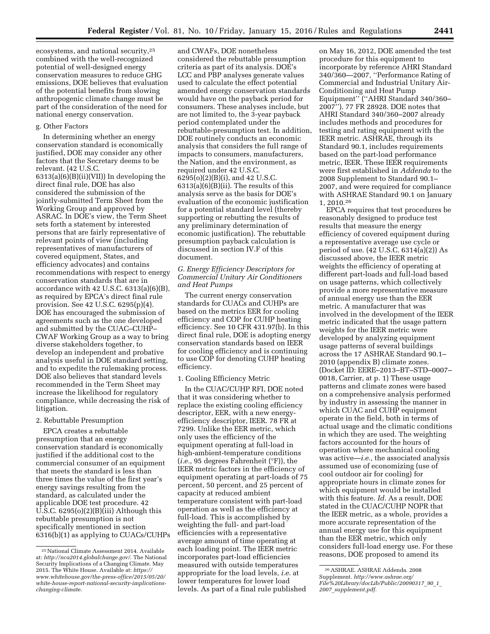ecosystems, and national security,25 combined with the well-recognized potential of well-designed energy conservation measures to reduce GHG emissions, DOE believes that evaluation of the potential benefits from slowing anthropogenic climate change must be part of the consideration of the need for national energy conservation.

# g. Other Factors

In determining whether an energy conservation standard is economically justified, DOE may consider any other factors that the Secretary deems to be relevant. (42 U.S.C. 6313(a)(6)(B)(ii)(VII)) In developing the direct final rule, DOE has also considered the submission of the jointly-submitted Term Sheet from the Working Group and approved by ASRAC. In DOE's view, the Term Sheet sets forth a statement by interested persons that are fairly representative of relevant points of view (including representatives of manufacturers of covered equipment, States, and efficiency advocates) and contains recommendations with respect to energy conservation standards that are in accordance with 42 U.S.C. 6313(a)(6)(B), as required by EPCA's direct final rule provision. See 42 U.S.C. 6295(p)(4). DOE has encouraged the submission of agreements such as the one developed and submitted by the CUAC–CUHP– CWAF Working Group as a way to bring diverse stakeholders together, to develop an independent and probative analysis useful in DOE standard setting, and to expedite the rulemaking process. DOE also believes that standard levels recommended in the Term Sheet may increase the likelihood for regulatory compliance, while decreasing the risk of litigation.

#### 2. Rebuttable Presumption

EPCA creates a rebuttable presumption that an energy conservation standard is economically justified if the additional cost to the commercial consumer of an equipment that meets the standard is less than three times the value of the first year's energy savings resulting from the standard, as calculated under the applicable DOE test procedure. 42 U.S.C.  $6295(o)(2)(B)(iii)$  Although this rebuttable presumption is not specifically mentioned in section 6316(b)(1) as applying to CUACs/CUHPs

and CWAFs, DOE nonetheless considered the rebuttable presumption criteria as part of its analysis. DOE's LCC and PBP analyses generate values used to calculate the effect potential amended energy conservation standards would have on the payback period for consumers. These analyses include, but are not limited to, the 3-year payback period contemplated under the rebuttable-presumption test. In addition, DOE routinely conducts an economic analysis that considers the full range of impacts to consumers, manufacturers, the Nation, and the environment, as required under 42 U.S.C. 6295(o)(2)(B)(i), and 42 U.S.C.  $6313(a)(6)(B)(ii)$ . The results of this analysis serve as the basis for DOE's evaluation of the economic justification for a potential standard level (thereby supporting or rebutting the results of any preliminary determination of economic justification). The rebuttable presumption payback calculation is discussed in section IV.F of this document.

# *G. Energy Efficiency Descriptors for Commercial Unitary Air Conditioners and Heat Pumps*

The current energy conservation standards for CUACs and CUHPs are based on the metrics EER for cooling efficiency and COP for CUHP heating efficiency. See 10 CFR 431.97(b). In this direct final rule, DOE is adopting energy conservation standards based on IEER for cooling efficiency and is continuing to use COP for denoting CUHP heating efficiency.

# 1. Cooling Efficiency Metric

In the CUAC/CUHP RFI, DOE noted that it was considering whether to replace the existing cooling efficiency descriptor, EER, with a new energyefficiency descriptor, IEER. 78 FR at 7299. Unlike the EER metric, which only uses the efficiency of the equipment operating at full-load in high-ambient-temperature conditions (*i.e.,* 95 degrees Fahrenheit (°F)), the IEER metric factors in the efficiency of equipment operating at part-loads of 75 percent, 50 percent, and 25 percent of capacity at reduced ambient temperature consistent with part-load operation as well as the efficiency at full-load. This is accomplished by weighting the full- and part-load efficiencies with a representative average amount of time operating at each loading point. The IEER metric incorporates part-load efficiencies measured with outside temperatures appropriate for the load levels, *i.e.* at lower temperatures for lower load levels. As part of a final rule published

on May 16, 2012, DOE amended the test procedure for this equipment to incorporate by reference AHRI Standard 340/360—2007, ''Performance Rating of Commercial and Industrial Unitary Air-Conditioning and Heat Pump Equipment'' (''AHRI Standard 340/360– 2007''). 77 FR 28928. DOE notes that AHRI Standard 340/360–2007 already includes methods and procedures for testing and rating equipment with the IEER metric. ASHRAE, through its Standard 90.1, includes requirements based on the part-load performance metric, IEER. These IEER requirements were first established in *Addenda* to the 2008 Supplement to Standard 90.1– 2007, and were required for compliance with ASHRAE Standard 90.1 on January 1, 2010.26

EPCA requires that test procedures be reasonably designed to produce test results that measure the energy efficiency of covered equipment during a representative average use cycle or period of use. (42 U.S.C. 6314(a)(2)) As discussed above, the IEER metric weights the efficiency of operating at different part-loads and full-load based on usage patterns, which collectively provide a more representative measure of annual energy use than the EER metric. A manufacturer that was involved in the development of the IEER metric indicated that the usage pattern weights for the IEER metric were developed by analyzing equipment usage patterns of several buildings across the 17 ASHRAE Standard 90.1– 2010 (appendix B) climate zones. (Docket ID: EERE–2013–BT–STD–0007– 0018, Carrier, at p. 1) These usage patterns and climate zones were based on a comprehensive analysis performed by industry in assessing the manner in which CUAC and CUHP equipment operate in the field, both in terms of actual usage and the climatic conditions in which they are used. The weighting factors accounted for the hours of operation where mechanical cooling was active—*i.e.,* the associated analysis assumed use of economizing (use of cool outdoor air for cooling) for appropriate hours in climate zones for which equipment would be installed with this feature. *Id.* As a result, DOE stated in the CUAC/CUHP NOPR that the IEER metric, as a whole, provides a more accurate representation of the annual energy use for this equipment than the EER metric, which only considers full-load energy use. For these reasons, DOE proposed to amend its

<sup>25</sup>National Climate Assessment 2014. Available at: *<http://nca2014.globalchange.gov/>*. The National Security Implications of a Changing Climate. May 2015. The White House. Available at: *[https://](https://www.whitehouse.gov/the-press-office/2015/05/20/white-house-report-national-security-implications-changing-climate) [www.whitehouse.gov/the-press-office/2015/05/20/](https://www.whitehouse.gov/the-press-office/2015/05/20/white-house-report-national-security-implications-changing-climate) [white-house-report-national-security-implications](https://www.whitehouse.gov/the-press-office/2015/05/20/white-house-report-national-security-implications-changing-climate)[changing-climate](https://www.whitehouse.gov/the-press-office/2015/05/20/white-house-report-national-security-implications-changing-climate)*.

<sup>26</sup>ASHRAE. ASHRAE Addenda. 2008 Supplement. *[http://www.ashrae.org/](http://www.ashrae.org/File%20Library/docLib/Public/20090317_90_1_2007_supplement.pdf) [File%20Library/docLib/Public/20090317](http://www.ashrae.org/File%20Library/docLib/Public/20090317_90_1_2007_supplement.pdf)*\_*90*\_*1*\_ *2007*\_*[supplement.pdf.](http://www.ashrae.org/File%20Library/docLib/Public/20090317_90_1_2007_supplement.pdf)*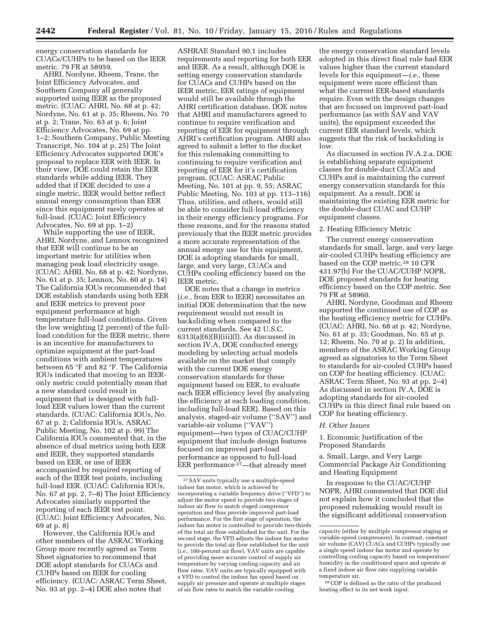energy conservation standards for CUACs/CUHPs to be based on the IEER metric. 79 FR at 58959.

AHRI, Nordyne, Rheem, Trane, the Joint Efficiency Advocates, and Southern Company all generally supported using IEER as the proposed metric. (CUAC: AHRI, No. 68 at p. 42; Nordyne, No. 61 at p. 35; Rheem, No. 70 at p. 2; Trane, No. 63 at p. 6; Joint Efficiency Advocates, No. 69 at pp. 1–2; Southern Company, Public Meeting Transcript, No. 104 at p. 25) The Joint Efficiency Advocates supported DOE's proposal to replace EER with IEER. In their view, DOE could retain the EER standards while adding IEER. They added that if DOE decided to use a single metric, IEER would better reflect annual energy consumption than EER since this equipment rarely operates at full-load. (CUAC: Joint Efficiency Advocates, No. 69 at pp. 1–2)

While supporting the use of IEER, AHRI, Nordyne, and Lennox recognized that EER will continue to be an important metric for utilities when managing peak load electricity usage. (CUAC: AHRI, No. 68 at p. 42; Nordyne, No. 61 at p. 35; Lennox, No. 60 at p. 14) The California IOUs recommended that DOE establish standards using both EER and IEER metrics to prevent poor equipment performance at high temperature full-load conditions. Given the low weighting (2 percent) of the fullload condition for the IEER metric, there is an incentive for manufacturers to optimize equipment at the part-load conditions with ambient temperatures between 65 °F and 82 °F. The California IOUs indicated that moving to an IEERonly metric could potentially mean that a new standard could result in equipment that is designed with fullload EER values lower than the current standards. (CUAC: California IOUs, No. 67 at p. 2; California IOUs, ASRAC Public Meeting, No. 102 at p. 99) The California IOUs commented that, in the absence of dual metrics using both EER and IEER, they supported standards based on EER, or use of IEER accompanied by required reporting of each of the IEER test points, including full-load EER. (CUAC: California IOUs, No. 67 at pp. 2, 7–8) The Joint Efficiency Advocates similarly supported the reporting of each IEER test point. (CUAC: Joint Efficiency Advocates, No. 69 at p. 8)

However, the California IOUs and other members of the ASRAC Working Group more recently agreed as Term Sheet signatories to recommend that DOE adopt standards for CUACs and CUHPs based on IEER for cooling efficiency. (CUAC: ASRAC Term Sheet, No. 93 at pp. 2–4) DOE also notes that

ASHRAE Standard 90.1 includes requirements and reporting for both EER and IEER. As a result, although DOE is setting energy conservation standards for CUACs and CUHPs based on the IEER metric, EER ratings of equipment would still be available through the AHRI certification database. DOE notes that AHRI and manufacturers agreed to continue to require verification and reporting of EER for equipment through AHRI's certification program. AHRI also agreed to submit a letter to the docket for this rulemaking committing to continuing to require verification and reporting of EER for it's certification program. (CUAC: ASRAC Public Meeting, No. 101 at pp. 9, 55; ASRAC Public Meeting, No. 103 at pp. 113–116) Thus, utilities, and others, would still be able to consider full-load efficiency in their energy efficiency programs. For these reasons, and for the reasons stated previously that the IEER metric provides a more accurate representation of the annual energy use for this equipment, DOE is adopting standards for small, large, and very large, CUACs and CUHPs cooling efficiency based on the IEER metric.

DOE notes that a change in metrics (*i.e.,* from EER to IEER) necessitates an initial DOE determination that the new requirement would not result in backsliding when compared to the current standards. See 42 U.S.C.  $6313(a)(6)(B)(iii)(I)$ . As discussed in section IV.A, DOE conducted energy modeling by selecting actual models available on the market that comply with the current DOE energy conservation standards for these equipment based on EER, to evaluate each IEER efficiency level (by analyzing the efficiency at each loading condition, including full-load EER). Based on this analysis, staged-air volume (''SAV'') and variable-air volume (''VAV'') equipment—two types of CUAC/CUHP equipment that include design features focused on improved part-load performance as opposed to full-load EER performance 27—that already meet

the energy conservation standard levels adopted in this direct final rule had EER values higher than the current standard levels for this equipment—*i.e.,* these equipment were more efficient than what the current EER-based standards require. Even with the design changes that are focused on improved part-load performance (as with SAV and VAV units), the equipment exceeded the current EER standard levels, which suggests that the risk of backsliding is low.

As discussed in section IV.A.2.a, DOE is establishing separate equipment classes for double-duct CUACs and CUHPs and is maintaining the current energy conservation standards for this equipment. As a result, DOE is maintaining the existing EER metric for the double-duct CUAC and CUHP equipment classes.

# 2. Heating Efficiency Metric

The current energy conservation standards for small, large, and very large air-cooled CUHPs heating efficiency are based on the COP metric.28 10 CFR 431.97(b) For the CUAC/CUHP NOPR, DOE proposed standards for heating efficiency based on the COP metric. See 79 FR at 58960.

AHRI, Nordyne, Goodman and Rheem supported the continued use of COP as the heating efficiency metric for CUHPs. (CUAC: AHRI, No. 68 at p. 42; Nordyne, No. 61 at p. 35; Goodman, No. 65 at p. 12; Rheem, No. 70 at p. 2) In addition, members of the ASRAC Working Group agreed as signatories to the Term Sheet to standards for air-cooled CUHPs based on COP for heating efficiency. (CUAC: ASRAC Term Sheet, No. 93 at pp. 2–4) As discussed in section IV.A, DOE is adopting standards for air-cooled CUHPs in this direct final rule based on COP for heating efficiency.

### *H. Other Issues*

1. Economic Justification of the Proposed Standards

a. Small, Large, and Very Large Commercial Package Air Conditioning and Heating Equipment

In response to the CUAC/CUHP NOPR, AHRI commented that DOE did not explain how it concluded that the proposed rulemaking would result in the significant additional conservation

28COP is defined as the ratio of the produced heating effect to its net work input.

<sup>27</sup>SAV units typically use a multiple-speed indoor fan motor, which is achieved by incorporating a variable frequency drive (''VFD'') to adjust the motor speed to provide two stages of indoor air flow to match staged compressor operation and thus provide improved part-load performance. For the first stage of operation, the indoor fan motor is controlled to provide two-thirds of the total air flow established for the unit. For the second stage, the VFD adjusts the indoor fan motor to provide the total air flow established for the unit (*i.e.,* 100-percent air flow). VAV units are capable of providing more accurate control of supply air temperature by varying cooling capacity and air flow rates. VAV units are typically equipped with a VFD to control the indoor fan speed based on supply air pressure and operate at multiple stages of air flow rates to match the variable cooling

capacity (either by multiple compressor staging or variable-speed compressors). In contrast, constant air volume (CAV) CUACs and CUHPs typically use a single speed indoor fan motor and operate by controlling cooling capacity based on temperature/ humidity in the conditioned space and operate at a fixed indoor air flow rate supplying variable temperature air.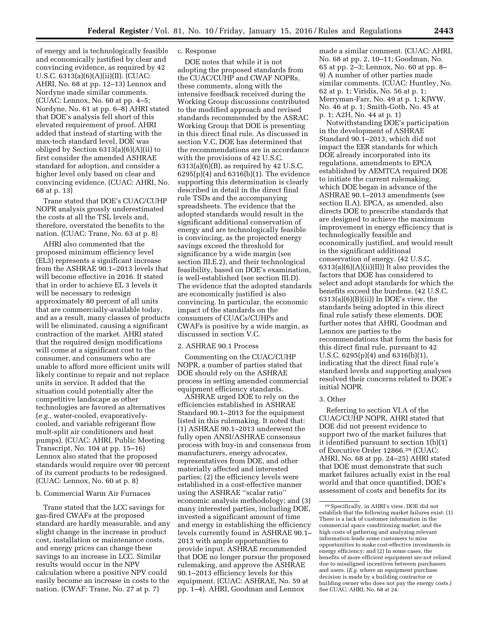of energy and is technologically feasible and economically justified by clear and convincing evidence, as required by 42 U.S.C. 6313(a)(6)(A)(ii)(II). (CUAC: AHRI, No. 68 at pp. 12–13) Lennox and Nordyne made similar comments. (CUAC: Lennox, No. 60 at pp. 4–5; Nordyne, No. 61 at pp. 6–8) AHRI stated that DOE's analysis fell short of this elevated requirement of proof. AHRI added that instead of starting with the max-tech standard level, DOE was obliged by Section 6313(a)(6)(A)(ii) to first consider the amended ASHRAE standard for adoption, and consider a higher level only based on clear and

68 at p. 13) Trane stated that DOE's CUAC/CUHP NOPR analysis grossly underestimated the costs at all the TSL levels and, therefore, overstated the benefits to the nation. (CUAC: Trane, No. 63 at p. 8)

convincing evidence. (CUAC: AHRI, No.

AHRI also commented that the proposed minimum efficiency level (EL3) represents a significant increase from the ASHRAE 90.1–2013 levels that will become effective in 2016. It stated that in order to achieve EL 3 levels it will be necessary to redesign approximately 80 percent of all units that are commercially-available today, and as a result, many classes of products will be eliminated, causing a significant contraction of the market. AHRI stated that the required design modifications will come at a significant cost to the consumer, and consumers who are unable to afford more efficient units will likely continue to repair and not replace units in service. It added that the situation could potentially alter the competitive landscape as other technologies are favored as alternatives (*e.g.,* water-cooled, evaporativelycooled, and variable refrigerant flow mult-split air conditioners and heat pumps). (CUAC: AHRI, Public Meeting Transcript, No. 104 at pp. 15–16) Lennox also stated that the proposed standards would require over 90 percent of its current products to be redesigned. (CUAC: Lennox, No. 60 at p. 8)

### b. Commercial Warm Air Furnaces

Trane stated that the LCC savings for gas-fired CWAFs at the proposed standard are hardly measurable, and any slight change in the increase in product cost, installation or maintenance costs, and energy prices can change these savings to an increase in LCC. Similar results would occur in the NPV calculation where a positive NPV could easily become an increase in costs to the nation. (CWAF: Trane, No. 27 at p. 7)

# c. Response

DOE notes that while it is not adopting the proposed standards from the CUAC/CUHP and CWAF NOPRs, these comments, along with the intensive feedback received during the Working Group discussions contributed to the modified approach and revised standards recommended by the ASRAC Working Group that DOE is presenting in this direct final rule. As discussed in section V.C, DOE has determined that the recommendations are in accordance with the provisions of 42 U.S.C. 6313(a)(6)(B), as required by 42 U.S.C. 6295(p)(4) and 6316(b)(1). The evidence supporting this determination is clearly described in detail in the direct final rule TSDs and the accompanying spreadsheets. The evidence that the adopted standards would result in the significant additional conservation of energy and are technologically feasible is convincing, as the projected energy savings exceed the threshold for significance by a wide margin (see section III.E.2), and their technological feasibility, based on DOE's examination, is well-established (see section III.D). The evidence that the adopted standards are economically justified is also convincing. In particular, the economic impact of the standards on the consumers of CUACs/CUHPs and CWAFs is positive by a wide margin, as discussed in section V.C.

## 2. ASHRAE 90.1 Process

Commenting on the CUAC/CUHP NOPR, a number of parties stated that DOE should rely on the ASHRAE process in setting amended commercial equipment efficiency standards.

ASHRAE urged DOE to rely on the efficiencies established in ASHRAE Standard 90.1–2013 for the equipment listed in this rulemaking. It noted that: (1) ASHRAE 90.1–2013 underwent the fully open ANSI/ASHRAE consensus process with buy-in and consensus from manufacturers, energy advocates, representatives from DOE, and other materially affected and interested parties; (2) the efficiency levels were established in a cost-effective manner using the ASHRAE ''scalar ratio'' economic analysis methodology; and (3) many interested parties, including DOE, invested a significant amount of time and energy in establishing the efficiency levels currently found in ASHRAE 90.1– 2013 with ample opportunities to provide input. ASHRAE recommended that DOE no longer pursue the proposed rulemaking, and approve the ASHRAE 90.1–2013 efficiency levels for this equipment. (CUAC: ASHRAE, No. 59 at pp. 1–4). AHRI, Goodman and Lennox

made a similar comment. (CUAC: AHRI, No. 68 at pp. 2, 10–11; Goodman, No. 65 at pp. 2–3; Lennox, No. 60 at pp. 8– 9) A number of other parties made similar comments. (CUAC: Huntley, No. 62 at p. 1; Viridis, No. 56 at p. 1; Merryman-Farr, No. 49 at p. 1; KJWW, No. 46 at p. 1; Smith-Goth, No. 45 at p. 1; A2H, No. 44 at p. 1)

Notwithstanding DOE's participation in the development of ASHRAE Standard 90.1–2013, which did not impact the EER standards for which DOE already incorporated into its regulations, amendments to EPCA established by AEMTCA required DOE to initiate the current rulemaking, which DOE began in advance of the ASHRAE 90.1–2013 amendments (see section II.A). EPCA, as amended, also directs DOE to prescribe standards that are designed to achieve the maximum improvement in energy efficiency that is technologically feasible and economically justified, and would result in the significant additional conservation of energy. (42 U.S.C.  $6313(a)(6)(A)(ii)(II)$  It also provides the factors that DOE has considered to select and adopt standards for which the benefits exceed the burdens. (42 U.S.C. 6313(a)(6)(B)(ii)) In DOE's view, the standards being adopted in this direct final rule satisfy these elements. DOE further notes that AHRI, Goodman and Lennox are parties to the recommendations that form the basis for this direct final rule, pursuant to 42 U.S.C. 6295(p)(4) and 6316(b)(1), indicating that the direct final rule's standard levels and supporting analyses resolved their concerns related to DOE's initial NOPR.

## 3. Other

Referring to section VI.A of the CUAC/CUHP NOPR, AHRI stated that DOE did not present evidence to support two of the market failures that it identified pursuant to section 1(b)(1) of Executive Order 12866.29 (CUAC: AHRI, No. 68 at pp. 24–25) AHRI stated that DOE must demonstrate that such market failures actually exist in the real world and that once quantified, DOE's assessment of costs and benefits for its

<sup>29</sup>Specifically, in AHRI's view, DOE did not establish that the following market failures exist: (1) There is a lack of customer information in the commercial space conditioning market, and the high costs of gathering and analyzing relevant information leads some customers to miss opportunities to make cost-effective investments in energy efficiency; and (2) In some cases, the benefits of more efficient equipment are not relized due to misaligned incentives between purchasers and users. (*E.g.* where an equipment purchase decision is made by a building contractor or building owner who does not pay the energy costs.) See CUAC; AHRI, No. 68 at 24.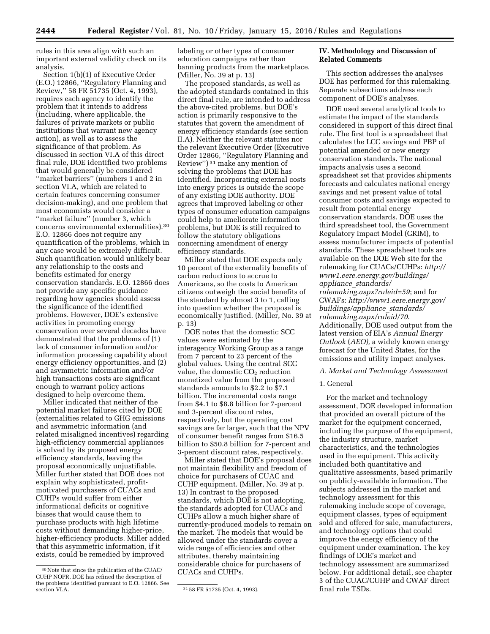rules in this area align with such an important external validity check on its analysis.

Section 1(b)(1) of Executive Order (E.O.) 12866, ''Regulatory Planning and Review,'' 58 FR 51735 (Oct. 4, 1993), requires each agency to identify the problem that it intends to address (including, where applicable, the failures of private markets or public institutions that warrant new agency action), as well as to assess the significance of that problem. As discussed in section VI.A of this direct final rule, DOE identified two problems that would generally be considered ''market barriers'' (numbers 1 and 2 in section VI.A, which are related to certain features concerning consumer decision-making), and one problem that most economists would consider a ''market failure'' (number 3, which concerns environmental externalities).30 E.O. 12866 does not require any quantification of the problems, which in any case would be extremely difficult. Such quantification would unlikely bear any relationship to the costs and benefits estimated for energy conservation standards. E.O. 12866 does not provide any specific guidance regarding how agencies should assess the significance of the identified problems. However, DOE's extensive activities in promoting energy conservation over several decades have demonstrated that the problems of (1) lack of consumer information and/or information processing capability about energy efficiency opportunities, and (2) and asymmetric information and/or high transactions costs are significant enough to warrant policy actions designed to help overcome them.

Miller indicated that neither of the potential market failures cited by DOE (externalities related to GHG emissions and asymmetric information (and related misaligned incentives) regarding high-efficiency commercial appliances is solved by its proposed energy efficiency standards, leaving the proposal economically unjustifiable. Miller further stated that DOE does not explain why sophisticated, profitmotivated purchasers of CUACs and CUHPs would suffer from either informational deficits or cognitive biases that would cause them to purchase products with high lifetime costs without demanding higher-price, higher-efficiency products. Miller added that this asymmetric information, if it exists, could be remedied by improved

labeling or other types of consumer education campaigns rather than banning products from the marketplace. (Miller, No. 39 at p. 13)

The proposed standards, as well as the adopted standards contained in this direct final rule, are intended to address the above-cited problems, but DOE's action is primarily responsive to the statutes that govern the amendment of energy efficiency standards (see section II.A). Neither the relevant statutes nor the relevant Executive Order (Executive Order 12866, ''Regulatory Planning and Review'') 31 make any mention of solving the problems that DOE has identified. Incorporating external costs into energy prices is outside the scope of any existing DOE authority. DOE agrees that improved labeling or other types of consumer education campaigns could help to ameliorate information problems, but DOE is still required to follow the statutory obligations concerning amendment of energy efficiency standards.

Miller stated that DOE expects only 10 percent of the externality benefits of carbon reductions to accrue to Americans, so the costs to American citizens outweigh the social benefits of the standard by almost 3 to 1, calling into question whether the proposal is economically justified. (Miller, No. 39 at p. 13)

DOE notes that the domestic SCC values were estimated by the interagency Working Group as a range from 7 percent to 23 percent of the global values. Using the central SCC value, the domestic  $CO<sub>2</sub>$  reduction monetized value from the proposed standards amounts to \$2.2 to \$7.1 billion. The incremental costs range from \$4.1 to \$8.8 billion for 7-percent and 3-percent discount rates, respectively, but the operating cost savings are far larger, such that the NPV of consumer benefit ranges from \$16.5 billion to \$50.8 billion for 7-percent and 3-percent discount rates, respectively.

Miller stated that DOE's proposal does not maintain flexibility and freedom of choice for purchasers of CUAC and CUHP equipment. (Miller, No. 39 at p. 13) In contrast to the proposed standards, which DOE is not adopting, the standards adopted for CUACs and CUHPs allow a much higher share of currently-produced models to remain on the market. The models that would be allowed under the standards cover a wide range of efficiencies and other attributes, thereby maintaining considerable choice for purchasers of CUACs and CUHPs.

# **IV. Methodology and Discussion of Related Comments**

This section addresses the analyses DOE has performed for this rulemaking. Separate subsections address each component of DOE's analyses.

DOE used several analytical tools to estimate the impact of the standards considered in support of this direct final rule. The first tool is a spreadsheet that calculates the LCC savings and PBP of potential amended or new energy conservation standards. The national impacts analysis uses a second spreadsheet set that provides shipments forecasts and calculates national energy savings and net present value of total consumer costs and savings expected to result from potential energy conservation standards. DOE uses the third spreadsheet tool, the Government Regulatory Impact Model (GRIM), to assess manufacturer impacts of potential standards. These spreadsheet tools are available on the DOE Web site for the rulemaking for CUACs/CUHPs: *[http://](http://www1.eere.energy.gov/buildings/appliance_standards/rulemaking.aspx?ruleid=59) [www1.eere.energy.gov/buildings/](http://www1.eere.energy.gov/buildings/appliance_standards/rulemaking.aspx?ruleid=59) appliance*\_*[standards/](http://www1.eere.energy.gov/buildings/appliance_standards/rulemaking.aspx?ruleid=59) [rulemaking.aspx?ruleid=59](http://www1.eere.energy.gov/buildings/appliance_standards/rulemaking.aspx?ruleid=59)*; and for CWAFs: *[http://www1.eere.energy.gov/](http://www1.eere.energy.gov/buildings/appliance_standards/rulemaking.aspx/ruleid/70) [buildings/appliance](http://www1.eere.energy.gov/buildings/appliance_standards/rulemaking.aspx/ruleid/70)*\_*standards/ [rulemaking.aspx/ruleid/70](http://www1.eere.energy.gov/buildings/appliance_standards/rulemaking.aspx/ruleid/70)*. Additionally, DOE used output from the latest version of EIA's *Annual Energy Outlook* (*AEO),* a widely known energy forecast for the United States, for the emissions and utility impact analyses.

#### *A. Market and Technology Assessment*

#### 1. General

For the market and technology assessment, DOE developed information that provided an overall picture of the market for the equipment concerned, including the purpose of the equipment, the industry structure, market characteristics, and the technologies used in the equipment. This activity included both quantitative and qualitative assessments, based primarily on publicly-available information. The subjects addressed in the market and technology assessment for this rulemaking include scope of coverage, equipment classes, types of equipment sold and offered for sale, manufacturers, and technology options that could improve the energy efficiency of the equipment under examination. The key findings of DOE's market and technology assessment are summarized below. For additional detail, see chapter 3 of the CUAC/CUHP and CWAF direct final rule TSDs.

<sup>30</sup>Note that since the publication of the CUAC/ CUHP NOPR, DOE has refined the description of the problems identified pursuant to E.O. 12866. See

<sup>31 58</sup> FR 51735 (Oct. 4, 1993).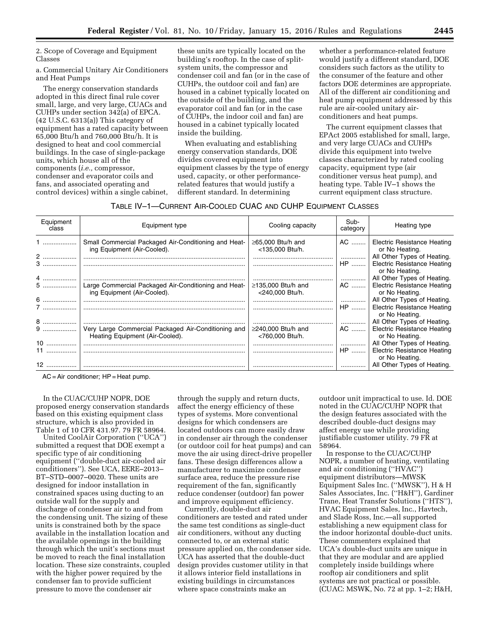2. Scope of Coverage and Equipment Classes

a. Commercial Unitary Air Conditioners and Heat Pumps

The energy conservation standards adopted in this direct final rule cover small, large, and very large, CUACs and CUHPs under section 342(a) of EPCA. (42 U.S.C. 6313(a)) This category of equipment has a rated capacity between 65,000 Btu/h and 760,000 Btu/h. It is designed to heat and cool commercial buildings. In the case of single-package units, which house all of the components (*i.e.,* compressor, condenser and evaporator coils and fans, and associated operating and control devices) within a single cabinet, these units are typically located on the building's rooftop. In the case of splitsystem units, the compressor and condenser coil and fan (or in the case of CUHPs, the outdoor coil and fan) are housed in a cabinet typically located on the outside of the building, and the evaporator coil and fan (or in the case of CUHPs, the indoor coil and fan) are housed in a cabinet typically located inside the building.

When evaluating and establishing energy conservation standards, DOE divides covered equipment into equipment classes by the type of energy used, capacity, or other performancerelated features that would justify a different standard. In determining

whether a performance-related feature would justify a different standard, DOE considers such factors as the utility to the consumer of the feature and other factors DOE determines are appropriate. All of the different air conditioning and heat pump equipment addressed by this rule are air-cooled unitary airconditioners and heat pumps.

The current equipment classes that EPAct 2005 established for small, large, and very large CUACs and CUHPs divide this equipment into twelve classes characterized by rated cooling capacity, equipment type (air conditioner versus heat pump), and heating type. Table IV–1 shows the current equipment class structure.

| TABLE IV-1—CURRENT AIR-COOLED CUAC AND CUHP EQUIPMENT CLASSES |
|---------------------------------------------------------------|
|---------------------------------------------------------------|

| Equipment<br>class | Equipment type                                                                         | Cooling capacity                            | Sub-<br>category | Heating type                                                                          |
|--------------------|----------------------------------------------------------------------------------------|---------------------------------------------|------------------|---------------------------------------------------------------------------------------|
| 1<br>2             | Small Commercial Packaged Air-Conditioning and Heat-<br>ing Equipment (Air-Cooled).    | $\geq$ 65,000 Btu/h and<br><135,000 Btu/h.  | AC<br>.          | Electric Resistance Heating<br>or No Heating.<br>All Other Types of Heating.          |
| 3<br>4             |                                                                                        |                                             | HP               | <b>Electric Resistance Heating</b><br>or No Heating.<br>  All Other Types of Heating. |
| 5                  | Large Commercial Packaged Air-Conditioning and Heat-<br>ing Equipment (Air-Cooled).    | $\geq$ 135,000 Btu/h and<br><240,000 Btu/h. | AC               | <b>Electric Resistance Heating</b><br>or No Heating.                                  |
| $6$                |                                                                                        |                                             |                  | All Other Types of Heating.<br>HP    Electric Resistance Heating<br>or No Heating.    |
| 8                  |                                                                                        |                                             |                  | All Other Types of Heating.                                                           |
| 9                  | Very Large Commercial Packaged Air-Conditioning and<br>Heating Equipment (Air-Cooled). | $\geq$ 240,000 Btu/h and<br><760,000 Btu/h. |                  | AC    Electric Resistance Heating<br>or No Heating.                                   |
| 10                 |                                                                                        |                                             | . 1              | All Other Types of Heating.                                                           |
|                    |                                                                                        |                                             | $HP$             | Electric Resistance Heating<br>or No Heating.                                         |
|                    |                                                                                        |                                             |                  | All Other Types of Heating.                                                           |

 $AC = Air conditioner$ ;  $HP = Heat pump$ .

In the CUAC/CUHP NOPR, DOE proposed energy conservation standards based on this existing equipment class structure, which is also provided in Table 1 of 10 CFR 431.97. 79 FR 58964.

United CoolAir Corporation (''UCA'') submitted a request that DOE exempt a specific type of air conditioning equipment (''double-duct air-cooled air conditioners''). See UCA, EERE–2013– BT–STD–0007–0020. These units are designed for indoor installation in constrained spaces using ducting to an outside wall for the supply and discharge of condenser air to and from the condensing unit. The sizing of these units is constrained both by the space available in the installation location and the available openings in the building through which the unit's sections must be moved to reach the final installation location. These size constraints, coupled with the higher power required by the condenser fan to provide sufficient pressure to move the condenser air

through the supply and return ducts, affect the energy efficiency of these types of systems. More conventional designs for which condensers are located outdoors can more easily draw in condenser air through the condenser (or outdoor coil for heat pumps) and can move the air using direct-drive propeller fans. These design differences allow a manufacturer to maximize condenser surface area, reduce the pressure rise requirement of the fan, significantly reduce condenser (outdoor) fan power and improve equipment efficiency.

Currently, double-duct air conditioners are tested and rated under the same test conditions as single-duct air conditioners, without any ducting connected to, or an external static pressure applied on, the condenser side. UCA has asserted that the double-duct design provides customer utility in that it allows interior field installations in existing buildings in circumstances where space constraints make an

outdoor unit impractical to use. Id. DOE noted in the CUAC/CUHP NOPR that the design features associated with the described double-duct designs may affect energy use while providing justifiable customer utility. 79 FR at 58964.

In response to the CUAC/CUHP NOPR, a number of heating, ventilating and air conditioning (''HVAC'') equipment distributors—MWSK Equipment Sales Inc. (''MWSK''), H & H Sales Associates, Inc. (''H&H''), Gardiner Trane, Heat Transfer Solutions (''HTS''), HVAC Equipment Sales, Inc., Havtech, and Slade Ross, Inc.—all supported establishing a new equipment class for the indoor horizontal double-duct units. These commenters explained that UCA's double-duct units are unique in that they are modular and are applied completely inside buildings where rooftop air conditioners and split systems are not practical or possible. (CUAC: MSWK, No. 72 at pp. 1–2; H&H,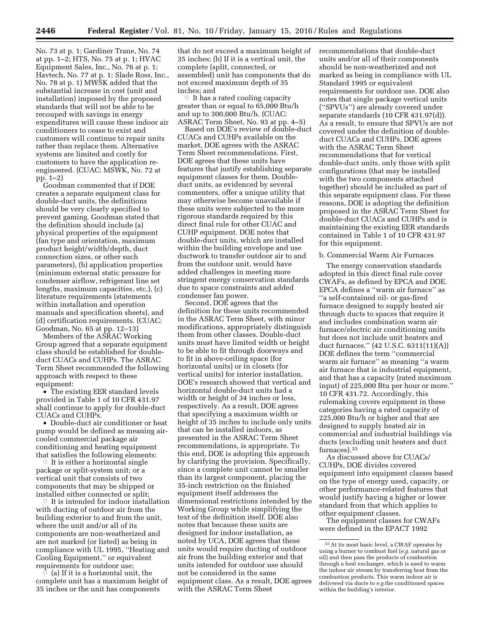No. 73 at p. 1; Gardiner Trane, No. 74 at pp. 1–2; HTS, No. 75 at p. 1; HVAC Equipment Sales, Inc., No. 76 at p. 1; Havtech, No. 77 at p. 1; Slade Ross, Inc., No. 78 at p. 1) MWSK added that the substantial increase in cost (unit and installation) imposed by the proposed standards that will not be able to be recouped with savings in energy expenditures will cause these indoor air conditioners to cease to exist and customers will continue to repair units rather than replace them. Alternative systems are limited and costly for customers to have the application reengineered. (CUAC: MSWK, No. 72 at pp. 1–2)

Goodman commented that if DOE creates a separate equipment class for double-duct units, the definitions should be very clearly specified to prevent gaming. Goodman stated that the definition should include (a) physical properties of the equipment (fan type and orientation, maximum product height/width/depth, duct connection sizes, or other such parameters), (b) application properties (minimum external static pressure for condenser airflow, refrigerant line set lengths, maximum capacities, etc.), (c) literature requirements (statements within installation and operation manuals and specification sheets), and (d) certification requirements. (CUAC: Goodman, No. 65 at pp. 12–13)

Members of the ASRAC Working Group agreed that a separate equipment class should be established for doubleduct CUACs and CUHPs. The ASRAC Term Sheet recommended the following approach with respect to these equipment:

• The existing EER standard levels provided in Table 1 of 10 CFR 431.97 shall continue to apply for double-duct CUACs and CUHPs.

• Double-duct air conditioner or heat pump would be defined as meaning aircooled commercial package air conditioning and heating equipment that satisfies the following elements:

 $\circ$  It is either a horizontal single package or split-system unit; or a vertical unit that consists of two components that may be shipped or installed either connected or split;

 $\circ$  It is intended for indoor installation with ducting of outdoor air from the building exterior to and from the unit, where the unit and/or all of its components are non-weatherized and are not marked (or listed) as being in compliance with UL 1995, ''Heating and Cooling Equipment,'' or equivalent requirements for outdoor use;

 $\circ$  (a) If it is a horizontal unit, the complete unit has a maximum height of 35 inches or the unit has components

that do not exceed a maximum height of 35 inches; (b) If it is a vertical unit, the complete (split, connected, or assembled) unit has components that do not exceed maximum depth of 35 inches; and

 $\circ$  It has a rated cooling capacity greater than or equal to 65,000 Btu/h and up to 300,000 Btu/h. (CUAC: ASRAC Term Sheet, No. 93 at pp. 4–5)

Based on DOE's review of double-duct CUACs and CUHPs available on the market, DOE agrees with the ASRAC Term Sheet recommendations. First, DOE agrees that these units have features that justify establishing separate equipment classes for them. Doubleduct units, as evidenced by several commenters, offer a unique utility that may otherwise become unavailable if these units were subjected to the more rigorous standards required by this direct final rule for other CUAC and CUHP equipment. DOE notes that double-duct units, which are installed within the building envelope and use ductwork to transfer outdoor air to and from the outdoor unit, would have added challenges in meeting more stringent energy conservation standards due to space constraints and added condenser fan power.

Second, DOE agrees that the definition for these units recommended in the ASRAC Term Sheet, with minor modifications, appropriately distinguish them from other classes. Double-duct units must have limited width or height to be able to fit through doorways and to fit in above-ceiling space (for horizontal units) or in closets (for vertical units) for interior installation. DOE's research showed that vertical and horizontal double-duct units had a width or height of 34 inches or less, respectively. As a result, DOE agrees that specifying a maximum width or height of 35 inches to include only units that can be installed indoors, as presented in the ASRAC Term Sheet recommendations, is appropriate. To this end, DOE is adopting this approach by clarifying the provision. Specifically, since a complete unit cannot be smaller than its largest component, placing the 35-inch restriction on the finished equipment itself addresses the dimensional restrictions intended by the Working Group while simplifying the text of the definition itself. DOE also notes that because these units are designed for indoor installation, as noted by UCA, DOE agrees that these units would require ducting of outdoor air from the building exterior and that units intended for outdoor use should not be considered in the same equipment class. As a result, DOE agrees with the ASRAC Term Sheet

recommendations that double-duct units and/or all of their components should be non-weatherized and not marked as being in compliance with UL Standard 1995 or equivalent requirements for outdoor use. DOE also notes that single package vertical units (''SPVUs'') are already covered under separate standards (10 CFR 431.97(d)). As a result, to ensure that SPVUs are not covered under the definition of doubleduct CUACs and CUHPs, DOE agrees with the ASRAC Term Sheet recommendations that for vertical double-duct units, only those with split configurations (that may be installed with the two components attached together) should be included as part of this separate equipment class. For these reasons, DOE is adopting the definition proposed in the ASRAC Term Sheet for double-duct CUACs and CUHPs and is maintaining the existing EER standards contained in Table 1 of 10 CFR 431.97 for this equipment.

#### b. Commercial Warm Air Furnaces

The energy conservation standards adopted in this direct final rule cover CWAFs, as defined by EPCA and DOE. EPCA defines a ''warm air furnace'' as ''a self-contained oil- or gas-fired furnace designed to supply heated air through ducts to spaces that require it and includes combination warm air furnace/electric air conditioning units but does not include unit heaters and duct furnaces.'' (42 U.S.C. 6311(11)(A)) DOE defines the term ''commercial warm air furnace'' as meaning ''a warm air furnace that is industrial equipment, and that has a capacity (rated maximum input) of 225,000 Btu per hour or more.'' 10 CFR 431.72. Accordingly, this rulemaking covers equipment in these categories having a rated capacity of 225,000 Btu/h or higher and that are designed to supply heated air in commercial and industrial buildings via ducts (excluding unit heaters and duct furnaces).32

As discussed above for CUACs/ CUHPs, DOE divides covered equipment into equipment classes based on the type of energy used, capacity, or other performance-related features that would justify having a higher or lower standard from that which applies to other equipment classes.

The equipment classes for CWAFs were defined in the EPACT 1992

<sup>32</sup>At its most basic level, a CWAF operates by using a burner to combust fuel (*e.g.* natural gas or oil) and then pass the products of combustion through a heat exchanger, which is used to warm the indoor air stream by transferring heat from the combustion products. This warm indoor air is delivered via ducts to *e.g.*the conditioned spaces within the building's interior.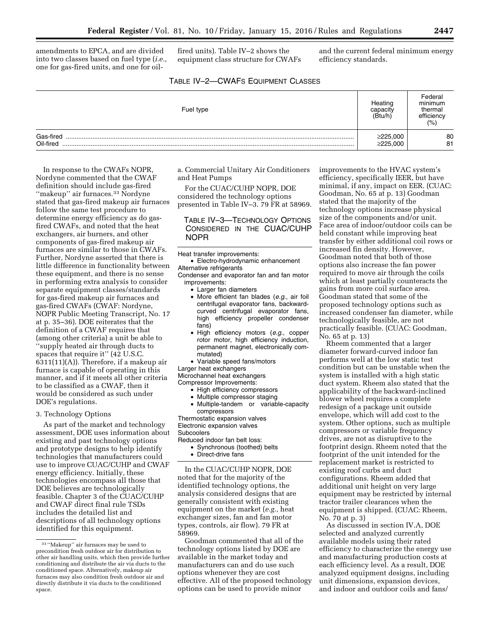amendments to EPCA, and are divided into two classes based on fuel type (*i.e.,*  one for gas-fired units, and one for oilfired units). Table IV–2 shows the equipment class structure for CWAFs and the current federal minimum energy efficiency standards.

| TABLE IV-2-CWAFS EQUIPMENT CLASSES |  |
|------------------------------------|--|
|------------------------------------|--|

| Fuel type              | Heating<br>capacity<br>(Btu/h    | Federal<br>minimum<br>thermal<br>efficiency<br>(%) |
|------------------------|----------------------------------|----------------------------------------------------|
| Gas-fired<br>Oil-fired | $\geq$ 225,000<br>$\geq$ 225,000 | 80<br>81                                           |

In response to the CWAFs NOPR, Nordyne commented that the CWAF definition should include gas-fired "makeup" air furnaces.<sup>33</sup> Nordyne stated that gas-fired makeup air furnaces follow the same test procedure to determine energy efficiency as do gasfired CWAFs, and noted that the heat exchangers, air burners, and other components of gas-fired makeup air furnaces are similar to those in CWAFs. Further, Nordyne asserted that there is little difference in functionality between these equipment, and there is no sense in performing extra analysis to consider separate equipment classes/standards for gas-fired makeup air furnaces and gas-fired CWAFs (CWAF: Nordyne, NOPR Public Meeting Transcript, No. 17 at p. 35–36). DOE reiterates that the definition of a CWAF requires that (among other criteria) a unit be able to ''supply heated air through ducts to spaces that require it'' (42 U.S.C. 6311(11)(A)). Therefore, if a makeup air furnace is capable of operating in this manner, and if it meets all other criteria to be classified as a CWAF, then it would be considered as such under DOE's regulations.

### 3. Technology Options

As part of the market and technology assessment, DOE uses information about existing and past technology options and prototype designs to help identify technologies that manufacturers could use to improve CUAC/CUHP and CWAF energy efficiency. Initially, these technologies encompass all those that DOE believes are technologically feasible. Chapter 3 of the CUAC/CUHP and CWAF direct final rule TSDs includes the detailed list and descriptions of all technology options identified for this equipment.

a. Commercial Unitary Air Conditioners and Heat Pumps

For the CUAC/CUHP NOPR, DOE considered the technology options presented in Table IV–3. 79 FR at 58969.

# TABLE IV–3—TECHNOLOGY OPTIONS CONSIDERED IN THE CUAC/CUHP NOPR

Heat transfer improvements:

• Electro-hydrodynamic enhancement Alternative refrigerants

Condenser and evaporator fan and fan motor improvements:

- Larger fan diameters
- More efficient fan blades (*e.g.,* air foil centrifugal evaporator fans, backwardcurved centrifugal evaporator fans, high efficiency propeller condenser fans)
- High efficiency motors (*e.g.,* copper rotor motor, high efficiency induction, permanent magnet, electronically commutated)
- Variable speed fans/motors

Larger heat exchangers

Microchannel heat exchangers

Compressor Improvements:

- High efficiency compressors
- Multiple compressor staging
- Multiple-tandem or variable-capacity compressors

Thermostatic expansion valves Electronic expansion valves **Subcoolers** 

- Reduced indoor fan belt loss:
	- Synchronous (toothed) belts
	- Direct-drive fans

In the CUAC/CUHP NOPR, DOE noted that for the majority of the identified technology options, the analysis considered designs that are generally consistent with existing equipment on the market (*e.g.,* heat exchanger sizes, fan and fan motor types, controls, air flow). 79 FR at 58969.

Goodman commented that all of the technology options listed by DOE are available in the market today and manufacturers can and do use such options whenever they are cost effective. All of the proposed technology options can be used to provide minor

improvements to the HVAC system's efficiency, specifically IEER, but have minimal, if any, impact on EER. (CUAC: Goodman, No. 65 at p. 13) Goodman stated that the majority of the technology options increase physical size of the components and/or unit. Face area of indoor/outdoor coils can be held constant while improving heat transfer by either additional coil rows or increased fin density. However, Goodman noted that both of those options also increase the fan power required to move air through the coils which at least partially counteracts the gains from more coil surface area. Goodman stated that some of the proposed technology options such as increased condenser fan diameter, while technologically feasible, are not practically feasible. (CUAC: Goodman, No. 65 at p. 13)

Rheem commented that a larger diameter forward-curved indoor fan performs well at the low static test condition but can be unstable when the system is installed with a high static duct system. Rheem also stated that the applicability of the backward-inclined blower wheel requires a complete redesign of a package unit outside envelope, which will add cost to the system. Other options, such as multiple compressors or variable frequency drives, are not as disruptive to the footprint design. Rheem noted that the footprint of the unit intended for the replacement market is restricted to existing roof curbs and duct configurations. Rheem added that additional unit height on very large equipment may be restricted by internal tractor trailer clearances when the equipment is shipped. (CUAC: Rheem, No. 70 at p. 3)

As discussed in section IV.A, DOE selected and analyzed currently available models using their rated efficiency to characterize the energy use and manufacturing production costs at each efficiency level. As a result, DOE analyzed equipment designs, including unit dimensions, expansion devices, and indoor and outdoor coils and fans/

<sup>33</sup> ''Makeup'' air furnaces may be used to precondition fresh outdoor air for distribution to other air handling units, which then provide further conditioning and distribute the air via ducts to the conditioned space. Alternatively, makeup air furnaces may also condition fresh outdoor air and directly distribute it via ducts to the conditioned space.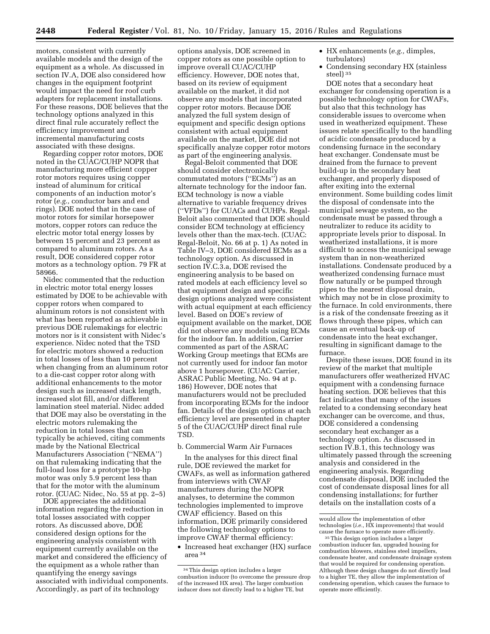motors, consistent with currently available models and the design of the equipment as a whole. As discussed in section IV.A, DOE also considered how changes in the equipment footprint would impact the need for roof curb adapters for replacement installations. For these reasons, DOE believes that the technology options analyzed in this direct final rule accurately reflect the efficiency improvement and incremental manufacturing costs associated with these designs.

Regarding copper rotor motors, DOE noted in the CUAC/CUHP NOPR that manufacturing more efficient copper rotor motors requires using copper instead of aluminum for critical components of an induction motor's rotor (*e.g.,* conductor bars and end rings). DOE noted that in the case of motor rotors for similar horsepower motors, copper rotors can reduce the electric motor total energy losses by between 15 percent and 23 percent as compared to aluminum rotors. As a result, DOE considered copper rotor motors as a technology option. 79 FR at 58966.

Nidec commented that the reduction in electric motor total energy losses estimated by DOE to be achievable with copper rotors when compared to aluminum rotors is not consistent with what has been reported as achievable in previous DOE rulemakings for electric motors nor is it consistent with Nidec's experience. Nidec noted that the TSD for electric motors showed a reduction in total losses of less than 10 percent when changing from an aluminum rotor to a die-cast copper rotor along with additional enhancements to the motor design such as increased stack length, increased slot fill, and/or different lamination steel material. Nidec added that DOE may also be overstating in the electric motors rulemaking the reduction in total losses that can typically be achieved, citing comments made by the National Electrical Manufacturers Association (''NEMA'') on that rulemaking indicating that the full-load loss for a prototype 10-hp motor was only 5.9 percent less than that for the motor with the aluminum rotor. (CUAC: Nidec, No. 55 at pp. 2–5)

DOE appreciates the additional information regarding the reduction in total losses associated with copper rotors. As discussed above, DOE considered design options for the engineering analysis consistent with equipment currently available on the market and considered the efficiency of the equipment as a whole rather than quantifying the energy savings associated with individual components. Accordingly, as part of its technology

options analysis, DOE screened in copper rotors as one possible option to improve overall CUAC/CUHP efficiency. However, DOE notes that, based on its review of equipment available on the market, it did not observe any models that incorporated copper rotor motors. Because DOE analyzed the full system design of equipment and specific design options consistent with actual equipment available on the market, DOE did not specifically analyze copper rotor motors as part of the engineering analysis.

Regal-Beloit commented that DOE should consider electronically commutated motors (''ECMs'') as an alternate technology for the indoor fan. ECM technology is now a viable alternative to variable frequency drives (''VFDs'') for CUACs and CUHPs. Regal-Beloit also commented that DOE should consider ECM technology at efficiency levels other than the max-tech. (CUAC: Regal-Beloit, No. 66 at p. 1) As noted in Table IV–3, DOE considered ECMs as a technology option. As discussed in section IV.C.3.a, DOE revised the engineering analysis to be based on rated models at each efficiency level so that equipment design and specific design options analyzed were consistent with actual equipment at each efficiency level. Based on DOE's review of equipment available on the market, DOE did not observe any models using ECMs for the indoor fan. In addition, Carrier commented as part of the ASRAC Working Group meetings that ECMs are not currently used for indoor fan motor above 1 horsepower. (CUAC: Carrier, ASRAC Public Meeting, No. 94 at p. 186) However, DOE notes that manufacturers would not be precluded from incorporating ECMs for the indoor fan. Details of the design options at each efficiency level are presented in chapter 5 of the CUAC/CUHP direct final rule TSD.

# b. Commercial Warm Air Furnaces

In the analyses for this direct final rule, DOE reviewed the market for CWAFs, as well as information gathered from interviews with CWAF manufacturers during the NOPR analyses, to determine the common technologies implemented to improve CWAF efficiency. Based on this information, DOE primarily considered the following technology options to improve CWAF thermal efficiency:

• Increased heat exchanger (HX) surface area 34

- HX enhancements (*e.g.,* dimples, turbulators)
- Condensing secondary HX (stainless steel) 35

DOE notes that a secondary heat exchanger for condensing operation is a possible technology option for CWAFs, but also that this technology has considerable issues to overcome when used in weatherized equipment. These issues relate specifically to the handling of acidic condensate produced by a condensing furnace in the secondary heat exchanger. Condensate must be drained from the furnace to prevent build-up in the secondary heat exchanger, and properly disposed of after exiting into the external environment. Some building codes limit the disposal of condensate into the municipal sewage system, so the condensate must be passed through a neutralizer to reduce its acidity to appropriate levels prior to disposal. In weatherized installations, it is more difficult to access the municipal sewage system than in non-weatherized installations. Condensate produced by a weatherized condensing furnace must flow naturally or be pumped through pipes to the nearest disposal drain, which may not be in close proximity to the furnace. In cold environments, there is a risk of the condensate freezing as it flows through these pipes, which can cause an eventual back-up of condensate into the heat exchanger, resulting in significant damage to the furnace.

Despite these issues, DOE found in its review of the market that multiple manufacturers offer weatherized HVAC equipment with a condensing furnace heating section. DOE believes that this fact indicates that many of the issues related to a condensing secondary heat exchanger can be overcome, and thus, DOE considered a condensing secondary heat exchanger as a technology option. As discussed in section IV.B.1, this technology was ultimately passed through the screening analysis and considered in the engineering analysis. Regarding condensate disposal, DOE included the cost of condensate disposal lines for all condensing installations; for further details on the installation costs of a

<sup>34</sup>This design option includes a larger combustion inducer (to overcome the pressure drop of the increased HX area). The larger combustion inducer does not directly lead to a higher TE, but

would allow the implementation of other technologies (*i.e.,* HX improvements) that would cause the furnace to operate more efficiently.

<sup>35</sup>This design option includes a larger combustion inducer fan, upgraded housing for combustion blowers, stainless steel impellers, condensate heater, and condensate drainage system that would be required for condensing operation. Although these design changes do not directly lead to a higher TE, they allow the implementation of condensing operation, which causes the furnace to operate more efficiently.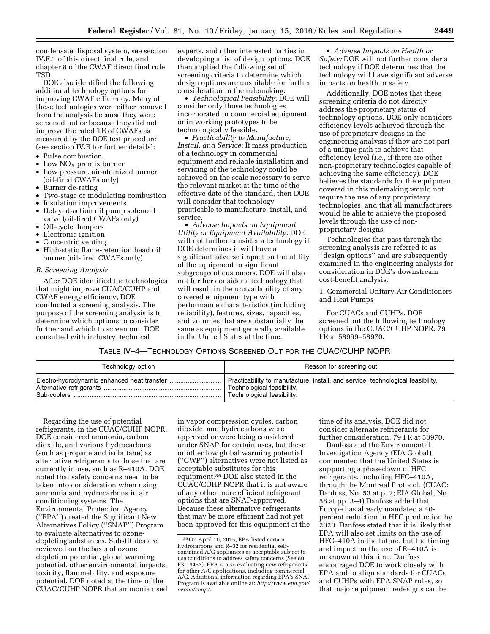condensate disposal system, see section IV.F.1 of this direct final rule, and chapter 8 of the CWAF direct final rule TSD.

DOE also identified the following additional technology options for improving CWAF efficiency. Many of these technologies were either removed from the analysis because they were screened out or because they did not improve the rated TE of CWAFs as measured by the DOE test procedure (see section IV.B for further details):

- Pulse combustion
- Low  $NO<sub>x</sub>$  premix burner
- Low pressure, air-atomized burner (oil-fired CWAFs only)
- Burner de-rating
- Two-stage or modulating combustion
- Insulation improvements
- Delayed-action oil pump solenoid valve (oil-fired CWAFs only)
- Off-cycle dampers
- Electronic ignition
- Concentric venting
- High-static flame-retention head oil burner (oil-fired CWAFs only)

#### *B. Screening Analysis*

After DOE identified the technologies that might improve CUAC/CUHP and CWAF energy efficiency, DOE conducted a screening analysis. The purpose of the screening analysis is to determine which options to consider further and which to screen out. DOE consulted with industry, technical

experts, and other interested parties in developing a list of design options. DOE then applied the following set of screening criteria to determine which design options are unsuitable for further consideration in the rulemaking:

• *Technological Feasibility:* DOE will consider only those technologies incorporated in commercial equipment or in working prototypes to be technologically feasible.

• *Practicability to Manufacture, Install, and Service:* If mass production of a technology in commercial equipment and reliable installation and servicing of the technology could be achieved on the scale necessary to serve the relevant market at the time of the effective date of the standard, then DOE will consider that technology practicable to manufacture, install, and service.

• *Adverse Impacts on Equipment Utility or Equipment Availability:* DOE will not further consider a technology if DOE determines it will have a significant adverse impact on the utility of the equipment to significant subgroups of customers. DOE will also not further consider a technology that will result in the unavailability of any covered equipment type with performance characteristics (including reliability), features, sizes, capacities, and volumes that are substantially the same as equipment generally available in the United States at the time.

• *Adverse Impacts on Health or Safety:* DOE will not further consider a technology if DOE determines that the technology will have significant adverse impacts on health or safety.

Additionally, DOE notes that these screening criteria do not directly address the proprietary status of technology options. DOE only considers efficiency levels achieved through the use of proprietary designs in the engineering analysis if they are not part of a unique path to achieve that efficiency level (*i.e.,* if there are other non-proprietary technologies capable of achieving the same efficiency). DOE believes the standards for the equipment covered in this rulemaking would not require the use of any proprietary technologies, and that all manufacturers would be able to achieve the proposed levels through the use of nonproprietary designs.

Technologies that pass through the screening analysis are referred to as ''design options'' and are subsequently examined in the engineering analysis for consideration in DOE's downstream cost-benefit analysis.

1. Commercial Unitary Air Conditioners and Heat Pumps

For CUACs and CUHPs, DOE screened out the following technology options in the CUAC/CUHP NOPR. 79 FR at 58969–58970.

## TABLE IV–4—TECHNOLOGY OPTIONS SCREENED OUT FOR THE CUAC/CUHP NOPR

| Technology option | Reason for screening out                                                        |
|-------------------|---------------------------------------------------------------------------------|
|                   | Practicability to manufacture, install, and service; technological feasibility. |
|                   | Technological feasibility.                                                      |
|                   | Technological feasibility.                                                      |

Regarding the use of potential refrigerants, in the CUAC/CUHP NOPR, DOE considered ammonia, carbon dioxide, and various hydrocarbons (such as propane and isobutane) as alternative refrigerants to those that are currently in use, such as R–410A. DOE noted that safety concerns need to be taken into consideration when using ammonia and hydrocarbons in air conditioning systems. The Environmental Protection Agency (''EPA'') created the Significant New Alternatives Policy (''SNAP'') Program to evaluate alternatives to ozonedepleting substances. Substitutes are reviewed on the basis of ozone depletion potential, global warming potential, other environmental impacts, toxicity, flammability, and exposure potential. DOE noted at the time of the CUAC/CUHP NOPR that ammonia used in vapor compression cycles, carbon dioxide, and hydrocarbons were approved or were being considered under SNAP for certain uses, but these or other low global warming potential (''GWP'') alternatives were not listed as acceptable substitutes for this equipment.36 DOE also stated in the CUAC/CUHP NOPR that it is not aware of any other more efficient refrigerant options that are SNAP-approved. Because these alternative refrigerants that may be more efficient had not yet been approved for this equipment at the

time of its analysis, DOE did not consider alternate refrigerants for further consideration. 79 FR at 58970.

Danfoss and the Environmental Investigation Agency (EIA Global) commented that the United States is supporting a phasedown of HFC refrigerants, including HFC–410A, through the Montreal Protocol. (CUAC: Danfoss, No. 53 at p. 2; EIA Global, No. 58 at pp. 3–4) Danfoss added that Europe has already mandated a 40 percent reduction in HFC production by 2020. Danfoss stated that it is likely that EPA will also set limits on the use of HFC–410A in the future, but the timing and impact on the use of R–410A is unknown at this time. Danfoss encouraged DOE to work closely with EPA and to align standards for CUACs and CUHPs with EPA SNAP rules, so that major equipment redesigns can be

<sup>36</sup>On April 10, 2015, EPA listed certain hydrocarbons and R–32 for residential selfcontained A/C appliances as acceptable subject to use conditions to address safety concerns (See 80 FR 19453). EPA is also evaluating new refrigerants for other A/C applications, including commercial A/C. Additional information regarding EPA's SNAP Program is available online at: *[http://www.epa.gov/](http://www.epa.gov/ozone/snap/)  [ozone/snap/](http://www.epa.gov/ozone/snap/)*.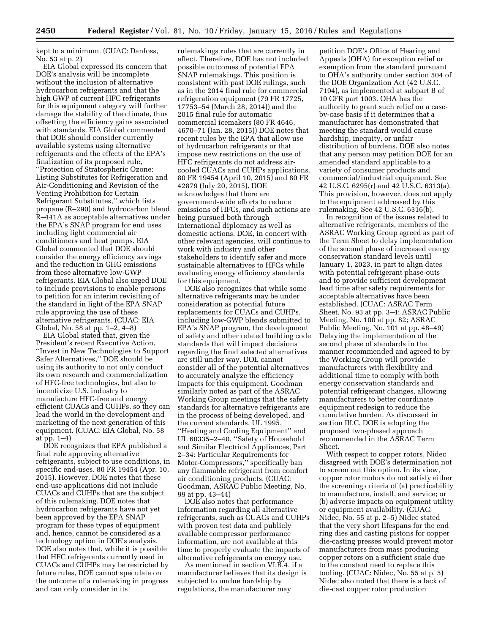kept to a minimum. (CUAC: Danfoss, No. 53 at p. 2)

EIA Global expressed its concern that DOE's analysis will be incomplete without the inclusion of alternative hydrocarbon refrigerants and that the high GWP of current HFC refrigerants for this equipment category will further damage the stability of the climate, thus offsetting the efficiency gains associated with standards. EIA Global commented that DOE should consider currently available systems using alternative refrigerants and the effects of the EPA's finalization of its proposed rule, ''Protection of Stratospheric Ozone: Listing Substitutes for Refrigeration and Air-Conditioning and Revision of the Venting Prohibition for Certain Refrigerant Substitutes,'' which lists propane (R–290) and hydrocarbon blend R–441A as acceptable alternatives under the EPA's SNAP program for end uses including light commercial air conditioners and heat pumps. EIA Global commented that DOE should consider the energy efficiency savings and the reduction in GHG emissions from these alternative low-GWP refrigerants. EIA Global also urged DOE to include provisions to enable persons to petition for an interim revisiting of the standard in light of the EPA SNAP rule approving the use of these alternative refrigerants. (CUAC: EIA Global, No. 58 at pp. 1–2, 4–8)

EIA Global stated that, given the President's recent Executive Action, ''Invest in New Technologies to Support Safer Alternatives,'' DOE should be using its authority to not only conduct its own research and commercialization of HFC-free technologies, but also to incentivize U.S. industry to manufacture HFC-free and energy efficient CUACs and CUHPs, so they can lead the world in the development and marketing of the next generation of this equipment. (CUAC: EIA Global, No. 58 at pp. 1–4)

DOE recognizes that EPA published a final rule approving alternative refrigerants, subject to use conditions, in specific end-uses. 80 FR 19454 (Apr. 10, 2015). However, DOE notes that these end-use applications did not include CUACs and CUHPs that are the subject of this rulemaking. DOE notes that hydrocarbon refrigerants have not yet been approved by the EPA SNAP program for these types of equipment and, hence, cannot be considered as a technology option in DOE's analysis. DOE also notes that, while it is possible that HFC refrigerants currently used in CUACs and CUHPs may be restricted by future rules, DOE cannot speculate on the outcome of a rulemaking in progress and can only consider in its

rulemakings rules that are currently in effect. Therefore, DOE has not included possible outcomes of potential EPA SNAP rulemakings. This position is consistent with past DOE rulings, such as in the 2014 final rule for commercial refrigeration equipment (79 FR 17725, 17753–54 (March 28, 2014)) and the 2015 final rule for automatic commercial icemakers (80 FR 4646, 4670–71 (Jan. 28, 2015)) DOE notes that recent rules by the EPA that allow use of hydrocarbon refrigerants or that impose new restrictions on the use of HFC refrigerants do not address aircooled CUACs and CUHPs applications. 80 FR 19454 (April 10, 2015) and 80 FR 42879 (July 20, 2015). DOE acknowledges that there are government-wide efforts to reduce emissions of HFCs, and such actions are being pursued both through international diplomacy as well as domestic actions. DOE, in concert with other relevant agencies, will continue to work with industry and other stakeholders to identify safer and more sustainable alternatives to HFCs while evaluating energy efficiency standards for this equipment.

DOE also recognizes that while some alternative refrigerants may be under consideration as potential future replacements for CUACs and CUHPs, including low-GWP blends submitted to EPA's SNAP program, the development of safety and other related building code standards that will impact decisions regarding the final selected alternatives are still under way. DOE cannot consider all of the potential alternatives to accurately analyze the efficiency impacts for this equipment. Goodman similarly noted as part of the ASRAC Working Group meetings that the safety standards for alternative refrigerants are in the process of being developed, and the current standards, UL 1995, ''Heating and Cooling Equipment'' and UL 60335–2–40, ''Safety of Household and Similar Electrical Appliances, Part 2–34: Particular Requirements for Motor-Compressors,'' specifically ban any flammable refrigerant from comfort air conditioning products. (CUAC: Goodman, ASRAC Public Meeting, No. 99 at pp. 43–44)

DOE also notes that performance information regarding all alternative refrigerants, such as CUACs and CUHPs with proven test data and publicly available compressor performance information, are not available at this time to properly evaluate the impacts of alternative refrigerants on energy use.

As mentioned in section VI.B.4, if a manufacturer believes that its design is subjected to undue hardship by regulations, the manufacturer may

petition DOE's Office of Hearing and Appeals (OHA) for exception relief or exemption from the standard pursuant to OHA's authority under section 504 of the DOE Organization Act (42 U.S.C. 7194), as implemented at subpart B of 10 CFR part 1003. OHA has the authority to grant such relief on a caseby-case basis if it determines that a manufacturer has demonstrated that meeting the standard would cause hardship, inequity, or unfair distribution of burdens. DOE also notes that any person may petition DOE for an amended standard applicable to a variety of consumer products and commercial/industrial equipment. See 42 U.S.C. 6295(r) and 42 U.S.C. 6313(a). This provision, however, does not apply to the equipment addressed by this rulemaking. See 42 U.S.C. 6316(b).

In recognition of the issues related to alternative refrigerants, members of the ASRAC Working Group agreed as part of the Term Sheet to delay implementation of the second phase of increased energy conservation standard levels until January 1, 2023, in part to align dates with potential refrigerant phase-outs and to provide sufficient development lead time after safety requirements for acceptable alternatives have been established. (CUAC: ASRAC Term Sheet, No. 93 at pp. 3–4; ASRAC Public Meeting, No. 100 at pp. 82; ASRAC Public Meeting, No. 101 at pp. 48–49) Delaying the implementation of the second phase of standards in the manner recommended and agreed to by the Working Group will provide manufacturers with flexibility and additional time to comply with both energy conservation standards and potential refrigerant changes, allowing manufacturers to better coordinate equipment redesign to reduce the cumulative burden. As discussed in section III.C, DOE is adopting the proposed two-phased approach recommended in the ASRAC Term Sheet.

With respect to copper rotors, Nidec disagreed with DOE's determination not to screen out this option. In its view, copper rotor motors do not satisfy either the screening criteria of (a) practicability to manufacture, install, and service; or (b) adverse impacts on equipment utility or equipment availability. (CUAC: Nidec, No. 55 at p. 2–5) Nidec stated that the very short lifespans for the end ring dies and casting pistons for copper die-casting presses would prevent motor manufacturers from mass producing copper rotors on a sufficient scale due to the constant need to replace this tooling. (CUAC: Nidec, No. 55 at p. 5) Nidec also noted that there is a lack of die-cast copper rotor production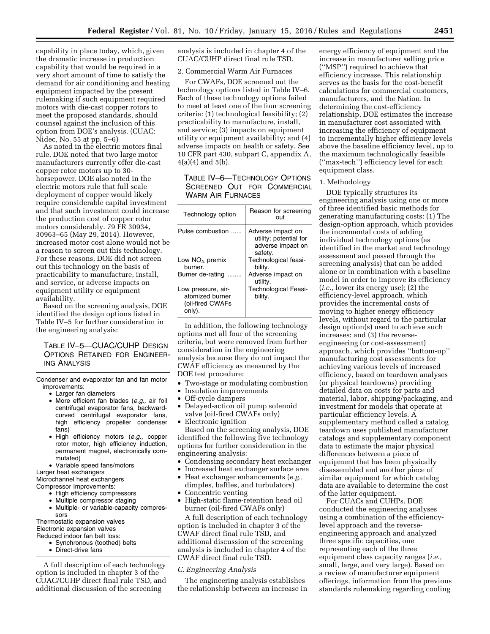capability in place today, which, given the dramatic increase in production capability that would be required in a very short amount of time to satisfy the demand for air conditioning and heating equipment impacted by the present rulemaking if such equipment required motors with die-cast copper rotors to meet the proposed standards, should counsel against the inclusion of this option from DOE's analysis. (CUAC: Nidec, No. 55 at pp. 5–6)

As noted in the electric motors final rule, DOE noted that two large motor manufacturers currently offer die-cast copper rotor motors up to 30 horsepower. DOE also noted in the electric motors rule that full scale deployment of copper would likely require considerable capital investment and that such investment could increase the production cost of copper rotor motors considerably. 79 FR 30934, 30963–65 (May 29, 2014). However, increased motor cost alone would not be a reason to screen out this technology. For these reasons, DOE did not screen out this technology on the basis of practicability to manufacture, install, and service, or adverse impacts on equipment utility or equipment availability.

Based on the screening analysis, DOE identified the design options listed in Table IV–5 for further consideration in the engineering analysis:

# TABLE IV–5—CUAC/CUHP DESIGN OPTIONS RETAINED FOR ENGINEER-ING ANALYSIS

Condenser and evaporator fan and fan motor improvements:

- Larger fan diameters
- More efficient fan blades (*e.g.,* air foil centrifugal evaporator fans, backwardcurved centrifugal evaporator fans, high efficiency propeller condenser fans)
- High efficiency motors (*e.g.,* copper rotor motor, high efficiency induction, permanent magnet, electronically commutated)
- Variable speed fans/motors
- Larger heat exchangers

Microchannel heat exchangers

- Compressor Improvements:
	- High efficiency compressors
	- Multiple compressor staging
	- Multiple- or variable-capacity compressors

Thermostatic expansion valves Electronic expansion valves Reduced indoor fan belt loss:

- Synchronous (toothed) belts
- Direct-drive fans

A full description of each technology option is included in chapter 3 of the CUAC/CUHP direct final rule TSD, and additional discussion of the screening

analysis is included in chapter 4 of the CUAC/CUHP direct final rule TSD.

# 2. Commercial Warm Air Furnaces

For CWAFs, DOE screened out the technology options listed in Table IV–6. Each of these technology options failed to meet at least one of the four screening criteria: (1) technological feasibility; (2) practicability to manufacture, install, and service; (3) impacts on equipment utility or equipment availability; and (4) adverse impacts on health or safety. See 10 CFR part 430, subpart C, appendix A,  $4(a)(4)$  and  $5(b)$ .

TABLE IV–6—TECHNOLOGY OPTIONS SCREENED OUT FOR COMMERCIAL WARM AIR FURNACES

| Technology option                                                   | Reason for screening<br>nut                                                 |
|---------------------------------------------------------------------|-----------------------------------------------------------------------------|
| Pulse combustion                                                    | Adverse impact on<br>utility; potential for<br>adverse impact on<br>safety. |
| Low $NO_x$ premix<br>burner.                                        | Technological feasi-<br>bility.                                             |
| Burner de-rating                                                    | Adverse impact on<br>utility.                                               |
| Low pressure, air-<br>atomized burner<br>(oil-fired CWAFs<br>only). | <b>Technological Feasi-</b><br>bility.                                      |

In addition, the following technology options met all four of the screening criteria, but were removed from further consideration in the engineering analysis because they do not impact the CWAF efficiency as measured by the DOE test procedure:

- Two-stage or modulating combustion
- Insulation improvements
- Off-cycle dampers
- Delayed-action oil pump solenoid valve (oil-fired CWAFs only)
- Electronic ignition

Based on the screening analysis, DOE identified the following five technology options for further consideration in the engineering analysis:

- Condensing secondary heat exchanger
- Increased heat exchanger surface area
- Heat exchanger enhancements (*e.g.,*  dimples, baffles, and turbulators)
- Concentric venting
- High-static flame-retention head oil burner (oil-fired CWAFs only)

A full description of each technology option is included in chapter 3 of the CWAF direct final rule TSD, and additional discussion of the screening analysis is included in chapter 4 of the CWAF direct final rule TSD.

*C. Engineering Analysis* 

The engineering analysis establishes the relationship between an increase in

energy efficiency of equipment and the increase in manufacturer selling price (''MSP'') required to achieve that efficiency increase. This relationship serves as the basis for the cost-benefit calculations for commercial customers, manufacturers, and the Nation. In determining the cost-efficiency relationship, DOE estimates the increase in manufacturer cost associated with increasing the efficiency of equipment to incrementally higher efficiency levels above the baseline efficiency level, up to the maximum technologically feasible (''max-tech'') efficiency level for each equipment class.

## 1. Methodology

DOE typically structures its engineering analysis using one or more of three identified basic methods for generating manufacturing costs: (1) The design-option approach, which provides the incremental costs of adding individual technology options (as identified in the market and technology assessment and passed through the screening analysis) that can be added alone or in combination with a baseline model in order to improve its efficiency (*i.e.,* lower its energy use); (2) the efficiency-level approach, which provides the incremental costs of moving to higher energy efficiency levels, without regard to the particular design option(s) used to achieve such increases; and (3) the reverseengineering (or cost-assessment) approach, which provides ''bottom-up'' manufacturing cost assessments for achieving various levels of increased efficiency, based on teardown analyses (or physical teardowns) providing detailed data on costs for parts and material, labor, shipping/packaging, and investment for models that operate at particular efficiency levels. A supplementary method called a catalog teardown uses published manufacturer catalogs and supplementary component data to estimate the major physical differences between a piece of equipment that has been physically disassembled and another piece of similar equipment for which catalog data are available to determine the cost of the latter equipment.

For CUACs and CUHPs, DOE conducted the engineering analyses using a combination of the efficiencylevel approach and the reverseengineering approach and analyzed three specific capacities, one representing each of the three equipment class capacity ranges (*i.e.,*  small, large, and very large). Based on a review of manufacturer equipment offerings, information from the previous standards rulemaking regarding cooling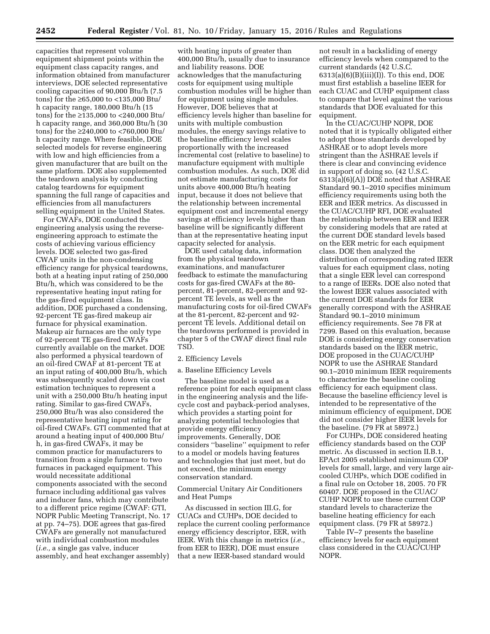capacities that represent volume equipment shipment points within the equipment class capacity ranges, and information obtained from manufacturer interviews, DOE selected representative cooling capacities of 90,000 Btu/h (7.5 tons) for the ≥65,000 to <135,000 Btu/ h capacity range, 180,000 Btu/h (15 tons) for the ≥135,000 to <240,000 Btu/ h capacity range, and 360,000 Btu/h (30 tons) for the ≥240,000 to <760,000 Btu/ h capacity range. Where feasible, DOE selected models for reverse engineering with low and high efficiencies from a given manufacturer that are built on the same platform. DOE also supplemented the teardown analysis by conducting catalog teardowns for equipment spanning the full range of capacities and efficiencies from all manufacturers selling equipment in the United States.

For CWAFs, DOE conducted the engineering analysis using the reverseengineering approach to estimate the costs of achieving various efficiency levels. DOE selected two gas-fired CWAF units in the non-condensing efficiency range for physical teardowns, both at a heating input rating of 250,000 Btu/h, which was considered to be the representative heating input rating for the gas-fired equipment class. In addition, DOE purchased a condensing, 92-percent TE gas-fired makeup air furnace for physical examination. Makeup air furnaces are the only type of 92-percent TE gas-fired CWAFs currently available on the market. DOE also performed a physical teardown of an oil-fired CWAF at 81-percent TE at an input rating of 400,000 Btu/h, which was subsequently scaled down via cost estimation techniques to represent a unit with a 250,000 Btu/h heating input rating. Similar to gas-fired CWAFs, 250,000 Btu/h was also considered the representative heating input rating for oil-fired CWAFs. GTI commented that at around a heating input of 400,000 Btu/ h, in gas-fired CWAFs, it may be common practice for manufacturers to transition from a single furnace to two furnaces in packaged equipment. This would necessitate additional components associated with the second furnace including additional gas valves and inducer fans, which may contribute to a different price regime (CWAF: GTI, NOPR Public Meeting Transcript, No. 17 at pp. 74–75). DOE agrees that gas-fired CWAFs are generally not manufactured with individual combustion modules (*i.e.,* a single gas valve, inducer assembly, and heat exchanger assembly)

with heating inputs of greater than 400,000 Btu/h, usually due to insurance and liability reasons. DOE acknowledges that the manufacturing costs for equipment using multiple combustion modules will be higher than for equipment using single modules. However, DOE believes that at efficiency levels higher than baseline for units with multiple combustion modules, the energy savings relative to the baseline efficiency level scales proportionally with the increased incremental cost (relative to baseline) to manufacture equipment with multiple combustion modules. As such, DOE did not estimate manufacturing costs for units above 400,000 Btu/h heating input, because it does not believe that the relationship between incremental equipment cost and incremental energy savings at efficiency levels higher than baseline will be significantly different than at the representative heating input capacity selected for analysis.

DOE used catalog data, information from the physical teardown examinations, and manufacturer feedback to estimate the manufacturing costs for gas-fired CWAFs at the 80 percent, 81-percent, 82-percent and 92 percent TE levels, as well as the manufacturing costs for oil-fired CWAFs at the 81-percent, 82-percent and 92 percent TE levels. Additional detail on the teardowns performed is provided in chapter 5 of the CWAF direct final rule TSD.

#### 2. Efficiency Levels

#### a. Baseline Efficiency Levels

The baseline model is used as a reference point for each equipment class in the engineering analysis and the lifecycle cost and payback-period analyses, which provides a starting point for analyzing potential technologies that provide energy efficiency improvements. Generally, DOE considers ''baseline'' equipment to refer to a model or models having features and technologies that just meet, but do not exceed, the minimum energy conservation standard.

# Commercial Unitary Air Conditioners and Heat Pumps

As discussed in section III.G, for CUACs and CUHPs, DOE decided to replace the current cooling performance energy efficiency descriptor, EER, with IEER. With this change in metrics (*i.e.,*  from EER to IEER), DOE must ensure that a new IEER-based standard would

not result in a backsliding of energy efficiency levels when compared to the current standards (42 U.S.C.  $6313(a)(6)(B(iii)(I))$ . To this end, DOE must first establish a baseline IEER for each CUAC and CUHP equipment class to compare that level against the various standards that DOE evaluated for this equipment.

In the CUAC/CUHP NOPR, DOE noted that it is typically obligated either to adopt those standards developed by ASHRAE or to adopt levels more stringent than the ASHRAE levels if there is clear and convincing evidence in support of doing so. (42 U.S.C.  $6313(a)(6)(A)$ ) DOE noted that ASHRAE Standard 90.1–2010 specifies minimum efficiency requirements using both the EER and IEER metrics. As discussed in the CUAC/CUHP RFI, DOE evaluated the relationship between EER and IEER by considering models that are rated at the current DOE standard levels based on the EER metric for each equipment class. DOE then analyzed the distribution of corresponding rated IEER values for each equipment class, noting that a single EER level can correspond to a range of IEERs. DOE also noted that the lowest IEER values associated with the current DOE standards for EER generally correspond with the ASHRAE Standard 90.1–2010 minimum efficiency requirements. See 78 FR at 7299. Based on this evaluation, because DOE is considering energy conservation standards based on the IEER metric, DOE proposed in the CUAC/CUHP NOPR to use the ASHRAE Standard 90.1–2010 minimum IEER requirements to characterize the baseline cooling efficiency for each equipment class. Because the baseline efficiency level is intended to be representative of the minimum efficiency of equipment, DOE did not consider higher IEER levels for the baseline. (79 FR at 58972.)

For CUHPs, DOE considered heating efficiency standards based on the COP metric. As discussed in section II.B.1, EPAct 2005 established minimum COP levels for small, large, and very large aircooled CUHPs, which DOE codified in a final rule on October 18, 2005. 70 FR 60407. DOE proposed in the CUAC/ CUHP NOPR to use these current COP standard levels to characterize the baseline heating efficiency for each equipment class. (79 FR at 58972.)

Table IV–7 presents the baseline efficiency levels for each equipment class considered in the CUAC/CUHP NOPR.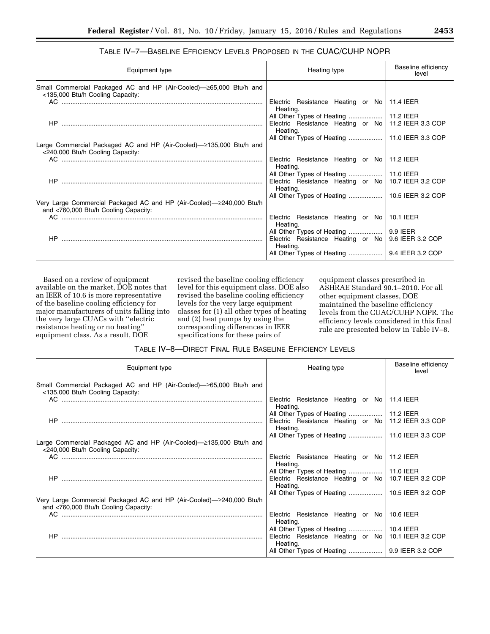| Equipment type                                                                                                      | Heating type                                              | Baseline efficiency<br>level |
|---------------------------------------------------------------------------------------------------------------------|-----------------------------------------------------------|------------------------------|
| Small Commercial Packaged AC and HP (Air-Cooled)—265,000 Btu/h and<br><135,000 Btu/h Cooling Capacity:              |                                                           |                              |
|                                                                                                                     | Electric Resistance Heating or No   11.4 IEER<br>Heating. |                              |
|                                                                                                                     |                                                           |                              |
| HP                                                                                                                  | Electric Resistance Heating or No<br>Heating.             | 11.2 IEER 3.3 COP            |
|                                                                                                                     |                                                           |                              |
| Large Commercial Packaged AC and HP (Air-Cooled)—≥135,000 Btu/h and<br><240,000 Btu/h Cooling Capacity:             |                                                           |                              |
|                                                                                                                     | Electric Resistance Heating or No<br>Heating.             | 11.2 IEER                    |
|                                                                                                                     |                                                           |                              |
| HP.                                                                                                                 | Electric Resistance Heating or No<br>Heating.             | 10.7 IEER 3.2 COP            |
|                                                                                                                     |                                                           |                              |
| Very Large Commercial Packaged AC and HP (Air-Cooled)— $\geq$ 240,000 Btu/h<br>and <760,000 Btu/h Cooling Capacity: |                                                           |                              |
|                                                                                                                     | Electric Resistance Heating or No<br>Heating.             | 10.1 IEER                    |
|                                                                                                                     |                                                           |                              |
| HP.                                                                                                                 | Electric Resistance Heating or No<br>Heating.             | 9.6 IEER 3.2 COP             |
|                                                                                                                     |                                                           |                              |

| TABLE IV-7-BASELINE EFFICIENCY LEVELS PROPOSED IN THE CUAC/CUHP NOPR |  |  |  |
|----------------------------------------------------------------------|--|--|--|
|----------------------------------------------------------------------|--|--|--|

Based on a review of equipment available on the market, DOE notes that an IEER of 10.6 is more representative of the baseline cooling efficiency for major manufacturers of units falling into the very large CUACs with ''electric resistance heating or no heating'' equipment class. As a result, DOE

revised the baseline cooling efficiency level for this equipment class. DOE also revised the baseline cooling efficiency levels for the very large equipment classes for (1) all other types of heating and (2) heat pumps by using the corresponding differences in IEER specifications for these pairs of

equipment classes prescribed in ASHRAE Standard 90.1–2010. For all other equipment classes, DOE maintained the baseline efficiency levels from the CUAC/CUHP NOPR. The efficiency levels considered in this final rule are presented below in Table IV–8.

| TABLE IV—8—DIRECT FINAL RULE BASELINE EFFICIENCY LEVELS |  |
|---------------------------------------------------------|--|
|---------------------------------------------------------|--|

| Equipment type                                                                                               | Heating type                                    | <b>Baseline efficiency</b><br>level |
|--------------------------------------------------------------------------------------------------------------|-------------------------------------------------|-------------------------------------|
| Small Commercial Packaged AC and HP (Air-Cooled)—>65,000 Btu/h and<br><135,000 Btu/h Cooling Capacity:       |                                                 |                                     |
|                                                                                                              | Electric Resistance Heating or No<br>Heating.   | 11.4 IEER                           |
|                                                                                                              | All Other Types of Heating                      | 11.2 IEER                           |
| HP                                                                                                           | Electric Resistance Heating or No<br>Heating.   | 11.2 IEER 3.3 COP                   |
|                                                                                                              | All Other Types of Heating    11.0 IEER 3.3 COP |                                     |
| Large Commercial Packaged AC and HP (Air-Cooled)—≥135,000 Btu/h and<br><240,000 Btu/h Cooling Capacity:      |                                                 |                                     |
|                                                                                                              | Electric Resistance Heating or No<br>Heating.   | 11.2 IEER                           |
|                                                                                                              | All Other Types of Heating    11.0 IEER         |                                     |
| HP.                                                                                                          | Electric Resistance Heating or No<br>Heating.   | 10.7 IEER 3.2 COP                   |
|                                                                                                              |                                                 |                                     |
| Very Large Commercial Packaged AC and HP (Air-Cooled)—2240,000 Btu/h<br>and <760,000 Btu/h Cooling Capacity: |                                                 |                                     |
|                                                                                                              | Electric Resistance Heating or No<br>Heating.   | 10.6 IEER                           |
|                                                                                                              |                                                 | 10.4 IEER                           |
| HP                                                                                                           | Electric Resistance Heating or No<br>Heating.   | 10.1 IEER 3.2 COP                   |
|                                                                                                              |                                                 | 9.9 IEER 3.2 COP                    |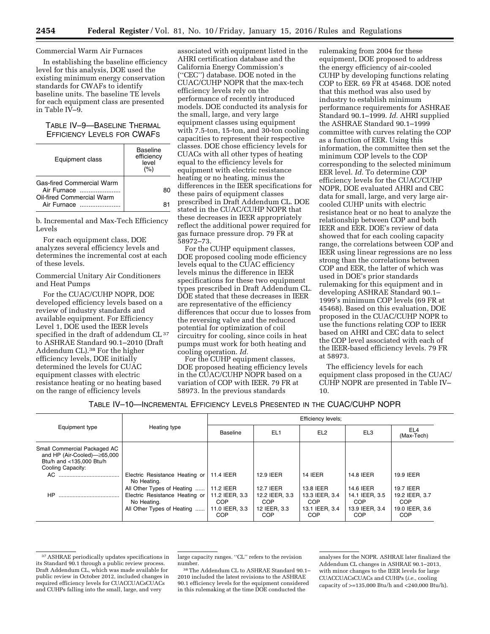## Commercial Warm Air Furnaces

In establishing the baseline efficiency level for this analysis, DOE used the existing minimum energy conservation standards for CWAFs to identify baseline units. The baseline TE levels for each equipment class are presented in Table IV–9.

# TABLE IV–9—BASELINE THERMAL EFFICIENCY LEVELS FOR CWAFS

| Equipment class                                                       | <b>Baseline</b><br>efficiency<br>level<br>(%) |
|-----------------------------------------------------------------------|-----------------------------------------------|
| Gas-fired Commercial Warm<br>Air Furnace<br>Oil-fired Commercial Warm |                                               |
| Air Furnace                                                           |                                               |

b. Incremental and Max-Tech Efficiency Levels

For each equipment class, DOE analyzes several efficiency levels and determines the incremental cost at each of these levels.

# Commercial Unitary Air Conditioners and Heat Pumps

For the CUAC/CUHP NOPR, DOE developed efficiency levels based on a review of industry standards and available equipment. For Efficiency Level 1, DOE used the IEER levels specified in the draft of addendum CL 37 to ASHRAE Standard 90.1–2010 (Draft Addendum CL).38 For the higher efficiency levels, DOE initially determined the levels for CUAC equipment classes with electric resistance heating or no heating based on the range of efficiency levels

associated with equipment listed in the AHRI certification database and the California Energy Commission's (''CEC'') database. DOE noted in the CUAC/CUHP NOPR that the max-tech efficiency levels rely on the performance of recently introduced models. DOE conducted its analysis for the small, large, and very large equipment classes using equipment with 7.5-ton, 15-ton, and 30-ton cooling capacities to represent their respective classes. DOE chose efficiency levels for CUACs with all other types of heating equal to the efficiency levels for equipment with electric resistance heating or no heating, minus the differences in the IEER specifications for these pairs of equipment classes prescribed in Draft Addendum CL. DOE stated in the CUAC/CUHP NOPR that these decreases in IEER appropriately reflect the additional power required for gas furnace pressure drop. 79 FR at 58972–73.

For the CUHP equipment classes, DOE proposed cooling mode efficiency levels equal to the CUAC efficiency levels minus the difference in IEER specifications for these two equipment types prescribed in Draft Addendum CL. DOE stated that these decreases in IEER are representative of the efficiency differences that occur due to losses from the reversing valve and the reduced potential for optimization of coil circuitry for cooling, since coils in heat pumps must work for both heating and cooling operation. *Id.* 

For the CUHP equipment classes, DOE proposed heating efficiency levels in the CUAC/CUHP NOPR based on a variation of COP with IEER. 79 FR at 58973. In the previous standards

rulemaking from 2004 for these equipment, DOE proposed to address the energy efficiency of air-cooled CUHP by developing functions relating COP to EER. 69 FR at 45468. DOE noted that this method was also used by industry to establish minimum performance requirements for ASHRAE Standard 90.1–1999. *Id.* AHRI supplied the ASHRAE Standard 90.1–1999 committee with curves relating the COP as a function of EER. Using this information, the committee then set the minimum COP levels to the COP corresponding to the selected minimum EER level. *Id.* To determine COP efficiency levels for the CUAC/CUHP NOPR, DOE evaluated AHRI and CEC data for small, large, and very large aircooled CUHP units with electric resistance heat or no heat to analyze the relationship between COP and both IEER and EER. DOE's review of data showed that for each cooling capacity range, the correlations between COP and IEER using linear regressions are no less strong than the correlations between COP and EER, the latter of which was used in DOE's prior standards rulemaking for this equipment and in developing ASHRAE Standard 90.1– 1999's minimum COP levels (69 FR at 45468). Based on this evaluation, DOE proposed in the CUAC/CUHP NOPR to use the functions relating COP to IEER based on AHRI and CEC data to select the COP level associated with each of the IEER-based efficiency levels. 79 FR at 58973.

The efficiency levels for each equipment class proposed in the CUAC/ CUHP NOPR are presented in Table IV– 10.

|  | TABLE IV—10—INCREMENTAL EFFICIENCY LEVELS PRESENTED IN THE CUAC/CUHP NOPR |  |
|--|---------------------------------------------------------------------------|--|
|--|---------------------------------------------------------------------------|--|

|                                                                                                              |                                                                                                           | Efficiency levels;                                                 |                                                                  |                                                                    |                                                             |                                                                           |
|--------------------------------------------------------------------------------------------------------------|-----------------------------------------------------------------------------------------------------------|--------------------------------------------------------------------|------------------------------------------------------------------|--------------------------------------------------------------------|-------------------------------------------------------------|---------------------------------------------------------------------------|
| Equipment type                                                                                               | Heating type                                                                                              | Baseline                                                           | EL <sub>1</sub>                                                  | EL <sub>2</sub>                                                    | EL <sub>3</sub>                                             | EL <sub>4</sub><br>(Max-Tech)                                             |
| Small Commercial Packaged AC<br>and HP (Air-Cooled)–≥65,000<br>Btu/h and <135,000 Btu/h<br>Cooling Capacity: |                                                                                                           |                                                                    |                                                                  |                                                                    |                                                             |                                                                           |
|                                                                                                              | Electric Resistance Heating or<br>No Heating.                                                             | 11.4 IEER                                                          | 12.9 IEER                                                        | <b>14 IEER</b>                                                     | 14.8 IEER                                                   | 19.9 IEER                                                                 |
| HP                                                                                                           | All Other Types of Heating<br>Electric Resistance Heating or<br>No Heating.<br>All Other Types of Heating | 11.2 IEER<br>11.2 IEER, 3.3<br><b>COP</b><br>11.0 IEER. 3.3<br>COP | <b>12.7 IEER</b><br>12.2 IEER, 3.3<br>COP<br>12 IEER, 3.3<br>COP | 13.8 IEER<br>13.3 IEER, 3.4<br>COP<br>13.1 IEER, 3.4<br><b>COP</b> | 14.6 IEER<br>14.1 IEER, 3.5<br>COP<br>13.9 IEER, 3.4<br>COP | 19.7 IEER<br>19.2 IEER, 3.7<br><b>COP</b><br>19.0 IEER, 3.6<br><b>COP</b> |

<sup>37</sup>ASHRAE periodically updates specifications in its Standard 90.1 through a public review process. Draft Addendum CL, which was made available for public review in October 2012, included changes in required efficiency levels for CUACCUACsCUACs and CUHPs falling into the small, large, and very

large capacity ranges. ''CL'' refers to the revision number.

38The Addendum CL to ASHRAE Standard 90.1– 2010 included the latest revisions to the ASHRAE 90.1 efficiency levels for the equipment considered in this rulemaking at the time DOE conducted the

analyses for the NOPR. ASHRAE later finalized the Addendum CL changes in ASHRAE 90.1–2013, with minor changes to the IEER levels for large CUACCUACsCUACs and CUHPs (*i.e.,* cooling capacity of >=135,000 Btu/h and <240,000 Btu/h).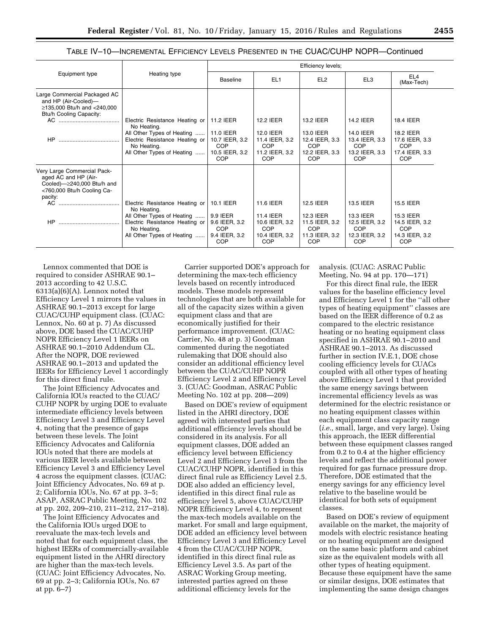TABLE IV–10—INCREMENTAL EFFICIENCY LEVELS PRESENTED IN THE CUAC/CUHP NOPR—Continued

|                                                                                                                                  |                                                                                                                          | Efficiency levels;                                                 |                                                             |                                                             |                                                             |                                                                    |
|----------------------------------------------------------------------------------------------------------------------------------|--------------------------------------------------------------------------------------------------------------------------|--------------------------------------------------------------------|-------------------------------------------------------------|-------------------------------------------------------------|-------------------------------------------------------------|--------------------------------------------------------------------|
| Equipment type                                                                                                                   | Heating type                                                                                                             | Baseline                                                           | EL <sub>1</sub>                                             | EL <sub>2</sub>                                             | EL <sub>3</sub>                                             | EL <sub>4</sub><br>(Max-Tech)                                      |
| Large Commercial Packaged AC<br>and HP (Air-Cooled)-<br>≥135,000 Btu/h and <240,000<br>Btu/h Cooling Capacity:                   |                                                                                                                          |                                                                    |                                                             |                                                             |                                                             |                                                                    |
|                                                                                                                                  | Electric Resistance Heating or                                                                                           | 11.2 IEER                                                          | <b>12.2 IEER</b>                                            | 13.2 IEER                                                   | <b>14.2 IEER</b>                                            | 18.4 IEER                                                          |
| <b>HP</b>                                                                                                                        | No Heating.<br>All Other Types of Heating<br>Electric Resistance Heating or<br>No Heating.<br>All Other Types of Heating | 11.0 IEER<br>10.7 IEER, 3.2<br>COP<br>10.5 IEER, 3.2<br><b>COP</b> | 12.0 IEER<br>11.4 IEER, 3.2<br>COP<br>11.2 IEER, 3.2<br>COP | 13.0 IEER<br>12.4 IEER, 3.3<br>COP<br>12.2 IEER, 3.3<br>COP | 14.0 IEER<br>13.4 IEER, 3.3<br>COP<br>13.2 IEER, 3.3<br>COP | 18.2 IEER<br>17.6 IEER, 3.3<br>COP<br>17.4 IEER, 3.3<br><b>COP</b> |
| Very Large Commercial Pack-<br>aged AC and HP (Air-<br>Cooled)-2240,000 Btu/h and<br><760,000 Btu/h Cooling Ca-<br>pacity:<br>AC | Electric Resistance Heating or                                                                                           | 10.1 IEER                                                          | 11.6 IEER                                                   | 12.5 IEER                                                   | 13.5 IEER                                                   | 15.5 IEER                                                          |
| HP                                                                                                                               | No Heating.<br>All Other Types of Heating<br>Electric Resistance Heating or                                              | 9.9 IEER<br>9.6 IEER, 3.2                                          | 11.4 IEER<br>10.6 IEER, 3.2                                 | 12.3 IEER<br>11.5 IEER, 3.2                                 | 13.3 IEER<br>12.5 IEER, 3.2                                 | 15.3 IEER<br>14.5 IEER, 3.2                                        |
|                                                                                                                                  | No Heating.<br>All Other Types of Heating                                                                                | COP<br>9.4 IEER, 3.2<br>COP                                        | COP<br>10.4 IEER, 3.2<br>COP                                | COP<br>11.3 IEER, 3.2<br>COP                                | COP<br>12.3 IEER, 3.2<br>COP                                | COP<br>14.3 IEER, 3.2<br>COP                                       |

Lennox commented that DOE is required to consider ASHRAE 90.1– 2013 according to 42 U.S.C. 6313(a)(6)(A). Lennox noted that Efficiency Level 1 mirrors the values in ASHRAE 90.1–2013 except for large CUAC/CUHP equipment class. (CUAC: Lennox, No. 60 at p. 7) As discussed above, DOE based the CUAC/CUHP NOPR Efficiency Level 1 IEERs on ASHRAE 90.1–2010 Addendum CL. After the NOPR, DOE reviewed ASHRAE 90.1–2013 and updated the IEERs for Efficiency Level 1 accordingly for this direct final rule.

The Joint Efficiency Advocates and California IOUs reacted to the CUAC/ CUHP NOPR by urging DOE to evaluate intermediate efficiency levels between Efficiency Level 3 and Efficiency Level 4, noting that the presence of gaps between these levels. The Joint Efficiency Advocates and California IOUs noted that there are models at various IEER levels available between Efficiency Level 3 and Efficiency Level 4 across the equipment classes. (CUAC: Joint Efficiency Advocates, No. 69 at p. 2; California IOUs, No. 67 at pp. 3–5; ASAP, ASRAC Public Meeting, No. 102 at pp. 202, 209–210, 211–212, 217–218).

The Joint Efficiency Advocates and the California IOUs urged DOE to reevaluate the max-tech levels and noted that for each equipment class, the highest IEERs of commercially-available equipment listed in the AHRI directory are higher than the max-tech levels. (CUAC: Joint Efficiency Advocates, No. 69 at pp. 2–3; California IOUs, No. 67 at pp. 6–7)

Carrier supported DOE's approach for determining the max-tech efficiency levels based on recently introduced models. These models represent technologies that are both available for all of the capacity sizes within a given equipment class and that are economically justified for their performance improvement. (CUAC: Carrier, No. 48 at p. 3) Goodman commented during the negotiated rulemaking that DOE should also consider an additional efficiency level between the CUAC/CUHP NOPR Efficiency Level 2 and Efficiency Level 3. (CUAC: Goodman, ASRAC Public Meeting No. 102 at pp. 208—209)

Based on DOE's review of equipment listed in the AHRI directory, DOE agreed with interested parties that additional efficiency levels should be considered in its analysis. For all equipment classes, DOE added an efficiency level between Efficiency Level 2 and Efficiency Level 3 from the CUAC/CUHP NOPR, identified in this direct final rule as Efficiency Level 2.5. DOE also added an efficiency level, identified in this direct final rule as efficiency level 5, above CUAC/CUHP NOPR Efficiency Level 4, to represent the max-tech models available on the market. For small and large equipment, DOE added an efficiency level between Efficiency Level 3 and Efficiency Level 4 from the CUAC/CUHP NOPR, identified in this direct final rule as Efficiency Level 3.5. As part of the ASRAC Working Group meeting, interested parties agreed on these additional efficiency levels for the

analysis. (CUAC: ASRAC Public Meeting, No. 94 at pp. 170—171)

For this direct final rule, the IEER values for the baseline efficiency level and Efficiency Level 1 for the ''all other types of heating equipment'' classes are based on the IEER difference of 0.2 as compared to the electric resistance heating or no heating equipment class specified in ASHRAE 90.1–2010 and ASHRAE 90.1–2013. As discussed further in section IV.E.1, DOE chose cooling efficiency levels for CUACs coupled with all other types of heating above Efficiency Level 1 that provided the same energy savings between incremental efficiency levels as was determined for the electric resistance or no heating equipment classes within each equipment class capacity range (*i.e.,* small, large, and very large). Using this approach, the IEER differential between these equipment classes ranged from 0.2 to 0.4 at the higher efficiency levels and reflect the additional power required for gas furnace pressure drop. Therefore, DOE estimated that the energy savings for any efficiency level relative to the baseline would be identical for both sets of equipment classes.

Based on DOE's review of equipment available on the market, the majority of models with electric resistance heating or no heating equipment are designed on the same basic platform and cabinet size as the equivalent models with all other types of heating equipment. Because these equipment have the same or similar designs, DOE estimates that implementing the same design changes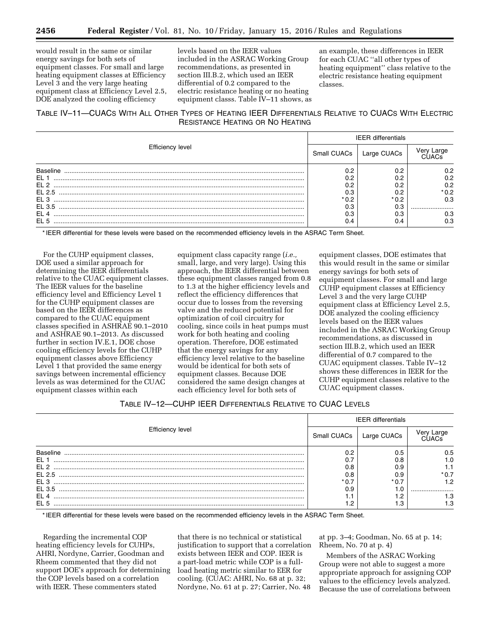would result in the same or similar energy savings for both sets of equipment classes. For small and large heating equipment classes at Efficiency Level 3 and the very large heating equipment class at Efficiency Level 2.5, DOE analyzed the cooling efficiency

levels based on the IEER values included in the ASRAC Working Group recommendations, as presented in section III.B.2, which used an IEER differential of 0.2 compared to the electric resistance heating or no heating equipment classs. Table IV–11 shows, as

an example, these differences in IEER for each CUAC ''all other types of heating equipment'' class relative to the electric resistance heating equipment classes.

# TABLE IV–11—CUACS WITH ALL OTHER TYPES OF HEATING IEER DIFFERENTIALS RELATIVE TO CUACS WITH ELECTRIC RESISTANCE HEATING OR NO HEATING

|                  |             | <b>IEER</b> differentials |        |  |  |
|------------------|-------------|---------------------------|--------|--|--|
| Efficiency level | Small CUACs | Large CUACs               |        |  |  |
| <b>Baseline</b>  | 0.2         | ΩS                        | 0.2    |  |  |
| EL 1             | 0.2         |                           | 0.2    |  |  |
| $FI$ 2           | 0.2         |                           | 0.2    |  |  |
| EL 2.5           | 0.3         |                           | $*0.2$ |  |  |
| EL <sub>3</sub>  | * 0.2       | * በ 2                     | 0.3    |  |  |
| EL 3.5           | 0.3         |                           |        |  |  |
| EL <sub>4</sub>  | 0.3         | 0.3                       | 0.3    |  |  |
| EL <sub>5</sub>  | 0.4         | 0.4                       | 0.3    |  |  |

\* IEER differential for these levels were based on the recommended efficiency levels in the ASRAC Term Sheet.

For the CUHP equipment classes, DOE used a similar approach for determining the IEER differentials relative to the CUAC equipment classes. The IEER values for the baseline efficiency level and Efficiency Level 1 for the CUHP equipment classes are based on the IEER differences as compared to the CUAC equipment classes specified in ASHRAE 90.1–2010 and ASHRAE 90.1–2013. As discussed further in section IV.E.1, DOE chose cooling efficiency levels for the CUHP equipment classes above Efficiency Level 1 that provided the same energy savings between incremental efficiency levels as was determined for the CUAC equipment classes within each

equipment class capacity range (*i.e.,*  small, large, and very large). Using this approach, the IEER differential between these equipment classes ranged from 0.8 to 1.3 at the higher efficiency levels and reflect the efficiency differences that occur due to losses from the reversing valve and the reduced potential for optimization of coil circuitry for cooling, since coils in heat pumps must work for both heating and cooling operation. Therefore, DOE estimated that the energy savings for any efficiency level relative to the baseline would be identical for both sets of equipment classes. Because DOE considered the same design changes at each efficiency level for both sets of

equipment classes, DOE estimates that this would result in the same or similar energy savings for both sets of equipment classes. For small and large CUHP equipment classes at Efficiency Level 3 and the very large CUHP equipment class at Efficiency Level 2.5, DOE analyzed the cooling efficiency levels based on the IEER values included in the ASRAC Working Group recommendations, as discussed in section III.B.2, which used an IEER differential of 0.7 compared to the CUAC equipment classes. Table IV–12 shows these differences in IEER for the CUHP equipment classes relative to the CUAC equipment classes.

|  | TABLE IV-12-CUHP IEER DIFFERENTIALS RELATIVE TO CUAC LEVELS |  |
|--|-------------------------------------------------------------|--|
|--|-------------------------------------------------------------|--|

|                  |             | <b>IEER</b> differentials |       |  |  |
|------------------|-------------|---------------------------|-------|--|--|
| Efficiency level | Small CUACs | Large CUACs               |       |  |  |
| Raseline         | 0.2         | 0.5                       | 0.5   |  |  |
| EL.              |             |                           | 1.0   |  |  |
| EL <sub>2</sub>  | 0.8         | 0.9                       |       |  |  |
| EL 2.5           | 0.8         |                           | * 0.7 |  |  |
| EL <sub>3</sub>  | * 0.7       | ∗∩                        |       |  |  |
| FL 3.5           | 0.9         | 1.U                       |       |  |  |
| EL <sub>4</sub>  | .           |                           | 1.3   |  |  |
| EL <sub>5</sub>  | .2          | ن. ا                      |       |  |  |

\* IEER differential for these levels were based on the recommended efficiency levels in the ASRAC Term Sheet.

Regarding the incremental COP heating efficiency levels for CUHPs, AHRI, Nordyne, Carrier, Goodman and Rheem commented that they did not support DOE's approach for determining the COP levels based on a correlation with IEER. These commenters stated

that there is no technical or statistical justification to support that a correlation exists between IEER and COP. IEER is a part-load metric while COP is a fullload heating metric similar to EER for cooling. (CUAC: AHRI, No. 68 at p. 32; Nordyne, No. 61 at p. 27; Carrier, No. 48

at pp. 3–4; Goodman, No. 65 at p. 14; Rheem, No. 70 at p. 4)

Members of the ASRAC Working Group were not able to suggest a more appropriate approach for assigning COP values to the efficiency levels analyzed. Because the use of correlations between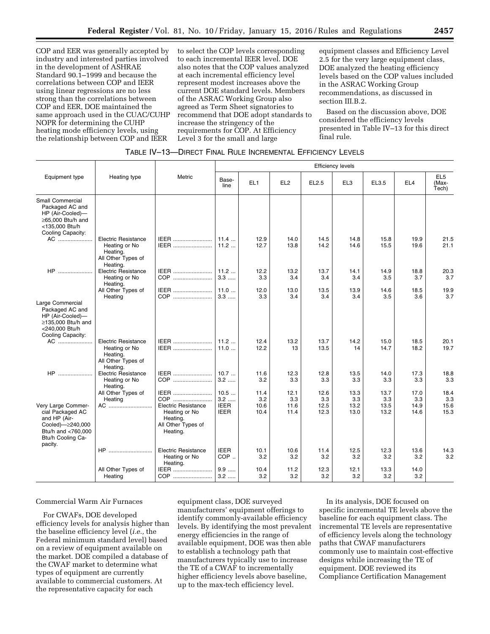COP and EER was generally accepted by industry and interested parties involved in the development of ASHRAE Standard 90.1–1999 and because the correlations between COP and IEER using linear regressions are no less strong than the correlations between COP and EER, DOE maintained the same approach used in the CUAC/CUHP NOPR for determining the CUHP heating mode efficiency levels, using the relationship between COP and IEER

to select the COP levels corresponding to each incremental IEER level. DOE also notes that the COP values analyzed at each incremental efficiency level represent modest increases above the current DOE standard levels. Members of the ASRAC Working Group also agreed as Term Sheet signatories to recommend that DOE adopt standards to increase the stringency of the requirements for COP. At Efficiency Level 3 for the small and large

equipment classes and Efficiency Level 2.5 for the very large equipment class, DOE analyzed the heating efficiency levels based on the COP values included in the ASRAC Working Group recommendations, as discussed in section III.B.2.

Based on the discussion above, DOE considered the efficiency levels presented in Table IV–13 for this direct final rule.

| Table IV-13—Direct Final Rule Incremental Efficiency Levels |  |
|-------------------------------------------------------------|--|
|-------------------------------------------------------------|--|

|                                                                                                                                  |                                                                                           |                                                                                                                        |                                             |                             |                             |                             | <b>Efficiency levels</b>    |                             |                             |                                   |
|----------------------------------------------------------------------------------------------------------------------------------|-------------------------------------------------------------------------------------------|------------------------------------------------------------------------------------------------------------------------|---------------------------------------------|-----------------------------|-----------------------------|-----------------------------|-----------------------------|-----------------------------|-----------------------------|-----------------------------------|
| Equipment type                                                                                                                   | Heating type                                                                              | Metric                                                                                                                 | Base-<br>line                               | EL <sub>1</sub>             | EL <sub>2</sub>             | EL2.5                       | EL <sub>3</sub>             | EL3.5                       | EL <sub>4</sub>             | EL <sub>5</sub><br>(Max-<br>Tech) |
| Small Commercial<br>Packaged AC and<br>HP (Air-Cooled)-<br>≥65,000 Btu/h and<br><135,000 Btu/h                                   |                                                                                           |                                                                                                                        |                                             |                             |                             |                             |                             |                             |                             |                                   |
| Cooling Capacity:<br>AC                                                                                                          | <b>Electric Resistance</b><br>Heating or No<br>Heating.<br>All Other Types of             | IEER<br><b>IEER</b>                                                                                                    | 11.4<br>11.2                                | 12.9<br>12.7                | 14.0<br>13.8                | 14.5<br>14.2                | 14.8<br>14.6                | 15.8<br>15.5                | 19.9<br>19.6                | 21.5<br>21.1                      |
| HP                                                                                                                               | Heating.<br>Electric Resistance<br>Heating or No<br>Heating.                              | <b>IEER</b><br>COP                                                                                                     | 11.2<br>$3.3$                               | 12.2<br>3.3                 | 13.2<br>3.4                 | 13.7<br>3.4                 | 14.1<br>3.4                 | 14.9<br>3.5                 | 18.8<br>3.7                 | 20.3<br>3.7                       |
|                                                                                                                                  | All Other Types of<br>Heating                                                             | IEER<br>COP                                                                                                            | 11.0<br>$3.3$                               | 12.0<br>3.3                 | 13.0<br>3.4                 | 13.5<br>3.4                 | 13.9<br>3.4                 | 14.6<br>3.5                 | 18.5<br>3.6                 | 19.9<br>3.7                       |
| Large Commercial<br>Packaged AC and<br>HP (Air-Cooled)-<br>≥135,000 Btu/h and<br><240,000 Btu/h<br>Cooling Capacity:             |                                                                                           |                                                                                                                        |                                             |                             |                             |                             |                             |                             |                             |                                   |
| AC                                                                                                                               | <b>Electric Resistance</b><br>Heating or No<br>Heating.<br>All Other Types of<br>Heating. | IEER<br>IEER                                                                                                           | 11.2<br>11.0                                | 12.4<br>12.2                | 13.2<br>13                  | 13.7<br>13.5                | 14.2<br>14                  | 15.0<br>14.7                | 18.5<br>18.2                | 20.1<br>19.7                      |
| HP                                                                                                                               | <b>Electric Resistance</b><br>Heating or No<br>Heating.                                   | <b>IEER</b><br>COP                                                                                                     | 10.7<br>$3.2$                               | 11.6<br>3.2                 | 12.3<br>3.3                 | 12.8<br>3.3                 | 13.5<br>3.3                 | 14.0<br>3.3                 | 17.3<br>3.3                 | 18.8<br>3.3                       |
| Very Large Commer-<br>cial Packaged AC<br>and HP (Air-<br>Cooled)-2240,000<br>Btu/h and <760,000<br>Btu/h Cooling Ca-<br>pacity. | All Other Types of<br>Heating<br>AC                                                       | <b>IEER</b><br><b>COP</b><br><b>Electric Resistance</b><br>Heating or No<br>Heating.<br>All Other Types of<br>Heating. | 10.5<br>$3.2$<br><b>IEER</b><br><b>IEER</b> | 11.4<br>3.2<br>10.6<br>10.4 | 12.1<br>3.3<br>11.6<br>11.4 | 12.6<br>3.3<br>12.5<br>12.3 | 13.3<br>3.3<br>13.2<br>13.0 | 13.7<br>3.3<br>13.5<br>13.2 | 17.0<br>3.3<br>14.9<br>14.6 | 18.4<br>3.3<br>15.6<br>15.3       |
|                                                                                                                                  | <b>HP</b>                                                                                 | <b>Electric Resistance</b><br>Heating or No<br>Heating.                                                                | <b>IEER</b><br>COP.                         | 10.1<br>3.2                 | 10.6<br>3.2                 | 11.4<br>3.2                 | 12.5<br>3.2                 | 12.3<br>3.2                 | 13.6<br>3.2                 | 14.3<br>3.2                       |
|                                                                                                                                  | All Other Types of<br>Heating                                                             | <b>IEER</b><br>COP                                                                                                     | 9.9<br>$3.2$                                | 10.4<br>3.2                 | 11.2<br>3.2                 | 12.3<br>3.2                 | 12.1<br>3.2                 | 13.3<br>3.2                 | 14.0<br>3.2                 |                                   |

Commercial Warm Air Furnaces

For CWAFs, DOE developed efficiency levels for analysis higher than the baseline efficiency level (*i.e.,* the Federal minimum standard level) based on a review of equipment available on the market. DOE compiled a database of the CWAF market to determine what types of equipment are currently available to commercial customers. At the representative capacity for each

equipment class, DOE surveyed manufacturers' equipment offerings to identify commonly-available efficiency levels. By identifying the most prevalent energy efficiencies in the range of available equipment, DOE was then able to establish a technology path that manufacturers typically use to increase the TE of a CWAF to incrementally higher efficiency levels above baseline, up to the max-tech efficiency level.

In its analysis, DOE focused on specific incremental TE levels above the baseline for each equipment class. The incremental TE levels are representative of efficiency levels along the technology paths that CWAF manufacturers commonly use to maintain cost-effective designs while increasing the TE of equipment. DOE reviewed its Compliance Certification Management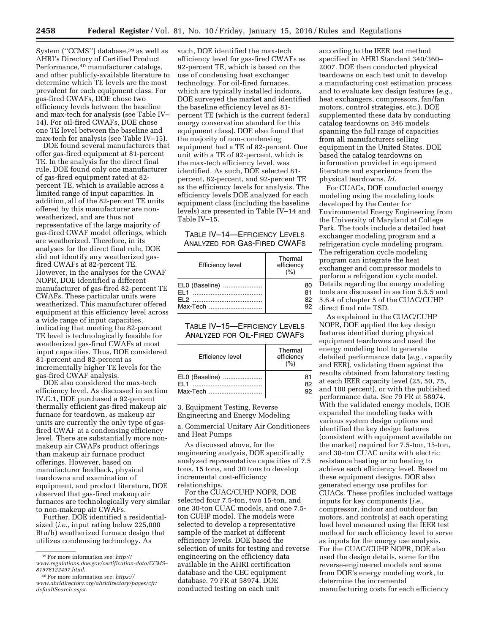System ("CCMS") database,<sup>39</sup> as well as AHRI's Directory of Certified Product Performance,40 manufacturer catalogs, and other publicly-available literature to determine which TE levels are the most prevalent for each equipment class. For gas-fired CWAFs, DOE chose two efficiency levels between the baseline and max-tech for analysis (see Table IV– 14). For oil-fired CWAFs, DOE chose one TE level between the baseline and max-tech for analysis (see Table IV–15).

DOE found several manufacturers that offer gas-fired equipment at 81-percent TE. In the analysis for the direct final rule, DOE found only one manufacturer of gas-fired equipment rated at 82 percent TE, which is available across a limited range of input capacities. In addition, all of the 82-percent TE units offered by this manufacturer are nonweatherized, and are thus not representative of the large majority of gas-fired CWAF model offerings, which are weatherized. Therefore, in its analyses for the direct final rule, DOE did not identify any weatherized gasfired CWAFs at 82-percent TE. However, in the analyses for the CWAF NOPR, DOE identified a different manufacturer of gas-fired 82-percent TE CWAFs. These particular units were weatherized. This manufacturer offered equipment at this efficiency level across a wide range of input capacities, indicating that meeting the 82-percent TE level is technologically feasible for weatherized gas-fired CWAFs at most input capacities. Thus, DOE considered 81-percent and 82-percent as incrementally higher TE levels for the gas-fired CWAF analysis.

DOE also considered the max-tech efficiency level. As discussed in section IV.C.1, DOE purchased a 92-percent thermally efficient gas-fired makeup air furnace for teardown, as makeup air units are currently the only type of gasfired CWAF at a condensing efficiency level. There are substantially more nonmakeup air CWAFs product offerings than makeup air furnace product offerings. However, based on manufacturer feedback, physical teardowns and examination of equipment, and product literature, DOE observed that gas-fired makeup air furnaces are technologically very similar to non-makeup air CWAFs.

Further, DOE identified a residentialsized (*i.e.,* input rating below 225,000 Btu/h) weatherized furnace design that utilizes condensing technology. As

such, DOE identified the max-tech efficiency level for gas-fired CWAFs as 92-percent TE, which is based on the use of condensing heat exchanger technology. For oil-fired furnaces, which are typically installed indoors, DOE surveyed the market and identified the baseline efficiency level as 81 percent TE (which is the current federal energy conservation standard for this equipment class). DOE also found that the majority of non-condensing equipment had a TE of 82-percent. One unit with a TE of 92-percent, which is the max-tech efficiency level, was identified. As such, DOE selected 81 percent, 82-percent, and 92-percent TE as the efficiency levels for analysis. The efficiency levels DOE analyzed for each equipment class (including the baseline levels) are presented in Table IV–14 and Table IV–15.

## TABLE IV–14—EFFICIENCY LEVELS ANALYZED FOR GAS-FIRED CWAFS

| Efficiency level                                                                                                                                                  | Thermal<br>efficiency<br>(%) |
|-------------------------------------------------------------------------------------------------------------------------------------------------------------------|------------------------------|
| EL0 (Baseline)<br>FI 1<br>and the contract of the contract of the contract of the contract of the contract of the contract of the contract of<br>FI 2<br>Max-Tech | 80<br>81<br>82<br>92         |

TABLE IV–15—EFFICIENCY LEVELS ANALYZED FOR OIL-FIRED CWAFS

| <b>Efficiency level</b>            | Thermal<br>efficiency<br>(%) |
|------------------------------------|------------------------------|
| EL0 (Baseline)<br>FI 1<br>Max-Tech | 82<br>92                     |

3. Equipment Testing, Reverse Engineering and Energy Modeling

a. Commercial Unitary Air Conditioners and Heat Pumps

As discussed above, for the engineering analysis, DOE specifically analyzed representative capacities of 7.5 tons, 15 tons, and 30 tons to develop incremental cost-efficiency relationships.

For the CUAC/CUHP NOPR, DOE selected four 7.5-ton, two 15-ton, and one 30-ton CUAC models, and one 7.5 ton CUHP model. The models were selected to develop a representative sample of the market at different efficiency levels. DOE based the selection of units for testing and reverse engineering on the efficiency data available in the AHRI certification database and the CEC equipment database. 79 FR at 58974. DOE conducted testing on each unit

according to the IEER test method specified in AHRI Standard 340/360– 2007. DOE then conducted physical teardowns on each test unit to develop a manufacturing cost estimation process and to evaluate key design features (*e.g.,*  heat exchangers, compressors, fan/fan motors, control strategies, etc.). DOE supplemented these data by conducting catalog teardowns on 346 models spanning the full range of capacities from all manufacturers selling equipment in the United States. DOE based the catalog teardowns on information provided in equipment literature and experience from the physical teardowns. *Id.* 

For CUACs, DOE conducted energy modeling using the modeling tools developed by the Center for Environmental Energy Engineering from the University of Maryland at College Park. The tools include a detailed heat exchanger modeling program and a refrigeration cycle modeling program. The refrigeration cycle modeling program can integrate the heat exchanger and compressor models to perform a refrigeration cycle model. Details regarding the energy modeling tools are discussed in section 5.5.5 and 5.6.4 of chapter 5 of the CUAC/CUHP direct final rule TSD.

As explained in the CUAC/CUHP NOPR, DOE applied the key design features identified during physical equipment teardowns and used the energy modeling tool to generate detailed performance data (*e.g.,* capacity and EER), validating them against the results obtained from laboratory testing at each IEER capacity level (25, 50, 75, and 100 percent), or with the published performance data. See 79 FR at 58974. With the validated energy models, DOE expanded the modeling tasks with various system design options and identified the key design features (consistent with equipment available on the market) required for 7.5-ton, 15-ton, and 30-ton CUAC units with electric resistance heating or no heating to achieve each efficiency level. Based on these equipment designs, DOE also generated energy use profiles for CUACs. These profiles included wattage inputs for key components (*i.e.,*  compressor, indoor and outdoor fan motors, and controls) at each operating load level measured using the IEER test method for each efficiency level to serve as inputs for the energy use analysis. For the CUAC/CUHP NOPR, DOE also used the design details, some for the reverse-engineered models and some from DOE's energy modeling work, to determine the incremental manufacturing costs for each efficiency

<sup>39</sup>For more information see: *[http://](http://www.regulations.doe.gov/certification-data/CCMS-81578122497.html) [www.regulations.doe.gov/certification-data/CCMS–](http://www.regulations.doe.gov/certification-data/CCMS-81578122497.html)  [81578122497.html](http://www.regulations.doe.gov/certification-data/CCMS-81578122497.html)*.

<sup>40</sup>For more information see: *[https://](https://www.ahridirectory.org/ahridirectory/pages/cfr/defaultSearch.aspx) [www.ahridirectory.org/ahridirectory/pages/cfr/](https://www.ahridirectory.org/ahridirectory/pages/cfr/defaultSearch.aspx) [defaultSearch.aspx](https://www.ahridirectory.org/ahridirectory/pages/cfr/defaultSearch.aspx)*.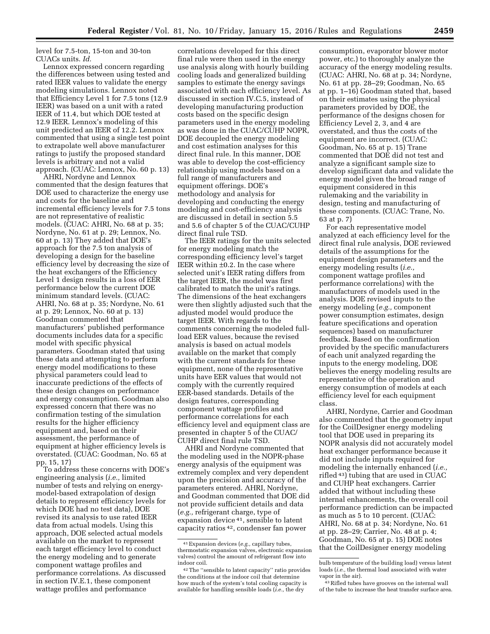level for 7.5-ton, 15-ton and 30-ton CUACs units. *Id.* 

Lennox expressed concern regarding the differences between using tested and rated IEER values to validate the energy modeling simulations. Lennox noted that Efficiency Level 1 for 7.5 tons (12.9 IEER) was based on a unit with a rated IEER of 11.4, but which DOE tested at 12.9 IEER. Lennox's modeling of this unit predicted an IEER of 12.2. Lennox commented that using a single test point to extrapolate well above manufacturer ratings to justify the proposed standard levels is arbitrary and not a valid approach. (CUAC: Lennox, No. 60 p. 13)

AHRI, Nordyne and Lennox commented that the design features that DOE used to characterize the energy use and costs for the baseline and incremental efficiency levels for 7.5 tons are not representative of realistic models. (CUAC: AHRI, No. 68 at p. 35; Nordyne, No. 61 at p. 29; Lennox, No. 60 at p. 13) They added that DOE's approach for the 7.5 ton analysis of developing a design for the baseline efficiency level by decreasing the size of the heat exchangers of the Efficiency Level 1 design results in a loss of EER performance below the current DOE minimum standard levels. (CUAC: AHRI, No. 68 at p. 35; Nordyne, No. 61 at p. 29; Lennox, No. 60 at p. 13) Goodman commented that manufacturers' published performance documents includes data for a specific model with specific physical parameters. Goodman stated that using these data and attempting to perform energy model modifications to these physical parameters could lead to inaccurate predictions of the effects of these design changes on performance and energy consumption. Goodman also expressed concern that there was no confirmation testing of the simulation results for the higher efficiency equipment and, based on their assessment, the performance of equipment at higher efficiency levels is overstated. (CUAC: Goodman, No. 65 at pp. 15, 17)

To address these concerns with DOE's engineering analysis (*i.e.,* limited number of tests and relying on energymodel-based extrapolation of design details to represent efficiency levels for which DOE had no test data), DOE revised its analysis to use rated IEER data from actual models. Using this approach, DOE selected actual models available on the market to represent each target efficiency level to conduct the energy modeling and to generate component wattage profiles and performance correlations. As discussed in section IV.E.1, these component wattage profiles and performance

correlations developed for this direct final rule were then used in the energy use analysis along with hourly building cooling loads and generalized building samples to estimate the energy savings associated with each efficiency level. As discussed in section IV.C.5, instead of developing manufacturing production costs based on the specific design parameters used in the energy modeling as was done in the CUAC/CUHP NOPR, DOE decoupled the energy modeling and cost estimation analyses for this direct final rule. In this manner, DOE was able to develop the cost-efficiency relationship using models based on a full range of manufacturers and equipment offerings. DOE's methodology and analysis for developing and conducting the energy modeling and cost-efficiency analysis are discussed in detail in section 5.5 and 5.6 of chapter 5 of the CUAC/CUHP direct final rule TSD.

The IEER ratings for the units selected for energy modeling match the corresponding efficiency level's target IEER within  $\pm 0.2$ . In the case where selected unit's IEER rating differs from the target IEER, the model was first calibrated to match the unit's ratings. The dimensions of the heat exchangers were then slightly adjusted such that the adjusted model would produce the target IEER. With regards to the comments concerning the modeled fullload EER values, because the revised analysis is based on actual models available on the market that comply with the current standards for these equipment, none of the representative units have EER values that would not comply with the currently required EER-based standards. Details of the design features, corresponding component wattage profiles and performance correlations for each efficiency level and equipment class are presented in chapter 5 of the CUAC/ CUHP direct final rule TSD.

AHRI and Nordyne commented that the modeling used in the NOPR-phase energy analysis of the equipment was extremely complex and very dependent upon the precision and accuracy of the parameters entered. AHRI, Nordyne, and Goodman commented that DOE did not provide sufficient details and data (*e.g.,* refrigerant charge, type of expansion device 41, sensible to latent capacity ratios 42, condenser fan power

consumption, evaporator blower motor power, etc.) to thoroughly analyze the accuracy of the energy modeling results. (CUAC: AHRI, No. 68 at p. 34; Nordyne, No. 61 at pp. 28–29; Goodman, No. 65 at pp. 1–16) Goodman stated that, based on their estimates using the physical parameters provided by DOE, the performance of the designs chosen for Efficiency Level 2, 3, and 4 are overstated, and thus the costs of the equipment are incorrect. (CUAC: Goodman, No. 65 at p. 15) Trane commented that DOE did not test and analyze a significant sample size to develop significant data and validate the energy model given the broad range of equipment considered in this rulemaking and the variability in design, testing and manufacturing of these components. (CUAC: Trane, No. 63 at p. 7)

For each representative model analyzed at each efficiency level for the direct final rule analysis, DOE reviewed details of the assumptions for the equipment design parameters and the energy modeling results (*i.e.,*  component wattage profiles and performance correlations) with the manufacturers of models used in the analysis. DOE revised inputs to the energy modeling (*e.g.,* component power consumption estimates, design feature specifications and operation sequences) based on manufacturer feedback. Based on the confirmation provided by the specific manufacturers of each unit analyzed regarding the inputs to the energy modeling, DOE believes the energy modeling results are representative of the operation and energy consumption of models at each efficiency level for each equipment class.

AHRI, Nordyne, Carrier and Goodman also commented that the geometry input for the CoilDesigner energy modeling tool that DOE used in preparing its NOPR analysis did not accurately model heat exchanger performance because it did not include inputs required for modeling the internally enhanced (*i.e.,*  rifled 43) tubing that are used in CUAC and CUHP heat exchangers. Carrier added that without including these internal enhancements, the overall coil performance prediction can be impacted as much as 5 to 10 percent. (CUAC: AHRI, No. 68 at p. 34; Nordyne, No. 61 at pp. 28–29; Carrier, No. 48 at p. 4; Goodman, No. 65 at p. 15) DOE notes that the CoilDesigner energy modeling

<sup>41</sup>Expansion devices (*e.g.,* capillary tubes, thermostatic expansion valves, electronic expansion valves) control the amount of refrigerant flow into indoor coil.

<sup>42</sup>The ''sensible to latent capacity'' ratio provides the conditions at the indoor coil that determine how much of the system's total cooling capacity is available for handling sensible loads (*i.e.,* the dry

bulb temperature of the building load) versus latent loads (*i.e.,* the thermal load associated with water vapor in the air).

<sup>43</sup>Rifled tubes have grooves on the internal wall of the tube to increase the heat transfer surface area.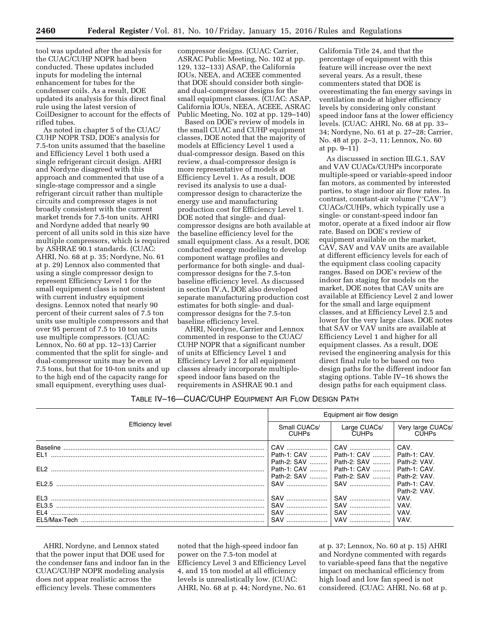tool was updated after the analysis for the CUAC/CUHP NOPR had been conducted. These updates included inputs for modeling the internal enhancement for tubes for the condenser coils. As a result, DOE updated its analysis for this direct final rule using the latest version of CoilDesigner to account for the effects of rifled tubes.

As noted in chapter 5 of the CUAC/ CUHP NOPR TSD, DOE's analysis for 7.5-ton units assumed that the baseline and Efficiency Level 1 both used a single refrigerant circuit design. AHRI and Nordyne disagreed with this approach and commented that use of a single-stage compressor and a single refrigerant circuit rather than multiple circuits and compressor stages is not broadly consistent with the current market trends for 7.5-ton units. AHRI and Nordyne added that nearly 90 percent of all units sold in this size have multiple compressors, which is required by ASHRAE 90.1 standards. (CUAC: AHRI, No. 68 at p. 35; Nordyne, No. 61 at p. 29) Lennox also commented that using a single compressor design to represent Efficiency Level 1 for the small equipment class is not consistent with current industry equipment designs. Lennox noted that nearly 90 percent of their current sales of 7.5 ton units use multiple compressors and that over 95 percent of 7.5 to 10 ton units use multiple compressors. (CUAC: Lennox, No. 60 at pp. 12–13) Carrier commented that the split for single- and dual-compressor units may be even at 7.5 tons, but that for 10-ton units and up to the high end of the capacity range for small equipment, everything uses dual-

compressor designs. (CUAC: Carrier, ASRAC Public Meeting, No. 102 at pp. 129, 132–133) ASAP, the California IOUs, NEEA, and ACEEE commented that DOE should consider both singleand dual-compressor designs for the small equipment classes. (CUAC: ASAP, California IOUs, NEEA, ACEEE, ASRAC Public Meeting, No. 102 at pp. 129–140)

Based on DOE's review of models in the small CUAC and CUHP equipment classes, DOE noted that the majority of models at Efficiency Level 1 used a dual-compressor design. Based on this review, a dual-compressor design is more representative of models at Efficiency Level 1. As a result, DOE revised its analysis to use a dualcompressor design to characterize the energy use and manufacturing production cost for Efficiency Level 1. DOE noted that single- and dualcompressor designs are both available at the baseline efficiency level for the small equipment class. As a result, DOE conducted energy modeling to develop component wattage profiles and performance for both single- and dualcompressor designs for the 7.5-ton baseline efficiency level. As discussed in section IV.A, DOE also developed separate manufacturing production cost estimates for both single- and dualcompressor designs for the 7.5-ton baseline efficiency level.

AHRI, Nordyne, Carrier and Lennox commented in response to the CUAC/ CUHP NOPR that a significant number of units at Efficiency Level 1 and Efficiency Level 2 for all equipment classes already incorporate multiplespeed indoor fans based on the requirements in ASHRAE 90.1 and

California Title 24, and that the percentage of equipment with this feature will increase over the next several years. As a result, these commenters stated that DOE is overestimating the fan energy savings in ventilation mode at higher efficiency levels by considering only constant speed indoor fans at the lower efficiency levels. (CUAC: AHRI, No. 68 at pp. 33– 34; Nordyne, No. 61 at p. 27–28; Carrier, No. 48 at pp. 2–3, 11; Lennox, No. 60 at pp. 9–11)

As discussed in section III.G.1, SAV and VAV CUACs/CUHPs incorporate multiple-speed or variable-speed indoor fan motors, as commented by interested parties, to stage indoor air flow rates. In contrast, constant-air volume (''CAV'') CUACs/CUHPs, which typically use a single- or constant-speed indoor fan motor, operate at a fixed indoor air flow rate. Based on DOE's review of equipment available on the market, CAV, SAV and VAV units are available at different efficiency levels for each of the equipment class cooling capacity ranges. Based on DOE's review of the indoor fan staging for models on the market, DOE notes that CAV units are available at Efficiency Level 2 and lower for the small and large equipment classes, and at Efficiency Level 2.5 and lower for the very large class. DOE notes that SAV or VAV units are available at Efficiency Level 1 and higher for all equipment classes. As a result, DOE revised the engineering analysis for this direct final rule to be based on two design paths for the different indoor fan staging options. Table IV–16 shows the design paths for each equipment class.

# TABLE IV–16—CUAC/CUHP EQUIPMENT AIR FLOW DESIGN PATH

|                                                 | Equipment air flow design            |                                                   |                                   |  |
|-------------------------------------------------|--------------------------------------|---------------------------------------------------|-----------------------------------|--|
| <b>Efficiency level</b>                         | Small CUACs/<br><b>CUHPs</b>         | Large CUACs/<br><b>CUHPs</b>                      | Very large CUACs/<br><b>CUHPs</b> |  |
| Baseline<br>FI <sub>1</sub>                     | CAV<br>Path-1: CAV   <br>Path-2: SAV | CAV<br>Path-1: CAV<br>Path-2: SAV    Path-2: VAV. | CAV.<br>Path-1: CAV.              |  |
| FI <sub>2</sub>                                 | Path-2: SAV                          | Path-1: CAV    Path-1: CAV<br>Path-2: SAV         | Path-1: CAV.<br>Path-2: VAV.      |  |
| F12.5                                           |                                      | SAV    Path-1: CAV.                               | Path-2: VAV.                      |  |
| EL3<br>EL3.5<br>EL <sub>4</sub><br>EL5/Max-Tech | SAV<br>SAV<br>SAV<br>SAV             | SAV<br>SAV<br>SAV<br>VAV                          | VAV.<br>VAV.<br>VAV.<br>VAV.      |  |

AHRI, Nordyne, and Lennox stated that the power input that DOE used for the condenser fans and indoor fan in the CUAC/CUHP NOPR modeling analysis does not appear realistic across the efficiency levels. These commenters

noted that the high-speed indoor fan power on the 7.5-ton model at Efficiency Level 3 and Efficiency Level 4, and 15 ton model at all efficiency levels is unrealistically low. (CUAC: AHRI, No. 68 at p. 44; Nordyne, No. 61

at p. 37; Lennox, No. 60 at p. 15) AHRI and Nordyne commented with regards to variable-speed fans that the negative impact on mechanical efficiency from high load and low fan speed is not considered. (CUAC: AHRI, No. 68 at p.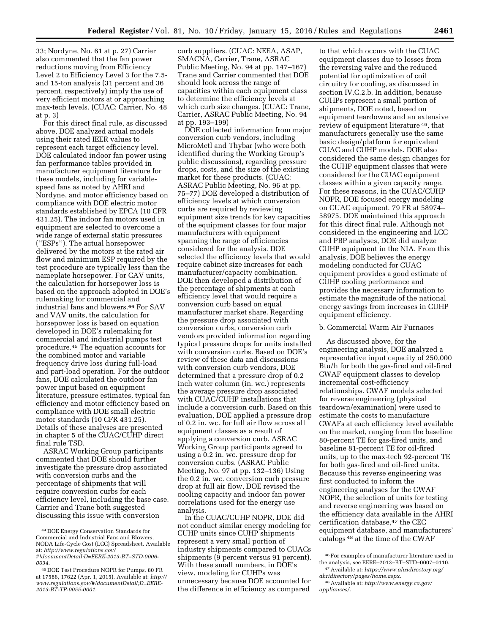33; Nordyne, No. 61 at p. 27) Carrier also commented that the fan power reductions moving from Efficiency Level 2 to Efficiency Level 3 for the 7.5 and 15-ton analysis (31 percent and 36 percent, respectively) imply the use of very efficient motors at or approaching max-tech levels. (CUAC: Carrier, No. 48 at p. 3)

For this direct final rule, as discussed above, DOE analyzed actual models using their rated IEER values to represent each target efficiency level. DOE calculated indoor fan power using fan performance tables provided in manufacturer equipment literature for these models, including for variablespeed fans as noted by AHRI and Nordyne, and motor efficiency based on compliance with DOE electric motor standards established by EPCA (10 CFR 431.25). The indoor fan motors used in equipment are selected to overcome a wide range of external static pressures (''ESPs''). The actual horsepower delivered by the motors at the rated air flow and minimum ESP required by the test procedure are typically less than the nameplate horsepower. For CAV units, the calculation for horsepower loss is based on the approach adopted in DOE's rulemaking for commercial and industrial fans and blowers.44 For SAV and VAV units, the calculation for horsepower loss is based on equation developed in DOE's rulemaking for commercial and industrial pumps test procedure.45 The equation accounts for the combined motor and variable frequency drive loss during full-load and part-load operation. For the outdoor fans, DOE calculated the outdoor fan power input based on equipment literature, pressure estimates, typical fan efficiency and motor efficiency based on compliance with DOE small electric motor standards (10 CFR 431.25). Details of these analyses are presented in chapter 5 of the CUAC/CUHP direct final rule TSD.

ASRAC Working Group participants commented that DOE should further investigate the pressure drop associated with conversion curbs and the percentage of shipments that will require conversion curbs for each efficiency level, including the base case. Carrier and Trane both suggested discussing this issue with conversion

curb suppliers. (CUAC: NEEA, ASAP, SMACNA, Carrier, Trane, ASRAC Public Meeting, No. 94 at pp. 147–167) Trane and Carrier commented that DOE should look across the range of capacities within each equipment class to determine the efficiency levels at which curb size changes. (CUAC: Trane, Carrier, ASRAC Public Meeting, No. 94 at pp. 193–199)

DOE collected information from major conversion curb vendors, including MicroMetl and Thybar (who were both identified during the Working Group's public discussions), regarding pressure drops, costs, and the size of the existing market for these products. (CUAC: ASRAC Public Meeting, No. 96 at pp. 75–77) DOE developed a distribution of efficiency levels at which conversion curbs are required by reviewing equipment size trends for key capacities of the equipment classes for four major manufacturers with equipment spanning the range of efficiencies considered for the analysis. DOE selected the efficiency levels that would require cabinet size increases for each manufacturer/capacity combination. DOE then developed a distribution of the percentage of shipments at each efficiency level that would require a conversion curb based on equal manufacturer market share. Regarding the pressure drop associated with conversion curbs, conversion curb vendors provided information regarding typical pressure drops for units installed with conversion curbs. Based on DOE's review of these data and discussions with conversion curb vendors, DOE determined that a pressure drop of 0.2 inch water column (in. wc.) represents the average pressure drop associated with CUAC/CUHP installations that include a conversion curb. Based on this evaluation, DOE applied a pressure drop of 0.2 in. wc. for full air flow across all equipment classes as a result of applying a conversion curb. ASRAC Working Group participants agreed to using a 0.2 in. wc. pressure drop for conversion curbs. (ASRAC Public Meeting, No. 97 at pp. 132–136) Using the 0.2 in. wc. conversion curb pressure drop at full air flow, DOE revised the cooling capacity and indoor fan power correlations used for the energy use analysis.

In the CUAC/CUHP NOPR, DOE did not conduct similar energy modeling for CUHP units since CUHP shipments represent a very small portion of industry shipments compared to CUACs shipments (9 percent versus 91 percent). With these small numbers, in DOE's view, modeling for CUHPs was unnecessary because DOE accounted for the difference in efficiency as compared

to that which occurs with the CUAC equipment classes due to losses from the reversing valve and the reduced potential for optimization of coil circuitry for cooling, as discussed in section IV.C.2.b. In addition, because CUHPs represent a small portion of shipments, DOE noted, based on equipment teardowns and an extensive review of equipment literature 46, that manufacturers generally use the same basic design/platform for equivalent CUAC and CUHP models. DOE also considered the same design changes for the CUHP equipment classes that were considered for the CUAC equipment classes within a given capacity range. For these reasons, in the CUAC/CUHP NOPR, DOE focused energy modeling on CUAC equipment. 79 FR at 58974– 58975. DOE maintained this approach for this direct final rule. Although not considered in the engineering and LCC and PBP analyses, DOE did analyze CUHP equipment in the NIA. From this analysis, DOE believes the energy modeling conducted for CUAC equipment provides a good estimate of CUHP cooling performance and provides the necessary information to estimate the magnitude of the national energy savings from increases in CUHP equipment efficiency.

### b. Commercial Warm Air Furnaces

As discussed above, for the engineering analysis, DOE analyzed a representative input capacity of 250,000 Btu/h for both the gas-fired and oil-fired CWAF equipment classes to develop incremental cost-efficiency relationships. CWAF models selected for reverse engineering (physical teardown/examination) were used to estimate the costs to manufacture CWAFs at each efficiency level available on the market, ranging from the baseline 80-percent TE for gas-fired units, and baseline 81-percent TE for oil-fired units, up to the max-tech 92-percent TE for both gas-fired and oil-fired units. Because this reverse engineering was first conducted to inform the engineering analyses for the CWAF NOPR, the selection of units for testing and reverse engineering was based on the efficiency data available in the AHRI certification database,47 the CEC equipment database, and manufacturers' catalogs 48 at the time of the CWAF

<sup>44</sup> DOE Energy Conservation Standards for Commercial and Industrial Fans and Blowers, NODA Life-Cycle Cost (LCC) Spreadsheet. Available at: *[http://www.regulations.gov/](http://www.regulations.gov/#!documentDetail;D=EERE-2013-BT-STD-0006-0034) [#!documentDetail;D=EERE-2013-BT–STD-0006-](http://www.regulations.gov/#!documentDetail;D=EERE-2013-BT-STD-0006-0034)* 

*[<sup>0034</sup>](http://www.regulations.gov/#!documentDetail;D=EERE-2013-BT-STD-0006-0034)*. 45 DOE Test Procedure NOPR for Pumps. 80 FR

at 17586, 17622 (Apr. 1, 2015). Available at: *[http://](http://www.regulations.gov/#!documentDetail;D=EERE-2013-BT-TP-0055-0001)  [www.regulations.gov/#!documentDetail;D=EERE-](http://www.regulations.gov/#!documentDetail;D=EERE-2013-BT-TP-0055-0001)[2013-BT-TP-0055-0001](http://www.regulations.gov/#!documentDetail;D=EERE-2013-BT-TP-0055-0001)*.

<sup>46</sup>For examples of manufacturer literature used in the analysis, see EERE–2013–BT–STD–0007–0110. 47Available at: *[https://www.ahridirectory.org/](https://www.ahridirectory.org/ahridirectory/pages/home.aspx)*

*[ahridirectory/pages/home.aspx](https://www.ahridirectory.org/ahridirectory/pages/home.aspx)*. 48Available at: *[http://www.energy.ca.gov/](http://www.energy.ca.gov/appliances/)*

*[appliances/.](http://www.energy.ca.gov/appliances/)*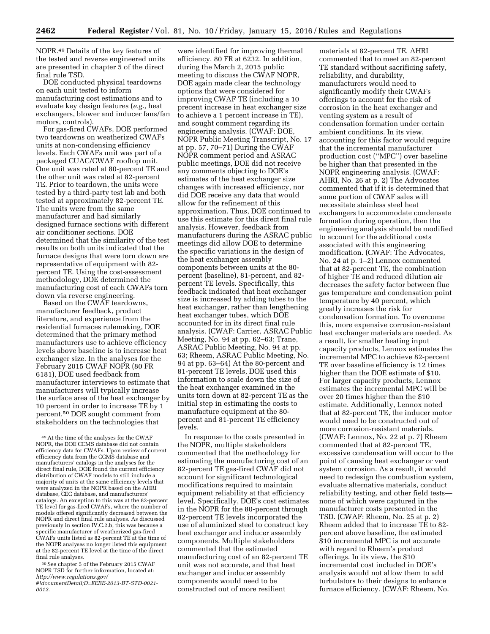NOPR.49 Details of the key features of the tested and reverse engineered units are presented in chapter 5 of the direct final rule TSD.

DOE conducted physical teardowns on each unit tested to inform manufacturing cost estimations and to evaluate key design features (*e.g.,* heat exchangers, blower and inducer fans/fan motors, controls).

For gas-fired CWAFs, DOE performed two teardowns on weatherized CWAFs units at non-condensing efficiency levels. Each CWAFs unit was part of a packaged CUAC/CWAF rooftop unit. One unit was rated at 80-percent TE and the other unit was rated at 82-percent TE. Prior to teardown, the units were tested by a third-party test lab and both tested at approximately 82-percent TE. The units were from the same manufacturer and had similarly designed furnace sections with different air conditioner sections. DOE determined that the similarity of the test results on both units indicated that the furnace designs that were torn down are representative of equipment with 82 percent TE. Using the cost-assessment methodology, DOE determined the manufacturing cost of each CWAFs torn down via reverse engineering.

Based on the CWAF teardowns, manufacturer feedback, product literature, and experience from the residential furnaces rulemaking, DOE determined that the primary method manufacturers use to achieve efficiency levels above baseline is to increase heat exchanger size. In the analyses for the February 2015 CWAF NOPR (80 FR 6181), DOE used feedback from manufacturer interviews to estimate that manufacturers will typically increase the surface area of the heat exchanger by 10 percent in order to increase TE by 1 percent.50 DOE sought comment from stakeholders on the technologies that

50See chapter 5 of the February 2015 CWAF NOPR TSD for further information, located at: *[http://www.regulations.gov/](http://www.regulations.gov/#!documentDetail;D=EERE-2013-BT-STD-0021-0012) [#!documentDetail;D=EERE-2013-BT-STD-0021-](http://www.regulations.gov/#!documentDetail;D=EERE-2013-BT-STD-0021-0012) [0012](http://www.regulations.gov/#!documentDetail;D=EERE-2013-BT-STD-0021-0012)*.

were identified for improving thermal efficiency. 80 FR at 6232. In addition, during the March 2, 2015 public meeting to discuss the CWAF NOPR, DOE again made clear the technology options that were considered for improving CWAF TE (including a 10 precent increase in heat exchanger size to achieve a 1 percent increase in TE), and sought comment regarding its engineering analysis. (CWAF: DOE, NOPR Public Meeting Transcript, No. 17 at pp. 57, 70–71) During the CWAF NOPR comment period and ASRAC public meetings, DOE did not receive any comments objecting to DOE's estimates of the heat exchanger size changes with increased efficiency, nor did DOE receive any data that would allow for the refinement of this approximation. Thus, DOE continued to use this estimate for this direct final rule analysis. However, feedback from manufacturers during the ASRAC public meetings did allow DOE to determine the specific variations in the design of the heat exchanger assembly components between units at the 80 percent (baseline), 81-percent, and 82 percent TE levels. Specifically, this feedback indicated that heat exchanger size is increased by adding tubes to the heat exchanger, rather than lengthening heat exchanger tubes, which DOE accounted for in its direct final rule analysis. (CWAF: Carrier, ASRAC Public Meeting, No. 94 at pp. 62–63; Trane, ASRAC Public Meeting, No. 94 at pp. 63; Rheem, ASRAC Public Meeting, No. 94 at pp. 63–64) At the 80-percent and 81-percent TE levels, DOE used this information to scale down the size of the heat exchanger examined in the units torn down at 82-percent TE as the initial step in estimating the costs to manufacture equipment at the 80 percent and 81-percent TE efficiency levels.

In response to the costs presented in the NOPR, multiple stakeholders commented that the methodology for estimating the manufacturing cost of an 82-percent TE gas-fired CWAF did not account for significant technological modifications required to maintain equipment reliability at that efficiency level. Specifically, DOE's cost estimates in the NOPR for the 80-percent through 82-percent TE levels incorporated the use of aluminized steel to construct key heat exchanger and inducer assembly components. Multiple stakeholders commented that the estimated manufacturing cost of an 82-percent TE unit was not accurate, and that heat exchanger and inducer assembly components would need to be constructed out of more resilient

materials at 82-percent TE. AHRI commented that to meet an 82-percent TE standard without sacrificing safety, reliability, and durability, manufacturers would need to significantly modify their CWAFs offerings to account for the risk of corrosion in the heat exchanger and venting system as a result of condensation formation under certain ambient conditions. In its view, accounting for this factor would require that the incremental manufacturer production cost (''MPC'') over baseline be higher than that presented in the NOPR engineering analysis. (CWAF: AHRI, No. 26 at p. 2) The Advocates commented that if it is determined that some portion of CWAF sales will necessitate stainless steel heat exchangers to accommodate condensate formation during operation, then the engineering analysis should be modified to account for the additional costs associated with this engineering modification. (CWAF: The Advocates, No. 24 at p. 1–2) Lennox commented that at 82-percent TE, the combination of higher TE and reduced dilution air decreases the safety factor between flue gas temperature and condensation point temperature by 40 percent, which greatly increases the risk for condensation formation. To overcome this, more expensive corrosion-resistant heat exchanger materials are needed. As a result, for smaller heating input capacity products, Lennox estimates the incremental MPC to achieve 82-percent TE over baseline efficiency is 12 times higher than the DOE estimate of \$10. For larger capacity products, Lennox estimates the incremental MPC will be over 20 times higher than the \$10 estimate. Additionally, Lennox noted that at 82-percent TE, the inducer motor would need to be constructed out of more corrosion-resistant materials. (CWAF: Lennox, No. 22 at p. 7) Rheem commented that at 82-percent TE, excessive condensation will occur to the point of causing heat exchanger or vent system corrosion. As a result, it would need to redesign the combustion system, evaluate alternative materials, conduct reliability testing, and other field tests none of which were captured in the manufacturer costs presented in the TSD. (CWAF: Rheem, No. 25 at p. 2) Rheem added that to increase TE to 82 percent above baseline, the estimated \$10 incremental MPC is not accurate with regard to Rheem's product offerings. In its view, the \$10 incremental cost included in DOE's analysis would not allow them to add turbulators to their designs to enhance furnace efficiency. (CWAF: Rheem, No.

<sup>49</sup>At the time of the analyses for the CWAF NOPR, the DOE CCMS database did not contain efficiency data for CWAFs. Upon review of current efficiency data from the CCMS database and manufacturers' catalogs in the analyses for the direct final rule, DOE found the current efficiency distribution of CWAF models to still include a majority of units at the same efficiency levels that were analyzed in the NOPR based on the AHRI database, CEC database, and manufacturers' catalogs. An exception to this was at the 82-percent TE level for gas-fired CWAFs, where the number of models offered significantly decreased between the NOPR and direct final rule analyses. As discussed previously in section IV.C.2.b, this was because a specific manufacturer of weatherized gas-fired CWAFs units listed as 82-percent TE at the time of the NOPR analyses no longer listed this equipment at the 82-percent TE level at the time of the direct final rule analyses.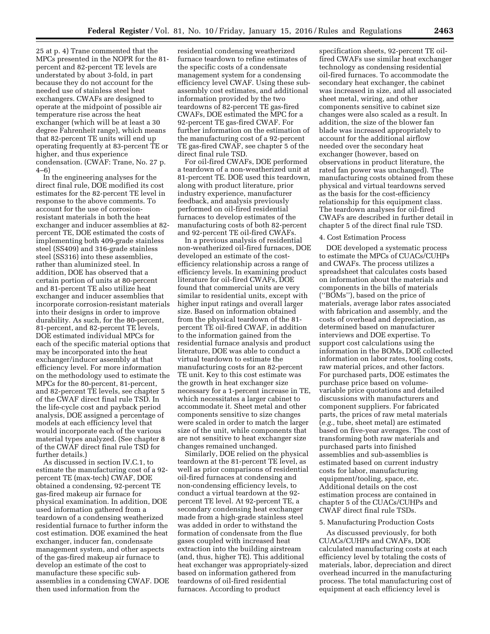25 at p. 4) Trane commented that the MPCs presented in the NOPR for the 81 percent and 82-percent TE levels are understated by about 3-fold, in part because they do not account for the needed use of stainless steel heat exchangers. CWAFs are designed to operate at the midpoint of possible air temperature rise across the heat exchanger (which will be at least a 30 degree Fahrenheit range), which means that 82-percent TE units will end up operating frequently at 83-percent TE or higher, and thus experience condensation. (CWAF: Trane, No. 27 p. 4–6)

In the engineering analyses for the direct final rule, DOE modified its cost estimates for the 82-percent TE level in response to the above comments. To account for the use of corrosionresistant materials in both the heat exchanger and inducer assemblies at 82 percent TE, DOE estimated the costs of implementing both 409-grade stainless steel (SS409) and 316-grade stainless steel (SS316) into these assemblies, rather than aluminized steel. In addition, DOE has observed that a certain portion of units at 80-percent and 81-percent TE also utilize heat exchanger and inducer assemblies that incorporate corrosion-resistant materials into their designs in order to improve durability. As such, for the 80-percent, 81-percent, and 82-percent TE levels, DOE estimated individual MPCs for each of the specific material options that may be incorporated into the heat exchanger/inducer assembly at that efficiency level. For more information on the methodology used to estimate the MPCs for the 80-percent, 81-percent, and 82-percent TE levels, see chapter 5 of the CWAF direct final rule TSD. In the life-cycle cost and payback period analysis, DOE assigned a percentage of models at each efficiency level that would incorporate each of the various material types analyzed. (See chapter 8 of the CWAF direct final rule TSD for further details.)

As discussed in section IV.C.1, to estimate the manufacturing cost of a 92 percent TE (max-tech) CWAF, DOE obtained a condensing, 92-percent TE gas-fired makeup air furnace for physical examination. In addition, DOE used information gathered from a teardown of a condensing weatherized residential furnace to further inform the cost estimation. DOE examined the heat exchanger, inducer fan, condensate management system, and other aspects of the gas-fired makeup air furnace to develop an estimate of the cost to manufacture these specific subassemblies in a condensing CWAF. DOE then used information from the

residential condensing weatherized furnace teardown to refine estimates of the specific costs of a condensate management system for a condensing efficiency level CWAF. Using these subassembly cost estimates, and additional information provided by the two teardowns of 82-percent TE gas-fired CWAFs, DOE estimated the MPC for a 92-percent TE gas-fired CWAF. For further information on the estimation of the manufacturing cost of a 92-percent TE gas-fired CWAF, see chapter 5 of the direct final rule TSD.

For oil-fired CWAFs, DOE performed a teardown of a non-weatherized unit at 81-percent TE. DOE used this teardown, along with product literature, prior industry experience, manufacturer feedback, and analysis previously performed on oil-fired residential furnaces to develop estimates of the manufacturing costs of both 82-percent and 92-percent TE oil-fired CWAFs.

In a previous analysis of residential non-weatherized oil-fired furnaces, DOE developed an estimate of the costefficiency relationship across a range of efficiency levels. In examining product literature for oil-fired CWAFs, DOE found that commercial units are very similar to residential units, except with higher input ratings and overall larger size. Based on information obtained from the physical teardown of the 81 percent TE oil-fired CWAF, in addition to the information gained from the residential furnace analysis and product literature, DOE was able to conduct a virtual teardown to estimate the manufacturing costs for an 82-percent TE unit. Key to this cost estimate was the growth in heat exchanger size necessary for a 1-percent increase in TE, which necessitates a larger cabinet to accommodate it. Sheet metal and other components sensitive to size changes were scaled in order to match the larger size of the unit, while components that are not sensitive to heat exchanger size changes remained unchanged.

Similarly, DOE relied on the physical teardown at the 81-percent TE level, as well as prior comparisons of residential oil-fired furnaces at condensing and non-condensing efficiency levels, to conduct a virtual teardown at the 92 percent TE level. At 92-percent TE, a secondary condensing heat exchanger made from a high-grade stainless steel was added in order to withstand the formation of condensate from the flue gases coupled with increased heat extraction into the building airstream (and, thus, higher TE). This additional heat exchanger was appropriately-sized based on information gathered from teardowns of oil-fired residential furnaces. According to product

specification sheets, 92-percent TE oilfired CWAFs use similar heat exchanger technology as condensing residential oil-fired furnaces. To accommodate the secondary heat exchanger, the cabinet was increased in size, and all associated sheet metal, wiring, and other components sensitive to cabinet size changes were also scaled as a result. In addition, the size of the blower fan blade was increased appropriately to account for the additional airflow needed over the secondary heat exchanger (however, based on observations in product literature, the rated fan power was unchanged). The manufacturing costs obtained from these physical and virtual teardowns served as the basis for the cost-efficiency relationship for this equipment class. The teardown analyses for oil-fired CWAFs are described in further detail in chapter 5 of the direct final rule TSD.

### 4. Cost Estimation Process

DOE developed a systematic process to estimate the MPCs of CUACs/CUHPs and CWAFs. The process utilizes a spreadsheet that calculates costs based on information about the materials and components in the bills of materials (''BOMs''), based on the price of materials, average labor rates associated with fabrication and assembly, and the costs of overhead and depreciation, as determined based on manufacturer interviews and DOE expertise. To support cost calculations using the information in the BOMs, DOE collected information on labor rates, tooling costs, raw material prices, and other factors. For purchased parts, DOE estimates the purchase price based on volumevariable price quotations and detailed discussions with manufacturers and component suppliers. For fabricated parts, the prices of raw metal materials (*e.g.,* tube, sheet metal) are estimated based on five-year averages. The cost of transforming both raw materials and purchased parts into finished assemblies and sub-assemblies is estimated based on current industry costs for labor, manufacturing equipment/tooling, space, etc. Additional details on the cost estimation process are contained in chapter 5 of the CUACs/CUHPs and CWAF direct final rule TSDs.

### 5. Manufacturing Production Costs

As discussed previously, for both CUACs/CUHPs and CWAFs, DOE calculated manufacturing costs at each efficiency level by totaling the costs of materials, labor, depreciation and direct overhead incurred in the manufacturing process. The total manufacturing cost of equipment at each efficiency level is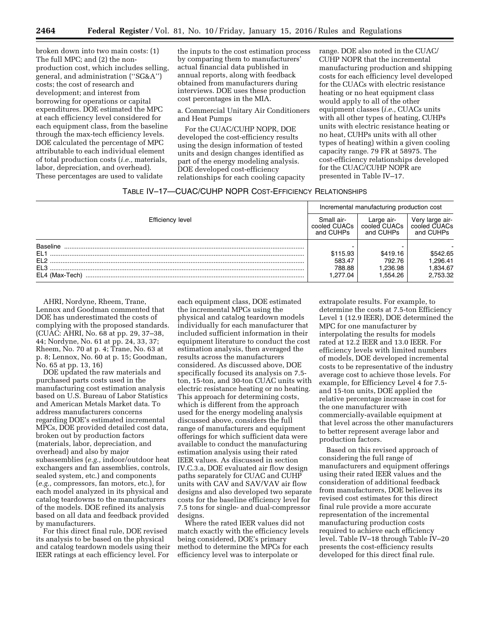broken down into two main costs: (1) The full MPC; and (2) the nonproduction cost, which includes selling, general, and administration (''SG&A'') costs; the cost of research and development; and interest from borrowing for operations or capital expenditures. DOE estimated the MPC at each efficiency level considered for each equipment class, from the baseline through the max-tech efficiency levels. DOE calculated the percentage of MPC attributable to each individual element of total production costs (*i.e.,* materials, labor, depreciation, and overhead). These percentages are used to validate

the inputs to the cost estimation process by comparing them to manufacturers' actual financial data published in annual reports, along with feedback obtained from manufacturers during interviews. DOE uses these production cost percentages in the MIA.

a. Commercial Unitary Air Conditioners and Heat Pumps

For the CUAC/CUHP NOPR, DOE developed the cost-efficiency results using the design information of tested units and design changes identified as part of the energy modeling analysis. DOE developed cost-efficiency relationships for each cooling capacity range. DOE also noted in the CUAC/ CUHP NOPR that the incremental manufacturing production and shipping costs for each efficiency level developed for the CUACs with electric resistance heating or no heat equipment class would apply to all of the other equipment classes (*i.e.,* CUACs units with all other types of heating, CUHPs units with electric resistance heating or no heat, CUHPs units with all other types of heating) within a given cooling capacity range. 79 FR at 58975. The cost-efficiency relationships developed for the CUAC/CUHP NOPR are presented in Table IV–17.

| TABLE IV-17-CUAC/CUHP NOPR COST-EFFICIENCY RELATIONSHIPS |  |  |  |
|----------------------------------------------------------|--|--|--|
|----------------------------------------------------------|--|--|--|

|                                  | Incremental manufacturing production cost |                                         |                                              |  |
|----------------------------------|-------------------------------------------|-----------------------------------------|----------------------------------------------|--|
| Efficiency level<br>cooled CUACs |                                           | Large air-<br>cooled CUACs<br>and CUHPs | Very large air-<br>cooled CUACs<br>and CUHPs |  |
| <b>Baseline</b>                  |                                           |                                         |                                              |  |
| EL <sub>1</sub>                  | \$115.93                                  | \$419.16                                | \$542.65                                     |  |
| FI <sub>2</sub>                  | 583.47                                    | 792.76                                  | 1.296.41                                     |  |
| FI <sub>3</sub>                  | 788.88                                    | .236.98                                 | 1.834.67                                     |  |
| EL4 (Max-Tech)                   | 1.277.04                                  | .554.26                                 | 2,753.32                                     |  |

AHRI, Nordyne, Rheem, Trane, Lennox and Goodman commented that DOE has underestimated the costs of complying with the proposed standards. (CUAC: AHRI, No. 68 at pp. 29, 37–38, 44; Nordyne, No. 61 at pp. 24, 33, 37; Rheem, No. 70 at p. 4; Trane, No. 63 at p. 8; Lennox, No. 60 at p. 15; Goodman, No. 65 at pp. 13, 16)

DOE updated the raw materials and purchased parts costs used in the manufacturing cost estimation analysis based on U.S. Bureau of Labor Statistics and American Metals Market data. To address manufacturers concerns regarding DOE's estimated incremental MPCs, DOE provided detailed cost data, broken out by production factors (materials, labor, depreciation, and overhead) and also by major subassemblies (*e.g.,* indoor/outdoor heat exchangers and fan assemblies, controls, sealed system, etc.) and components (*e.g.,* compressors, fan motors, etc.), for each model analyzed in its physical and catalog teardowns to the manufacturers of the models. DOE refined its analysis based on all data and feedback provided by manufacturers.

For this direct final rule, DOE revised its analysis to be based on the physical and catalog teardown models using their IEER ratings at each efficiency level. For

each equipment class, DOE estimated the incremental MPCs using the physical and catalog teardown models individually for each manufacturer that included sufficient information in their equipment literature to conduct the cost estimation analysis, then averaged the results across the manufacturers considered. As discussed above, DOE specifically focused its analysis on 7.5 ton, 15-ton, and 30-ton CUAC units with electric resistance heating or no heating. This approach for determining costs, which is different from the approach used for the energy modeling analysis discussed above, considers the full range of manufacturers and equipment offerings for which sufficient data were available to conduct the manufacturing estimation analysis using their rated IEER values. As discussed in section IV.C.3.a, DOE evaluated air flow design paths separately for CUAC and CUHP units with CAV and SAV/VAV air flow designs and also developed two separate costs for the baseline efficiency level for 7.5 tons for single- and dual-compressor designs.

Where the rated IEER values did not match exactly with the efficiency levels being considered, DOE's primary method to determine the MPCs for each efficiency level was to interpolate or

extrapolate results. For example, to determine the costs at 7.5-ton Efficiency Level 1 (12.9 IEER), DOE determined the MPC for one manufacturer by interpolating the results for models rated at 12.2 IEER and 13.0 IEER. For efficiency levels with limited numbers of models, DOE developed incremental costs to be representative of the industry average cost to achieve those levels. For example, for Efficiency Level 4 for 7.5 and 15-ton units, DOE applied the relative percentage increase in cost for the one manufacturer with commercially-available equipment at that level across the other manufacturers to better represent average labor and production factors.

Based on this revised approach of considering the full range of manufacturers and equipment offerings using their rated IEER values and the consideration of additional feedback from manufacturers, DOE believes its revised cost estimates for this direct final rule provide a more accurate representation of the incremental manufacturing production costs required to achieve each efficiency level. Table IV–18 through Table IV–20 presents the cost-efficiency results developed for this direct final rule.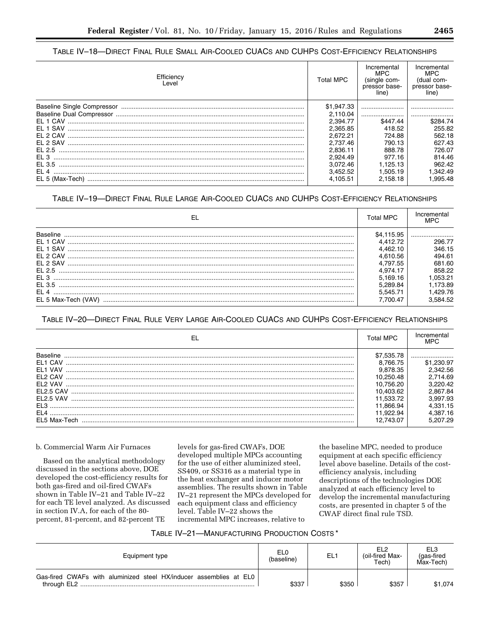# TABLE IV-18-DIRECT FINAL RULE SMALL AIR-COOLED CUACS AND CUHPS COST-EFFICIENCY RELATIONSHIPS

| Efficiency<br>Level | <b>Total MPC</b> | Incremental<br>MPC.<br>(single com-<br>pressor base-<br>line) | Incremental<br>MPC<br>(dual com-<br>pressor base-<br>line) |
|---------------------|------------------|---------------------------------------------------------------|------------------------------------------------------------|
|                     | \$1,947.33       |                                                               |                                                            |
|                     | 2.110.04         |                                                               |                                                            |
|                     | 2.394.77         | \$447.44                                                      | \$284.74                                                   |
| FI 1 SAV            | 2.365.85         | 418.52                                                        | 255.82                                                     |
| FI 2 CAV            | 2.672.21         | 724.88                                                        | 562.18                                                     |
| EL 2 SAV            | 2.737.46         | 790.13                                                        | 627.43                                                     |
| EL 2.5              | 2.836.11         | 888.78                                                        | 726.07                                                     |
| FL <sub>3</sub>     | 2.924.49         | 977.16                                                        | 814.46                                                     |
| FL 3.5              | 3.072.46         | 1.125.13                                                      | 962.42                                                     |
| FI 4                | 3.452.52         | 1.505.19                                                      | 1,342.49                                                   |
| EL 5 (Max-Tech)     | 4.105.51         | 2,158.18                                                      | .995.48                                                    |

# TABLE IV-19-DIRECT FINAL RULE LARGE AIR-COOLED CUACS AND CUHPS COST-EFFICIENCY RELATIONSHIPS

| -EL                 | <b>Total MPC</b> | Incremental<br>MPC |
|---------------------|------------------|--------------------|
| <b>Baseline</b>     | \$4,115.95       |                    |
| FI 1 CAV            | .412.72          | 296.77             |
| FI 1 SAV            | . 462.10         | 346.15             |
| FI 2 CAV            | 1.610.56         | 494.61             |
| FL 2 SAV            | .797.55          | 681.60             |
| EL 2.5              | .974.17          | 858.22             |
| F1.3                | 5.169.16         | .053.21            |
| FL 3.5              | 5.289.84         | 73.89              |
| F14                 | 5 545 71         | .429.76            |
| EL 5 Max-Tech (VAV) |                  | 584.52             |

TABLE IV-20-DIRECT FINAL RULE VERY LARGE AIR-COOLED CUACS AND CUHPS COST-EFFICIENCY RELATIONSHIPS

| EL                  | Total MPC  | Incremental<br>MPC |
|---------------------|------------|--------------------|
| <b>Baseline</b>     | \$7.535.78 |                    |
| FI <sub>1</sub> CAV | 8.766.75   | \$1.230.97         |
| EL1 VAV             | 9.878.35   | 2.342.56           |
| FI 2 CAV            | 10.250.48  | 2.714.69           |
| FI 2 VAV            | 10.756.20  | 3.220.42           |
| <b>FL2.5 CAV</b>    | 10.403.62  | 2.867.84           |
| EL2.5 VAV           | 11.533.72  | 3,997.93           |
| EL <sub>3</sub>     | 11.866.94  | 4,331.15           |
| EL <sub>4</sub>     | 11.922.94  | 4,387.16           |
| FL5 Max-Tech        | 743.07     | 207.29             |

# b. Commercial Warm Air Furnaces

Based on the analytical methodology discussed in the sections above, DOE developed the cost-efficiency results for both gas-fired and oil-fired CWAFs shown in Table IV-21 and Table IV-22 for each TE level analyzed. As discussed in section IV.A, for each of the 80percent, 81-percent, and 82-percent TE

levels for gas-fired CWAFs, DOE developed multiple MPCs accounting for the use of either aluminized steel, SS409, or SS316 as a material type in the heat exchanger and inducer motor assemblies. The results shown in Table IV-21 represent the MPCs developed for each equipment class and efficiency level. Table IV-22 shows the incremental MPC increases, relative to

the baseline MPC, needed to produce equipment at each specific efficiency level above baseline. Details of the costefficiency analysis, including descriptions of the technologies DOE analyzed at each efficiency level to develop the incremental manufacturing costs, are presented in chapter 5 of the CWAF direct final rule TSD.

| Equipment type                                                     | EL0<br>(baseline) | EL1   | EL2<br>(oil-fired Max-<br>Tech) | EL3<br>(gas-fired<br>Max-Tech) |
|--------------------------------------------------------------------|-------------------|-------|---------------------------------|--------------------------------|
| Gas-fired CWAFs with aluminized steel HX/inducer assemblies at EL0 | \$337             | \$350 | \$357                           | \$1.074                        |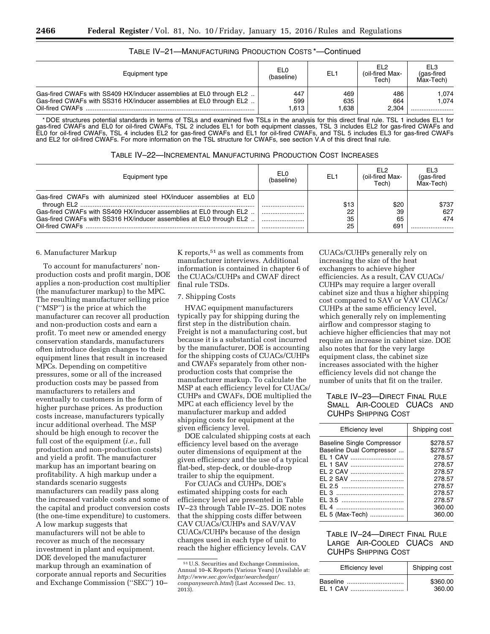| Equipment type                                                                                                                                                | EL <sub>0</sub><br>(baseline) | EL <sub>1</sub>    | FI <sub>2</sub><br>(oil-fired Max-<br>Tech) | EL3<br>(gas-fired<br>Max-Tech) |
|---------------------------------------------------------------------------------------------------------------------------------------------------------------|-------------------------------|--------------------|---------------------------------------------|--------------------------------|
| Gas-fired CWAFs with SS409 HX/inducer assemblies at EL0 through EL2<br>Gas-fired CWAFs with SS316 HX/inducer assemblies at EL0 through EL2<br>Oil-fired CWAFs | 447<br>599<br>1,613           | 469<br>635<br>.638 | 486<br>664<br>2.304                         | 1.074<br>1.074                 |

| TABLE IV-21—MANUFACTURING PRODUCTION COSTS*—Continued |
|-------------------------------------------------------|
|                                                       |

\* DOE structures potential standards in terms of TSLs and examined five TSLs in the analysis for this direct final rule. TSL 1 includes EL1 for gas-fired CWAFs and EL0 for oil-fired CWAFs, TSL 2 includes EL1 for both equipment classes, TSL 3 includes EL2 for gas-fired CWAFs and EL0 for oil-fired CWAFs, TSL 4 includes EL2 for gas-fired CWAFs and EL1 for oil-fired CWAFs, and TSL 5 includes EL3 for gas-fired CWAFs and EL2 for oil-fired CWAFs. For more information on the TSL structure for CWAFs, see section V.A of this direct final rule.

| Equipment type                                                      | EL <sub>0</sub><br>(baseline) | EL <sub>1</sub> | FI 2<br>(oil-fired Max-<br>Tech) | EL3<br>(gas-fired<br>Max-Tech) |
|---------------------------------------------------------------------|-------------------------------|-----------------|----------------------------------|--------------------------------|
| Gas-fired CWAFs with aluminized steel HX/inducer assemblies at EL0  |                               | \$13            | \$20                             | \$737                          |
| Gas-fired CWAFs with SS409 HX/inducer assemblies at EL0 through EL2 |                               | 22              | 39                               | 627                            |
| Gas-fired CWAFs with SS316 HX/inducer assemblies at EL0 through EL2 |                               | 35              | 65                               | 474                            |
|                                                                     |                               | 25              | 691                              |                                |

### 6. Manufacturer Markup

To account for manufacturers' nonproduction costs and profit margin, DOE applies a non-production cost multiplier (the manufacturer markup) to the MPC. The resulting manufacturer selling price (''MSP'') is the price at which the manufacturer can recover all production and non-production costs and earn a profit. To meet new or amended energy conservation standards, manufacturers often introduce design changes to their equipment lines that result in increased MPCs. Depending on competitive pressures, some or all of the increased production costs may be passed from manufacturers to retailers and eventually to customers in the form of higher purchase prices. As production costs increase, manufacturers typically incur additional overhead. The MSP should be high enough to recover the full cost of the equipment (*i.e.*, full production and non-production costs) and yield a profit. The manufacturer markup has an important bearing on profitability. A high markup under a standards scenario suggests manufacturers can readily pass along the increased variable costs and some of the capital and product conversion costs (the one-time expenditure) to customers. A low markup suggests that manufacturers will not be able to recover as much of the necessary investment in plant and equipment. DOE developed the manufacturer markup through an examination of corporate annual reports and Securities and Exchange Commission (''SEC'') 10–

K reports,<sup>51</sup> as well as comments from manufacturer interviews. Additional information is contained in chapter 6 of the CUACs/CUHPs and CWAF direct final rule TSDs.

#### 7. Shipping Costs

HVAC equipment manufacturers typically pay for shipping during the first step in the distribution chain. Freight is not a manufacturing cost, but because it is a substantial cost incurred by the manufacturer, DOE is accounting for the shipping costs of CUACs/CUHPs and CWAFs separately from other nonproduction costs that comprise the manufacturer markup. To calculate the MSP at each efficiency level for CUACs/ CUHPs and CWAFs, DOE multiplied the MPC at each efficiency level by the manufacturer markup and added shipping costs for equipment at the given efficiency level.

DOE calculated shipping costs at each efficiency level based on the average outer dimensions of equipment at the given efficiency and the use of a typical flat-bed, step-deck, or double-drop trailer to ship the equipment.

For CUACs and CUHPs, DOE's estimated shipping costs for each efficiency level are presented in Table IV–23 through Table IV–25. DOE notes that the shipping costs differ between CAV CUACs/CUHPs and SAV/VAV CUACs/CUHPs because of the design changes used in each type of unit to reach the higher efficiency levels. CAV CUACs/CUHPs generally rely on increasing the size of the heat exchangers to achieve higher efficiencies. As a result, CAV CUACs/ CUHPs may require a larger overall cabinet size and thus a higher shipping cost compared to SAV or VAV CUACs/ CUHPs at the same efficiency level, which generally rely on implementing airflow and compressor staging to achieve higher efficiencies that may not require an increase in cabinet size. DOE also notes that for the very large equipment class, the cabinet size increases associated with the higher efficiency levels did not change the number of units that fit on the trailer.

# TABLE IV–23—DIRECT FINAL RULE SMALL AIR-COOLED CUACS AND CUHPS SHIPPING COST

| Efficiency level                  | Shipping cost |
|-----------------------------------|---------------|
| <b>Baseline Single Compressor</b> | \$278.57      |
| <b>Baseline Dual Compressor </b>  | \$278.57      |
| EL 1 CAV                          | 278.57        |
| EL 1 SAV                          | 278.57        |
| FI 2 CAV                          | 278.57        |
| EL 2 SAV                          | 278.57        |
|                                   | 278.57        |
|                                   | 278.57        |
|                                   | 278.57        |
| FI 4                              | 360.00        |
| EL 5 (Max-Tech)                   | 360.00        |

# TABLE IV–24—DIRECT FINAL RULE LARGE AIR-COOLED CUACS AND CUHPS SHIPPING COST

| <b>Efficiency level</b> | Shipping cost |
|-------------------------|---------------|
| Baseline                | \$360.00      |
| EL 1 CAV                | 360.00        |

<sup>51</sup>U.S. Securities and Exchange Commission, Annual 10–K Reports (Various Years) (Available at: *[http://www.sec.gov/edgar/searchedgar/](http://www.sec.gov/edgar/searchedgar/companysearch.html) [companysearch.html](http://www.sec.gov/edgar/searchedgar/companysearch.html)*) (Last Accessed Dec. 13, 2013).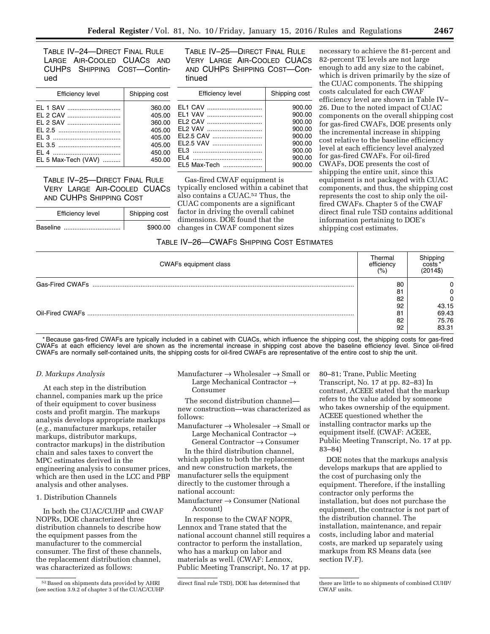TABLE IV–24—DIRECT FINAL RULE LARGE AIR-COOLED CUACS AND CUHPS SHIPPING COST—Continued

| <b>Efficiency level</b> | Shipping cost |
|-------------------------|---------------|
| EL 1 SAV                | 360.00        |
| EL 2 CAV                | 405.00        |
| EL 2 SAV                | 360.00        |
|                         | 405.00        |
|                         | 405.00        |
|                         | 405.00        |
|                         | 450.00        |
| EL 5 Max-Tech (VAV)     | 450.00        |

TABLE IV–25—DIRECT FINAL RULE VERY LARGE AIR-COOLED CUACS AND CUHPS SHIPPING COST

| <b>Efficiency level</b> | Shipping cost |
|-------------------------|---------------|
| Baseline                | \$900.00      |

TABLE IV–25—DIRECT FINAL RULE VERY LARGE AIR-COOLED CUACS AND CUHPS SHIPPING COST—Continued

| <b>Efficiency level</b> | Shipping cost |
|-------------------------|---------------|
| EL1 CAV                 | 900.00        |
| EL1 VAV                 | 900.00        |
| EL2 CAV                 | 900.00        |
|                         | 900.00        |
| $F12.5$ CAV $\ldots$    | 900.00        |
| EL2.5 VAV               | 900.00        |
|                         | 900.00        |
| FI 4                    | 900.00        |
| EL5 Max-Tech            | 900.00        |

Gas-fired CWAF equipment is typically enclosed within a cabinet that also contains a CUAC.52 Thus, the CUAC components are a significant factor in driving the overall cabinet dimensions. DOE found that the changes in CWAF component sizes

necessary to achieve the 81-percent and 82-percent TE levels are not large enough to add any size to the cabinet, which is driven primarily by the size of the CUAC components. The shipping costs calculated for each CWAF efficiency level are shown in Table IV– 26. Due to the noted impact of CUAC components on the overall shipping cost for gas-fired CWAFs, DOE presents only the incremental increase in shipping cost relative to the baseline efficiency level at each efficiency level analyzed for gas-fired CWAFs. For oil-fired CWAFs, DOE presents the cost of shipping the entire unit, since this equipment is not packaged with CUAC components, and thus, the shipping cost represents the cost to ship only the oilfired CWAFs. Chapter 5 of the CWAF direct final rule TSD contains additional information pertaining to DOE's shipping cost estimates.

## TABLE IV–26—CWAFS SHIPPING COST ESTIMATES

| Thermal<br>efficiency<br>CWAFs equipment class<br>(% ) | Shipping<br>costs *<br>$(2014\%)$ |
|--------------------------------------------------------|-----------------------------------|
| 80                                                     | 0                                 |
| 81                                                     | 0                                 |
| 82                                                     | 0                                 |
| 92                                                     | 43.15                             |
| 81                                                     | 69.43                             |
| 82                                                     | 75.76                             |
| 92                                                     | 83.31                             |

\* Because gas-fired CWAFs are typically included in a cabinet with CUACs, which influence the shipping cost, the shipping costs for gas-fired CWAFs at each efficiency level are shown as the incremental increase in shipping cost above the baseline efficiency level. Since oil-fired CWAFs are normally self-contained units, the shipping costs for oil-fired CWAFs are representative of the entire cost to ship the unit.

### *D. Markups Analysis*

At each step in the distribution channel, companies mark up the price of their equipment to cover business costs and profit margin. The markups analysis develops appropriate markups (*e.g.*, manufacturer markups, retailer markups, distributor markups, contractor markups) in the distribution chain and sales taxes to convert the MPC estimates derived in the engineering analysis to consumer prices, which are then used in the LCC and PBP analysis and other analyses.

### 1. Distribution Channels

In both the CUAC/CUHP and CWAF NOPRs, DOE characterized three distribution channels to describe how the equipment passes from the manufacturer to the commercial consumer. The first of these channels, the replacement distribution channel, was characterized as follows:

Manufacturer  $\rightarrow$  Wholesaler  $\rightarrow$  Small or Large Mechanical Contractor → Consumer

The second distribution channel new construction—was characterized as follows:

Manufacturer  $\rightarrow$  Wholesaler  $\rightarrow$  Small or Large Mechanical Contractor → General Contractor → Consumer

In the third distribution channel, which applies to both the replacement and new construction markets, the manufacturer sells the equipment directly to the customer through a national account:

Manufacturer → Consumer (National Account)

In response to the CWAF NOPR, Lennox and Trane stated that the national account channel still requires a contractor to perform the installation, who has a markup on labor and materials as well. (CWAF: Lennox, Public Meeting Transcript, No. 17 at pp.

80–81; Trane, Public Meeting Transcript, No. 17 at pp. 82–83) In contrast, ACEEE stated that the markup refers to the value added by someone who takes ownership of the equipment. ACEEE questioned whether the installing contractor marks up the equipment itself. (CWAF: ACEEE, Public Meeting Transcript, No. 17 at pp. 83–84)

DOE notes that the markups analysis develops markups that are applied to the cost of purchasing only the equipment. Therefore, if the installing contractor only performs the installation, but does not purchase the equipment, the contractor is not part of the distribution channel. The installation, maintenance, and repair costs, including labor and material costs, are marked up separately using markups from RS Means data (see section IV.F).

<sup>52</sup>Based on shipments data provided by AHRI (see section 3.9.2 of chapter 3 of the CUAC/CUHP

direct final rule TSD), DOE has determined that there are little to no shipments of combined CUHP/ CWAF units.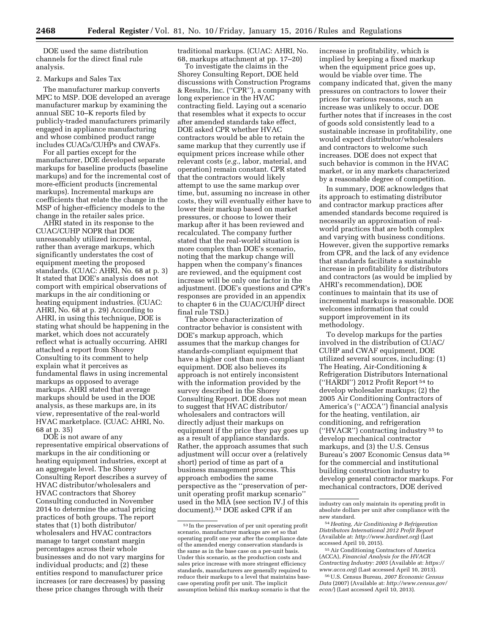DOE used the same distribution channels for the direct final rule analysis.

# 2. Markups and Sales Tax

The manufacturer markup converts MPC to MSP. DOE developed an average manufacturer markup by examining the annual SEC 10–K reports filed by publicly-traded manufacturers primarily engaged in appliance manufacturing and whose combined product range includes CUACs/CUHPs and CWAFs.

For all parties except for the manufacturer, DOE developed separate markups for baseline products (baseline markups) and for the incremental cost of more-efficient products (incremental markups). Incremental markups are coefficients that relate the change in the MSP of higher-efficiency models to the change in the retailer sales price.

AHRI stated in its response to the CUAC/CUHP NOPR that DOE unreasonably utilized incremental, rather than average markups, which significantly understates the cost of equipment meeting the proposed standards. (CUAC: AHRI, No. 68 at p. 3) It stated that DOE's analysis does not comport with empirical observations of markups in the air conditioning or heating equipment industries. (CUAC: AHRI, No. 68 at p. 29) According to AHRI, in using this technique, DOE is stating what should be happening in the market, which does not accurately reflect what is actually occurring. AHRI attached a report from Shorey Consulting to its comment to help explain what it perceives as fundamental flaws in using incremental markups as opposed to average markups. AHRI stated that average markups should be used in the DOE analysis, as these markups are, in its view, representative of the real-world HVAC marketplace. (CUAC: AHRI, No. 68 at p. 35)

DOE is not aware of any representative empirical observations of markups in the air conditioning or heating equipment industries, except at an aggregate level. The Shorey Consulting Report describes a survey of HVAC distributor/wholesalers and HVAC contractors that Shorey Consulting conducted in November 2014 to determine the actual pricing practices of both groups. The report states that (1) both distributor/ wholesalers and HVAC contractors manage to target constant margin percentages across their whole businesses and do not vary margins for individual products; and (2) these entities respond to manufacturer price increases (or rare decreases) by passing these price changes through with their

traditional markups. (CUAC: AHRI, No. 68, markups attachment at pp. 17–20)

To investigate the claims in the Shorey Consulting Report, DOE held discussions with Construction Programs & Results, Inc. (''CPR''), a company with long experience in the HVAC contracting field. Laying out a scenario that resembles what it expects to occur after amended standards take effect, DOE asked CPR whether HVAC contractors would be able to retain the same markup that they currently use if equipment prices increase while other relevant costs (*e.g.*, labor, material, and operation) remain constant. CPR stated that the contractors would likely attempt to use the same markup over time, but, assuming no increase in other costs, they will eventually either have to lower their markup based on market pressures, or choose to lower their markup after it has been reviewed and recalculated. The company further stated that the real-world situation is more complex than DOE's scenario, noting that the markup change will happen when the company's finances are reviewed, and the equipment cost increase will be only one factor in the adjustment. (DOE's questions and CPR's responses are provided in an appendix to chapter 6 in the CUAC/CUHP direct final rule TSD.)

The above characterization of contractor behavior is consistent with DOE's markup approach, which assumes that the markup changes for standards-compliant equipment that have a higher cost than non-compliant equipment. DOE also believes its approach is not entirely inconsistent with the information provided by the survey described in the Shorey Consulting Report. DOE does not mean to suggest that HVAC distributor/ wholesalers and contractors will directly adjust their markups on equipment if the price they pay goes up as a result of appliance standards. Rather, the approach assumes that such adjustment will occur over a (relatively short) period of time as part of a business management process. This approach embodies the same perspective as the ''preservation of perunit operating profit markup scenario'' used in the MIA (see section IV.J of this document).53 DOE asked CPR if an

increase in profitability, which is implied by keeping a fixed markup when the equipment price goes up, would be viable over time. The company indicated that, given the many pressures on contractors to lower their prices for various reasons, such an increase was unlikely to occur. DOE further notes that if increases in the cost of goods sold consistently lead to a sustainable increase in profitability, one would expect distributor/wholesalers and contractors to welcome such increases. DOE does not expect that such behavior is common in the HVAC market, or in any markets characterized by a reasonable degree of competition.

In summary, DOE acknowledges that its approach to estimating distributor and contractor markup practices after amended standards become required is necessarily an approximation of realworld practices that are both complex and varying with business conditions. However, given the supportive remarks from CPR, and the lack of any evidence that standards facilitate a sustainable increase in profitability for distributors and contractors (as would be implied by AHRI's recommendation), DOE continues to maintain that its use of incremental markups is reasonable. DOE welcomes information that could support improvement in its methodology.

To develop markups for the parties involved in the distribution of CUAC/ CUHP and CWAF equipment, DOE utilized several sources, including: (1) The Heating, Air-Conditioning & Refrigeration Distributors International (''HARDI'') 2012 Profit Report 54 to develop wholesaler markups; (2) the 2005 Air Conditioning Contractors of America's (''ACCA'') financial analysis for the heating, ventilation, air conditioning, and refrigeration (''HVACR'') contracting industry 55 to develop mechanical contractor markups, and (3) the U.S. Census Bureau's 2007 Economic Census data 56 for the commercial and institutional building construction industry to develop general contractor markups. For mechanical contractors, DOE derived

<sup>53</sup> In the preservation of per unit operating profit scenario, manufacturer markups are set so that operating profit one year after the compliance date of the amended energy conservation standards is the same as in the base case on a per-unit basis. Under this scenario, as the production costs and sales price increase with more stringent efficiency standards, manufacturers are generally required to reduce their markups to a level that maintains basecase operating profit per unit. The implicit assumption behind this markup scenario is that the

industry can only maintain its operating profit in absolute dollars per unit after compliance with the new standard.

<sup>54</sup>*Heating, Air Conditioning & Refrigeration Distributors International 2012 Profit Report*  (Available at: *<http://www.hardinet.org>*) (Last accessed April 10, 2015).

<sup>55</sup>Air Conditioning Contractors of America (ACCA), *Financial Analysis for the HVACR Contracting Industry: 2005* (Available at: *[https://](https://www.acca.org) [www.acca.org](https://www.acca.org)*) (Last accessed April 10, 2013).

<sup>56</sup>U.S. Census Bureau, *2007 Economic Census Data* (2007) (Available at: *[http://www.census.gov/](http://www.census.gov/econ/)* [econ/](http://www.census.gov/econ/)) (Last accessed April 10, 2013).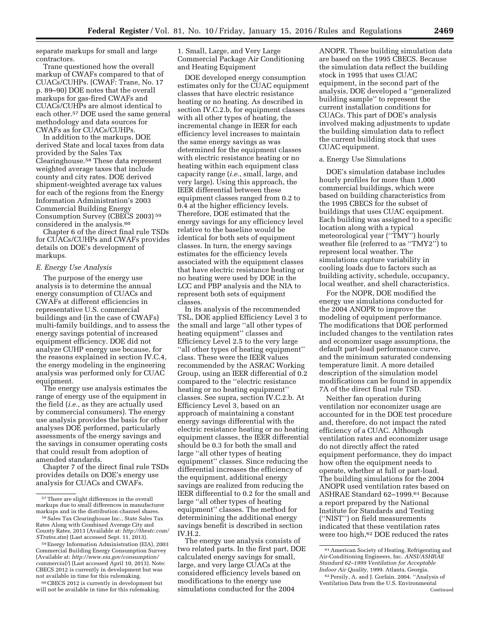separate markups for small and large contractors.

Trane questioned how the overall markup of CWAFs compared to that of CUACs/CUHPs. (CWAF: Trane, No. 17 p. 89–90) DOE notes that the overall markups for gas-fired CWAFs and CUACs/CUHPs are almost identical to each other.57 DOE used the same general methodology and data sources for CWAFs as for CUACs/CUHPs.

In addition to the markups, DOE derived State and local taxes from data provided by the Sales Tax Clearinghouse.58 These data represent weighted average taxes that include county and city rates. DOE derived shipment-weighted average tax values for each of the regions from the Energy Information Administration's 2003 Commercial Building Energy Consumption Survey (CBECS 2003) 59 considered in the analysis.60

Chapter 6 of the direct final rule TSDs for CUACs/CUHPs and CWAFs provides details on DOE's development of markups.

# *E. Energy Use Analysis*

The purpose of the energy use analysis is to determine the annual energy consumption of CUACs and CWAFs at different efficiencies in representative U.S. commercial buildings and (in the case of CWAFs) multi-family buildings, and to assess the energy savings potential of increased equipment efficiency. DOE did not analyze CUHP energy use because, for the reasons explained in section IV.C.4, the energy modeling in the engineering analysis was performed only for CUAC equipment.

The energy use analysis estimates the range of energy use of the equipment in the field (*i.e.*, as they are actually used by commercial consumers). The energy use analysis provides the basis for other analyses DOE performed, particularly assessments of the energy savings and the savings in consumer operating costs that could result from adoption of amended standards.

Chapter 7 of the direct final rule TSDs provides details on DOE's energy use analysis for CUACs and CWAFs.

60CBECS 2012 is currently in development but will not be available in time for this rulemaking.

1. Small, Large, and Very Large Commercial Package Air Conditioning and Heating Equipment

DOE developed energy consumption estimates only for the CUAC equipment classes that have electric resistance heating or no heating. As described in section IV.C.2.b, for equipment classes with all other types of heating, the incremental change in IEER for each efficiency level increases to maintain the same energy savings as was determined for the equipment classes with electric resistance heating or no heating within each equipment class capacity range (*i.e.*, small, large, and very large). Using this approach, the IEER differential between these equipment classes ranged from 0.2 to 0.4 at the higher efficiency levels. Therefore, DOE estimated that the energy savings for any efficiency level relative to the baseline would be identical for both sets of equipment classes. In turn, the energy savings estimates for the efficiency levels associated with the equipment classes that have electric resistance heating or no heating were used by DOE in the LCC and PBP analysis and the NIA to represent both sets of equipment classes.

In its analysis of the recommended TSL, DOE applied Efficiency Level 3 to the small and large ''all other types of heating equipment'' classes and Efficiency Level 2.5 to the very large ''all other types of heating equipment'' class. These were the IEER values recommended by the ASRAC Working Group, using an IEER differential of 0.2 compared to the ''electric resistance heating or no heating equipment'' classes. See supra, section IV.C.2.b. At Efficiency Level 3, based on an approach of maintaining a constant energy savings differential with the electric resistance heating or no heating equipment classes, the IEER differential should be 0.3 for both the small and large ''all other types of heating equipment'' classes. Since reducing the differential increases the efficiency of the equipment, additional energy savings are realized from reducing the IEER differential to 0.2 for the small and large ''all other types of heating equipment'' classes. The method for determinining the additional energy savings benefit is described in section IV.H.2.

The energy use analysis consists of two related parts. In the first part, DOE calculated energy savings for small, large, and very large CUACs at the considered efficiency levels based on modifications to the energy use simulations conducted for the 2004

ANOPR. These building simulation data are based on the 1995 CBECS. Because the simulation data reflect the building stock in 1995 that uses CUAC equipment, in the second part of the analysis, DOE developed a ''generalized building sample'' to represent the current installation conditions for CUACs. This part of DOE's analysis involved making adjustments to update the building simulation data to reflect the current building stock that uses CUAC equipment.

### a. Energy Use Simulations

DOE's simulation database includes hourly profiles for more than 1,000 commercial buildings, which were based on building characteristics from the 1995 CBECS for the subset of buildings that uses CUAC equipment. Each building was assigned to a specific location along with a typical meteorological year (''TMY'') hourly weather file (referred to as ''TMY2'') to represent local weather. The simulations capture variability in cooling loads due to factors such as building activity, schedule, occupancy, local weather, and shell characteristics.

For the NOPR, DOE modified the energy use simulations conducted for the 2004 ANOPR to improve the modeling of equipment performance. The modifications that DOE performed included changes to the ventilation rates and economizer usage assumptions, the default part-load performance curve, and the minimum saturated condensing temperature limit. A more detailed description of the simulation model modifications can be found in appendix 7A of the direct final rule TSD.

Neither fan operation during ventilation nor economizer usage are accounted for in the DOE test procedure and, therefore, do not impact the rated efficiency of a CUAC. Although ventilation rates and economizer usage do not directly affect the rated equipment performance, they do impact how often the equipment needs to operate, whether at full or part-load. The building simulations for the 2004 ANOPR used ventilation rates based on ASHRAE Standard 62–1999.61 Because a report prepared by the National Institute for Standards and Testing (''NIST'') on field measurements indicated that these ventilation rates were too high,<sup>62</sup> DOE reduced the rates

<sup>57</sup>There are slight differences in the overall markups due to small differences in manufacturer<br>markups and in the distribution channel shares.

<sup>58</sup> Sales Tax Clearinghouse Inc., State Sales Tax Rates Along with Combined Average City and County Rates, 2013 (Available at: *[http://thestc.com/](http://thestc.com/STrates.stm) [STrates.stm](http://thestc.com/STrates.stm)*) (Last accessed Sept. 11, 2013).

<sup>59</sup>Energy Information Administration (EIA), 2003 Commercial Building Energy Consumption Survey (Available at: *[http://www.eia.gov/consumption/](http://www.eia.gov/consumption/commercial/) [commercial/](http://www.eia.gov/consumption/commercial/)*) (Last accessed April 10, 2013). Note: CBECS 2012 is currently in development but was not available in time for this rulemaking.

 $\ensuremath{^{61}}$  American Society of Heating, Refrigerating and Air-Conditioning Engineers, Inc. *ANSI/ASHRAE Standard 62–1999 Ventilation for Acceptable Indoor Air Quality*, 1999. Atlanta, Georgia.

<sup>62</sup>Persily, A. and J. Gorfain. 2004. ''Analysis of Ventilation Data from the U.S. Environmental Continued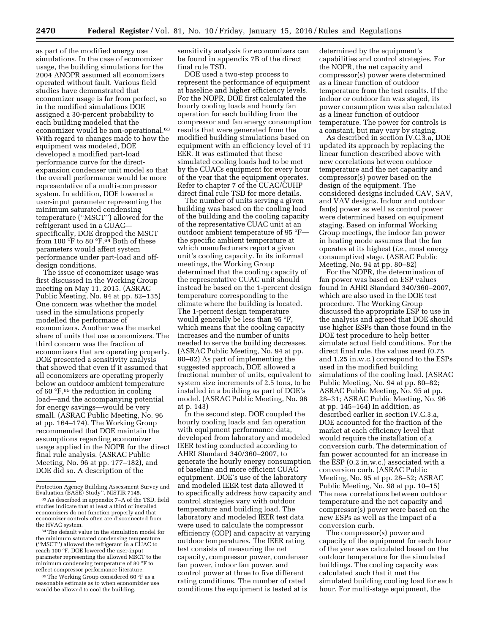as part of the modified energy use simulations. In the case of economizer usage, the building simulations for the 2004 ANOPR assumed all economizers operated without fault. Various field studies have demonstrated that economizer usage is far from perfect, so in the modified simulations DOE assigned a 30-percent probability to each building modeled that the economizer would be non-operational.<sup>63</sup> With regard to changes made to how the equipment was modeled, DOE developed a modified part-load performance curve for the directexpansion condenser unit model so that the overall performance would be more representative of a multi-compressor system. In addition, DOE lowered a user-input parameter representing the minimum saturated condensing temperature (''MSCT'') allowed for the refrigerant used in a CUAC specifically, DOE dropped the MSCT from 100 °F to 80 °F.64 Both of these parameters would affect system performance under part-load and offdesign conditions.

The issue of economizer usage was first discussed in the Working Group meeting on May 11, 2015. (ASRAC Public Meeting, No. 94 at pp. 82–135) One concern was whether the model used in the simulations properly modelled the performace of economizers. Another was the market share of units that use economizers. The third concern was the fraction of economizers that are operating properly. DOE presented a sensitivity analysis that showed that even if it assumed that all economizers are operating properly below an outdoor ambient temperature of 60  $^{\rm o}{\rm F},^{65}$  the reduction in cooling load—and the accompanying potential for energy savings—would be very small. (ASRAC Public Meeting, No. 96 at pp. 164–174). The Working Group recommended that DOE maintain the assumptions regarding economizer usage applied in the NOPR for the direct final rule analysis. (ASRAC Public Meeting, No. 96 at pp. 177–182), and DOE did so. A description of the

65The Working Group considered 60 °F as a reasonable estimate as to when economizier use would be allowed to cool the building.

sensitivity analysis for economizers can be found in appendix 7B of the direct final rule TSD.

DOE used a two-step process to represent the performance of equipment at baseline and higher efficiency levels. For the NOPR, DOE first calculated the hourly cooling loads and hourly fan operation for each building from the compressor and fan energy consumption results that were generated from the modified building simulations based on equipment with an efficiency level of 11 EER. It was estimated that these simulated cooling loads had to be met by the CUACs equipment for every hour of the year that the equipment operates. Refer to chapter 7 of the CUAC/CUHP direct final rule TSD for more details.

The number of units serving a given building was based on the cooling load of the building and the cooling capacity of the representative CUAC unit at an outdoor ambient temperature of 95 °F the specific ambient temperature at which manufacturers report a given unit's cooling capacity. In its informal meetings, the Working Group determined that the cooling capacity of the representative CUAC unit should instead be based on the 1-percent design temperature corresponding to the climate where the building is located. The 1-percent design temperature would generally be less than 95 °F, which means that the cooling capacity increases and the number of units needed to serve the building decreases. (ASRAC Public Meeting, No. 94 at pp. 80–82) As part of implementing the suggested approach, DOE allowed a fractional number of units, equivalent to system size increments of 2.5 tons, to be installed in a building as part of DOE's model. (ASRAC Public Meeting, No. 96 at p. 143)

In the second step, DOE coupled the hourly cooling loads and fan operation with equipment performance data, developed from laboratory and modeled IEER testing conducted according to AHRI Standard 340/360–2007, to generate the hourly energy consumption of baseline and more efficient CUAC equipment. DOE's use of the laboratory and modeled IEER test data allowed it to specifically address how capacity and control strategies vary with outdoor temperature and building load. The laboratory and modeled IEER test data were used to calculate the compressor efficiency (COP) and capacity at varying outdoor temperatures. The IEER rating test consists of measuring the net capacity, compressor power, condenser fan power, indoor fan power, and control power at three to five different rating conditions. The number of rated conditions the equipment is tested at is

determined by the equipment's capabilities and control strategies. For the NOPR, the net capacity and compressor(s) power were determined as a linear function of outdoor temperature from the test results. If the indoor or outdoor fan was staged, its power consumption was also calculated as a linear function of outdoor temperature. The power for controls is a constant, but may vary by staging.

As described in section IV.C.3.a, DOE updated its approach by replacing the linear function described above with new correlations between outdoor temperature and the net capacity and compressor(s) power based on the design of the equipment. The considered designs included CAV, SAV, and VAV designs. Indoor and outdoor fan(s) power as well as control power were determined based on equipment staging. Based on informal Working Group meetings, the indoor fan power in heating mode assumes that the fan operates at its highest (*i.e.*, most energy consumptive) stage. (ASRAC Public Meeting, No. 94 at pp. 80–82)

For the NOPR, the determination of fan power was based on ESP values found in AHRI Standard 340/360–2007, which are also used in the DOE test procedure. The Working Group discussed the appropriate ESP to use in the analysis and agreed that DOE should use higher ESPs than those found in the DOE test procedure to help better simulate actual field conditions. For the direct final rule, the values used (0.75 and 1.25 in.w.c.) correspond to the ESPs used in the modified building simulations of the cooling load. (ASRAC Public Meeting, No. 94 at pp. 80–82; ASRAC Public Meeting, No. 95 at pp. 28–31; ASRAC Public Meeting, No. 96 at pp. 145–164) In addition, as described earlier in section IV.C.3.a, DOE accounted for the fraction of the market at each efficiency level that would require the installation of a conversion curb. The determination of fan power accounted for an increase in the ESP (0.2 in.w.c.) associated with a conversion curb. (ASRAC Public Meeting, No. 95 at pp. 28–52; ASRAC Public Meeting, No. 98 at pp. 10–15) The new correlations between outdoor temperature and the net capacity and compressor(s) power were based on the new ESPs as well as the impact of a conversion curb.

The compressor(s) power and capacity of the equipment for each hour of the year was calculated based on the outdoor temperature for the simulated buildings. The cooling capacity was calculated such that it met the simulated building cooling load for each hour. For multi-stage equipment, the

Protection Agency Building Assessment Survey and

 $^{63}\hspace{0.05cm}\mathrm{As}$  described in appendix 7–A of the TSD, field studies indicate that at least a third of installed economizers do not function properly and that economizer controls often are disconnected from the HVAC system.<br><sup>64</sup> The default value in the simulation model for

the minimum saturated condensing temperature (''MSCT'') allowed the refrigerant in a CUAC to reach 100 °F. DOE lowered the user-input parameter representing the allowed MSCT to the minimum condensing temperature of 80 °F to reflect compressor performance literature.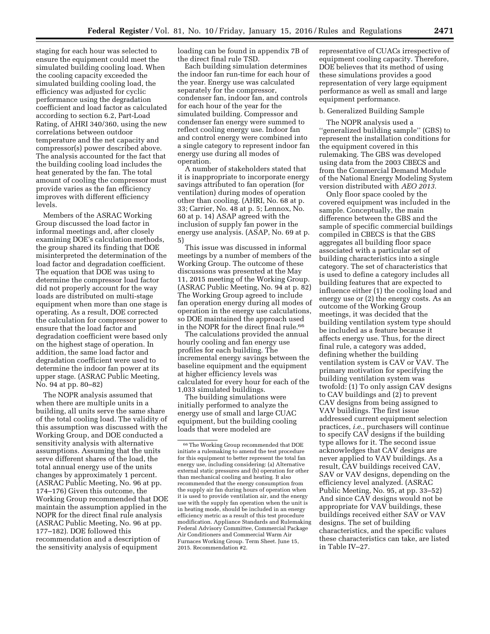staging for each hour was selected to ensure the equipment could meet the simulated building cooling load. When the cooling capacity exceeded the simulated building cooling load, the efficiency was adjusted for cyclic performance using the degradation coefficient and load factor as calculated according to section 6.2, Part-Load Rating, of AHRI 340/360, using the new correlations between outdoor temperature and the net capacity and compressor(s) power described above. The analysis accounted for the fact that the building cooling load includes the heat generated by the fan. The total amount of cooling the compressor must provide varies as the fan efficiency improves with different efficiency levels.

Members of the ASRAC Working Group discussed the load factor in informal meetings and, after closely examining DOE's calculation methods, the group shared its finding that DOE misinterpreted the determination of the load factor and degradation coefficient. The equation that DOE was using to determine the compressor load factor did not properly account for the way loads are distributed on multi-stage equipment when more than one stage is operating. As a result, DOE corrected the calculation for compressor power to ensure that the load factor and degradation coefficient were based only on the highest stage of operation. In addition, the same load factor and degradation coefficient were used to determine the indoor fan power at its upper stage. (ASRAC Public Meeting, No. 94 at pp. 80–82)

The NOPR analysis assumed that when there are multiple units in a building, all units serve the same share of the total cooling load. The validity of this assumption was discussed with the Working Group, and DOE conducted a sensitivity analysis with alternative assumptions. Assuming that the units serve different shares of the load, the total annual energy use of the units changes by approximately 1 percent. (ASRAC Public Meeting, No. 96 at pp. 174–176) Given this outcome, the Working Group recommended that DOE maintain the assumption applied in the NOPR for the direct final rule analysis (ASRAC Public Meeting, No. 96 at pp. 177–182). DOE followed this recommendation and a description of the sensitivity analysis of equipment

loading can be found in appendix 7B of the direct final rule TSD.

Each building simulation determines the indoor fan run-time for each hour of the year. Energy use was calculated separately for the compressor, condenser fan, indoor fan, and controls for each hour of the year for the simulated building. Compressor and condenser fan energy were summed to reflect cooling energy use. Indoor fan and control energy were combined into a single category to represent indoor fan energy use during all modes of operation.

A number of stakeholders stated that it is inappropriate to incorporate energy savings attributed to fan operation (for ventilation) during modes of operation other than cooling. (AHRI, No. 68 at p. 33; Carrier, No. 48 at p. 5; Lennox, No. 60 at p. 14) ASAP agreed with the inclusion of supply fan power in the energy use analysis. (ASAP, No. 69 at p. 5)

This issue was discussed in informal meetings by a number of members of the Working Group. The outcome of these discussions was presented at the May 11, 2015 meeting of the Working Group. (ASRAC Public Meeting, No. 94 at p. 82) The Working Group agreed to include fan operation energy during all modes of operation in the energy use calculations, so DOE maintained the approach used in the NOPR for the direct final rule.<sup>66</sup>

The calculations provided the annual hourly cooling and fan energy use profiles for each building. The incremental energy savings between the baseline equipment and the equipment at higher efficiency levels was calculated for every hour for each of the 1,033 simulated buildings.

The building simulations were initially performed to analyze the energy use of small and large CUAC equipment, but the building cooling loads that were modeled are

representative of CUACs irrespective of equipment cooling capacity. Therefore, DOE believes that its method of using these simulations provides a good representation of very large equipment performance as well as small and large equipment performance.

#### b. Generalized Building Sample

The NOPR analysis used a ''generalized building sample'' (GBS) to represent the installation conditions for the equipment covered in this rulemaking. The GBS was developed using data from the 2003 CBECS and from the Commercial Demand Module of the National Energy Modeling System version distributed with *AEO 2013.* 

Only floor space cooled by the covered equipment was included in the sample. Conceptually, the main difference between the GBS and the sample of specific commercial buildings compiled in CBECS is that the GBS aggregates all building floor space associated with a particular set of building characteristics into a single category. The set of characteristics that is used to define a category includes all building features that are expected to influence either (1) the cooling load and energy use or (2) the energy costs. As an outcome of the Working Group meetings, it was decided that the building ventilation system type should be included as a feature because it affects energy use. Thus, for the direct final rule, a category was added, defining whether the building ventilation system is CAV or VAV. The primary motivation for specifying the building ventilation system was twofold: (1) To only assign CAV designs to CAV buildings and (2) to prevent CAV designs from being assigned to VAV buildings. The first issue addressed current equipment selection practices, *i.e.,* purchasers will continue to specify CAV designs if the building type allows for it. The second issue acknowledges that CAV designs are never applied to VAV buildings. As a result, CAV buildings received CAV, SAV or VAV designs, depending on the efficiency level analyzed. (ASRAC Public Meeting, No. 95, at pp. 33–52) And since CAV designs would not be appropriate for VAV buildings, these buildings received either SAV or VAV designs. The set of building characteristics, and the specific values these characteristics can take, are listed in Table IV–27.

<sup>66</sup>The Working Group recommended that DOE initiate a rulemaking to amend the test procedure for this equipment to better represent the total fan energy use, including considering: (a) Alternative external static pressures and (b) operation for other than mechanical cooling and heating. It also recommended that the energy consumption from the supply air fan during hours of operation when it is used to provide ventilation air, and the energy use with the supply fan operation when the unit is in heating mode, should be included in an energy efficiency metric as a result of this test procedure modification. Appliance Standards and Rulemaking Federal Advisory Committee, Commercial Package Air Conditioners and Commercial Warm Air Furnaces Working Group. Term Sheet. June 15, 2015. Recommendation #2.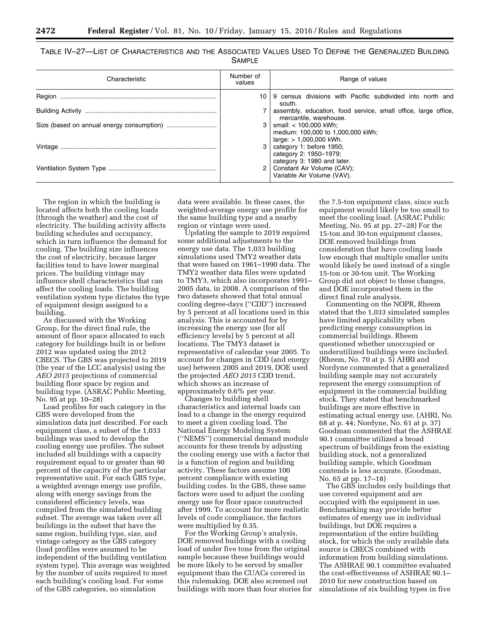| Characteristic | Number of<br>values | Range of values                                                                           |
|----------------|---------------------|-------------------------------------------------------------------------------------------|
|                | 10                  | 9 census divisions with Pacific subdivided into north and<br>south.                       |
|                |                     | assembly, education, food service, small office, large office,<br>mercantile, warehouse.  |
|                |                     | small: $<$ 100,000 kWh:<br>medium: 100,000 to 1,000,000 kWh;<br>$large: > 1,000,000$ kWh. |
|                |                     | category 1: before 1950;<br>category 2: 1950-1979;<br>category 3: 1980 and later.         |
|                |                     | Constant Air Volume (CAV);<br>Variable Air Volume (VAV).                                  |

| TABLE IV-27—LIST OF CHARACTERISTICS AND THE ASSOCIATED VALUES USED TO DEFINE THE GENERALIZED BUILDING |               |  |  |
|-------------------------------------------------------------------------------------------------------|---------------|--|--|
|                                                                                                       | <b>SAMPLE</b> |  |  |

The region in which the building is located affects both the cooling loads (through the weather) and the cost of electricity. The building activity affects building schedules and occupancy, which in turn influence the demand for cooling. The building size influences the cost of electricity, because larger facilities tend to have lower marginal prices. The building vintage may influence shell characteristics that can affect the cooling loads. The building ventilation system type dictates the type of equipment design assigned to a building.

As discussed with the Working Group, for the direct final rule, the amount of floor space allocated to each category for buildings built in or before 2012 was updated using the 2012 CBECS. The GBS was projected to 2019 (the year of the LCC analysis) using the *AEO 2015* projections of commercial building floor space by region and building type. (ASRAC Public Meeting, No. 95 at pp. 10–28)

Load profiles for each category in the GBS were developed from the simulation data just described. For each equipment class, a subset of the 1,033 buildings was used to develop the cooling energy use profiles. The subset included all buildings with a capacity requirement equal to or greater than 90 percent of the capacity of the particular representative unit. For each GBS type, a weighted average energy use profile, along with energy savings from the considered efficiency levels, was compiled from the simulated building subset. The average was taken over all buildings in the subset that have the same region, building type, size, and vintage category as the GBS category (load profiles were assumed to be independent of the building ventilation system type). This average was weighted by the number of units required to meet each building's cooling load. For some of the GBS categories, no simulation

data were available. In these cases, the weighted-average energy use profile for the same building type and a nearby region or vintage were used.

Updating the sample to 2019 required some additional adjustments to the energy use data. The 1,033 building simulations used TMY2 weather data that were based on 1961–1990 data. The TMY2 weather data files were updated to TMY3, which also incorporates 1991– 2005 data, in 2008. A comparison of the two datasets showed that total annual cooling degree-days (''CDD'') increased by 5 percent at all locations used in this analysis. This is accounted for by increasing the energy use (for all efficiency levels) by 5 percent at all locations. The TMY3 dataset is representative of calendar year 2005. To account for changes in CDD (and energy use) between 2005 and 2019, DOE used the projected *AEO 2015* CDD trend, which shows an increase of approximately 0.6% per year.

Changes to building shell characteristics and internal loads can lead to a change in the energy required to meet a given cooling load. The National Energy Modeling System (''NEMS'') commercial demand module accounts for these trends by adjusting the cooling energy use with a factor that is a function of region and building activity. These factors assume 100 percent compliance with existing building codes. In the GBS, these same factors were used to adjust the cooling energy use for floor space constructed after 1999. To account for more realistic levels of code compliance, the factors were multiplied by 0.35.

For the Working Group's analysis, DOE removed buildings with a cooling load of under five tons from the original sample because these buildings would be more likely to be served by smaller equipment than the CUACs covered in this rulemaking. DOE also screened out buildings with more than four stories for

the 7.5-ton equipment class, since such equipment would likely be too small to meet the cooling load. (ASRAC Public Meeting, No. 95 at pp. 27–28) For the 15-ton and 30-ton equipment classes, DOE removed buildings from consideration that have cooling loads low enough that multiple smaller units would likely be used instead of a single 15-ton or 30-ton unit. The Working Group did not object to these changes, and DOE incorporated them in the direct final rule analysis.

Commenting on the NOPR, Rheem stated that the 1,033 simulated samples have limited applicability when predicting energy consumption in commercial buildings. Rheem questioned whether unoccupied or underutilized buildings were included. (Rheem, No. 70 at p. 5) AHRI and Nordyne commented that a generalized building sample may not accurately represent the energy consumption of equipment in the commercial building stock. They stated that benchmarked buildings are more effective in estimating actual energy use. (AHRI, No. 68 at p. 44; Nordyne, No. 61 at p. 37) Goodman commented that the ASHRAE 90.1 committee utilized a broad spectrum of buildings from the existing building stock, not a generalized building sample, which Goodman contends is less accurate. (Goodman, No. 65 at pp. 17–18)

The GBS includes only buildings that use covered equipment and are occupied with the equipment in use. Benchmarking may provide better estimates of energy use in individual buildings, but DOE requires a representation of the entire building stock, for which the only available data source is CBECS combined with information from building simulations. The ASHRAE 90.1 committee evaluated the cost-effectiveness of ASHRAE 90.1– 2010 for new construction based on simulations of six building types in five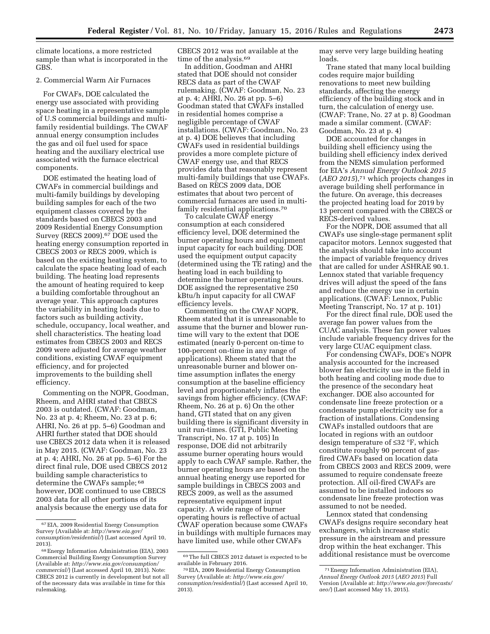climate locations, a more restricted sample than what is incorporated in the GBS.

### 2. Commercial Warm Air Furnaces

For CWAFs, DOE calculated the energy use associated with providing space heating in a representative sample of U.S commercial buildings and multifamily residential buildings. The CWAF annual energy consumption includes the gas and oil fuel used for space heating and the auxiliary electrical use associated with the furnace electrical components.

DOE estimated the heating load of CWAFs in commercial buildings and multi-family buildings by developing building samples for each of the two equipment classes covered by the standards based on CBECS 2003 and 2009 Residential Energy Consumption Survey (RECS 2009).67 DOE used the heating energy consumption reported in CBECS 2003 or RECS 2009, which is based on the existing heating system, to calculate the space heating load of each building. The heating load represents the amount of heating required to keep a building comfortable throughout an average year. This approach captures the variability in heating loads due to factors such as building activity, schedule, occupancy, local weather, and shell characteristics. The heating load estimates from CBECS 2003 and RECS 2009 were adjusted for average weather conditions, existing CWAF equipment efficiency, and for projected improvements to the building shell efficiency.

Commenting on the NOPR, Goodman, Rheem, and AHRI stated that CBECS 2003 is outdated. (CWAF: Goodman, No. 23 at p. 4; Rheem, No. 23 at p. 6; AHRI, No. 26 at pp. 5–6) Goodman and AHRI further stated that DOE should use CBECS 2012 data when it is released in May 2015. (CWAF: Goodman, No. 23 at p. 4; AHRI, No. 26 at pp. 5–6) For the direct final rule, DOE used CBECS 2012 building sample characteristics to determine the CWAFs sample; 68 however, DOE continued to use CBECS 2003 data for all other portions of its analysis because the energy use data for

CBECS 2012 was not available at the time of the analysis.69

In addition, Goodman and AHRI stated that DOE should not consider RECS data as part of the CWAF rulemaking. (CWAF: Goodman, No. 23 at p. 4; AHRI, No. 26 at pp. 5–6) Goodman stated that CWAFs installed in residential homes comprise a negligible percentage of CWAF installations. (CWAF: Goodman, No. 23 at p. 4) DOE believes that including CWAFs used in residential buildings provides a more complete picture of CWAF energy use, and that RECS provides data that reasonably represent multi-family buildings that use CWAFs. Based on RECS 2009 data, DOE estimates that about two percent of commercial furnaces are used in multifamily residential applications.70

To calculate CWAF energy consumption at each considered efficiency level, DOE determined the burner operating hours and equipment input capacity for each building. DOE used the equipment output capacity (determined using the TE rating) and the heating load in each building to determine the burner operating hours. DOE assigned the representative 250 kBtu/h input capacity for all CWAF efficiency levels.

Commenting on the CWAF NOPR, Rheem stated that it is unreasonable to assume that the burner and blower runtime will vary to the extent that DOE estimated (nearly 0-percent on-time to 100-percent on-time in any range of applications). Rheem stated that the unreasonable burner and blower ontime assumption inflates the energy consumption at the baseline efficiency level and proportionately inflates the savings from higher efficiency. (CWAF: Rheem, No. 26 at p. 6) On the other hand, GTI stated that on any given building there is significant diversity in unit run-times. (GTI, Public Meeting Transcript, No. 17 at p. 105) In response, DOE did not arbitrarily assume burner operating hours would apply to each CWAF sample. Rather, the burner operating hours are based on the annual heating energy use reported for sample buildings in CBECS 2003 and RECS 2009, as well as the assumed representative equipment input capacity. A wide range of burner operating hours is reflective of actual CWAF operation because some CWAFs in buildings with multiple furnaces may have limited use, while other CWAFs

may serve very large building heating loads.

Trane stated that many local building codes require major building renovations to meet new building standards, affecting the energy efficiency of the building stock and in turn, the calculation of energy use. (CWAF: Trane, No. 27 at p. 8) Goodman made a similar comment. (CWAF: Goodman, No. 23 at p. 4)

DOE accounted for changes in building shell efficiency using the building shell efficiency index derived from the NEMS simulation performed for EIA's *Annual Energy Outlook 2015*  (*AEO 2015*),71 which projects changes in average building shell performance in the future. On average, this decreases the projected heating load for 2019 by 13 percent compared with the CBECS or RECS-derived values.

For the NOPR, DOE assumed that all CWAFs use single-stage permanent split capacitor motors. Lennox suggested that the analysis should take into account the impact of variable frequency drives that are called for under ASHRAE 90.1. Lennox stated that variable frequency drives will adjust the speed of the fans and reduce the energy use in certain applications. (CWAF: Lennox, Public Meeting Transcript, No. 17 at p. 101)

For the direct final rule, DOE used the average fan power values from the CUAC analysis. These fan power values include variable frequency drives for the very large CUAC equipment class.

For condensing CWAFs, DOE's NOPR analysis accounted for the increased blower fan electricity use in the field in both heating and cooling mode due to the presence of the secondary heat exchanger. DOE also accounted for condensate line freeze protection or a condensate pump electricity use for a fraction of installations. Condensing CWAFs installed outdoors that are located in regions with an outdoor design temperature of ≤32 °F, which constitute roughly 90 percent of gasfired CWAFs based on location data from CBECS 2003 and RECS 2009, were assumed to require condensate freeze protection. All oil-fired CWAFs are assumed to be installed indoors so condensate line freeze protection was assumed to not be needed.

Lennox stated that condensing CWAFs designs require secondary heat exchangers, which increase static pressure in the airstream and pressure drop within the heat exchanger. This additional resistance must be overcome

<sup>67</sup>EIA, 2009 Residential Energy Consumption Survey (Available at: *[http://www.eia.gov/](http://www.eia.gov/consumption/residential/) [consumption/residential/](http://www.eia.gov/consumption/residential/)*) (Last accessed April 10, 2013).

<sup>68</sup>Energy Information Administration (EIA), 2003 Commercial Building Energy Consumption Survey (Available at: *[http://www.eia.gov/consumption/](http://www.eia.gov/consumption/commercial/) [commercial/](http://www.eia.gov/consumption/commercial/)*) (Last accessed April 10, 2013). Note: CBECS 2012 is currently in development but not all of the necessary data was available in time for this rulemaking.

<sup>69</sup>The full CBECS 2012 dataset is expected to be available in February 2016.

<sup>70</sup>EIA, 2009 Residential Energy Consumption Survey (Available at: *[http://www.eia.gov/](http://www.eia.gov/consumption/residential/) [consumption/residential/](http://www.eia.gov/consumption/residential/)*) (Last accessed April 10, 2013).

<sup>71</sup>Energy Information Administration (EIA), *Annual Energy Outlook 2015* (*AEO 2015*) Full Version (Available at: *[http://www.eia.gov/forecasts/](http://www.eia.gov/forecasts/aeo/) [aeo/](http://www.eia.gov/forecasts/aeo/)*) (Last accessed May 15, 2015).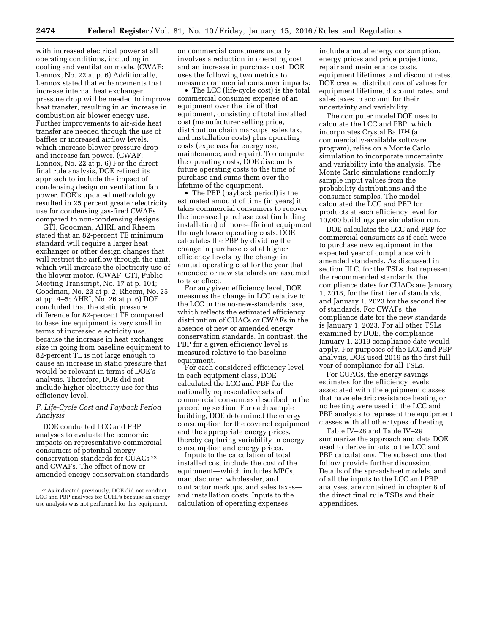with increased electrical power at all operating conditions, including in cooling and ventilation mode. (CWAF: Lennox, No. 22 at p. 6) Additionally, Lennox stated that enhancements that increase internal heat exchanger pressure drop will be needed to improve heat transfer, resulting in an increase in combustion air blower energy use. Further improvements to air-side heat transfer are needed through the use of baffles or increased airflow levels, which increase blower pressure drop and increase fan power. (CWAF: Lennox, No. 22 at p. 6) For the direct final rule analysis, DOE refined its approach to include the impact of condensing design on ventilation fan power. DOE's updated methodology resulted in 25 percent greater electricity use for condensing gas-fired CWAFs compared to non-condensing designs.

GTI, Goodman, AHRI, and Rheem stated that an 82-percent TE minimum standard will require a larger heat exchanger or other design changes that will restrict the airflow through the unit, which will increase the electricity use of the blower motor. (CWAF: GTI, Public Meeting Transcript, No. 17 at p. 104; Goodman, No. 23 at p. 2; Rheem, No. 25 at pp. 4–5; AHRI, No. 26 at p. 6) DOE concluded that the static pressure difference for 82-percent TE compared to baseline equipment is very small in terms of increased electricity use, because the increase in heat exchanger size in going from baseline equipment to 82-percent TE is not large enough to cause an increase in static pressure that would be relevant in terms of DOE's analysis. Therefore, DOE did not include higher electricity use for this efficiency level.

## *F. Life-Cycle Cost and Payback Period Analysis*

DOE conducted LCC and PBP analyses to evaluate the economic impacts on representative commercial consumers of potential energy conservation standards for CUACs 72 and CWAFs. The effect of new or amended energy conservation standards

on commercial consumers usually involves a reduction in operating cost and an increase in purchase cost. DOE uses the following two metrics to measure commercial consumer impacts:

• The LCC (life-cycle cost) is the total commercial consumer expense of an equipment over the life of that equipment, consisting of total installed cost (manufacturer selling price, distribution chain markups, sales tax, and installation costs) plus operating costs (expenses for energy use, maintenance, and repair). To compute the operating costs, DOE discounts future operating costs to the time of purchase and sums them over the lifetime of the equipment.

• The PBP (payback period) is the estimated amount of time (in years) it takes commercial consumers to recover the increased purchase cost (including installation) of more-efficient equipment through lower operating costs. DOE calculates the PBP by dividing the change in purchase cost at higher efficiency levels by the change in annual operating cost for the year that amended or new standards are assumed to take effect.

For any given efficiency level, DOE measures the change in LCC relative to the LCC in the no-new-standards case, which reflects the estimated efficiency distribution of CUACs or CWAFs in the absence of new or amended energy conservation standards. In contrast, the PBP for a given efficiency level is measured relative to the baseline equipment.

For each considered efficiency level in each equipment class, DOE calculated the LCC and PBP for the nationally representative sets of commercial consumers described in the preceding section. For each sample building, DOE determined the energy consumption for the covered equipment and the appropriate energy prices, thereby capturing variability in energy consumption and energy prices.

Inputs to the calculation of total installed cost include the cost of the equipment—which includes MPCs, manufacturer, wholesaler, and contractor markups, and sales taxes and installation costs. Inputs to the calculation of operating expenses

include annual energy consumption, energy prices and price projections, repair and maintenance costs, equipment lifetimes, and discount rates. DOE created distributions of values for equipment lifetime, discount rates, and sales taxes to account for their uncertainty and variability.

The computer model DOE uses to calculate the LCC and PBP, which incorporates Crystal BallTM (a commercially-available software program), relies on a Monte Carlo simulation to incorporate uncertainty and variability into the analysis. The Monte Carlo simulations randomly sample input values from the probability distributions and the consumer samples. The model calculated the LCC and PBP for products at each efficiency level for 10,000 buildings per simulation run.

DOE calculates the LCC and PBP for commercial consumers as if each were to purchase new equipment in the expected year of compliance with amended standards. As discussed in section III.C, for the TSLs that represent the recommended standards, the compliance dates for CUACs are January 1, 2018, for the first tier of standards, and January 1, 2023 for the second tier of standards, For CWAFs, the compliance date for the new standards is January 1, 2023. For all other TSLs examined by DOE, the compliance January 1, 2019 compliance date would apply. For purposes of the LCC and PBP analysis, DOE used 2019 as the first full year of compliance for all TSLs.

For CUACs, the energy savings estimates for the efficiency levels associated with the equipment classes that have electric resistance heating or no heating were used in the LCC and PBP analysis to represent the equipment classes with all other types of heating.

Table IV–28 and Table IV–29 summarize the approach and data DOE used to derive inputs to the LCC and PBP calculations. The subsections that follow provide further discussion. Details of the spreadsheet models, and of all the inputs to the LCC and PBP analyses, are contained in chapter 8 of the direct final rule TSDs and their appendices.

<sup>72</sup>As indicated previously, DOE did not conduct LCC and PBP analyses for CUHPs because an energy use analysis was not performed for this equipment.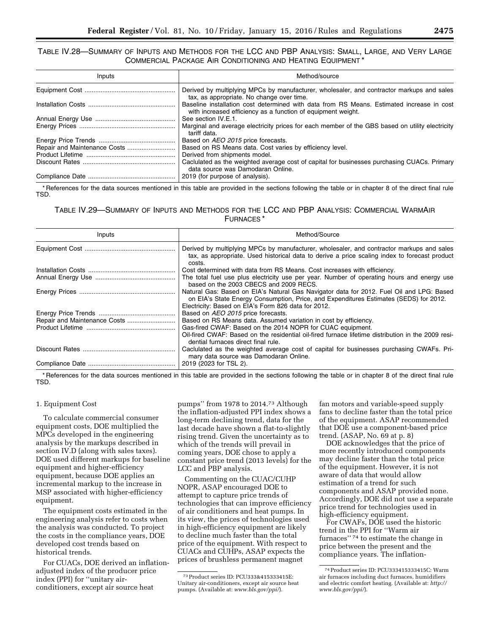## TABLE IV.28—SUMMARY OF INPUTS AND METHODS FOR THE LCC AND PBP ANALYSIS: SMALL, LARGE, AND VERY LARGE COMMERCIAL PACKAGE AIR CONDITIONING AND HEATING EQUIPMENT \*

| Inputs | Method/source                                                                                                                                             |
|--------|-----------------------------------------------------------------------------------------------------------------------------------------------------------|
|        | Derived by multiplying MPCs by manufacturer, wholesaler, and contractor markups and sales<br>tax, as appropriate. No change over time.                    |
|        | Baseline installation cost determined with data from RS Means. Estimated increase in cost<br>with increased efficiency as a function of equipment weight. |
|        | See section IV.E.1.                                                                                                                                       |
|        | tariff data.                                                                                                                                              |
|        | Based on AEO 2015 price forecasts.                                                                                                                        |
|        | Based on RS Means data. Cost varies by efficiency level.                                                                                                  |
|        | Derived from shipments model.                                                                                                                             |
|        | Caclulated as the weighted average cost of capital for businesses purchasing CUACs. Primary<br>data source was Damodaran Online.                          |
|        |                                                                                                                                                           |

\* References for the data sources mentioned in this table are provided in the sections following the table or in chapter 8 of the direct final rule TSD.

# TABLE IV.29—SUMMARY OF INPUTS AND METHODS FOR THE LCC AND PBP ANALYSIS: COMMERCIAL WARMAIR FURNACES \*

| Inputs | Method/Source                                                                                                                                                                                                                            |
|--------|------------------------------------------------------------------------------------------------------------------------------------------------------------------------------------------------------------------------------------------|
|        | Derived by multiplying MPCs by manufacturer, wholesaler, and contractor markups and sales<br>tax, as appropriate. Used historical data to derive a price scaling index to forecast product<br>costs.                                     |
|        | Cost determined with data from RS Means. Cost increases with efficiency.                                                                                                                                                                 |
|        | The total fuel use plus electricity use per year. Number of operating hours and energy use<br>based on the 2003 CBECS and 2009 RECS.                                                                                                     |
|        | Natural Gas: Based on EIA's Natural Gas Navigator data for 2012. Fuel Oil and LPG: Based<br>on EIA's State Energy Consumption, Price, and Expenditures Estimates (SEDS) for 2012.<br>Electricity: Based on EIA's Form 826 data for 2012. |
|        | Based on AEO 2015 price forecasts.                                                                                                                                                                                                       |
|        | Based on RS Means data. Assumed variation in cost by efficiency.                                                                                                                                                                         |
|        | Gas-fired CWAF: Based on the 2014 NOPR for CUAC equipment.                                                                                                                                                                               |
|        | Oil-fired CWAF: Based on the residential oil-fired furnace lifetime distribution in the 2009 resi-<br>dential furnaces direct final rule.                                                                                                |
|        | Caclulated as the weighted average cost of capital for businesses purchasing CWAFs. Pri-<br>mary data source was Damodaran Online.                                                                                                       |
|        |                                                                                                                                                                                                                                          |

\* References for the data sources mentioned in this table are provided in the sections following the table or in chapter 8 of the direct final rule TSD.

## 1. Equipment Cost

To calculate commercial consumer equipment costs, DOE multiplied the MPCs developed in the engineering analysis by the markups described in section IV.D (along with sales taxes). DOE used different markups for baseline equipment and higher-efficiency equipment, because DOE applies an incremental markup to the increase in MSP associated with higher-efficiency equipment.

The equipment costs estimated in the engineering analysis refer to costs when the analysis was conducted. To project the costs in the compliance years, DOE developed cost trends based on historical trends.

For CUACs, DOE derived an inflationadjusted index of the producer price index (PPI) for ''unitary airconditioners, except air source heat

pumps'' from 1978 to 2014.73 Although the inflation-adjusted PPI index shows a long-term declining trend, data for the last decade have shown a flat-to-slightly rising trend. Given the uncertainty as to which of the trends will prevail in coming years, DOE chose to apply a constant price trend (2013 levels) for the LCC and PBP analysis.

Commenting on the CUAC/CUHP NOPR, ASAP encouraged DOE to attempt to capture price trends of technologies that can improve efficiency of air conditioners and heat pumps. In its view, the prices of technologies used in high-efficiency equipment are likely to decline much faster than the total price of the equipment. With respect to CUACs and CUHPs, ASAP expects the prices of brushless permanent magnet

fan motors and variable-speed supply fans to decline faster than the total price of the equipment. ASAP recommended that DOE use a component-based price trend. (ASAP, No. 69 at p. 8)

DOE acknowledges that the price of more recently introduced components may decline faster than the total price of the equipment. However, it is not aware of data that would allow estimation of a trend for such components and ASAP provided none. Accordingly, DOE did not use a separate price trend for technologies used in high-efficiency equipment.

For CWAFs, DOE used the historic trend in the PPI for ''Warm air furnaces'' 74 to estimate the change in price between the present and the compliance years. The inflation-

<sup>73</sup>Product series ID: PCU333&415333415E: Unitary air-conditioners, except air source heat pumps. (Available at: *[www.bls.gov/ppi/](http://www.bls.gov/ppi/)*).

<sup>74</sup>Product series ID: PCU333415333415C: Warm air furnaces including duct furnaces, humidifiers and electric comfort heating. (Available at: *[http://](http://www.bls.gov/ppi/) [www.bls.gov/ppi/](http://www.bls.gov/ppi/)*).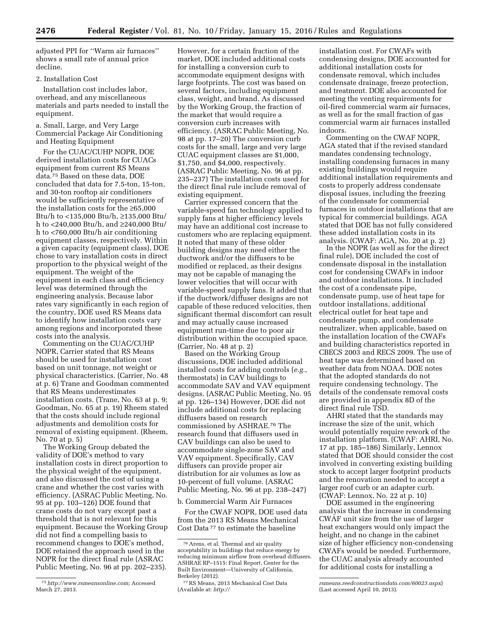adjusted PPI for ''Warm air furnaces'' shows a small rate of annual price decline.

## 2. Installation Cost

Installation cost includes labor, overhead, and any miscellaneous materials and parts needed to install the equipment.

# a. Small, Large, and Very Large Commercial Package Air Conditioning and Heating Equipment

For the CUAC/CUHP NOPR, DOE derived installation costs for CUACs equipment from current RS Means data.75 Based on these data, DOE concluded that data for 7.5-ton, 15-ton, and 30-ton rooftop air conditioners would be sufficiently representative of the installation costs for the ≥65,000 Btu/h to <135,000 Btu/h, ≥135,000 Btu/ h to <240,000 Btu/h, and ≥240,000 Btu/ h to <760,000 Btu/h air conditioning equipment classes, respectively. Within a given capacity (equipment class), DOE chose to vary installation costs in direct proportion to the physical weight of the equipment. The weight of the equipment in each class and efficiency level was determined through the engineering analysis. Because labor rates vary significantly in each region of the country, DOE used RS Means data to identify how installation costs vary among regions and incorporated these costs into the analysis.

Commenting on the CUAC/CUHP NOPR, Carrier stated that RS Means should be used for installation cost based on unit tonnage, not weight or physical characteristics. (Carrier, No. 48 at p. 6) Trane and Goodman commented that RS Means underestimates installation costs. (Trane, No. 63 at p. 9; Goodman, No. 65 at p. 19) Rheem stated that the costs should include regional adjustments and demolition costs for removal of existing equipment. (Rheem, No. 70 at p. 5)

The Working Group debated the validity of DOE's method to vary installation costs in direct proportion to the physical weight of the equipment, and also discussed the cost of using a crane and whether the cost varies with efficiency. (ASRAC Public Meeting, No. 95 at pp. 103–126) DOE found that crane costs do not vary except past a threshold that is not relevant for this equipment. Because the Working Group did not find a compelling basis to recommend changes to DOE's method, DOE retained the approach used in the NOPR for the direct final rule (ASRAC Public Meeting, No. 96 at pp. 202–235).

However, for a certain fraction of the market, DOE included additional costs for installing a conversion curb to accommodate equipment designs with large footprints. The cost was based on several factors, including equipment class, weight, and brand. As discussed by the Working Group, the fraction of the market that would require a conversion curb increases with efficiency. (ASRAC Public Meeting, No. 98 at pp. 17–20) The conversion curb costs for the small, large and very large CUAC equipment classes are \$1,000, \$1,750, and \$4,000, respectively. (ASRAC Public Meeting, No. 96 at pp. 235–237) The installation costs used for the direct final rule include removal of existing equipment.

Carrier expressed concern that the variable-speed fan technology applied to supply fans at higher efficiency levels may have an additional cost increase to customers who are replacing equipment. It noted that many of these older building designs may need either the ductwork and/or the diffusers to be modified or replaced, as their designs may not be capable of managing the lower velocities that will occur with variable-speed supply fans. It added that if the ductwork/diffuser designs are not capable of these reduced velocities, then significant thermal discomfort can result and may actually cause increased equipment run-time due to poor air distribution within the occupied space. (Carrier, No. 48 at p. 2)

Based on the Working Group discussions, DOE included additional installed costs for adding controls (*e.g.,*  thermostats) in CAV buildings to accommodate SAV and VAV equipment designs. (ASRAC Public Meeting, No. 95 at pp. 126–134) However, DOE did not include additional costs for replacing diffusers based on research commissioned by ASHRAE.76 The research found that diffusers used in CAV buildings can also be used to accommodate single-zone SAV and VAV equipment. Specifically, CAV diffusers can provide proper air distribution for air volumes as low as 10-percent of full volume. (ASRAC Public Meeting, No. 96 at pp. 238–247)

### b. Commercial Warm Air Furnaces

For the CWAF NOPR, DOE used data from the 2013 RS Means Mechanical Cost Data 77 to estimate the baseline

installation cost. For CWAFs with condensing designs, DOE accounted for additional installation costs for condensate removal, which includes condensate drainage, freeze protection, and treatment. DOE also accounted for meeting the venting requirements for oil-fired commercial warm air furnaces, as well as for the small fraction of gas commercial warm air furnaces installed indoors.

Commenting on the CWAF NOPR, AGA stated that if the revised standard mandates condensing technology, installing condensing furnaces in many existing buildings would require additional installation requirements and costs to properly address condensate disposal issues, including the freezing of the condensate for commercial furnaces in outdoor installations that are typical for commercial buildings. AGA stated that DOE has not fully considered these added installation costs in its analysis. (CWAF: AGA, No. 20 at p. 2)

In the NOPR (as well as for the direct final rule), DOE included the cost of condensate disposal in the installation cost for condensing CWAFs in indoor and outdoor installations. It included the cost of a condensate pipe, condensate pump, use of heat tape for outdoor installations, additional electrical outlet for heat tape and condensate pump, and condensate neutralizer, when applicable, based on the installation location of the CWAFs and building characteristics reported in CBECS 2003 and RECS 2009. The use of heat tape was determined based on weather data from NOAA. DOE notes that the adopted standards do not require condensing technology. The details of the condensate removal costs are provided in appendix 8D of the direct final rule TSD.

AHRI stated that the standards may increase the size of the unit, which would potentially require rework of the installation platform. (CWAF: AHRI, No. 17 at pp. 185–186) Similarly, Lennox stated that DOE should consider the cost involved in converting existing building stock to accept larger footprint products and the renovation needed to accept a larger roof curb or an adapter curb. (CWAF: Lennox, No. 22 at p. 10)

DOE assumed in the engineering analysis that the increase in condensing CWAF unit size from the use of larger heat exchangers would only impact the height, and no change in the cabinet size of higher efficiency non-condensing CWAFs would be needed. Furthermore, the CUAC analysis already accounted for additional costs for installing a

<sup>75</sup>*<http://www.rsmeansonline.com>*; Accessed March 27, 2013.

<sup>76</sup>Arens, et al. Thermal and air quality acceptability in buildings that reduce energy by reducing minimum airflow from overhead diffusers. ASHRAE RP–1515: Final Report, Center for the Built Environment—University of California, Berkeley (2012).

<sup>77</sup>RS Means, 2013 Mechanical Cost Data (Available at: *[http://](http://rsmeans.reedconstructiondata.com/60023.aspx)*

*[rsmeans.reedconstructiondata.com/60023.aspx](http://rsmeans.reedconstructiondata.com/60023.aspx)*) (Last accessed April 10, 2013).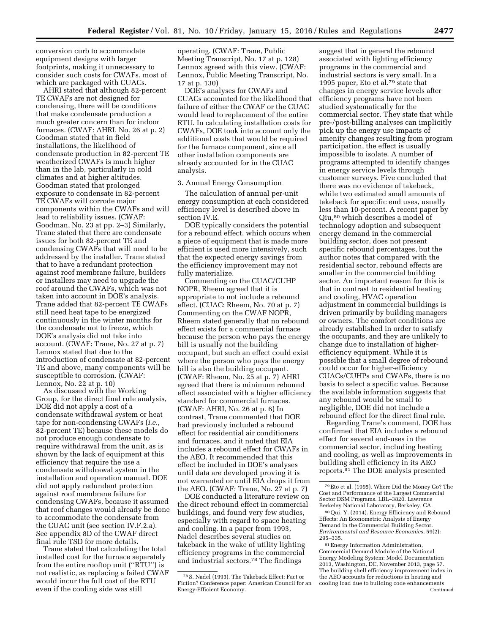conversion curb to accommodate equipment designs with larger footprints, making it unnecessary to consider such costs for CWAFs, most of which are packaged with CUACs.

AHRI stated that although 82-percent TE CWAFs are not designed for condensing, there will be conditions that make condensate production a much greater concern than for indoor furnaces. (CWAF: AHRI, No. 26 at p. 2) Goodman stated that in field installations, the likelihood of condensate production in 82-percent TE weatherized CWAFs is much higher than in the lab, particularly in cold climates and at higher altitudes. Goodman stated that prolonged exposure to condensate in 82-percent TE CWAFs will corrode major components within the CWAFs and will lead to reliability issues. (CWAF: Goodman, No. 23 at pp. 2–3) Similarly, Trane stated that there are condensate issues for both 82-percent TE and condensing CWAFs that will need to be addressed by the installer. Trane stated that to have a redundant protection against roof membrane failure, builders or installers may need to upgrade the roof around the CWAFs, which was not taken into account in DOE's analysis. Trane added that 82-percent TE CWAFs still need heat tape to be energized continuously in the winter months for the condensate not to freeze, which DOE's analysis did not take into account. (CWAF: Trane, No. 27 at p. 7) Lennox stated that due to the introduction of condensate at 82-percent TE and above, many components will be susceptible to corrosion. (CWAF: Lennox, No. 22 at p. 10)

As discussed with the Working Group, for the direct final rule analysis, DOE did not apply a cost of a condensate withdrawal system or heat tape for non-condensing CWAFs (*i.e.,*  82-percent TE) because these models do not produce enough condensate to require withdrawal from the unit, as is shown by the lack of equipment at this efficiency that require the use a condensate withdrawal system in the installation and operation manual. DOE did not apply redundant protection against roof membrane failure for condensing CWAFs, because it assumed that roof changes would already be done to accommodate the condensate from the CUAC unit (see section IV.F.2.a). See appendix 8D of the CWAF direct final rule TSD for more details.

Trane stated that calculating the total installed cost for the furnace separately from the entire rooftop unit (''RTU'') is not realistic, as replacing a failed CWAF would incur the full cost of the RTU even if the cooling side was still

operating. (CWAF: Trane, Public Meeting Transcript, No. 17 at p. 128) Lennox agreed with this view. (CWAF: Lennox, Public Meeting Transcript, No. 17 at p. 130)

DOE's analyses for CWAFs and CUACs accounted for the likelihood that failure of either the CWAF or the CUAC would lead to replacement of the entire RTU. In calculating installation costs for CWAFs, DOE took into account only the additional costs that would be required for the furnace component, since all other installation components are already accounted for in the CUAC analysis.

## 3. Annual Energy Consumption

The calculation of annual per-unit energy consumption at each considered efficiency level is described above in section IV.E.

DOE typically considers the potential for a rebound effect, which occurs when a piece of equipment that is made more efficient is used more intensively, such that the expected energy savings from the efficiency improvement may not fully materialize.

Commenting on the CUAC/CUHP NOPR, Rheem agreed that it is appropriate to not include a rebound effect. (CUAC: Rheem, No. 70 at p. 7) Commenting on the CWAF NOPR, Rheem stated generally that no rebound effect exists for a commercial furnace because the person who pays the energy bill is usually not the building occupant, but such an effect could exist where the person who pays the energy bill is also the building occupant. (CWAF: Rheem, No. 25 at p. 7) AHRI agreed that there is minimum rebound effect associated with a higher efficiency standard for commercial furnaces. (CWAF: AHRI, No. 26 at p. 6) In contrast, Trane commented that DOE had previously included a rebound effect for residential air conditioners and furnaces, and it noted that EIA includes a rebound effect for CWAFs in the AEO. It recommended that this effect be included in DOE's analyses until data are developed proving it is not warranted or until EIA drops it from the AEO. (CWAF: Trane, No. 27 at p. 7)

DOE conducted a literature review on the direct rebound effect in commercial buildings, and found very few studies, especially with regard to space heating and cooling. In a paper from 1993, Nadel describes several studies on takeback in the wake of utility lighting efficiency programs in the commercial and industrial sectors.78 The findings

suggest that in general the rebound associated with lighting efficiency programs in the commercial and industrial sectors is very small. In a 1995 paper, Eto et al.79 state that changes in energy service levels after efficiency programs have not been studied systematically for the commercial sector. They state that while pre-/post-billing analyses can implicitly pick up the energy use impacts of amenity changes resulting from program participation, the effect is usually impossible to isolate. A number of programs attempted to identify changes in energy service levels through customer surveys. Five concluded that there was no evidence of takeback, while two estimated small amounts of takeback for specific end uses, usually less than 10-percent. A recent paper by Qiu,80 which describes a model of technology adoption and subsequent energy demand in the commercial building sector, does not present specific rebound percentages, but the author notes that compared with the residential sector, rebound effects are smaller in the commercial building sector. An important reason for this is that in contrast to residential heating and cooling, HVAC operation adjustment in commercial buildings is driven primarily by building managers or owners. The comfort conditions are already established in order to satisfy the occupants, and they are unlikely to change due to installation of higherefficiency equipment. While it is possible that a small degree of rebound could occur for higher-efficiency CUACs/CUHPs and CWAFs, there is no basis to select a specific value. Because the available information suggests that any rebound would be small to negligible, DOE did not include a rebound effect for the direct final rule.

Regarding Trane's comment, DOE has confirmed that EIA includes a rebound effect for several end-uses in the commercial sector, including heating and cooling, as well as improvements in building shell efficiency in its AEO reports.81 The DOE analysis presented

80Qui, Y. (2014). Energy Efficiency and Rebound Effects: An Econometric Analysis of Energy Demand in the Commercial Building Sector. *Environmental and Resource Economics,* 59(2): 295–335.

<sup>78</sup>S. Nadel (1993). The Takeback Effect: Fact or Fiction? Conference paper: American Council for an Energy-Efficient Economy.

<sup>79</sup>Eto et al. (1995). Where Did the Money Go? The Cost and Performance of the Largest Commercial Sector DSM Programs. LBL–3820. Lawrence Berkeley National Laboratory, Berkeley, CA.

<sup>81</sup>Energy Information Administration, Commercial Demand Module of the National Energy Modeling System: Model Documentation 2013, Washington, DC, November 2013, page 57. The building shell efficiency improvement index in the AEO accounts for reductions in heating and cooling load due to building code enhancements Continued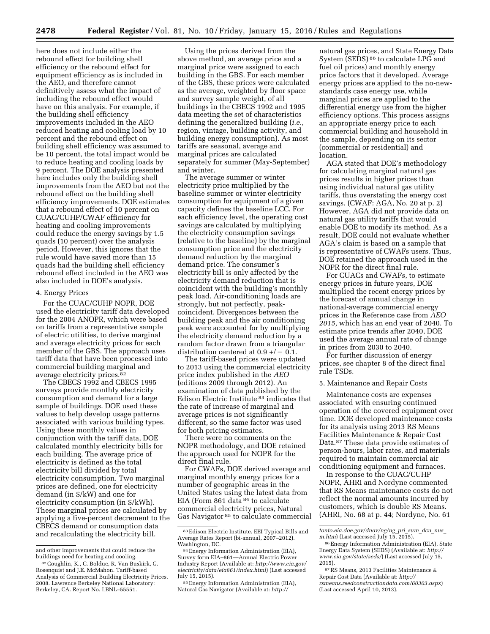here does not include either the rebound effect for building shell efficiency or the rebound effect for equipment efficiency as is included in the AEO, and therefore cannot definitively assess what the impact of including the rebound effect would have on this analysis. For example, if the building shell efficiency improvements included in the AEO reduced heating and cooling load by 10 percent and the rebound effect on building shell efficiency was assumed to be 10 percent, the total impact would be to reduce heating and cooling loads by 9 percent. The DOE analysis presented here includes only the building shell improvements from the AEO but not the rebound effect on the building shell efficiency improvements. DOE estimates that a rebound effect of 10 percent on CUAC/CUHP/CWAF efficiency for heating and cooling improvements could reduce the energy savings by 1.5 quads (10 percent) over the analysis period. However, this ignores that the rule would have saved more than 15 quads had the building shell efficiency rebound effect included in the AEO was also included in DOE's analysis.

#### 4. Energy Prices

For the CUAC/CUHP NOPR, DOE used the electricity tariff data developed for the 2004 ANOPR, which were based on tariffs from a representative sample of electric utilities, to derive marginal and average electricity prices for each member of the GBS. The approach uses tariff data that have been processed into commercial building marginal and average electricity prices.82

The CBECS 1992 and CBECS 1995 surveys provide monthly electricity consumption and demand for a large sample of buildings. DOE used these values to help develop usage patterns associated with various building types. Using these monthly values in conjunction with the tariff data, DOE calculated monthly electricity bills for each building. The average price of electricity is defined as the total electricity bill divided by total electricity consumption. Two marginal prices are defined, one for electricity demand (in \$/kW) and one for electricity consumption (in \$/kWh). These marginal prices are calculated by applying a five-percent decrement to the CBECS demand or consumption data and recalculating the electricity bill.

Using the prices derived from the above method, an average price and a marginal price were assigned to each building in the GBS. For each member of the GBS, these prices were calculated as the average, weighted by floor space and survey sample weight, of all buildings in the CBECS 1992 and 1995 data meeting the set of characteristics defining the generalized building (*i.e.,*  region, vintage, building activity, and building energy consumption). As most tariffs are seasonal, average and marginal prices are calculated separately for summer (May-September) and winter.

The average summer or winter electricity price multiplied by the baseline summer or winter electricity consumption for equipment of a given capacity defines the baseline LCC. For each efficiency level, the operating cost savings are calculated by multiplying the electricity consumption savings (relative to the baseline) by the marginal consumption price and the electricity demand reduction by the marginal demand price. The consumer's electricity bill is only affected by the electricity demand reduction that is coincident with the building's monthly peak load. Air-conditioning loads are strongly, but not perfectly, peakcoincident. Divergences between the building peak and the air conditioning peak were accounted for by multiplying the electricity demand reduction by a random factor drawn from a triangular distribution centered at  $0.9 + / -0.1$ .

The tariff-based prices were updated to 2013 using the commercial electricity price index published in the *AEO*  (editions 2009 through 2012). An examination of data published by the Edison Electric Institute 83 indicates that the rate of increase of marginal and average prices is not significantly different, so the same factor was used for both pricing estimates.

There were no comments on the NOPR methodology, and DOE retained the approach used for NOPR for the direct final rule.

For CWAFs, DOE derived average and marginal monthly energy prices for a number of geographic areas in the United States using the latest data from EIA (Form 861 data <sup>84</sup> to calculate commercial electricity prices, Natural Gas Navigator 85 to calculate commercial

natural gas prices, and State Energy Data System (SEDS)<sup>86</sup> to calculate LPG and fuel oil prices) and monthly energy price factors that it developed. Average energy prices are applied to the no-newstandards case energy use, while marginal prices are applied to the differential energy use from the higher efficiency options. This process assigns an appropriate energy price to each commercial building and household in the sample, depending on its sector (commercial or residential) and location.

AGA stated that DOE's methodology for calculating marginal natural gas prices results in higher prices than using individual natural gas utility tariffs, thus overstating the energy cost savings. (CWAF: AGA, No. 20 at p. 2) However, AGA did not provide data on natural gas utility tariffs that would enable DOE to modify its method. As a result, DOE could not evaluate whether AGA's claim is based on a sample that is representative of CWAFs users. Thus, DOE retained the approach used in the NOPR for the direct final rule.

For CUACs and CWAFs, to estimate energy prices in future years, DOE multiplied the recent energy prices by the forecast of annual change in national-average commercial energy prices in the Reference case from *AEO 2015,* which has an end year of 2040. To estimate price trends after 2040, DOE used the average annual rate of change in prices from 2030 to 2040.

For further discussion of energy prices, see chapter 8 of the direct final rule TSDs.

### 5. Maintenance and Repair Costs

Maintenance costs are expenses associated with ensuring continued operation of the covered equipment over time. DOE developed maintenance costs for its analysis using 2013 RS Means Facilities Maintenance & Repair Cost Data.87 These data provide estimates of person-hours, labor rates, and materials required to maintain commercial air conditioning equipment and furnaces.

In response to the CUAC/CUHP NOPR, AHRI and Nordyne commented that RS Means maintenance costs do not reflect the normal amounts incurred by customers, which is double RS Means. (AHRI, No. 68 at p. 44; Nordyne, No. 61

and other improvements that could reduce the buildings need for heating and cooling.

<sup>82</sup>Coughlin, K., C. Bolduc, R. Van Buskirk, G. Rosenquist and J.E. McMahon. Tariff-based Analysis of Commercial Building Electricity Prices. 2008. Lawrence Berkeley National Laboratory: Berkeley, CA. Report No. LBNL–55551.

<sup>83</sup>Edison Electric Institute. EEI Typical Bills and Average Rates Report (bi-annual, 2007–2012).

<sup>84</sup> Energy Information Administration (EIA), Survey form EIA–861—Annual Electric Power Industry Report (Available at: *[http://www.eia.gov/](http://www.eia.gov/electricity/data/eia861/index.html) [electricity/data/eia861/index.html](http://www.eia.gov/electricity/data/eia861/index.html)*) (Last accessed

<sup>85</sup> Energy Information Administration (EIA), Natural Gas Navigator (Available at: *[http://](http://tonto.eia.doe.gov/dnav/ng/ng_pri_sum_dcu_nus_m.htm)*

*[tonto.eia.doe.gov/dnav/ng/ng](http://tonto.eia.doe.gov/dnav/ng/ng_pri_sum_dcu_nus_m.htm)*\_*pri*\_*sum*\_*dcu*\_*nus*\_ *[m.htm](http://tonto.eia.doe.gov/dnav/ng/ng_pri_sum_dcu_nus_m.htm)*) (Last accessed July 15, 2015).

<sup>86</sup>Energy Information Administration (EIA), State Energy Data System (SEDS) (Available at: *[http://](http://www.eia.gov/state/seds/) [www.eia.gov/state/seds/](http://www.eia.gov/state/seds/)*) (Last accessed July 15, 2015).

<sup>87</sup>RS Means, 2013 Facilities Maintenance & Repair Cost Data (Available at: *[http://](http://rsmeans.reedconstructiondata.com/60303.aspx) [rsmeans.reedconstructiondata.com/60303.aspx](http://rsmeans.reedconstructiondata.com/60303.aspx)*) (Last accessed April 10, 2013).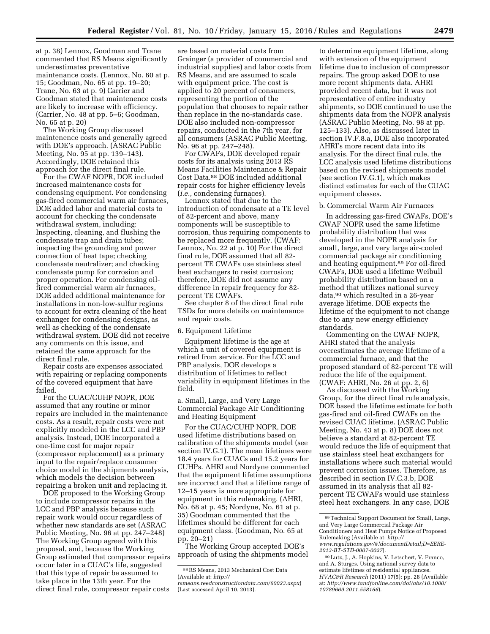at p. 38) Lennox, Goodman and Trane commented that RS Means significantly underestimates preventative maintenance costs. (Lennox, No. 60 at p. 15; Goodman, No. 65 at pp. 19–20; Trane, No. 63 at p. 9) Carrier and Goodman stated that maintenence costs are likely to increase with efficiency. (Carrier, No. 48 at pp. 5–6; Goodman, No. 65 at p. 20)

The Working Group discussed maintenence costs and generally agreed with DOE's approach. (ASRAC Public Meeting, No. 95 at pp. 139–143). Accordingly, DOE retained this approach for the direct final rule.

For the CWAF NOPR, DOE included increased maintenance costs for condensing equipment. For condensing gas-fired commercial warm air furnaces, DOE added labor and material costs to account for checking the condensate withdrawal system, including: Inspecting, cleaning, and flushing the condensate trap and drain tubes; inspecting the grounding and power connection of heat tape; checking condensate neutralizer; and checking condensate pump for corrosion and proper operation. For condensing oilfired commercial warm air furnaces, DOE added additional maintenance for installations in non-low-sulfur regions to account for extra cleaning of the heat exchanger for condensing designs, as well as checking of the condensate withdrawal system. DOE did not receive any comments on this issue, and retained the same approach for the direct final rule.

Repair costs are expenses associated with repairing or replacing components of the covered equipment that have failed.

For the CUAC/CUHP NOPR, DOE assumed that any routine or minor repairs are included in the maintenance costs. As a result, repair costs were not explicitly modeled in the LCC and PBP analysis. Instead, DOE incorporated a one-time cost for major repair (compressor replacement) as a primary input to the repair/replace consumer choice model in the shipments analysis, which models the decision between repairing a broken unit and replacing it.

DOE proposed to the Working Group to include compressor repairs in the LCC and PBP analysis because such repair work would occur regardless of whether new standards are set (ASRAC Public Meeting, No. 96 at pp. 247–248) The Working Group agreed with this proposal, and, because the Working Group estimated that compressor repairs occur later in a CUAC's life, suggested that this type of repair be assumed to take place in the 13th year. For the direct final rule, compressor repair costs

are based on material costs from Grainger (a provider of commercial and industrial supplies) and labor costs from RS Means, and are assumed to scale with equipment price. The cost is applied to 20 percent of consumers, representing the portion of the population that chooses to repair rather than replace in the no-standards case. DOE also included non-compressor repairs, conducted in the 7th year, for all consumers (ASRAC Public Meeting, No. 96 at pp. 247–248).

For CWAFs, DOE developed repair costs for its analysis using 2013 RS Means Facilities Maintenance & Repair Cost Data.88 DOE included additional repair costs for higher efficiency levels (*i.e.,* condensing furnaces).

Lennox stated that due to the introduction of condensate at a TE level of 82-percent and above, many components will be susceptible to corrosion, thus requiring components to be replaced more frequently. (CWAF: Lennox, No. 22 at p. 10) For the direct final rule, DOE assumed that all 82 percent TE CWAFs use stainless steel heat exchangers to resist corrosion; therefore, DOE did not assume any difference in repair frequency for 82 percent TE CWAFs.

See chapter 8 of the direct final rule TSDs for more details on maintenance and repair costs.

#### 6. Equipment Lifetime

Equipment lifetime is the age at which a unit of covered equipment is retired from service. For the LCC and PBP analysis, DOE develops a distribution of lifetimes to reflect variability in equipment lifetimes in the field.

a. Small, Large, and Very Large Commercial Package Air Conditioning and Heating Equipment

For the CUAC/CUHP NOPR, DOE used lifetime distributions based on calibration of the shipments model (see section IV.G.1). The mean lifetimes were 18.4 years for CUACs and 15.2 years for CUHPs. AHRI and Nordyne commented that the equipment lifetime assumptions are incorrect and that a lifetime range of 12–15 years is more appropriate for equipment in this rulemaking. (AHRI, No. 68 at p. 45; Nordyne, No. 61 at p. 35) Goodman commented that the lifetimes should be different for each equipment class. (Goodman, No. 65 at pp. 20–21)

The Working Group accepted DOE's approach of using the shipments model

to determine equipment lifetime, along with extension of the equipment lifetime due to inclusion of compressor repairs. The group asked DOE to use more recent shipments data. AHRI provided recent data, but it was not representative of entire industry shipments, so DOE continued to use the shipments data from the NOPR analysis (ASRAC Public Meeting, No. 98 at pp. 125–133). Also, as discussed later in section IV.F.8.a, DOE also incorporated AHRI's more recent data into its analysis. For the direct final rule, the LCC analysis used lifetime distributions based on the revised shipments model (see section IV.G.1), which makes distinct estimates for each of the CUAC equipment classes.

### b. Commercial Warm Air Furnaces

In addressing gas-fired CWAFs, DOE's CWAF NOPR used the same lifetime probability distribution that was developed in the NOPR analysis for small, large, and very large air-cooled commercial package air conditioning and heating equipment.89 For oil-fired CWAFs, DOE used a lifetime Weibull probability distribution based on a method that utilizes national survey data,90 which resulted in a 26-year average lifetime. DOE expects the lifetime of the equipment to not change due to any new energy efficiency standards.

Commenting on the CWAF NOPR, AHRI stated that the analysis overestimates the average lifetime of a commercial furnace, and that the proposed standard of 82-percent TE will reduce the life of the equipment. (CWAF: AHRI, No. 26 at pp. 2, 6)

As discussed with the Working Group, for the direct final rule analysis, DOE based the lifetime estimate for both gas-fired and oil-fired CWAFs on the revised CUAC lifetime. (ASRAC Public Meeting, No. 43 at p. 8) DOE does not believe a standard at 82-percent TE would reduce the life of equipment that use stainless steel heat exchangers for installations where such material would prevent corrosion issues. Therefore, as described in section IV.C.3.b, DOE assumed in its analysis that all 82 percent TE CWAFs would use stainless steel heat exchangers. In any case, DOE

<sup>88</sup>RS Means, 2013 Mechanical Cost Data (Available at: *[http://](http://rsmeans.reedconstructiondata.com/60023.aspx)*

*[rsmeans.reedconstructiondata.com/60023.aspx](http://rsmeans.reedconstructiondata.com/60023.aspx)*) (Last accessed April 10, 2013).

<sup>89</sup>Technical Support Document for Small, Large, and Very Large Commercial Package Air Conditioners and Heat Pumps Notice of Proposed Rulemaking (Available at: *[http://](http://www.regulations.gov/#!documentDetail;D=EERE-2013-BT-STD-0007-0027) [www.regulations.gov/#!documentDetail;D=EERE-](http://www.regulations.gov/#!documentDetail;D=EERE-2013-BT-STD-0007-0027)[2013-BT-STD-0007-0027](http://www.regulations.gov/#!documentDetail;D=EERE-2013-BT-STD-0007-0027)*).

<sup>90</sup>Lutz, J., A. Hopkins, V. Letschert, V. Franco, and A. Sturges. Using national survey data to estimate lifetimes of residential appliances. *HVAC&R Research* (2011) 17(5): pp. 28 (Available at: *[http://www.tandfonline.com/doi/abs/10.1080/](http://www.tandfonline.com/doi/abs/10.1080/10789669.2011.558166) [10789669.2011.558166](http://www.tandfonline.com/doi/abs/10.1080/10789669.2011.558166)*).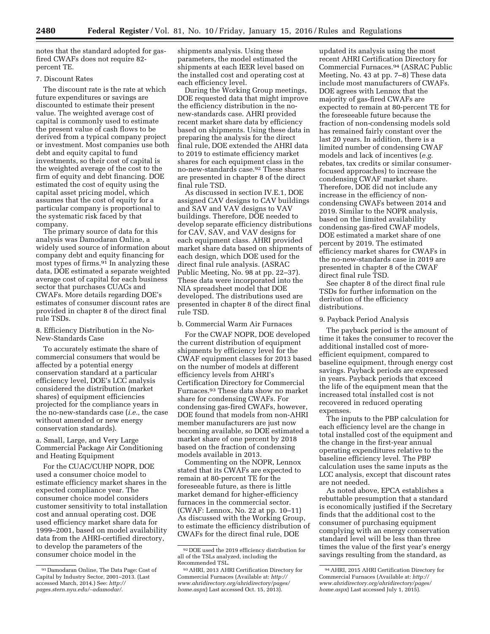notes that the standard adopted for gasfired CWAFs does not require 82 percent TE.

# 7. Discount Rates

The discount rate is the rate at which future expenditures or savings are discounted to estimate their present value. The weighted average cost of capital is commonly used to estimate the present value of cash flows to be derived from a typical company project or investment. Most companies use both debt and equity capital to fund investments, so their cost of capital is the weighted average of the cost to the firm of equity and debt financing. DOE estimated the cost of equity using the capital asset pricing model, which assumes that the cost of equity for a particular company is proportional to the systematic risk faced by that company.

The primary source of data for this analysis was Damodaran Online, a widely used source of information about company debt and equity financing for most types of firms.91 In analyzing these data, DOE estimated a separate weighted average cost of capital for each business sector that purchases CUACs and CWAFs. More details regarding DOE's estimates of consumer discount rates are provided in chapter 8 of the direct final rule TSDs.

8. Efficiency Distribution in the No-New-Standards Case

To accurately estimate the share of commercial consumers that would be affected by a potential energy conservation standard at a particular efficiency level, DOE's LCC analysis considered the distribution (market shares) of equipment efficiencies projected for the compliance years in the no-new-standards case (*i.e.,* the case without amended or new energy conservation standards).

a. Small, Large, and Very Large Commercial Package Air Conditioning and Heating Equipment

For the CUAC/CUHP NOPR, DOE used a consumer choice model to estimate efficiency market shares in the expected compliance year. The consumer choice model considers customer sensitivity to total installation cost and annual operating cost. DOE used efficiency market share data for 1999–2001, based on model availability data from the AHRI-certified directory, to develop the parameters of the consumer choice model in the

shipments analysis. Using these parameters, the model estimated the shipments at each IEER level based on the installed cost and operating cost at each efficiency level.

During the Working Group meetings, DOE requested data that might improve the efficiency distribution in the nonew-standards case. AHRI provided recent market share data by efficiency based on shipments. Using these data in preparing the analysis for the direct final rule, DOE extended the AHRI data to 2019 to estimate efficiency market shares for each equipment class in the no-new-standards case.92 These shares are presented in chapter 8 of the direct final rule TSD.

As discussed in section IV.E.1, DOE assigned CAV designs to CAV buildings and SAV and VAV designs to VAV buildings. Therefore, DOE needed to develop separate efficiency distributions for CAV, SAV, and VAV designs for each equipment class. AHRI provided market share data based on shipments of each design, which DOE used for the direct final rule analysis. (ASRAC Public Meeting, No. 98 at pp. 22–37). These data were incorporated into the NIA spreadsheet model that DOE developed. The distributions used are presented in chapter 8 of the direct final rule TSD.

b. Commercial Warm Air Furnaces

For the CWAF NOPR, DOE developed the current distribution of equipment shipments by efficiency level for the CWAF equipment classes for 2013 based on the number of models at different efficiency levels from AHRI's Certification Directory for Commercial Furnaces.93 These data show no market share for condensing CWAFs. For condensing gas-fired CWAFs, however, DOE found that models from non-AHRI member manufacturers are just now becoming available, so DOE estimated a market share of one percent by 2018 based on the fraction of condensing models available in 2013.

Commenting on the NOPR, Lennox stated that its CWAFs are expected to remain at 80-percent TE for the foreseeable future, as there is little market demand for higher-efficiency furnaces in the commercial sector. (CWAF: Lennox, No. 22 at pp. 10–11) As discussed with the Working Group, to estimate the efficiency distribution of CWAFs for the direct final rule, DOE

updated its analysis using the most recent AHRI Certification Directory for Commercial Furnaces.94 (ASRAC Public Meeting, No. 43 at pp. 7–8) These data include most manufacturers of CWAFs. DOE agrees with Lennox that the majority of gas-fired CWAFs are expected to remain at 80-percent TE for the foreseeable future because the fraction of non-condensing models sold has remained fairly constant over the last 20 years. In addition, there is a limited number of condensing CWAF models and lack of incentives (*e.g.*  rebates, tax credits or similar consumerfocused approaches) to increase the condensing CWAF market share. Therefore, DOE did not include any increase in the efficiency of noncondensing CWAFs between 2014 and 2019. Similar to the NOPR analysis, based on the limited availability condensing gas-fired CWAF models, DOE estimated a market share of one percent by 2019. The estimated efficiency market shares for CWAFs in the no-new-standards case in 2019 are presented in chapter 8 of the CWAF direct final rule TSD.

See chapter 8 of the direct final rule TSDs for further information on the derivation of the efficiency distributions.

### 9. Payback Period Analysis

The payback period is the amount of time it takes the consumer to recover the additional installed cost of moreefficient equipment, compared to baseline equipment, through energy cost savings. Payback periods are expressed in years. Payback periods that exceed the life of the equipment mean that the increased total installed cost is not recovered in reduced operating expenses.

The inputs to the PBP calculation for each efficiency level are the change in total installed cost of the equipment and the change in the first-year annual operating expenditures relative to the baseline efficiency level. The PBP calculation uses the same inputs as the LCC analysis, except that discount rates are not needed.

As noted above, EPCA establishes a rebuttable presumption that a standard is economically justified if the Secretary finds that the additional cost to the consumer of purchasing equipment complying with an energy conservation standard level will be less than three times the value of the first year's energy savings resulting from the standard, as

<sup>91</sup> Damodaran Online, The Data Page: Cost of Capital by Industry Sector, 2001–2013. (Last accessed March, 2014.) See: *[http://](http://pages.stern.nyu.edu/~adamodar/) [pages.stern.nyu.edu/](http://pages.stern.nyu.edu/~adamodar/)*∼*adamodar/*.

<sup>92</sup> DOE used the 2019 efficiency distribution for all of the TSLs analyzed, including the Recommended TSL.

<sup>93</sup>AHRI, 2013 AHRI Certification Directory for Commercial Furnaces (Available at: *[http://](http://www.ahridirectory.org/ahridirectory/pages/home.aspx) [www.ahridirectory.org/ahridirectory/pages/](http://www.ahridirectory.org/ahridirectory/pages/home.aspx)* [home.aspx](http://www.ahridirectory.org/ahridirectory/pages/home.aspx)) Last accessed Oct. 15, 2013).

<sup>94</sup>AHRI, 2015 AHRI Certification Directory for Commercial Furnaces (Available at: *[http://](http://www.ahridirectory.org/ahridirectory/pages/home.aspx) [www.ahridirectory.org/ahridirectory/pages/](http://www.ahridirectory.org/ahridirectory/pages/home.aspx) [home.aspx](http://www.ahridirectory.org/ahridirectory/pages/home.aspx)*) Last accessed July 1, 2015).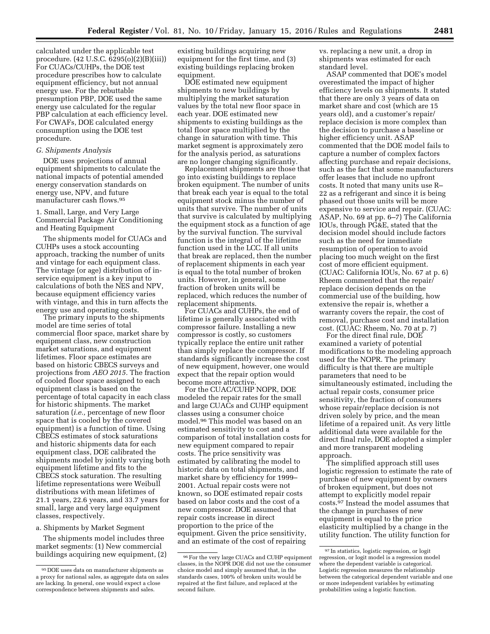calculated under the applicable test procedure. (42 U.S.C. 6295(o)(2)(B)(iii)) For CUACs/CUHPs, the DOE test procedure prescribes how to calculate equipment efficiency, but not annual energy use. For the rebuttable presumption PBP, DOE used the same energy use calculated for the regular PBP calculation at each efficiency level. For CWAFs, DOE calculated energy consumption using the DOE test procedure.

### *G. Shipments Analysis*

DOE uses projections of annual equipment shipments to calculate the national impacts of potential amended energy conservation standards on energy use, NPV, and future manufacturer cash flows.95

1. Small, Large, and Very Large Commercial Package Air Conditioning and Heating Equipment

The shipments model for CUACs and CUHPs uses a stock accounting approach, tracking the number of units and vintage for each equipment class. The vintage (or age) distribution of inservice equipment is a key input to calculations of both the NES and NPV, because equipment efficiency varies with vintage, and this in turn affects the energy use and operating costs.

The primary inputs to the shipments model are time series of total commercial floor space, market share by equipment class, new construction market saturations, and equipment lifetimes. Floor space estimates are based on historic CBECS surveys and projections from *AEO 2015.* The fraction of cooled floor space assigned to each equipment class is based on the percentage of total capacity in each class for historic shipments. The market saturation (*i.e.,* percentage of new floor space that is cooled by the covered equipment) is a function of time. Using CBECS estimates of stock saturations and historic shipments data for each equipment class, DOE calibrated the shipments model by jointly varying both equipment lifetime and fits to the CBECS stock saturation. The resulting lifetime representations were Weibull distributions with mean lifetimes of 21.1 years, 22.6 years, and 33.7 years for small, large and very large equipment classes, respectively.

### a. Shipments by Market Segment

The shipments model includes three market segments: (1) New commercial buildings acquiring new equipment, (2) existing buildings acquiring new equipment for the first time, and (3) existing buildings replacing broken equipment.

DOE estimated new equipment shipments to new buildings by multiplying the market saturation values by the total new floor space in each year. DOE estimated new shipments to existing buildings as the total floor space multiplied by the change in saturation with time. This market segment is approximately zero for the analysis period, as saturations are no longer changing significantly.

Replacement shipments are those that go into existing buildings to replace broken equipment. The number of units that break each year is equal to the total equipment stock minus the number of units that survive. The number of units that survive is calculated by multiplying the equipment stock as a function of age by the survival function. The survival function is the integral of the lifetime function used in the LCC. If all units that break are replaced, then the number of replacement shipments in each year is equal to the total number of broken units. However, in general, some fraction of broken units will be replaced, which reduces the number of replacement shipments.

For CUACs and CUHPs, the end of lifetime is generally associated with compressor failure. Installing a new compressor is costly, so customers typically replace the entire unit rather than simply replace the compressor. If standards significantly increase the cost of new equipment, however, one would expect that the repair option would become more attractive.

For the CUAC/CUHP NOPR, DOE modeled the repair rates for the small and large CUACs and CUHP equipment classes using a consumer choice model.96 This model was based on an estimated sensitivity to cost and a comparison of total installation costs for new equipment compared to repair costs. The price sensitivity was estimated by calibrating the model to historic data on total shipments, and market share by efficiency for 1999– 2001. Actual repair costs were not known, so DOE estimated repair costs based on labor costs and the cost of a new compressor. DOE assumed that repair costs increase in direct proportion to the price of the equipment. Given the price sensitivity, and an estimate of the cost of repairing

vs. replacing a new unit, a drop in shipments was estimated for each standard level.

ASAP commented that DOE's model overestimated the impact of higher efficiency levels on shipments. It stated that there are only 3 years of data on market share and cost (which are 15 years old), and a customer's repair/ replace decision is more complex than the decision to purchase a baseline or higher efficiency unit. ASAP commented that the DOE model fails to capture a number of complex factors affecting purchase and repair decisions, such as the fact that some manufacturers offer leases that include no upfront costs. It noted that many units use R– 22 as a refrigerant and since it is being phased out those units will be more expensive to service and repair. (CUAC: ASAP, No. 69 at pp. 6–7) The California IOUs, through PG&E, stated that the decision model should include factors such as the need for immediate resumption of operation to avoid placing too much weight on the first cost of more efficient equipment. (CUAC: California IOUs, No. 67 at p. 6) Rheem commented that the repair/ replace decision depends on the commercial use of the building, how extensive the repair is, whether a warranty covers the repair, the cost of removal, purchase cost and installation cost. (CUAC: Rheem, No. 70 at p. 7)

For the direct final rule, DOE examined a variety of potential modifications to the modeling approach used for the NOPR. The primary difficulty is that there are multiple parameters that need to be simultaneously estimated, including the actual repair costs, consumer price sensitivity, the fraction of consumers whose repair/replace decision is not driven solely by price, and the mean lifetime of a repaired unit. As very little additional data were available for the direct final rule, DOE adopted a simpler and more transparent modeling approach.

The simplified approach still uses logistic regression to estimate the rate of purchase of new equipment by owners of broken equipment, but does not attempt to explicitly model repair costs.97 Instead the model assumes that the change in purchases of new equipment is equal to the price elasticity multiplied by a change in the utility function. The utility function for

<sup>95</sup> DOE uses data on manufacturer shipments as a proxy for national sales, as aggregate data on sales are lacking. In general, one would expect a close correspondence between shipments and sales.

<sup>96</sup>For the very large CUACs and CUHP equipment classes, in the NOPR DOE did not use the consumer choice model and simply assumed that, in the standards cases, 100% of broken units would be repaired at the first failure, and replaced at the second failure.

<sup>97</sup> In statistics, logistic regression, or logit regression, or logit model is a regression model where the dependent variable is categorical. Logistic regression measures the relationship between the categorical dependent variable and one or more independent variables by estimating probabilities using a logistic function.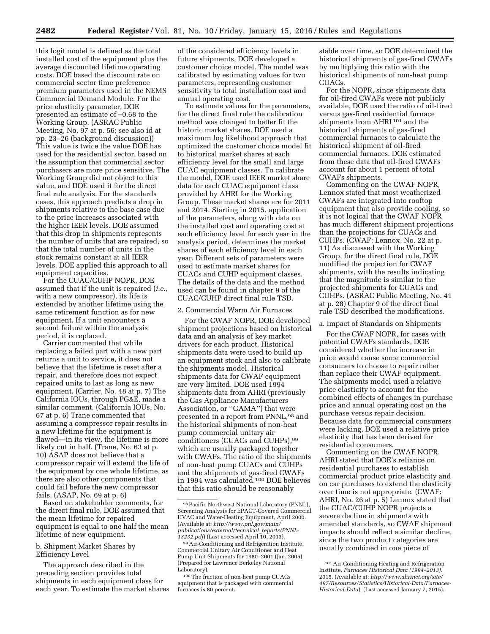this logit model is defined as the total installed cost of the equipment plus the average discounted lifetime operating costs. DOE based the discount rate on commercial sector time preference premium parameters used in the NEMS Commercial Demand Module. For the price elasticity parameter, DOE presented an estimate of –0.68 to the Working Group. (ASRAC Public Meeting, No. 97 at p. 56; see also id at pp. 23–26 (background discussion)) This value is twice the value DOE has used for the residential sector, based on the assumption that commercial sector purchasers are more price sensitive. The Working Group did not object to this value, and DOE used it for the direct final rule analysis. For the standards cases, this approach predicts a drop in shipments relative to the base case due to the price increases associated with the higher IEER levels. DOE assumed that this drop in shipments represents the number of units that are repaired, so that the total number of units in the stock remains constant at all IEER levels. DOE applied this approach to all equipment capacities.

For the CUAC/CUHP NOPR, DOE assumed that if the unit is repaired (*i.e.,*  with a new compressor), its life is extended by another lifetime using the same retirement function as for new equipment. If a unit encounters a second failure within the analysis period, it is replaced.

Carrier commented that while replacing a failed part with a new part returns a unit to service, it does not believe that the lifetime is reset after a repair, and therefore does not expect repaired units to last as long as new equipment. (Carrier, No. 48 at p. 7) The California IOUs, through PG&E, made a similar comment. (California IOUs, No. 67 at p. 6) Trane commented that assuming a compressor repair results in a new lifetime for the equipment is flawed—in its view, the lifetime is more likely cut in half. (Trane, No. 63 at p. 10) ASAP does not believe that a compressor repair will extend the life of the equipment by one whole lifetime, as there are also other components that could fail before the new compressor fails. (ASAP, No. 69 at p. 6)

Based on stakeholder comments, for the direct final rule, DOE assumed that the mean lifetime for repaired equipment is equal to one half the mean lifetime of new equipment.

b. Shipment Market Shares by Efficiency Level

The approach described in the preceding section provides total shipments in each equipment class for each year. To estimate the market shares of the considered efficiency levels in future shipments, DOE developed a customer choice model. The model was calibrated by estimating values for two parameters, representing customer sensitivity to total installation cost and annual operating cost.

To estimate values for the parameters, for the direct final rule the calibration method was changed to better fit the historic market shares. DOE used a maximum log likelihood approach that optimized the customer choice model fit to historical market shares at each efficiency level for the small and large CUAC equipment classes. To calibrate the model, DOE used IEER market share data for each CUAC equipment class provided by AHRI for the Working Group. These market shares are for 2011 and 2014. Starting in 2015, application of the parameters, along with data on the installed cost and operating cost at each efficiency level for each year in the analysis period, determines the market shares of each efficiency level in each year. Different sets of parameters were used to estimate market shares for CUACs and CUHP equipment classes. The details of the data and the method used can be found in chapter 9 of the CUAC/CUHP direct final rule TSD.

2. Commercial Warm Air Furnaces

For the CWAF NOPR, DOE developed shipment projections based on historical data and an analysis of key market drivers for each product. Historical shipments data were used to build up an equipment stock and also to calibrate the shipments model. Historical shipments data for CWAF equipment are very limited. DOE used 1994 shipments data from AHRI (previously the Gas Appliance Manufacturers Association, or ''GAMA'') that were presented in a report from PNNL,98 and the historical shipments of non-heat pump commercial unitary air conditioners (CUACs and CUHPs),99 which are usually packaged together with CWAFs. The ratio of the shipments of non-heat pump CUACs and CUHPs and the shipments of gas-fired CWAFs in 1994 was calculated.100 DOE believes that this ratio should be reasonably

stable over time, so DOE determined the historical shipments of gas-fired CWAFs by multiplying this ratio with the historical shipments of non-heat pump CU<sub>ACs</sub>.

For the NOPR, since shipments data for oil-fired CWAFs were not publicly available, DOE used the ratio of oil-fired versus gas-fired residential furnace shipments from AHRI 101 and the historical shipments of gas-fired commercial furnaces to calculate the historical shipment of oil-fired commercial furnaces. DOE estimated from these data that oil-fired CWAFs account for about 1 percent of total CWAFs shipments.

Commenting on the CWAF NOPR, Lennox stated that most weatherized CWAFs are integrated into rooftop equipment that also provide cooling, so it is not logical that the CWAF NOPR has much different shipment projections than the projections for CUACs and CUHPs. (CWAF: Lennox, No. 22 at p. 11) As discussed with the Working Group, for the direct final rule, DOE modified the projection for CWAF shipments, with the results indicating that the magnitude is similar to the projected shipments for CUACs and CUHPs. (ASRAC Public Meeting, No. 41 at p. 28) Chapter 9 of the direct final rule TSD described the modifications.

a. Impact of Standards on Shipments

For the CWAF NOPR, for cases with potential CWAFs standards, DOE considered whether the increase in price would cause some commercial consumers to choose to repair rather than replace their CWAF equipment. The shipments model used a relative price elasticity to account for the combined effects of changes in purchase price and annual operating cost on the purchase versus repair decision. Because data for commercial consumers were lacking, DOE used a relative price elasticity that has been derived for residential consumers.

Commenting on the CWAF NOPR, AHRI stated that DOE's reliance on residential purchases to establish commercial product price elasticity and on car purchases to extend the elasticity over time is not appropriate. (CWAF: AHRI, No. 26 at p. 5) Lennox stated that the CUAC/CUHP NOPR projects a severe decline in shipments with amended standards, so CWAF shipment impacts should reflect a similar decline, since the two product categories are usually combined in one piece of

<sup>98</sup>Pacific Northwest National Laboratory (PNNL), Screening Analysis for EPACT-Covered Commercial HVAC and Water-Heating Equipment, April 2000. (Available at: *[http://www.pnl.gov/main/](http://www.pnl.gov/main/publications/external/technical_reports/PNNL-13232.pdf) [publications/external/technical](http://www.pnl.gov/main/publications/external/technical_reports/PNNL-13232.pdf)*\_*reports/PNNL-[13232.pdf](http://www.pnl.gov/main/publications/external/technical_reports/PNNL-13232.pdf)*) (Last accessed April 10, 2013).

<sup>99</sup>Air-Conditioning and Refrigeration Institute, Commercial Unitary Air Conditioner and Heat Pump Unit Shipments for 1980–2001 (Jan. 2005) (Prepared for Lawrence Berkeley National Laboratory).

<sup>100</sup>The fraction of non-heat pump CUACs equipment that is packaged with commercial furnaces is 80 percent.

<sup>101</sup>Air-Conditioning Heating and Refrigeration Institute, *Furnaces Historical Data (1994–2013).*  2015. (Available at: *[http://www.ahrinet.org/site/](http://www.ahrinet.org/site/497/Resources/Statistics/Historical-Data/Furnaces-Historical-Data) [497/Resources/Statistics/Historical-Data/Furnaces-](http://www.ahrinet.org/site/497/Resources/Statistics/Historical-Data/Furnaces-Historical-Data)[Historical-Data](http://www.ahrinet.org/site/497/Resources/Statistics/Historical-Data/Furnaces-Historical-Data)*). (Last accessed January 7, 2015).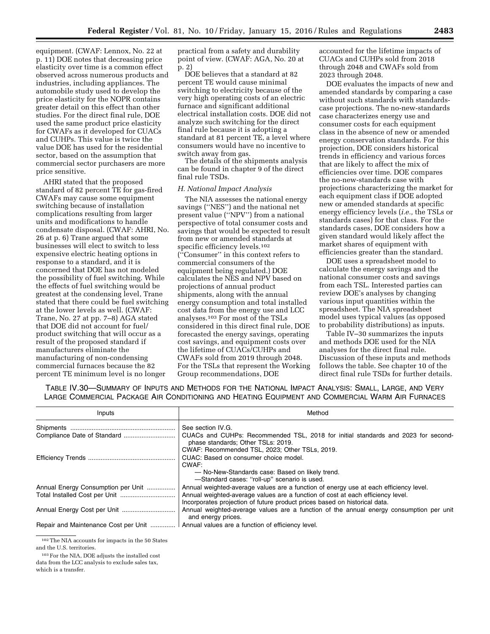equipment. (CWAF: Lennox, No. 22 at p. 11) DOE notes that decreasing price elasticity over time is a common effect observed across numerous products and industries, including appliances. The automobile study used to develop the price elasticity for the NOPR contains greater detail on this effect than other studies. For the direct final rule, DOE used the same product price elasticity for CWAFs as it developed for CUACs and CUHPs. This value is twice the value DOE has used for the residential sector, based on the assumption that commercial sector purchasers are more price sensitive.

AHRI stated that the proposed standard of 82 percent TE for gas-fired CWAFs may cause some equipment switching because of installation complications resulting from larger units and modifications to handle condensate disposal. (CWAF: AHRI, No. 26 at p. 6) Trane argued that some businesses will elect to switch to less expensive electric heating options in response to a standard, and it is concerned that DOE has not modeled the possibility of fuel switching. While the effects of fuel switching would be greatest at the condensing level, Trane stated that there could be fuel switching at the lower levels as well. (CWAF: Trane, No. 27 at pp. 7–8) AGA stated that DOE did not account for fuel/ product switching that will occur as a result of the proposed standard if manufacturers eliminate the manufacturing of non-condensing commercial furnaces because the 82 percent TE minimum level is no longer

practical from a safety and durability point of view. (CWAF: AGA, No. 20 at p. 2)

DOE believes that a standard at 82 percent TE would cause minimal switching to electricity because of the very high operating costs of an electric furnace and significant additional electrical installation costs. DOE did not analyze such switching for the direct final rule because it is adopting a standard at 81 percent TE, a level where consumers would have no incentive to switch away from gas.

The details of the shipments analysis can be found in chapter 9 of the direct final rule TSDs.

### *H. National Impact Analysis*

The NIA assesses the national energy savings (''NES'') and the national net present value (''NPV'') from a national perspective of total consumer costs and savings that would be expected to result from new or amended standards at specific efficiency levels.102 (''Consumer'' in this context refers to commercial consumers of the equipment being regulated.) DOE calculates the NES and NPV based on projections of annual product shipments, along with the annual energy consumption and total installed cost data from the energy use and LCC analyses.103 For most of the TSLs considered in this direct final rule, DOE forecasted the energy savings, operating cost savings, and equipment costs over the lifetime of CUACs/CUHPs and CWAFs sold from 2019 through 2048. For the TSLs that represent the Working Group recommendations, DOE

accounted for the lifetime impacts of CUACs and CUHPs sold from 2018 through 2048 and CWAFs sold from 2023 through 2048.

DOE evaluates the impacts of new and amended standards by comparing a case without such standards with standardscase projections. The no-new-standards case characterizes energy use and consumer costs for each equipment class in the absence of new or amended energy conservation standards. For this projection, DOE considers historical trends in efficiency and various forces that are likely to affect the mix of efficiencies over time. DOE compares the no-new-standards case with projections characterizing the market for each equipment class if DOE adopted new or amended standards at specific energy efficiency levels (*i.e.,* the TSLs or standards cases) for that class. For the standards cases, DOE considers how a given standard would likely affect the market shares of equipment with efficiencies greater than the standard.

DOE uses a spreadsheet model to calculate the energy savings and the national consumer costs and savings from each TSL. Interested parties can review DOE's analyses by changing various input quantities within the spreadsheet. The NIA spreadsheet model uses typical values (as opposed to probability distributions) as inputs.

Table IV–30 summarizes the inputs and methods DOE used for the NIA analyses for the direct final rule. Discussion of these inputs and methods follows the table. See chapter 10 of the direct final rule TSDs for further details.

TABLE IV.30—SUMMARY OF INPUTS AND METHODS FOR THE NATIONAL IMPACT ANALYSIS: SMALL, LARGE, AND VERY LARGE COMMERCIAL PACKAGE AIR CONDITIONING AND HEATING EQUIPMENT AND COMMERCIAL WARM AIR FURNACES

| Inputs                                                                                    | Method                                                                                                                  |
|-------------------------------------------------------------------------------------------|-------------------------------------------------------------------------------------------------------------------------|
|                                                                                           | See section IV.G.                                                                                                       |
| Compliance Date of Standard                                                               | CUACs and CUHPs: Recommended TSL, 2018 for initial standards and 2023 for second-<br>phase standards; Other TSLs: 2019. |
|                                                                                           | CWAF: Recommended TSL, 2023; Other TSLs, 2019.                                                                          |
|                                                                                           | CUAC: Based on consumer choice model.                                                                                   |
|                                                                                           | CWAF:                                                                                                                   |
|                                                                                           | - No-New-Standards case: Based on likely trend.                                                                         |
|                                                                                           | -Standard cases: "roll-up" scenario is used.                                                                            |
| Annual Energy Consumption per Unit                                                        | Annual weighted-average values are a function of energy use at each efficiency level.                                   |
|                                                                                           | Annual weighted-average values are a function of cost at each efficiency level.                                         |
|                                                                                           | Incorporates projection of future product prices based on historical data.                                              |
|                                                                                           | Annual weighted-average values are a function of the annual energy consumption per unit<br>and energy prices.           |
| Repair and Maintenance Cost per Unit    Annual values are a function of efficiency level. |                                                                                                                         |
| <sup>102</sup> The NIA accounts for impacts in the 50 States                              |                                                                                                                         |

and the U.S. territories.

<sup>103</sup>For the NIA, DOE adjusts the installed cost data from the LCC analysis to exclude sales tax, which is a transfer.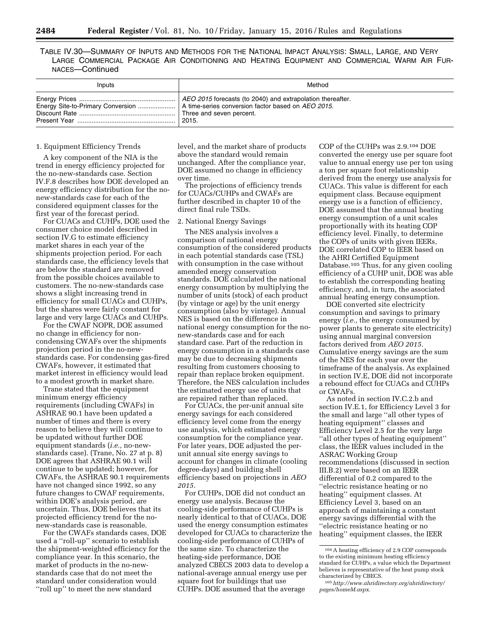TABLE IV.30—SUMMARY OF INPUTS AND METHODS FOR THE NATIONAL IMPACT ANALYSIS: SMALL, LARGE, AND VERY LARGE COMMERCIAL PACKAGE AIR CONDITIONING AND HEATING EQUIPMENT AND COMMERCIAL WARM AIR FUR-NACES—Continued

| Inputs | Method                                                                                                                       |
|--------|------------------------------------------------------------------------------------------------------------------------------|
|        | Energy Site-to-Primary Conversion    A time-series conversion factor based on AEO 2015.<br>Three and seven percent.<br>2015. |

### 1. Equipment Efficiency Trends

A key component of the NIA is the trend in energy efficiency projected for the no-new-standards case. Section IV.F.8 describes how DOE developed an energy efficiency distribution for the nonew-standards case for each of the considered equipment classes for the first year of the forecast period.

For CUACs and CUHPs, DOE used the consumer choice model described in section IV.G to estimate efficiency market shares in each year of the shipments projection period. For each standards case, the efficiency levels that are below the standard are removed from the possible choices available to customers. The no-new-standards case shows a slight increasing trend in efficiency for small CUACs and CUHPs, but the shares were fairly constant for large and very large CUACs and CUHPs.

For the CWAF NOPR, DOE assumed no change in efficiency for noncondensing CWAFs over the shipments projection period in the no-newstandards case. For condensing gas-fired CWAFs, however, it estimated that market interest in efficiency would lead to a modest growth in market share.

Trane stated that the equipment minimum energy efficiency requirements (including CWAFs) in ASHRAE 90.1 have been updated a number of times and there is every reason to believe they will continue to be updated without further DOE equipment standards (*i.e.,* no-newstandards case). (Trane, No. 27 at p. 8) DOE agrees that ASHRAE 90.1 will continue to be updated; however, for CWAFs, the ASHRAE 90.1 requirements have not changed since 1992, so any future changes to CWAF requirements, within DOE's analysis period, are uncertain. Thus, DOE believes that its projected efficiency trend for the nonew-standards case is reasonable.

For the CWAFs standards cases, DOE used a ''roll-up'' scenario to establish the shipment-weighted efficiency for the compliance year. In this scenario, the market of products in the no-newstandards case that do not meet the standard under consideration would ''roll up'' to meet the new standard

level, and the market share of products above the standard would remain unchanged. After the compliance year, DOE assumed no change in efficiency over time.

The projections of efficiency trends for CUACs/CUHPs and CWAFs are further described in chapter 10 of the direct final rule TSDs.

#### 2. National Energy Savings

The NES analysis involves a comparison of national energy consumption of the considered products in each potential standards case (TSL) with consumption in the case without amended energy conservation standards. DOE calculated the national energy consumption by multiplying the number of units (stock) of each product (by vintage or age) by the unit energy consumption (also by vintage). Annual NES is based on the difference in national energy consumption for the nonew-standards case and for each standard case. Part of the reduction in energy consumption in a standards case may be due to decreasing shipments resulting from customers choosing to repair than replace broken equipment. Therefore, the NES calculation includes the estimated energy use of units that are repaired rather than replaced.

For CUACs, the per-unit annual site energy savings for each considered efficiency level come from the energy use analysis, which estimated energy consumption for the compliance year. For later years, DOE adjusted the perunit annual site energy savings to account for changes in climate (cooling degree-days) and building shell efficiency based on projections in *AEO 2015.* 

For CUHPs, DOE did not conduct an energy use analysis. Because the cooling-side performance of CUHPs is nearly identical to that of CUACs, DOE used the energy consumption estimates developed for CUACs to characterize the cooling-side performance of CUHPs of the same size. To characterize the heating-side performance, DOE analyzed CBECS 2003 data to develop a national-average annual energy use per square foot for buildings that use CUHPs. DOE assumed that the average

COP of the CUHPs was 2.9.104 DOE converted the energy use per square foot value to annual energy use per ton using a ton per square foot relationship derived from the energy use analysis for CUACs. This value is different for each equipment class. Because equipment energy use is a function of efficiency, DOE assumed that the annual heating energy consumption of a unit scales proportionally with its heating COP efficiency level. Finally, to determine the COPs of units with given IEERs, DOE correlated COP to IEER based on the AHRI Certified Equipment Database.105 Thus, for any given cooling efficiency of a CUHP unit, DOE was able to establish the corresponding heating efficiency, and, in turn, the associated annual heating energy consumption.

DOE converted site electricity consumption and savings to primary energy (*i.e.,* the energy consumed by power plants to generate site electricity) using annual marginal conversion factors derived from *AEO 2015.*  Cumulative energy savings are the sum of the NES for each year over the timeframe of the analysis. As explained in section IV.E, DOE did not incorporate a rebound effect for CUACs and CUHPs or CWAFs.

As noted in section IV.C.2.b and section IV.E.1, for Efficiency Level 3 for the small and large ''all other types of heating equipment'' classes and Efficiency Level 2.5 for the very large ''all other types of heating equipment'' class, the IEER values included in the ASRAC Working Group recommendations (discussed in section III.B.2) were based on an IEER differential of 0.2 compared to the ''electric resistance heating or no heating'' equipment classes. At Efficiency Level 3, based on an approach of maintaining a constant energy savings differential with the ''electric resistance heating or no heating'' equipment classes, the IEER

<sup>104</sup>A heating efficiency of 2.9 COP corresponds to the existing minimum heating efficiency standard for CUHPs, a value which the Department believes is representative of the heat pump stock characterized by CBECS.

<sup>105</sup>*[http://www.ahridirectory.org/ahridirectory/](http://www.ahridirectory.org/ahridirectory/pages/homeM.aspx) [pages/homeM.aspx](http://www.ahridirectory.org/ahridirectory/pages/homeM.aspx)*.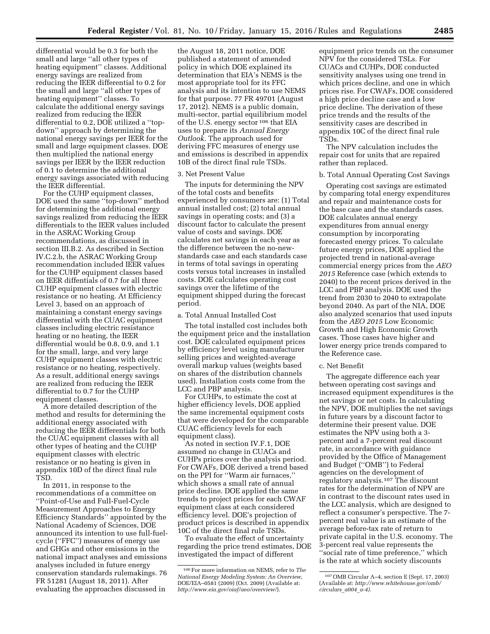differential would be 0.3 for both the small and large ''all other types of heating equipment'' classes. Additional energy savings are realized from reducing the IEER differential to 0.2 for the small and large ''all other types of heating equipment'' classes. To calculate the additional energy savings realized from reducing the IEER differential to 0.2, DOE utilized a ''topdown'' approach by determining the national energy savings per IEER for the small and large equipment classes. DOE then multiplied the national energy savings per IEER by the IEER reduction of 0.1 to determine the additional energy savings associated with reducing the IEER differential.

For the CUHP equipment classes, DOE used the same ''top-down'' method for determining the additional energy savings realized from reducing the IEER differentials to the IEER values included in the ASRAC Working Group recommendations, as discussed in section III.B.2. As described in Section IV.C.2.b, the ASRAC Working Group recommendation included IEER values for the CUHP equipment classes based on IEER diffentials of 0.7 for all three CUHP equipment classes with electric resistance or no heating. At Efficiency Level 3, based on an approach of maintaining a constant energy savings differential with the CUAC equipment classes including electric resistance heating or no heating, the IEER differential would be 0.8, 0.9, and 1.1 for the small, large, and very large CUHP equipment classes with electric resistance or no heating, respectively. As a result, additional energy savings are realized from reducing the IEER differential to 0.7 for the CUHP equipment classes.

A more detailed description of the method and results for determining the additional energy associated with reducing the IEER differentials for both the CUAC equipment classes with all other types of heating and the CUHP equipment classes with electric resistance or no heating is given in appendix 10D of the direct final rule TSD.

In 2011, in response to the recommendations of a committee on ''Point-of-Use and Full-Fuel-Cycle Measurement Approaches to Energy Efficiency Standards'' appointed by the National Academy of Sciences, DOE announced its intention to use full-fuelcycle (''FFC'') measures of energy use and GHGs and other emissions in the national impact analyses and emissions analyses included in future energy conservation standards rulemakings. 76 FR 51281 (August 18, 2011). After evaluating the approaches discussed in

the August 18, 2011 notice, DOE published a statement of amended policy in which DOE explained its determination that EIA's NEMS is the most appropriate tool for its FFC analysis and its intention to use NEMS for that purpose. 77 FR 49701 (August 17, 2012). NEMS is a public domain, multi-sector, partial equilibrium model of the U.S. energy sector 106 that EIA uses to prepare its *Annual Energy Outlook.* The approach used for deriving FFC measures of energy use and emissions is described in appendix 10B of the direct final rule TSDs.

### 3. Net Present Value

The inputs for determining the NPV of the total costs and benefits experienced by consumers are: (1) Total annual installed cost; (2) total annual savings in operating costs; and (3) a discount factor to calculate the present value of costs and savings. DOE calculates net savings in each year as the difference between the no-newstandards case and each standards case in terms of total savings in operating costs versus total increases in installed costs. DOE calculates operating cost savings over the lifetime of the equipment shipped during the forecast period.

a. Total Annual Installed Cost

The total installed cost includes both the equipment price and the installation cost. DOE calculated equipment prices by efficiency level using manufacturer selling prices and weighted-average overall markup values (weights based on shares of the distribution channels used). Installation costs come from the LCC and PBP analysis.

For CUHPs, to estimate the cost at higher efficiency levels, DOE applied the same incremental equipment costs that were developed for the comparable CUAC efficiency levels for each equipment class).

As noted in section IV.F.1, DOE assumed no change in CUACs and CUHPs prices over the analysis period. For CWAFs, DOE derived a trend based on the PPI for ''Warm air furnaces,'' which shows a small rate of annual price decline. DOE applied the same trends to project prices for each CWAF equipment class at each considered efficiency level. DOE's projection of product prices is described in appendix 10C of the direct final rule TSDs.

To evaluate the effect of uncertainty regarding the price trend estimates, DOE investigated the impact of different

equipment price trends on the consumer NPV for the considered TSLs. For CUACs and CUHPs, DOE conducted sensitivity analyses using one trend in which prices decline, and one in which prices rise. For CWAFs, DOE considered a high price decline case and a low price decline. The derivation of these price trends and the results of the sensitivity cases are described in appendix 10C of the direct final rule TSDs.

The NPV calculation includes the repair cost for units that are repaired rather than replaced.

### b. Total Annual Operating Cost Savings

Operating cost savings are estimated by comparing total energy expenditures and repair and maintenance costs for the base case and the standards cases. DOE calculates annual energy expenditures from annual energy consumption by incorporating forecasted energy prices. To calculate future energy prices, DOE applied the projected trend in national-average commercial energy prices from the *AEO 2015* Reference case (which extends to 2040) to the recent prices derived in the LCC and PBP analysis. DOE used the trend from 2030 to 2040 to extrapolate beyond 2040. As part of the NIA, DOE also analyzed scenarios that used inputs from the *AEO 2015* Low Economic Growth and High Economic Growth cases. Those cases have higher and lower energy price trends compared to the Reference case.

### c. Net Benefit

The aggregate difference each year between operating cost savings and increased equipment expenditures is the net savings or net costs. In calculating the NPV, DOE multiplies the net savings in future years by a discount factor to determine their present value. DOE estimates the NPV using both a 3 percent and a 7-percent real discount rate, in accordance with guidance provided by the Office of Management and Budget (''OMB'') to Federal agencies on the development of regulatory analysis.107 The discount rates for the determination of NPV are in contrast to the discount rates used in the LCC analysis, which are designed to reflect a consumer's perspective. The 7 percent real value is an estimate of the average before-tax rate of return to private capital in the U.S. economy. The 3-percent real value represents the ''social rate of time preference,'' which is the rate at which society discounts

<sup>106</sup>For more information on NEMS, refer to *The National Energy Modeling System: An Overview,*  DOE/EIA–0581 (2009) (Oct. 2009) (Available at: *<http://www.eia.gov/oiaf/aeo/overview/>*).

<sup>107</sup>OMB Circular A–4, section E (Sept. 17, 2003) (Available at: *[http://www.whitehouse.gov/omb/](http://www.whitehouse.gov/omb/circulars_a004_a-4) [circulars](http://www.whitehouse.gov/omb/circulars_a004_a-4)*\_*a004*\_*a-4).*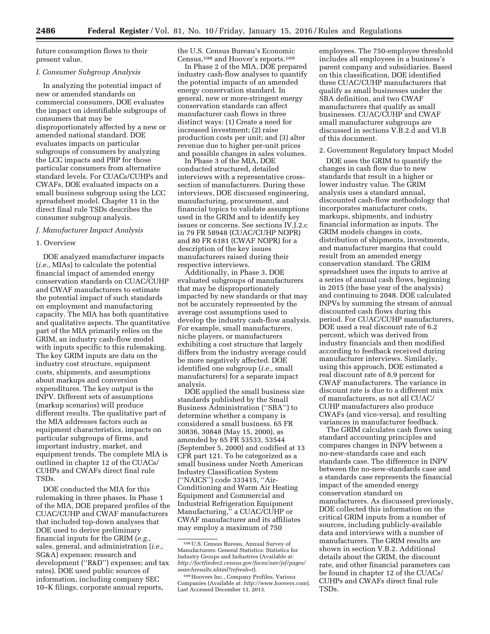future consumption flows to their present value.

### *I. Consumer Subgroup Analysis*

In analyzing the potential impact of new or amended standards on commercial consumers, DOE evaluates the impact on identifiable subgroups of consumers that may be disproportionately affected by a new or amended national standard. DOE evaluates impacts on particular subgroups of consumers by analyzing the LCC impacts and PBP for those particular consumers from alternative standard levels. For CUACs/CUHPs and CWAFs, DOE evaluated impacts on a small business subgroup using the LCC spreadsheet model. Chapter 11 in the direct final rule TSDs describes the consumer subgroup analysis.

### *J. Manufacturer Impact Analysis*

### 1. Overview

DOE analyzed manufacturer impacts (*i.e.,* MIAs) to calculate the potential financial impact of amended energy conservation standards on CUAC/CUHP and CWAF manufacturers to estimate the potential impact of such standards on employment and manufacturing capacity. The MIA has both quantitative and qualitative aspects. The quantitative part of the MIA primarily relies on the GRIM, an industry cash-flow model with inputs specific to this rulemaking. The key GRIM inputs are data on the industry cost structure, equipment costs, shipments, and assumptions about markups and conversion expenditures. The key output is the INPV. Different sets of assumptions (markup scenarios) will produce different results. The qualitative part of the MIA addresses factors such as equipment characteristics, impacts on particular subgroups of firms, and important industry, market, and equipment trends. The complete MIA is outlined in chapter 12 of the CUACs/ CUHPs and CWAFs direct final rule TSDs.

DOE conducted the MIA for this rulemaking in three phases. In Phase 1 of the MIA, DOE prepared profiles of the CUAC/CUHP and CWAF manufacturers that included top-down analyses that DOE used to derive preliminary financial inputs for the GRIM (*e.g.,*  sales, general, and administration (*i.e.,*  SG&A) expenses; research and development (''R&D'') expenses; and tax rates). DOE used public sources of information, including company SEC 10–K filings, corporate annual reports,

the U.S. Census Bureau's Economic Census,108 and Hoover's reports.109

In Phase 2 of the MIA, DOE prepared industry cash-flow analyses to quantify the potential impacts of an amended energy conservation standard. In general, new or more-stringent energy conservation standards can affect manufacturer cash flows in three distinct ways: (1) Create a need for increased investment; (2) raise production costs per unit; and (3) alter revenue due to higher per-unit prices and possible changes in sales volumes.

In Phase 3 of the MIA, DOE conducted structured, detailed interviews with a representative crosssection of manufacturers. During these interviews, DOE discussed engineering, manufacturing, procurement, and financial topics to validate assumptions used in the GRIM and to identify key issues or concerns. See sections IV.J.2.c in 79 FR 58948 (CUAC/CUHP NOPR) and 80 FR 6181 (CWAF NOPR) for a description of the key issues manufacturers raised during their respective interviews.

Additionally, in Phase 3, DOE evaluated subgroups of manufacturers that may be disproportionately impacted by new standards or that may not be accurately represented by the average cost assumptions used to develop the industry cash-flow analysis. For example, small manufacturers, niche players, or manufacturers exhibiting a cost structure that largely differs from the industry average could be more negatively affected. DOE identified one subgroup (*i.e.,* small manufacturers) for a separate impact analysis.

DOE applied the small business size standards published by the Small Business Administration (''SBA'') to determine whether a company is considered a small business. 65 FR 30836, 30848 (May 15, 2000), as amended by 65 FR 53533, 53544 (September 5, 2000) and codified at 13 CFR part 121. To be categorized as a small business under North American Industry Classification System (''NAICS'') code 333415, ''Air-Conditioning and Warm Air Heating Equipment and Commercial and Industrial Refrigeration Equipment Manufacturing,'' a CUAC/CUHP or CWAF manufacturer and its affiliates may employ a maximum of 750

employees. The 750-employee threshold includes all employees in a business's parent company and subsidiaries. Based on this classification, DOE identified three CUAC/CUHP manufacturers that qualify as small businesses under the SBA definition, and two CWAF manufacturers that qualify as small businesses. CUAC/CUHP and CWAF small manufacturer subgroups are discussed in sections V.B.2.d and VI.B of this document.

### 2. Government Regulatory Impact Model

DOE uses the GRIM to quantify the changes in cash flow due to new standards that result in a higher or lower industry value. The GRIM analysis uses a standard annual, discounted cash-flow methodology that incorporates manufacturer costs, markups, shipments, and industry financial information as inputs. The GRIM models changes in costs, distribution of shipments, investments, and manufacturer margins that could result from an amended energy conservation standard. The GRIM spreadsheet uses the inputs to arrive at a series of annual cash flows, beginning in 2015 (the base year of the analysis) and continuing to 2048. DOE calculated INPVs by summing the stream of annual discounted cash flows during this period. For CUAC/CUHP manufacturers, DOE used a real discount rate of 6.2 percent, which was derived from industry financials and then modified according to feedback received during manufacturer interviews. Similarly, using this approach, DOE estimated a real discount rate of 8.9 percent for CWAF manufacturers. The variance in discount rate is due to a different mix of manufacturers, as not all CUAC/ CUHP manufacturers also produce CWAFs (and vice-versa), and resulting variances in manufacturer feedback.

The GRIM calculates cash flows using standard accounting principles and compares changes in INPV between a no-new-standards case and each standards case. The difference in INPV between the no-new-standards case and a standards case represents the financial impact of the amended energy conservation standard on manufacturers. As discussed previously, DOE collected this information on the critical GRIM inputs from a number of sources, including publicly-available data and interviews with a number of manufacturers. The GRIM results are shown in section V.B.2. Additional details about the GRIM, the discount rate, and other financial parameters can be found in chapter 12 of the CUACs/ CUHPs and CWAFs direct final rule TSDs.

<sup>108</sup>U.S. Census Bureau, Annual Survey of Manufacturers: General Statistics: Statistics for Industry Groups and Industries (Available at: *[http://factfinder2.census.gov/faces/nav/jsf/pages/](http://factfinder2.census.gov/faces/nav/jsf/pages/searchresults.xhtml?refresh=t) [searchresults.xhtml?refresh=t](http://factfinder2.census.gov/faces/nav/jsf/pages/searchresults.xhtml?refresh=t)*).

<sup>109</sup>Hoovers Inc., Company Profiles, Various Companies (Available at: *<http://www.hoovers.com>*). Last Accessed December 13, 2013.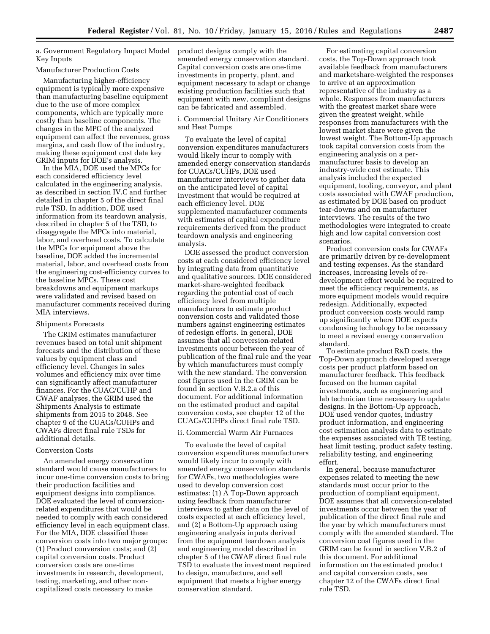a. Government Regulatory Impact Model Key Inputs

# Manufacturer Production Costs

Manufacturing higher-efficiency equipment is typically more expensive than manufacturing baseline equipment due to the use of more complex components, which are typically more costly than baseline components. The changes in the MPC of the analyzed equipment can affect the revenues, gross margins, and cash flow of the industry, making these equipment cost data key GRIM inputs for DOE's analysis.

In the MIA, DOE used the MPCs for each considered efficiency level calculated in the engineering analysis, as described in section IV.C and further detailed in chapter 5 of the direct final rule TSD. In addition, DOE used information from its teardown analysis, described in chapter 5 of the TSD, to disaggregate the MPCs into material, labor, and overhead costs. To calculate the MPCs for equipment above the baseline, DOE added the incremental material, labor, and overhead costs from the engineering cost-efficiency curves to the baseline MPCs. These cost breakdowns and equipment markups were validated and revised based on manufacturer comments received during MIA interviews.

### Shipments Forecasts

The GRIM estimates manufacturer revenues based on total unit shipment forecasts and the distribution of these values by equipment class and efficiency level. Changes in sales volumes and efficiency mix over time can significantly affect manufacturer finances. For the CUAC/CUHP and CWAF analyses, the GRIM used the Shipments Analysis to estimate shipments from 2015 to 2048. See chapter 9 of the CUACs/CUHPs and CWAFs direct final rule TSDs for additional details.

### Conversion Costs

An amended energy conservation standard would cause manufacturers to incur one-time conversion costs to bring their production facilities and equipment designs into compliance. DOE evaluated the level of conversionrelated expenditures that would be needed to comply with each considered efficiency level in each equipment class. For the MIA, DOE classified these conversion costs into two major groups: (1) Product conversion costs; and (2) capital conversion costs. Product conversion costs are one-time investments in research, development, testing, marketing, and other noncapitalized costs necessary to make

product designs comply with the amended energy conservation standard. Capital conversion costs are one-time investments in property, plant, and equipment necessary to adapt or change existing production facilities such that equipment with new, compliant designs can be fabricated and assembled.

## i. Commercial Unitary Air Conditioners and Heat Pumps

To evaluate the level of capital conversion expenditures manufacturers would likely incur to comply with amended energy conservation standards for CUACs/CUHPs, DOE used manufacturer interviews to gather data on the anticipated level of capital investment that would be required at each efficiency level. DOE supplemented manufacturer comments with estimates of capital expenditure requirements derived from the product teardown analysis and engineering analysis.

DOE assessed the product conversion costs at each considered efficiency level by integrating data from quantitative and qualitative sources. DOE considered market-share-weighted feedback regarding the potential cost of each efficiency level from multiple manufacturers to estimate product conversion costs and validated those numbers against engineering estimates of redesign efforts. In general, DOE assumes that all conversion-related investments occur between the year of publication of the final rule and the year by which manufacturers must comply with the new standard. The conversion cost figures used in the GRIM can be found in section V.B.2.a of this document. For additional information on the estimated product and capital conversion costs, see chapter 12 of the CUACs/CUHPs direct final rule TSD.

### ii. Commercial Warm Air Furnaces

To evaluate the level of capital conversion expenditures manufacturers would likely incur to comply with amended energy conservation standards for CWAFs, two methodologies were used to develop conversion cost estimates: (1) A Top-Down approach using feedback from manufacturer interviews to gather data on the level of costs expected at each efficiency level, and (2) a Bottom-Up approach using engineering analysis inputs derived from the equipment teardown analysis and engineering model described in chapter 5 of the CWAF direct final rule TSD to evaluate the investment required to design, manufacture, and sell equipment that meets a higher energy conservation standard.

For estimating capital conversion costs, the Top-Down approach took available feedback from manufacturers and marketshare-weighted the responses to arrive at an approximation representative of the industry as a whole. Responses from manufacturers with the greatest market share were given the greatest weight, while responses from manufacturers with the lowest market share were given the lowest weight. The Bottom-Up approach took capital conversion costs from the engineering analysis on a permanufacturer basis to develop an industry-wide cost estimate. This analysis included the expected equipment, tooling, conveyor, and plant costs associated with CWAF production, as estimated by DOE based on product tear-downs and on manufacturer interviews. The results of the two methodologies were integrated to create high and low capital conversion cost scenarios.

Product conversion costs for CWAFs are primarily driven by re-development and testing expenses. As the standard increases, increasing levels of redevelopment effort would be required to meet the efficiency requirements, as more equipment models would require redesign. Additionally, expected product conversion costs would ramp up significantly where DOE expects condensing technology to be necessary to meet a revised energy conservation standard.

To estimate product R&D costs, the Top-Down approach developed average costs per product platform based on manufacturer feedback. This feedback focused on the human capital investments, such as engineering and lab technician time necessary to update designs. In the Bottom-Up approach, DOE used vendor quotes, industry product information, and engineering cost estimation analysis data to estimate the expenses associated with TE testing, heat limit testing, product safety testing, reliability testing, and engineering effort.

In general, because manufacturer expenses related to meeting the new standards must occur prior to the production of compliant equipment, DOE assumes that all conversion-related investments occur between the year of publication of the direct final rule and the year by which manufacturers must comply with the amended standard. The conversion cost figures used in the GRIM can be found in section V.B.2 of this document. For additional information on the estimated product and capital conversion costs, see chapter 12 of the CWAFs direct final rule TSD.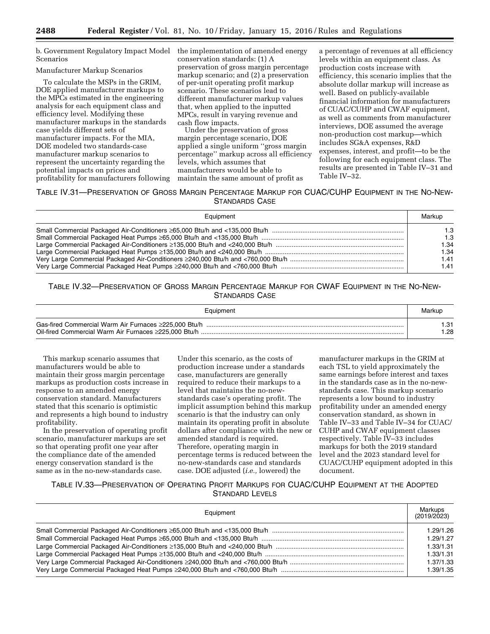b. Government Regulatory Impact Model Scenarios

# Manufacturer Markup Scenarios

To calculate the MSPs in the GRIM, DOE applied manufacturer markups to the MPCs estimated in the engineering analysis for each equipment class and efficiency level. Modifying these manufacturer markups in the standards case yields different sets of manufacturer impacts. For the MIA, DOE modeled two standards-case manufacturer markup scenarios to represent the uncertainty regarding the potential impacts on prices and profitability for manufacturers following the implementation of amended energy conservation standards: (1) A preservation of gross margin percentage markup scenario; and (2) a preservation of per-unit operating profit markup scenario. These scenarios lead to different manufacturer markup values that, when applied to the inputted MPCs, result in varying revenue and cash flow impacts.

Under the preservation of gross margin percentage scenario, DOE applied a single uniform ''gross margin percentage'' markup across all efficiency levels, which assumes that manufacturers would be able to maintain the same amount of profit as

a percentage of revenues at all efficiency levels within an equipment class. As production costs increase with efficiency, this scenario implies that the absolute dollar markup will increase as well. Based on publicly-available financial information for manufacturers of CUAC/CUHP and CWAF equipment, as well as comments from manufacturer interviews, DOE assumed the average non-production cost markup—which includes SG&A expenses, R&D expenses, interest, and profit—to be the following for each equipment class. The results are presented in Table IV–31 and Table IV–32.

# TABLE IV.31—PRESERVATION OF GROSS MARGIN PERCENTAGE MARKUP FOR CUAC/CUHP EQUIPMENT IN THE NO-NEW-STANDARDS CASE

| 1.3<br>1.3<br>1.34<br>1.34<br>1.41<br>1.41 |
|--------------------------------------------|

# TABLE IV.32—PRESERVATION OF GROSS MARGIN PERCENTAGE MARKUP FOR CWAF EQUIPMENT IN THE NO-NEW-STANDARDS CASE

| Equipment                                             | Markup |
|-------------------------------------------------------|--------|
| Gas-fired Commercial Warm Air Furnaces ≥225,000 Btu/h | .31    |
|                                                       | .28    |

This markup scenario assumes that manufacturers would be able to maintain their gross margin percentage markups as production costs increase in response to an amended energy conservation standard. Manufacturers stated that this scenario is optimistic and represents a high bound to industry profitability.

In the preservation of operating profit scenario, manufacturer markups are set so that operating profit one year after the compliance date of the amended energy conservation standard is the same as in the no-new-standards case.

Under this scenario, as the costs of production increase under a standards case, manufacturers are generally required to reduce their markups to a level that maintains the no-newstandards case's operating profit. The implicit assumption behind this markup scenario is that the industry can only maintain its operating profit in absolute dollars after compliance with the new or amended standard is required. Therefore, operating margin in percentage terms is reduced between the no-new-standards case and standards case. DOE adjusted (*i.e.,* lowered) the

manufacturer markups in the GRIM at each TSL to yield approximately the same earnings before interest and taxes in the standards case as in the no-newstandards case. This markup scenario represents a low bound to industry profitability under an amended energy conservation standard, as shown in Table IV–33 and Table IV–34 for CUAC/ CUHP and CWAF equipment classes respectively. Table IV–33 includes markups for both the 2019 standard level and the 2023 standard level for CUAC/CUHP equipment adopted in this document.

TABLE IV.33—PRESERVATION OF OPERATING PROFIT MARKUPS FOR CUAC/CUHP EQUIPMENT AT THE ADOPTED STANDARD LEVELS

| Equipment | Markups<br>(2019/2023) |
|-----------|------------------------|
|           | 1.29/1.26              |
|           | 1.29/1.27              |
|           | 1.33/1.31              |
|           | 1.33/1.31              |
|           | 1.37/1.33              |
|           | 1.39/1.35              |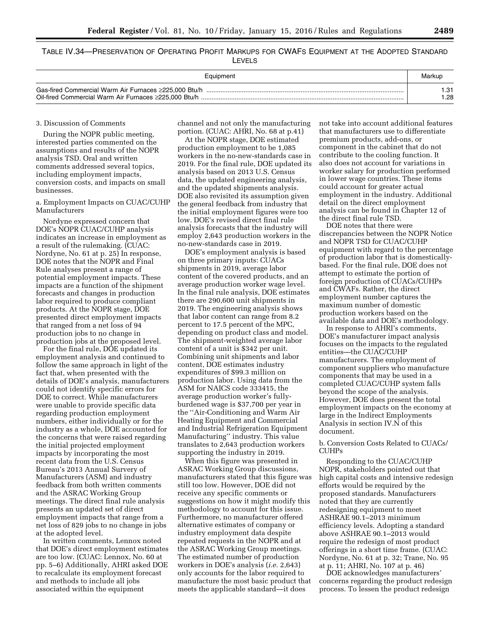TABLE IV.34—PRESERVATION OF OPERATING PROFIT MARKUPS FOR CWAFS EQUIPMENT AT THE ADOPTED STANDARD LEVELS

| Equipment | Markup |
|-----------|--------|
|           | .31    |
|           | .28    |

## 3. Discussion of Comments

During the NOPR public meeting, interested parties commented on the assumptions and results of the NOPR analysis TSD. Oral and written comments addressed several topics, including employment impacts, conversion costs, and impacts on small businesses.

a. Employment Impacts on CUAC/CUHP Manufacturers

Nordyne expressed concern that DOE's NOPR CUAC/CUHP analysis indicates an increase in employment as a result of the rulemaking. (CUAC: Nordyne, No. 61 at p. 25) In response, DOE notes that the NOPR and Final Rule analyses present a range of potential employment impacts. These impacts are a function of the shipment forecasts and changes in production labor required to produce compliant products. At the NOPR stage, DOE presented direct employment impacts that ranged from a net loss of 94 production jobs to no change in production jobs at the proposed level.

For the final rule, DOE updated its employment analysis and continued to follow the same approach in light of the fact that, when presented with the details of DOE's analysis, manufacturers could not identify specific errors for DOE to correct. While manufacturers were unable to provide specific data regarding production employment numbers, either individually or for the industry as a whole, DOE accounted for the concerns that were raised regarding the initial projected employment impacts by incorporating the most recent data from the U.S. Census Bureau's 2013 Annual Survery of Manufacturers (ASM) and industry feedback from both written comments and the ASRAC Working Group meetings. The direct final rule analysis presents an updated set of direct employment impacts that range from a net loss of 829 jobs to no change in jobs at the adopted level.

In written comments, Lennox noted that DOE's direct employment estimates are too low. (CUAC: Lennox, No. 60 at pp. 5–6) Additionally, AHRI asked DOE to recalculate its employment forecast and methods to include all jobs associated within the equipment

channel and not only the manufacturing portion. (CUAC: AHRI, No. 68 at p.41)

At the NOPR stage, DOE estimated production employment to be 1,085 workers in the no-new-standards case in 2019. For the final rule, DOE updated its analysis based on 2013 U.S. Census data, the updated engineering analysis, and the updated shipments analysis. DOE also revisited its assumption given the general feedback from industry that the initial employment figures were too low. DOE's revised direct final rule analysis forecasts that the industry will employ 2,643 production workers in the no-new-standards case in 2019.

DOE's employment analysis is based on three primary inputs: CUACs shipments in 2019, average labor content of the covered products, and an average production worker wage level. In the final rule analysis, DOE estimates there are 290,600 unit shipments in 2019. The engineering analysis shows that labor content can range from 8.2 percent to 17.5 percent of the MPC, depending on product class and model. The shipment-weighted average labor content of a unit is \$342 per unit. Combining unit shipments and labor content, DOE estimates industry expenditures of \$99.3 million on production labor. Using data from the ASM for NAICS code 333415, the average production worker's fullyburdened wage is \$37,700 per year in the ''Air-Conditioning and Warm Air Heating Equipment and Commercial and Industrial Refrigeration Equipment Manufacturing'' industry. This value translates to 2,643 production workers supporting the industry in 2019.

When this figure was presented in ASRAC Working Group discussions, manufacturers stated that this figure was still too low. However, DOE did not receive any specific comments or suggestions on how it might modify this methodology to account for this issue. Furthermore, no manufacturer offered alternative estimates of company or industry employment data despite repeated requests in the NOPR and at the ASRAC Working Group meetings. The estimated number of production workers in DOE's analysis (*i.e.* 2,643) only accounts for the labor required to manufacture the most basic product that meets the applicable standard—it does

not take into account additional features that manufacturers use to differentiate premium products, add-ons, or component in the cabinet that do not contribute to the cooling function. It also does not account for variations in worker salary for production performed in lower wage countries. These items could account for greater actual employment in the industry. Additional detail on the direct employment analysis can be found in Chapter 12 of the direct final rule TSD.

DOE notes that there were discrepancies between the NOPR Notice and NOPR TSD for CUAC/CUHP equipment with regard to the percentage of production labor that is domesticallybased. For the final rule, DOE does not attempt to estimate the portion of foreign production of CUACs/CUHPs and CWAFs. Rather, the direct employment number captures the maximum number of domestic production workers based on the available data and DOE's methodology.

In response to AHRI's comments, DOE's manufacturer impact analysis focuses on the impacts to the regulated entities—the CUAC/CUHP manufacturers. The employment of component suppliers who manufacture components that may be used in a completed CUAC/CUHP system falls beyond the scope of the analysis. However, DOE does present the total employment impacts on the economy at large in the Indirect Employments Analysis in section IV.N of this document.

## b. Conversion Costs Related to CUACs/ CUHPs

Responding to the CUAC/CUHP NOPR, stakeholders pointed out that high capital costs and intensive redesign efforts would be required by the proposed standards. Manufacturers noted that they are currently redesigning equipment to meet ASHRAE 90.1–2013 minimum efficiency levels. Adopting a standard above ASHRAE 90.1–2013 would require the redesign of most product offerings in a short time frame. (CUAC: Nordyne, No. 61 at p. 32; Trane, No. 95 at p. 11; AHRI, No. 107 at p. 46)

DOE acknowledges manufacturers' concerns regarding the product redesign process. To lessen the product redesign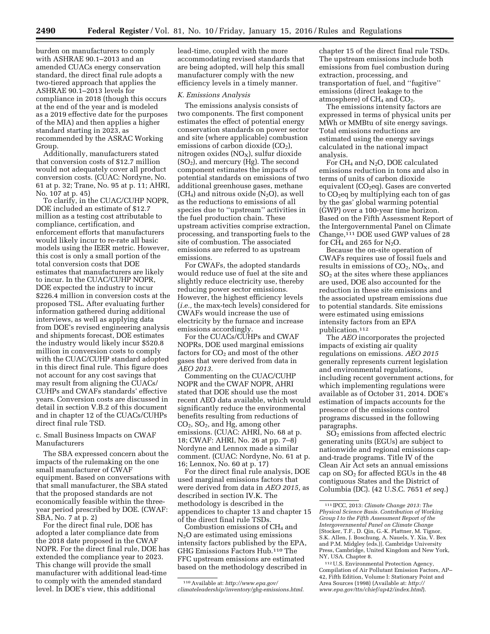burden on manufacturers to comply with ASHRAE 90.1–2013 and an amended CUACs energy conservation standard, the direct final rule adopts a two-tiered approach that applies the ASHRAE 90.1–2013 levels for compliance in 2018 (though this occurs at the end of the year and is modeled as a 2019 effective date for the purposes of the MIA) and then applies a higher standard starting in 2023, as recommended by the ASRAC Working Group.

Additionally, manufacturers stated that conversion costs of \$12.7 million would not adequately cover all product conversion costs. (CUAC: Nordyne, No. 61 at p. 32; Trane, No. 95 at p. 11; AHRI, No. 107 at p. 45)

To clarify, in the CUAC/CUHP NOPR, DOE included an estimate of \$12.7 million as a testing cost attributable to compliance, certification, and enforcement efforts that manufacturers would likely incur to re-rate all basic models using the IEER metric. However, this cost is only a small portion of the total conversion costs that DOE estimates that manufacturers are likely to incur. In the CUAC/CUHP NOPR, DOE expected the industry to incur \$226.4 million in conversion costs at the proposed TSL. After evaluating further information gathered during additional interviews, as well as applying data from DOE's revised engineering analysis and shipments forecast, DOE estimates the industry would likely incur \$520.8 million in conversion costs to comply with the CUAC/CUHP standard adopted in this direct final rule. This figure does not account for any cost savings that may result from aligning the CUACs/ CUHPs and CWAFs standards' effective years. Conversion costs are discussed in detail in section V.B.2 of this document and in chapter 12 of the CUACs/CUHPs direct final rule TSD.

# c. Small Business Impacts on CWAF Manufacturers

The SBA expressed concern about the impacts of the rulemaking on the one small manufacturer of CWAF equipment. Based on conversations with that small manufacturer, the SBA stated that the proposed standards are not economically feasible within the threeyear period prescribed by DOE. (CWAF: SBA, No. 7 at p. 2)

For the direct final rule, DOE has adopted a later compliance date from the 2018 date proposed in the CWAF NOPR. For the direct final rule, DOE has extended the compliance year to 2023. This change will provide the small manufacturer with additional lead-time to comply with the amended standard level. In DOE's view, this additional

lead-time, coupled with the more accommodating revised standards that are being adopted, will help this small manufacturer comply with the new efficiency levels in a timely manner.

### *K. Emissions Analysis*

The emissions analysis consists of two components. The first component estimates the effect of potential energy conservation standards on power sector and site (where applicable) combustion emissions of carbon dioxide  $(CO<sub>2</sub>)$ , nitrogen oxides  $(NO<sub>X</sub>)$ , sulfur dioxide  $(SO<sub>2</sub>)$ , and mercury (Hg). The second component estimates the impacts of potential standards on emissions of two additional greenhouse gases, methane  $(CH<sub>4</sub>)$  and nitrous oxide  $(N<sub>2</sub>O)$ , as well as the reductions to emissions of all species due to ''upstream'' activities in the fuel production chain. These upstream activities comprise extraction, processing, and transporting fuels to the site of combustion. The associated emissions are referred to as upstream emissions.

For CWAFs, the adopted standards would reduce use of fuel at the site and slightly reduce electricity use, thereby reducing power sector emissions. However, the highest efficiency levels (*i.e.,* the max-tech levels) considered for CWAFs would increase the use of electricity by the furnace and increase emissions accordingly.

For the CUACs/CUHPs and CWAF NOPRs, DOE used marginal emissions factors for  $CO<sub>2</sub>$  and most of the other gases that were derived from data in *AEO 2013.* 

Commenting on the CUAC/CUHP NOPR and the CWAF NOPR, AHRI stated that DOE should use the most recent AEO data available, which would significantly reduce the environmental benefits resulting from reductions of  $CO<sub>2</sub>$ ,  $SO<sub>2</sub>$ , and Hg, among other emissions. (CUAC: AHRI, No. 68 at p. 18; CWAF: AHRI, No. 26 at pp. 7–8) Nordyne and Lennox made a similar comment. (CUAC: Nordyne, No. 61 at p. 16; Lennox, No. 60 at p. 17)

For the direct final rule analysis, DOE used marginal emissions factors that were derived from data in *AEO 2015,* as described in section IV.K. The methodology is described in the appendices to chapter 13 and chapter 15 of the direct final rule TSDs.

Combustion emissions of CH4 and N2O are estimated using emissions intensity factors published by the EPA, GHG Emissions Factors Hub.110 The FFC upstream emissions are estimated based on the methodology described in

chapter 15 of the direct final rule TSDs. The upstream emissions include both emissions from fuel combustion during extraction, processing, and transportation of fuel, and ''fugitive'' emissions (direct leakage to the atmosphere) of  $CH<sub>4</sub>$  and  $CO<sub>2</sub>$ .

The emissions intensity factors are expressed in terms of physical units per MWh or MMBtu of site energy savings. Total emissions reductions are estimated using the energy savings calculated in the national impact analysis.

For  $CH_4$  and N<sub>2</sub>O, DOE calculated emissions reduction in tons and also in terms of units of carbon dioxide equivalent  $(CO<sub>2</sub>eq)$ . Gases are converted to  $CO<sub>2</sub>$ eq by multiplying each ton of gas by the gas' global warming potential (GWP) over a 100-year time horizon. Based on the Fifth Assessment Report of the Intergovernmental Panel on Climate Change, $111$  DOE used GWP values of 28 for  $CH_4$  and 265 for  $N_2O$ .

Because the on-site operation of CWAFs requires use of fossil fuels and results in emissions of  $CO<sub>2</sub>$ , NO<sub>X</sub>, and  $SO<sub>2</sub>$  at the sites where these appliances are used, DOE also accounted for the reduction in these site emissions and the associated upstream emissions due to potential standards. Site emissions were estimated using emissions intensity factors from an EPA publication.112

The *AEO* incorporates the projected impacts of existing air quality regulations on emissions. *AEO 2015*  generally represents current legislation and environmental regulations, including recent government actions, for which implementing regulations were available as of October 31, 2014. DOE's estimation of impacts accounts for the presence of the emissions control programs discussed in the following paragraphs.

SO2 emissions from affected electric generating units (EGUs) are subject to nationwide and regional emissions capand-trade programs. Title IV of the Clean Air Act sets an annual emissions cap on  $SO<sub>2</sub>$  for affected EGUs in the 48 contiguous States and the District of Columbia (DC). (42 U.S.C. 7651 *et seq.*)

112U.S. Environmental Protection Agency, Compilation of Air Pollutant Emission Factors, AP– 42, Fifth Edition, Volume I: Stationary Point and Area Sources (1998) (Available at: *[http://](http://www.epa.gov/ttn/chief/ap42/index.html) [www.epa.gov/ttn/chief/ap42/index.html](http://www.epa.gov/ttn/chief/ap42/index.html)*).

<sup>110</sup>Available at: *[http://www.epa.gov/](http://www.epa.gov/climateleadership/inventory/ghg-emissions.html) [climateleadership/inventory/ghg-emissions.html](http://www.epa.gov/climateleadership/inventory/ghg-emissions.html)*.

<sup>111</sup> IPCC, 2013: *Climate Change 2013: The Physical Science Basis. Contribution of Working Group I to the Fifth Assessment Report of the Intergovernmental Panel on Climate Change*  [Stocker, T.F., D. Qin, G.-K. Plattner, M. Tignor, S.K. Allen, J. Boschung, A. Nauels, Y. Xia, V. Bex and P.M. Midgley (eds.)]. Cambridge University Press, Cambridge, United Kingdom and New York, NY, USA. Chapter 8.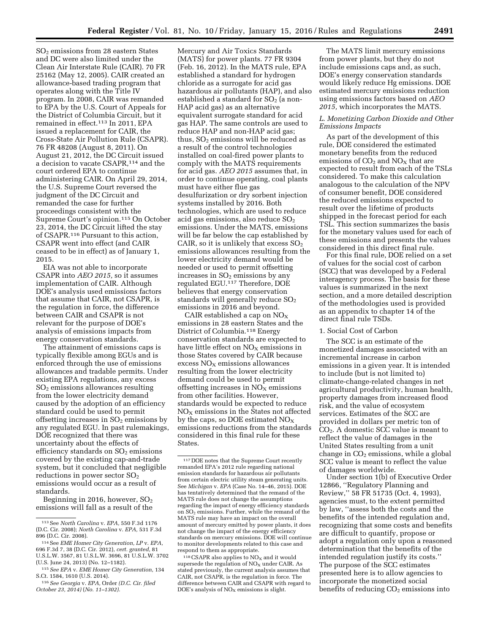SO2 emissions from 28 eastern States and DC were also limited under the Clean Air Interstate Rule (CAIR). 70 FR 25162 (May 12, 2005). CAIR created an allowance-based trading program that operates along with the Title IV program. In 2008, CAIR was remanded to EPA by the U.S. Court of Appeals for the District of Columbia Circuit, but it remained in effect.113 In 2011, EPA issued a replacement for CAIR, the Cross-State Air Pollution Rule (CSAPR). 76 FR 48208 (August 8, 2011). On August 21, 2012, the DC Circuit issued a decision to vacate CSAPR,114 and the court ordered EPA to continue administering CAIR. On April 29, 2014, the U.S. Supreme Court reversed the judgment of the DC Circuit and remanded the case for further proceedings consistent with the Supreme Court's opinion.115 On October 23, 2014, the DC Circuit lifted the stay of CSAPR.116 Pursuant to this action, CSAPR went into effect (and CAIR ceased to be in effect) as of January 1, 2015.

EIA was not able to incorporate CSAPR into *AEO 2015,* so it assumes implementation of CAIR. Although DOE's analysis used emissions factors that assume that CAIR, not CSAPR, is the regulation in force, the difference between CAIR and CSAPR is not relevant for the purpose of DOE's analysis of emissions impacts from energy conservation standards.

The attainment of emissions caps is typically flexible among EGUs and is enforced through the use of emissions allowances and tradable permits. Under existing EPA regulations, any excess SO2 emissions allowances resulting from the lower electricity demand caused by the adoption of an efficiency standard could be used to permit offsetting increases in  $SO<sub>2</sub>$  emissions by any regulated EGU. In past rulemakings, DOE recognized that there was uncertainty about the effects of efficiency standards on  $SO<sub>2</sub>$  emissions covered by the existing cap-and-trade system, but it concluded that negligible reductions in power sector  $SO<sub>2</sub>$ emissions would occur as a result of standards.

Beginning in 2016, however,  $SO<sub>2</sub>$ emissions will fall as a result of the

116*See Georgia* v. *EPA,* Order *(D.C. Cir. filed October 23, 2014)* (*No. 11–1302).* 

Mercury and Air Toxics Standards (MATS) for power plants. 77 FR 9304 (Feb. 16, 2012). In the MATS rule, EPA established a standard for hydrogen chloride as a surrogate for acid gas hazardous air pollutants (HAP), and also established a standard for  $SO<sub>2</sub>$  (a non-HAP acid gas) as an alternative equivalent surrogate standard for acid gas HAP. The same controls are used to reduce HAP and non-HAP acid gas; thus,  $SO<sub>2</sub>$  emissions will be reduced as a result of the control technologies installed on coal-fired power plants to comply with the MATS requirements for acid gas. *AEO 2015* assumes that, in order to continue operating, coal plants must have either flue gas desulfurization or dry sorbent injection systems installed by 2016. Both technologies, which are used to reduce acid gas emissions, also reduce SO2 emissions. Under the MATS, emissions will be far below the cap established by CAIR, so it is unlikely that excess  $SO<sub>2</sub>$ emissions allowances resulting from the lower electricity demand would be needed or used to permit offsetting increases in  $SO<sub>2</sub>$  emissions by any regulated EGU.117 Therefore, DOE believes that energy conservation standards will generally reduce  $SO<sub>2</sub>$ emissions in 2016 and beyond.

CAIR established a cap on  $NO<sub>X</sub>$ emissions in 28 eastern States and the District of Columbia.118 Energy conservation standards are expected to have little effect on  $NO<sub>x</sub>$  emissions in those States covered by CAIR because  $excess NO<sub>X</sub>$  emissions allowances resulting from the lower electricity demand could be used to permit offsetting increases in  $NO_X$  emissions from other facilities. However, standards would be expected to reduce  $NO<sub>X</sub>$  emissions in the States not affected by the caps, so DOE estimated  $NO<sub>X</sub>$ emissions reductions from the standards considered in this final rule for these States.

 $118$  CSAPR also applies to  $NO<sub>X</sub>$  and it would supersede the regulation of  $NO<sub>x</sub>$  under CAIR. As stated previously, the current analysis assumes that CAIR, not CSAPR, is the regulation in force. The difference between CAIR and CSAPR with regard to DOE's analysis of  $NO<sub>x</sub>$  emissions is slight.

The MATS limit mercury emissions from power plants, but they do not include emissions caps and, as such, DOE's energy conservation standards would likely reduce Hg emissions. DOE estimated mercury emissions reduction using emissions factors based on *AEO 2015,* which incorporates the MATS.

# *L. Monetizing Carbon Dioxide and Other Emissions Impacts*

As part of the development of this rule, DOE considered the estimated monetary benefits from the reduced emissions of  $CO<sub>2</sub>$  and  $NO<sub>x</sub>$  that are expected to result from each of the TSLs considered. To make this calculation analogous to the calculation of the NPV of consumer benefit, DOE considered the reduced emissions expected to result over the lifetime of products shipped in the forecast period for each TSL. This section summarizes the basis for the monetary values used for each of these emissions and presents the values considered in this direct final rule.

For this final rule, DOE relied on a set of values for the social cost of carbon (SCC) that was developed by a Federal interagency process. The basis for these values is summarized in the next section, and a more detailed description of the methodologies used is provided as an appendix to chapter 14 of the direct final rule TSDs.

### 1. Social Cost of Carbon

The SCC is an estimate of the monetized damages associated with an incremental increase in carbon emissions in a given year. It is intended to include (but is not limited to) climate-change-related changes in net agricultural productivity, human health, property damages from increased flood risk, and the value of ecosystem services. Estimates of the SCC are provided in dollars per metric ton of  $CO<sub>2</sub>$ . A domestic SCC value is meant to reflect the value of damages in the United States resulting from a unit change in  $CO<sub>2</sub>$  emissions, while a global SCC value is meant to reflect the value of damages worldwide.

Under section 1(b) of Executive Order 12866, ''Regulatory Planning and Review,'' 58 FR 51735 (Oct. 4, 1993), agencies must, to the extent permitted by law, ''assess both the costs and the benefits of the intended regulation and, recognizing that some costs and benefits are difficult to quantify, propose or adopt a regulation only upon a reasoned determination that the benefits of the intended regulation justify its costs.'' The purpose of the SCC estimates presented here is to allow agencies to incorporate the monetized social benefits of reducing  $CO<sub>2</sub>$  emissions into

<sup>113</sup>See *North Carolina* v. *EPA,* 550 F.3d 1176 (D.C. Cir. 2008); *North Carolina* v. *EPA,* 531 F.3d 896 (D.C. Cir. 2008).

<sup>114</sup>See *EME Homer City Generation, LP* v. *EPA,*  696 F.3d 7, 38 (D.C. Cir. 2012), *cert. granted,* 81 U.S.L.W. 3567, 81 U.S.L.W. 3696, 81 U.S.L.W. 3702 (U.S. June 24, 2013) (No. 12–1182).

<sup>115</sup>*See EPA* v. *EME Homer City Generation,* 134 S.Ct. 1584, 1610 (U.S. 2014).

<sup>117</sup> DOE notes that the Supreme Court recently remanded EPA's 2012 rule regarding national emission standards for hazardous air pollutants from certain electric utility steam generating units. See *Michigan* v. *EPA* (Case No. 14–46, 2015). DOE has tentatively determined that the remand of the MATS rule does not change the assumptions regarding the impact of energy efficiency standards on  $SO<sub>2</sub>$  emissions. Further, while the remand of the MATS rule may have an impact on the overall amount of mercury emitted by power plants, it does not change the impact of the energy efficiency standards on mercury emissions. DOE will continue to monitor developments related to this case and respond to them as appropriate.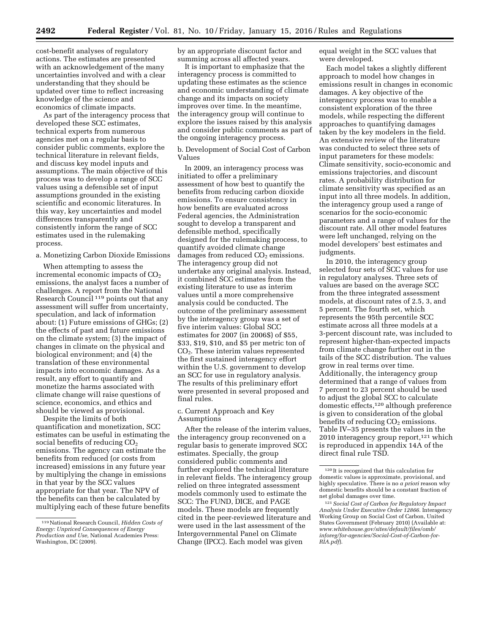cost-benefit analyses of regulatory actions. The estimates are presented with an acknowledgement of the many uncertainties involved and with a clear understanding that they should be updated over time to reflect increasing knowledge of the science and economics of climate impacts.

As part of the interagency process that developed these SCC estimates, technical experts from numerous agencies met on a regular basis to consider public comments, explore the technical literature in relevant fields, and discuss key model inputs and assumptions. The main objective of this process was to develop a range of SCC values using a defensible set of input assumptions grounded in the existing scientific and economic literatures. In this way, key uncertainties and model differences transparently and consistently inform the range of SCC estimates used in the rulemaking process.

a. Monetizing Carbon Dioxide Emissions

When attempting to assess the incremental economic impacts of  $CO<sub>2</sub>$ emissions, the analyst faces a number of challenges. A report from the National Research Council<sup>119</sup> points out that any assessment will suffer from uncertainty, speculation, and lack of information about: (1) Future emissions of GHGs; (2) the effects of past and future emissions on the climate system; (3) the impact of changes in climate on the physical and biological environment; and (4) the translation of these environmental impacts into economic damages. As a result, any effort to quantify and monetize the harms associated with climate change will raise questions of science, economics, and ethics and should be viewed as provisional.

Despite the limits of both quantification and monetization, SCC estimates can be useful in estimating the social benefits of reducing  $CO<sub>2</sub>$ emissions. The agency can estimate the benefits from reduced (or costs from increased) emissions in any future year by multiplying the change in emissions in that year by the SCC values appropriate for that year. The NPV of the benefits can then be calculated by multiplying each of these future benefits by an appropriate discount factor and summing across all affected years.

It is important to emphasize that the interagency process is committed to updating these estimates as the science and economic understanding of climate change and its impacts on society improves over time. In the meantime, the interagency group will continue to explore the issues raised by this analysis and consider public comments as part of the ongoing interagency process.

b. Development of Social Cost of Carbon Values

In 2009, an interagency process was initiated to offer a preliminary assessment of how best to quantify the benefits from reducing carbon dioxide emissions. To ensure consistency in how benefits are evaluated across Federal agencies, the Administration sought to develop a transparent and defensible method, specifically designed for the rulemaking process, to quantify avoided climate change damages from reduced CO<sub>2</sub> emissions. The interagency group did not undertake any original analysis. Instead, it combined SCC estimates from the existing literature to use as interim values until a more comprehensive analysis could be conducted. The outcome of the preliminary assessment by the interagency group was a set of five interim values: Global SCC estimates for 2007 (in 2006\$) of \$55, \$33, \$19, \$10, and \$5 per metric ton of CO2. These interim values represented the first sustained interagency effort within the U.S. government to develop an SCC for use in regulatory analysis. The results of this preliminary effort were presented in several proposed and final rules.

c. Current Approach and Key Assumptions

After the release of the interim values, the interagency group reconvened on a regular basis to generate improved SCC estimates. Specially, the group considered public comments and further explored the technical literature in relevant fields. The interagency group relied on three integrated assessment models commonly used to estimate the SCC: The FUND, DICE, and PAGE models. These models are frequently cited in the peer-reviewed literature and were used in the last assessment of the Intergovernmental Panel on Climate Change (IPCC). Each model was given

equal weight in the SCC values that were developed.

Each model takes a slightly different approach to model how changes in emissions result in changes in economic damages. A key objective of the interagency process was to enable a consistent exploration of the three models, while respecting the different approaches to quantifying damages taken by the key modelers in the field. An extensive review of the literature was conducted to select three sets of input parameters for these models: Climate sensitivity, socio-economic and emissions trajectories, and discount rates. A probability distribution for climate sensitivity was specified as an input into all three models. In addition, the interagency group used a range of scenarios for the socio-economic parameters and a range of values for the discount rate. All other model features were left unchanged, relying on the model developers' best estimates and judgments.

In 2010, the interagency group selected four sets of SCC values for use in regulatory analyses. Three sets of values are based on the average SCC from the three integrated assessment models, at discount rates of 2.5, 3, and 5 percent. The fourth set, which represents the 95th percentile SCC estimate across all three models at a 3-percent discount rate, was included to represent higher-than-expected impacts from climate change further out in the tails of the SCC distribution. The values grow in real terms over time. Additionally, the interagency group determined that a range of values from 7 percent to 23 percent should be used to adjust the global SCC to calculate domestic effects,120 although preference is given to consideration of the global benefits of reducing  $CO<sub>2</sub>$  emissions. Table IV–35 presents the values in the 2010 interagency group report, $121$  which is reproduced in appendix 14A of the direct final rule TSD.

<sup>119</sup>National Research Council, *Hidden Costs of Energy: Unpriced Consequences of Energy Production and Use,* National Academies Press: Washington, DC (2009).

<sup>120</sup> It is recognized that this calculation for domestic values is approximate, provisional, and highly speculative. There is no *a priori* reason why domestic benefits should be a constant fraction of net global damages over time.

<sup>121</sup>*Social Cost of Carbon for Regulatory Impact Analysis Under Executive Order 12866.* Interagency Working Group on Social Cost of Carbon, United States Government (February 2010) (Available at: *[www.whitehouse.gov/sites/default/files/omb/](http://www.whitehouse.gov/sites/default/files/omb/inforeg/for-agencies/Social-Cost-of-Carbon-for-RIA.pdf) [inforeg/for-agencies/Social-Cost-of-Carbon-for-](http://www.whitehouse.gov/sites/default/files/omb/inforeg/for-agencies/Social-Cost-of-Carbon-for-RIA.pdf)[RIA.pdf](http://www.whitehouse.gov/sites/default/files/omb/inforeg/for-agencies/Social-Cost-of-Carbon-for-RIA.pdf)*).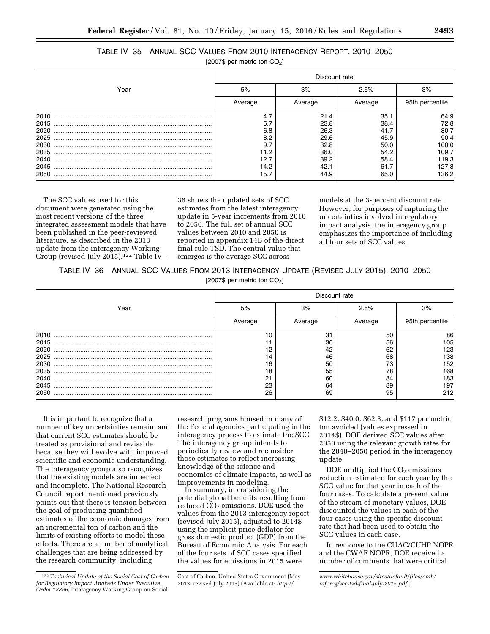# TABLE IV–35—ANNUAL SCC VALUES FROM 2010 INTERAGENCY REPORT, 2010–2050

[2007\$ per metric ton CO<sub>2</sub>]

|      |         | Discount rate |         |                 |
|------|---------|---------------|---------|-----------------|
| Year | 5%      | 3%            | 2.5%    | 3%              |
|      | Average | Average       | Average | 95th percentile |
| 2010 | 4.7     | 21.4          | 35.1    | 64.9            |
| 2015 | 5.7     | 23.8          | 38.4    | 72.8            |
| 2020 | 6.8     | 26.3          | 41.7    | 80.7            |
| 2025 | 8.2     | 29.6          | 45.9    | 90.4            |
| 2030 | 9.7     | 32.8          | 50.0    | 100.0           |
| 2035 | 11.2    | 36.0          | 54.2    | 109.7           |
| 2040 | 12.7    | 39.2          | 58.4    | 119.3           |
| 2045 | 14.2    | 42.1          | 61.7    | 127.8           |
| 2050 | 15.7    | 44.9          | 65.0    | 136.2           |

The SCC values used for this document were generated using the most recent versions of the three integrated assessment models that have been published in the peer-reviewed literature, as described in the 2013 update from the interagency Working Group (revised July 2015).122 Table IV–

36 shows the updated sets of SCC estimates from the latest interagency update in 5-year increments from 2010 to 2050. The full set of annual SCC values between 2010 and 2050 is reported in appendix 14B of the direct final rule TSD. The central value that emerges is the average SCC across

models at the 3-percent discount rate. However, for purposes of capturing the uncertainties involved in regulatory impact analysis, the interagency group emphasizes the importance of including all four sets of SCC values.

TABLE IV–36—ANNUAL SCC VALUES FROM 2013 INTERAGENCY UPDATE (REVISED JULY 2015), 2010–2050

[2007\$ per metric ton  $CO<sub>2</sub>$ ]

|      | Discount rate |         |         |                 |  |  |  |
|------|---------------|---------|---------|-----------------|--|--|--|
| Year | 5%            | 3%      | 2.5%    | 3%              |  |  |  |
|      | Average       | Average | Average | 95th percentile |  |  |  |
| 2010 |               | 31      | 50      | 86              |  |  |  |
| 2015 |               | 36      | 56      | 105             |  |  |  |
| 2020 | 12            | 42      | 62      | 123             |  |  |  |
| 2025 | 14            | 46      | 68      | 138             |  |  |  |
| 2030 | 16            | 50      | 73      | 152             |  |  |  |
| 2035 | 18            | 55      | 78      | 168             |  |  |  |
| 2040 | 21            | 60      | 84      | 183             |  |  |  |
| 2045 | 23            | 64      | 89      | 197             |  |  |  |
| 2050 | 26            | 69      | 95      | 212             |  |  |  |

It is important to recognize that a number of key uncertainties remain, and that current SCC estimates should be treated as provisional and revisable because they will evolve with improved scientific and economic understanding. The interagency group also recognizes that the existing models are imperfect and incomplete. The National Research Council report mentioned previously points out that there is tension between the goal of producing quantified estimates of the economic damages from an incremental ton of carbon and the limits of existing efforts to model these effects. There are a number of analytical challenges that are being addressed by the research community, including

research programs housed in many of the Federal agencies participating in the interagency process to estimate the SCC. The interagency group intends to periodically review and reconsider those estimates to reflect increasing knowledge of the science and economics of climate impacts, as well as improvements in modeling.

In summary, in considering the potential global benefits resulting from  $reduced CO<sub>2</sub> emissions, DOE used the$ values from the 2013 interagency report (revised July 2015), adjusted to 2014\$ using the implicit price deflator for gross domestic product (GDP) from the Bureau of Economic Analysis. For each of the four sets of SCC cases specified, the values for emissions in 2015 were

\$12.2, \$40.0, \$62.3, and \$117 per metric ton avoided (values expressed in 2014\$). DOE derived SCC values after 2050 using the relevant growth rates for the 2040–2050 period in the interagency update.

DOE multiplied the CO<sub>2</sub> emissions reduction estimated for each year by the SCC value for that year in each of the four cases. To calculate a present value of the stream of monetary values, DOE discounted the values in each of the four cases using the specific discount rate that had been used to obtain the SCC values in each case.

In response to the CUAC/CUHP NOPR and the CWAF NOPR, DOE received a number of comments that were critical

<sup>122</sup>*Technical Update of the Social Cost of Carbon for Regulatory Impact Analysis Under Executive Order 12866,* Interagency Working Group on Social

Cost of Carbon, United States Government (May 2013; revised July 2015) (Available at: *[http://](http://www.whitehouse.gov/sites/default/files/omb/inforeg/scc-tsd-final-july-2015.pdf)*

*[www.whitehouse.gov/sites/default/files/omb/](http://www.whitehouse.gov/sites/default/files/omb/inforeg/scc-tsd-final-july-2015.pdf) [inforeg/scc-tsd-final-july-2015.pdf](http://www.whitehouse.gov/sites/default/files/omb/inforeg/scc-tsd-final-july-2015.pdf)*).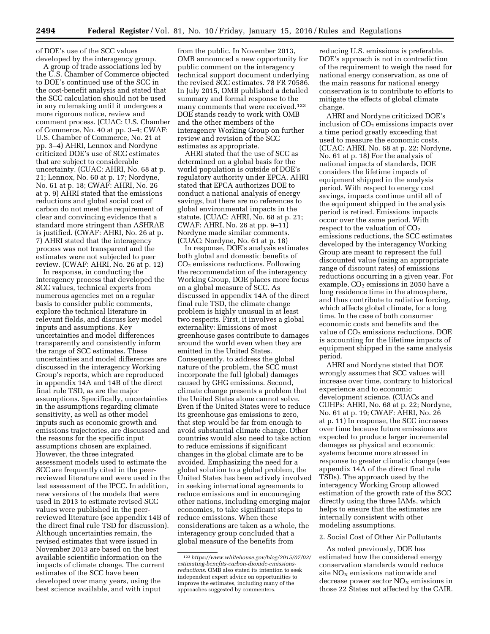of DOE's use of the SCC values developed by the interagency group.

A group of trade associations led by the U.S. Chamber of Commerce objected to DOE's continued use of the SCC in the cost-benefit analysis and stated that the SCC calculation should not be used in any rulemaking until it undergoes a more rigorous notice, review and comment process. (CUAC: U.S. Chamber of Commerce, No. 40 at pp. 3–4; CWAF: U.S. Chamber of Commerce, No. 21 at pp. 3–4) AHRI, Lennox and Nordyne criticized DOE's use of SCC estimates that are subject to considerable uncertainty. (CUAC: AHRI, No. 68 at p. 21; Lennox, No. 60 at p. 17; Nordyne, No. 61 at p. 18; CWAF: AHRI, No. 26 at p. 9) AHRI stated that the emissions reductions and global social cost of carbon do not meet the requirement of clear and convincing evidence that a standard more stringent than ASHRAE is justified. (CWAF: AHRI, No. 26 at p. 7) AHRI stated that the interagency process was not transparent and the estimates were not subjected to peer review. (CWAF: AHRI, No. 26 at p. 12)

In response, in conducting the interagency process that developed the SCC values, technical experts from numerous agencies met on a regular basis to consider public comments, explore the technical literature in relevant fields, and discuss key model inputs and assumptions. Key uncertainties and model differences transparently and consistently inform the range of SCC estimates. These uncertainties and model differences are discussed in the interagency Working Group's reports, which are reproduced in appendix 14A and 14B of the direct final rule TSD, as are the major assumptions. Specifically, uncertainties in the assumptions regarding climate sensitivity, as well as other model inputs such as economic growth and emissions trajectories, are discussed and the reasons for the specific input assumptions chosen are explained. However, the three integrated assessment models used to estimate the SCC are frequently cited in the peerreviewed literature and were used in the last assessment of the IPCC. In addition, new versions of the models that were used in 2013 to estimate revised SCC values were published in the peerreviewed literature (see appendix 14B of the direct final rule TSD for discussion). Although uncertainties remain, the revised estimates that were issued in November 2013 are based on the best available scientific information on the impacts of climate change. The current estimates of the SCC have been developed over many years, using the best science available, and with input

from the public. In November 2013, OMB announced a new opportunity for public comment on the interagency technical support document underlying the revised SCC estimates. 78 FR 70586. In July 2015, OMB published a detailed summary and formal response to the many comments that were received.123 DOE stands ready to work with OMB and the other members of the interagency Working Group on further review and revision of the SCC estimates as appropriate.

AHRI stated that the use of SCC as determined on a global basis for the world population is outside of DOE's regulatory authority under EPCA. AHRI stated that EPCA authorizes DOE to conduct a national analysis of energy savings, but there are no references to global environmental impacts in the statute. (CUAC: AHRI, No. 68 at p. 21; CWAF: AHRI, No. 26 at pp. 9–11) Nordyne made similar comments. (CUAC: Nordyne, No. 61 at p. 18)

In response, DOE's analysis estimates both global and domestic benefits of  $CO<sub>2</sub>$  emissions reductions. Following the recommendation of the interagency Working Group, DOE places more focus on a global measure of SCC. As discussed in appendix 14A of the direct final rule TSD, the climate change problem is highly unusual in at least two respects. First, it involves a global externality: Emissions of most greenhouse gases contribute to damages around the world even when they are emitted in the United States. Consequently, to address the global nature of the problem, the SCC must incorporate the full (global) damages caused by GHG emissions. Second, climate change presents a problem that the United States alone cannot solve. Even if the United States were to reduce its greenhouse gas emissions to zero, that step would be far from enough to avoid substantial climate change. Other countries would also need to take action to reduce emissions if significant changes in the global climate are to be avoided. Emphasizing the need for a global solution to a global problem, the United States has been actively involved in seeking international agreements to reduce emissions and in encouraging other nations, including emerging major economies, to take significant steps to reduce emissions. When these considerations are taken as a whole, the interagency group concluded that a global measure of the benefits from

reducing U.S. emissions is preferable. DOE's approach is not in contradiction of the requirement to weigh the need for national energy conservation, as one of the main reasons for national energy conservation is to contribute to efforts to mitigate the effects of global climate change.

AHRI and Nordyne criticized DOE's inclusion of  $CO<sub>2</sub>$  emissions impacts over a time period greatly exceeding that used to measure the economic costs. (CUAC: AHRI, No. 68 at p. 22; Nordyne, No. 61 at p. 18) For the analysis of national impacts of standards, DOE considers the lifetime impacts of equipment shipped in the analysis period. With respect to energy cost savings, impacts continue until all of the equipment shipped in the analysis period is retired. Emissions impacts occur over the same period. With respect to the valuation of  $CO<sub>2</sub>$ emissions reductions, the SCC estimates developed by the interagency Working Group are meant to represent the full discounted value (using an appropriate range of discount rates) of emissions reductions occurring in a given year. For example,  $CO<sub>2</sub>$  emissions in 2050 have a long residence time in the atmosphere, and thus contribute to radiative forcing, which affects global climate, for a long time. In the case of both consumer economic costs and benefits and the value of CO<sub>2</sub> emissions reductions, DOE is accounting for the lifetime impacts of equipment shipped in the same analysis period.

AHRI and Nordyne stated that DOE wrongly assumes that SCC values will increase over time, contrary to historical experience and to economic development science. (CUACs and CUHPs: AHRI, No. 68 at p. 22; Nordyne, No. 61 at p. 19; CWAF: AHRI, No. 26 at p. 11) In response, the SCC increases over time because future emissions are expected to produce larger incremental damages as physical and economic systems become more stressed in response to greater climatic change (see appendix 14A of the direct final rule TSDs). The approach used by the interagency Working Group allowed estimation of the growth rate of the SCC directly using the three IAMs, which helps to ensure that the estimates are internally consistent with other modeling assumptions.

#### 2. Social Cost of Other Air Pollutants

As noted previously, DOE has estimated how the considered energy conservation standards would reduce site  $NO<sub>x</sub>$  emissions nationwide and  $decrease power sector NO<sub>x</sub> emissions in$ those 22 States not affected by the CAIR.

<sup>123</sup>*https://www.whitehouse.gov/blog/2015/07/02/ estimating-benefits-carbon-dioxide-emissionsreductions*. OMB also stated its intention to seek independent expert advice on opportunities to improve the estimates, including many of the approaches suggested by commenters.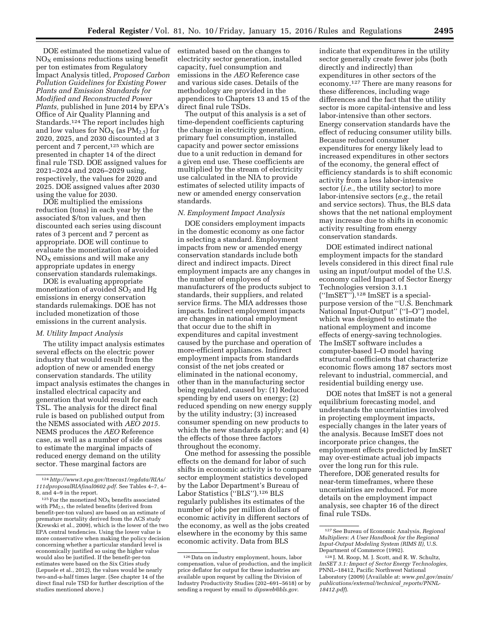DOE estimated the monetized value of  $NO<sub>x</sub>$  emissions reductions using benefit per ton estimates from Regulatory Impact Analysis titled, *Proposed Carbon Pollution Guidelines for Existing Power Plants and Emission Standards for Modified and Reconstructed Power Plants,* published in June 2014 by EPA's Office of Air Quality Planning and Standards.124 The report includes high and low values for  $NO<sub>X</sub>$  (as  $PM<sub>2.5</sub>$ ) for 2020, 2025, and 2030 discounted at 3 percent and 7 percent,<sup>125</sup> which are presented in chapter 14 of the direct final rule TSD. DOE assigned values for 2021–2024 and 2026–2029 using, respectively, the values for 2020 and

using the value for 2030. DOE multiplied the emissions reduction (tons) in each year by the associated \$/ton values, and then discounted each series using discount rates of 3 percent and 7 percent as appropriate. DOE will continue to evaluate the monetization of avoided  $NO<sub>x</sub>$  emissions and will make any appropriate updates in energy conservation standards rulemakings.

2025. DOE assigned values after 2030

DOE is evaluating appropriate monetization of avoided  $SO<sub>2</sub>$  and Hg emissions in energy conservation standards rulemakings. DOE has not included monetization of those emissions in the current analysis.

#### *M. Utility Impact Analysis*

The utility impact analysis estimates several effects on the electric power industry that would result from the adoption of new or amended energy conservation standards. The utility impact analysis estimates the changes in installed electrical capacity and generation that would result for each TSL. The analysis for the direct final rule is based on published output from the NEMS associated with *AEO 2015.*  NEMS produces the *AEO* Reference case, as well as a number of side cases to estimate the marginal impacts of reduced energy demand on the utility sector. These marginal factors are

estimated based on the changes to electricity sector generation, installed capacity, fuel consumption and emissions in the *AEO* Reference case and various side cases. Details of the methodology are provided in the appendices to Chapters 13 and 15 of the direct final rule TSDs.

The output of this analysis is a set of time-dependent coefficients capturing the change in electricity generation, primary fuel consumption, installed capacity and power sector emissions due to a unit reduction in demand for a given end use. These coefficients are multiplied by the stream of electricity use calculated in the NIA to provide estimates of selected utility impacts of new or amended energy conservation standards.

#### *N. Employment Impact Analysis*

DOE considers employment impacts in the domestic economy as one factor in selecting a standard. Employment impacts from new or amended energy conservation standards include both direct and indirect impacts. Direct employment impacts are any changes in the number of employees of manufacturers of the products subject to standards, their suppliers, and related service firms. The MIA addresses those impacts. Indirect employment impacts are changes in national employment that occur due to the shift in expenditures and capital investment caused by the purchase and operation of more-efficient appliances. Indirect employment impacts from standards consist of the net jobs created or eliminated in the national economy, other than in the manufacturing sector being regulated, caused by: (1) Reduced spending by end users on energy; (2) reduced spending on new energy supply by the utility industry; (3) increased consumer spending on new products to which the new standards apply; and (4) the effects of those three factors throughout the economy.

One method for assessing the possible effects on the demand for labor of such shifts in economic activity is to compare sector employment statistics developed by the Labor Department's Bureau of Labor Statistics ("BLS").<sup>126</sup> BLS regularly publishes its estimates of the number of jobs per million dollars of economic activity in different sectors of the economy, as well as the jobs created elsewhere in the economy by this same economic activity. Data from BLS

indicate that expenditures in the utility sector generally create fewer jobs (both directly and indirectly) than expenditures in other sectors of the economy.127 There are many reasons for these differences, including wage differences and the fact that the utility sector is more capital-intensive and less labor-intensive than other sectors. Energy conservation standards have the effect of reducing consumer utility bills. Because reduced consumer expenditures for energy likely lead to increased expenditures in other sectors of the economy, the general effect of efficiency standards is to shift economic activity from a less labor-intensive sector (*i.e.,* the utility sector) to more labor-intensive sectors (*e.g.,* the retail and service sectors). Thus, the BLS data shows that the net national employment may increase due to shifts in economic activity resulting from energy conservation standards.

DOE estimated indirect national employment impacts for the standard levels considered in this direct final rule using an input/output model of the U.S. economy called Impact of Sector Energy Technologies version 3.1.1 (''ImSET'').128 ImSET is a specialpurpose version of the ''U.S. Benchmark National Input-Output'' (''I–O'') model, which was designed to estimate the national employment and income effects of energy-saving technologies. The ImSET software includes a computer-based I–O model having structural coefficients that characterize economic flows among 187 sectors most relevant to industrial, commercial, and residential building energy use.

DOE notes that ImSET is not a general equilibrium forecasting model, and understands the uncertainties involved in projecting employment impacts, especially changes in the later years of the analysis. Because ImSET does not incorporate price changes, the employment effects predicted by ImSET may over-estimate actual job impacts over the long run for this rule. Therefore, DOE generated results for near-term timeframes, where these uncertainties are reduced. For more details on the employment impact analysis, see chapter 16 of the direct final rule TSDs.

<sup>124</sup>*[http://www3.epa.gov/ttnecas1/regdata/RIAs/](http://www3.epa.gov/ttnecas1/regdata/RIAs/111dproposalRIAfinal0602.pdf) [111dproposalRIAfinal0602.pdf.](http://www3.epa.gov/ttnecas1/regdata/RIAs/111dproposalRIAfinal0602.pdf)* See Tables 4–7, 4– 8, and 4–9 in the report.

 $^{125}\mathrm{For}$  the monetized NO<sub>X</sub> benefits associated with PM2.5, the related benefits (derived from benefit-per-ton values) are based on an estimate of premature mortality derived from the ACS study (Krewski et al., 2009), which is the lower of the two EPA central tendencies. Using the lower value is more conservative when making the policy decision concerning whether a particular standard level is economically justified so using the higher value would also be justified. If the benefit-per-ton estimates were based on the Six Cities study (Lepuele et al., 2012), the values would be nearly two-and-a-half times larger. (See chapter 14 of the direct final rule TSD for further description of the studies mentioned above.)

<sup>126</sup> Data on industry employment, hours, labor compensation, value of production, and the implicit price deflator for output for these industries are available upon request by calling the Division of Industry Productivity Studies (202–691–5618) or by sending a request by email to *[dipsweb@bls.gov](mailto:dipsweb@bls.gov)*.

<sup>127</sup>See Bureau of Economic Analysis, *Regional Multipliers: A User Handbook for the Regional Input-Output Modeling System (RIMS II),* U.S. Department of Commerce (1992).

<sup>128</sup> J. M. Roop, M. J. Scott, and R. W. Schultz, *ImSET 3.1: Impact of Sector Energy Technologies,*  PNNL–18412, Pacific Northwest National Laboratory (2009) (Available at: *[www.pnl.gov/main/](http://www.pnl.gov/main/publications/external/technical_reports/PNNL-18412.pdf) [publications/external/technical](http://www.pnl.gov/main/publications/external/technical_reports/PNNL-18412.pdf)*\_*reports/PNNL-[18412.pdf](http://www.pnl.gov/main/publications/external/technical_reports/PNNL-18412.pdf)*).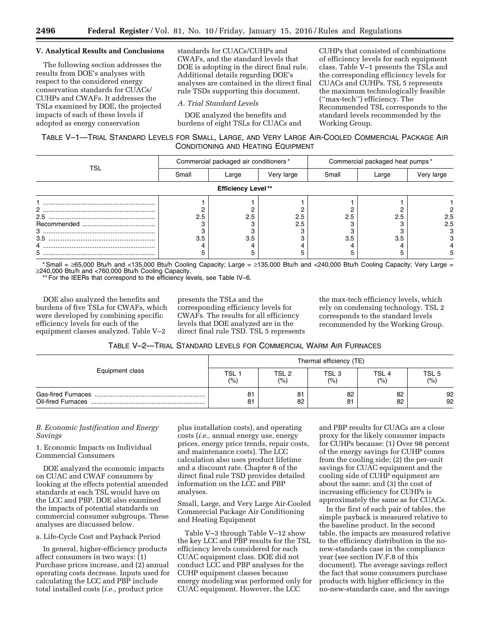#### **V. Analytical Results and Conclusions**

The following section addresses the results from DOE's analyses with respect to the considered energy conservation standards for CUACs/ CUHPs and CWAFs. It addresses the TSLs examined by DOE, the projected impacts of each of these levels if adopted as energy conservation

standards for CUACs/CUHPs and CWAFs, and the standard levels that DOE is adopting in the direct final rule. Additional details regarding DOE's analyses are contained in the direct final rule TSDs supporting this document.

#### *A. Trial Standard Levels*

DOE analyzed the benefits and burdens of eight TSLs for CUACs and

CUHPs that consisted of combinations of efficiency levels for each equipment class. Table V–1 presents the TSLs and the corresponding efficiency levels for CUACs and CUHPs. TSL 5 represents the maximum technologically feasible (''max-tech'') efficiency. The Recommended TSL corresponds to the standard levels recommended by the Working Group.

## TABLE V–1—TRIAL STANDARD LEVELS FOR SMALL, LARGE, AND VERY LARGE AIR-COOLED COMMERCIAL PACKAGE AIR CONDITIONING AND HEATING EQUIPMENT

| TSL                       | Commercial packaged air conditioners* |       |                  | Commercial packaged heat pumps* |       |            |  |  |  |  |
|---------------------------|---------------------------------------|-------|------------------|---------------------------------|-------|------------|--|--|--|--|
|                           | Small                                 | Large | Very large       | Small                           | Large | Very large |  |  |  |  |
| <b>Efficiency Level**</b> |                                       |       |                  |                                 |       |            |  |  |  |  |
| 2                         |                                       |       |                  |                                 |       |            |  |  |  |  |
| 2.5<br>3                  | 2.5                                   | 2.5   | $2.5\phantom{0}$ | 2.5                             | 2.5   | 2.5<br>2.5 |  |  |  |  |
| 3.5<br>4<br>5             | 3.5                                   | 3.5   |                  | 3.5                             | 3.5   |            |  |  |  |  |

\* Small = ≥65,000 Btu/h and <135,000 Btu/h Cooling Capacity; Large = ≥135,000 Btu/h and <240,000 Btu/h Cooling Capacity; Very Large = ≥240,000 Btu/h and <760,000 Btu/h Cooling Capacity.

\*\* For the IEERs that correspond to the efficiency levels, see Table IV–6.

DOE also analyzed the benefits and burdens of five TSLs for CWAFs, which were developed by combining specific efficiency levels for each of the equipment classes analyzed. Table V–2

presents the TSLs and the corresponding efficiency levels for CWAFs. The results for all efficiency levels that DOE analyzed are in the direct final rule TSD. TSL 5 represents

the max-tech efficiency levels, which rely on condensing technology. TSL 2 corresponds to the standard levels recommended by the Working Group.

## TABLE V–2—TRIAL STANDARD LEVELS FOR COMMERCIAL WARM AIR FURNACES

|                 | Thermal efficiency (TE) |       |                  |       |       |  |  |
|-----------------|-------------------------|-------|------------------|-------|-------|--|--|
| Equipment class | <b>TSL</b>              | TSL 2 | TSL <sub>3</sub> | TSL 4 | TSL 5 |  |  |
|                 | (% )                    | (%)   | (% )             | (%)   | (% )  |  |  |
|                 | 81                      | 81    | 82               | 82    | 92    |  |  |
|                 | 81                      | 82    | 81               | 82    | 92    |  |  |

#### *B. Economic Justification and Energy Savings*

#### 1. Economic Impacts on Individual Commercial Consumers

DOE analyzed the economic impacts on CUAC and CWAF consumers by looking at the effects potential amended standards at each TSL would have on the LCC and PBP. DOE also examined the impacts of potential standards on commercial consumer subgroups. These analyses are discussed below.

#### a. Life-Cycle Cost and Payback Period

In general, higher-efficiency products affect consumers in two ways: (1) Purchase prices increase, and (2) annual operating costs decrease. Inputs used for calculating the LCC and PBP include total installed costs (*i.e.,* product price

plus installation costs), and operating costs (*i.e.,* annual energy use, energy prices, energy price trends, repair costs, and maintenance costs). The LCC calculation also uses product lifetime and a discount rate. Chapter 8 of the direct final rule TSD provides detailed information on the LCC and PBP analyses.

Small, Large, and Very Large Air-Cooled Commercial Package Air Conditioning and Heating Equipment

Table V–3 through Table V–12 show the key LCC and PBP results for the TSL efficiency levels considered for each CUAC equipment class. DOE did not conduct LCC and PBP analyses for the CUHP equipment classes because energy modeling was performed only for CUAC equipment. However, the LCC

and PBP results for CUACs are a close proxy for the likely consumer impacts for CUHPs because: (1) Over 98 percent of the energy savings for CUHP comes from the cooling side; (2) the per-unit savings for CUAC equipment and the cooling side of CUHP equipment are about the same; and (3) the cost of increasing efficiency for CUHPs is approximately the same as for CUACs.

In the first of each pair of tables, the simple payback is measured relative to the baseline product. In the second table, the impacts are measured relative to the efficiency distribution in the nonew-standards case in the compliance year (see section IV.F.8 of this document). The average savings reflect the fact that some consumers purchase products with higher efficiency in the no-new-standards case, and the savings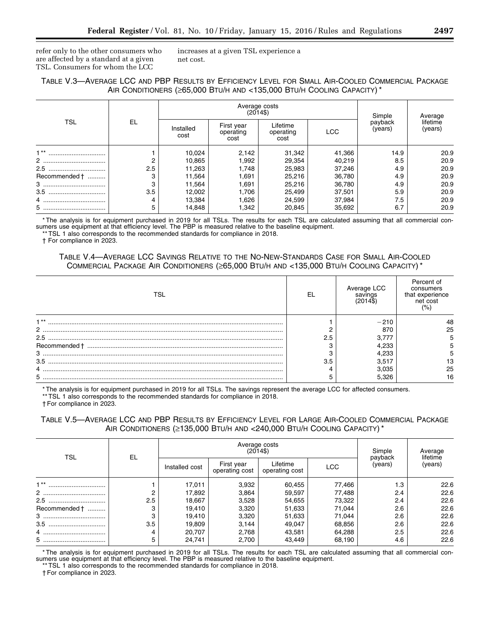refer only to the other consumers who are affected by a standard at a given TSL. Consumers for whom the LCC

increases at a given TSL experience a net cost.

## TABLE V.3—AVERAGE LCC AND PBP RESULTS BY EFFICIENCY LEVEL FOR SMALL AIR-COOLED COMMERCIAL PACKAGE AIR CONDITIONERS (≥65,000 BTU/H AND <135,000 BTU/H COOLING CAPACITY) \*

|               |     |                   | Average costs<br>$(2014\$       | Simple                        | Average |                    |                     |
|---------------|-----|-------------------|---------------------------------|-------------------------------|---------|--------------------|---------------------|
| TSL           | EL  | Installed<br>cost | First year<br>operating<br>cost | Lifetime<br>operating<br>cost | LCC     | payback<br>(years) | lifetime<br>(years) |
| $+**$<br>     |     | 10,024            | 2,142                           | 31,342                        | 41,366  | 14.9               | 20.9                |
|               | 2   | 10,865            | 992. ا                          | 29,354                        | 40,219  | 8.5                | 20.9                |
| 2.5           | 2.5 | 11,263            | 1.748                           | 25,983                        | 37,246  | 4.9                | 20.9                |
| Recommended † | 3   | 11,564            | 691. ا                          | 25,216                        | 36,780  | 4.9                | 20.9                |
|               | 3   | 11,564            | 691. ا                          | 25,216                        | 36,780  | 4.9                | 20.9                |
| 3.5           | 3.5 | 12,002            | 706.ا                           | 25,499                        | 37,501  | 5.9                | 20.9                |
|               | 4   | 13,384            | 626. ا                          | 24,599                        | 37,984  | 7.5                | 20.9                |
|               | 5   | 14,848            | 342. ا                          | 20,845                        | 35,692  | 6.7                | 20.9                |

\* The analysis is for equipment purchased in 2019 for all TSLs. The results for each TSL are calculated assuming that all commercial consumers use equipment at that efficiency level. The PBP is measured relative to the baseline equipment.

\*\* TSL 1 also corresponds to the recommended standards for compliance in 2018.

† For compliance in 2023.

## TABLE V.4—AVERAGE LCC SAVINGS RELATIVE TO THE NO-NEW-STANDARDS CASE FOR SMALL AIR-COOLED COMMERCIAL PACKAGE AIR CONDITIONERS (≥65,000 BTU/H AND <135,000 BTU/H COOLING CAPACITY) \*

| TSL            | EL  | Average LCC<br>savings | Percent of<br>consumers<br>that experience<br>net cost<br>(9) |
|----------------|-----|------------------------|---------------------------------------------------------------|
| $+ * *$        |     | $-210$                 | 48                                                            |
| $\overline{2}$ |     | 870                    | 25                                                            |
| 2.5            | 2.5 | 3.777                  |                                                               |
|                |     | 4.233                  |                                                               |
| $3$            | ◠   | 4.233                  |                                                               |
| 3.5            | 3.5 | 3,517                  | 13                                                            |
| 4              |     | 3.035                  | 25                                                            |
|                |     | 5.326                  | 16                                                            |

\* The analysis is for equipment purchased in 2019 for all TSLs. The savings represent the average LCC for affected consumers. \*\* TSL 1 also corresponds to the recommended standards for compliance in 2018.

† For compliance in 2023.

TABLE V.5—AVERAGE LCC AND PBP RESULTS BY EFFICIENCY LEVEL FOR LARGE AIR-COOLED COMMERCIAL PACKAGE AIR CONDITIONERS (≥135,000 BTU/H AND <240,000 BTU/H COOLING CAPACITY) \*

| TSL           | EL  |                |                              | Average costs<br>$(2014\$  |            | Simple<br>payback | Average<br>lifetime |
|---------------|-----|----------------|------------------------------|----------------------------|------------|-------------------|---------------------|
|               |     | Installed cost | First year<br>operating cost | Lifetime<br>operating cost | <b>LCC</b> | (vears)           | (years)             |
| $1 * *$<br>   |     | 17,011         | 3,932                        | 60,455                     | 77,466     | 1.3               | 22.6                |
|               |     | 17,892         | 3,864                        | 59,597                     | 77,488     | 2.4               | 22.6                |
| 2.5<br>       | 2.5 | 18,667         | 3,528                        | 54,655                     | 73,322     | 2.4               | 22.6                |
| Recommended † | 3   | 19,410         | 3,320                        | 51,633                     | 71,044     | 2.6               | 22.6                |
|               | 3   | 19,410         | 3,320                        | 51,633                     | 71,044     | 2.6               | 22.6                |
| 3.5<br>       | 3.5 | 19,809         | 3.144                        | 49,047                     | 68,856     | 2.6               | 22.6                |
|               | 4   | 20,707         | 2.768                        | 43,581                     | 64,288     | 2.5               | 22.6                |
|               | 5   | 24,741         | 2,700                        | 43,449                     | 68,190     | 4.6               | 22.6                |

\* The analysis is for equipment purchased in 2019 for all TSLs. The results for each TSL are calculated assuming that all commercial consumers use equipment at that efficiency level. The PBP is measured relative to the baseline equipment.

\*\* TSL 1 also corresponds to the recommended standards for compliance in 2018.

† For compliance in 2023.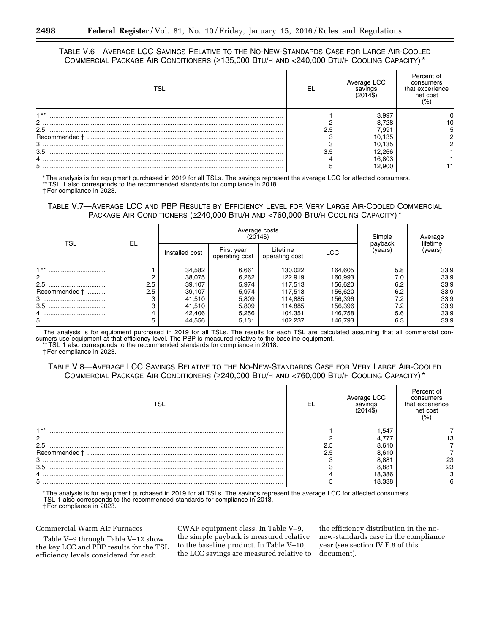## TABLE V.6—AVERAGE LCC SAVINGS RELATIVE TO THE NO-NEW-STANDARDS CASE FOR LARGE AIR-COOLED COMMERCIAL PACKAGE AIR CONDITIONERS (≥135,000 BTU/H AND <240,000 BTU/H COOLING CAPACITY) \*

| TSI                  | FL. | Average LCC<br>savings | Percent of<br>consumers<br>that experience<br>net cost<br>(%) |
|----------------------|-----|------------------------|---------------------------------------------------------------|
| $-1$ **              |     | 3.997                  |                                                               |
| $\mathbf{2}^{\circ}$ |     | 3.728                  |                                                               |
| 2.5                  | 2.5 | 7.991                  |                                                               |
|                      |     | 10,135                 |                                                               |
|                      |     | 10.135                 |                                                               |
| 3.5                  | 3.5 | 12.266                 |                                                               |
|                      |     | 16.803                 |                                                               |
| 5                    |     |                        |                                                               |

\* The analysis is for equipment purchased in 2019 for all TSLs. The savings represent the average LCC for affected consumers. \*\* TSL 1 also corresponds to the recommended standards for compliance in 2018.

† For compliance in 2023.

## TABLE V.7—AVERAGE LCC AND PBP RESULTS BY EFFICIENCY LEVEL FOR VERY LARGE AIR-COOLED COMMERCIAL PACKAGE AIR CONDITIONERS (≥240,000 BTU/H AND <760,000 BTU/H COOLING CAPACITY) \*

| TSL           | EL  |                | Average costs<br>$(2014\$    | Simple                     | Average<br>lifetime |                    |         |
|---------------|-----|----------------|------------------------------|----------------------------|---------------------|--------------------|---------|
|               |     | Installed cost | First year<br>operating cost | Lifetime<br>operating cost | <b>LCC</b>          | payback<br>(vears) | (years) |
| $1**$<br>     |     | 34,582         | 6,661                        | 130,022                    | 164,605             | 5.8                | 33.9    |
|               |     | 38,075         | 6,262                        | 122.919                    | 160.993             | 7.0                | 33.9    |
| 2.5<br>       | 2.5 | 39,107         | 5.974                        | 117,513                    | 156,620             | 6.2                | 33.9    |
| Recommended † | 2.5 | 39,107         | 5.974                        | 117.513                    | 156,620             | 6.2                | 33.9    |
|               | з   | 41,510         | 5.809                        | 114,885                    | 156,396             | 7.2                | 33.9    |
| 3.5<br>       |     | 41,510         | 5.809                        | 114,885                    | 156,396             | 7.2                | 33.9    |
|               |     | 42,406         | 5,256                        | 104,351                    | 146,758             | 5.6                | 33.9    |
|               | 5   | 44,556         | 5,131                        | 102,237                    | 146.793             | 6.3                | 33.9    |

The analysis is for equipment purchased in 2019 for all TSLs. The results for each TSL are calculated assuming that all commercial consumers use equipment at that efficiency level. The PBP is measured relative to the baseline equipment. \*\* TSL 1 also corresponds to the recommended standards for compliance in 2018.

† For compliance in 2023.

## TABLE V.8—AVERAGE LCC SAVINGS RELATIVE TO THE NO-NEW-STANDARDS CASE FOR VERY LARGE AIR-COOLED COMMERCIAL PACKAGE AIR CONDITIONERS (≥240,000 BTU/H AND <760,000 BTU/H COOLING CAPACITY) \*

| TSL           | EL  | Average LCC<br>savings | Percent of<br>consumers<br>that experience<br>net cost<br>(9/0) |
|---------------|-----|------------------------|-----------------------------------------------------------------|
| $+**$         |     | .547                   |                                                                 |
| 2             |     | 4.777                  | з                                                               |
| 2.5           | 2.5 | 8.610                  |                                                                 |
| Recommended † | 2.5 | 8,610                  |                                                                 |
| 3             | ົ   | 8,881                  | 23                                                              |
| 3.5           |     | 8.881                  | 23                                                              |
| 4             |     | 18,386                 |                                                                 |
| 5             |     | 18.338                 | ิค                                                              |

\* The analysis is for equipment purchased in 2019 for all TSLs. The savings represent the average LCC for affected consumers. TSL 1 also corresponds to the recommended standards for compliance in 2018.

† For compliance in 2023.

Commercial Warm Air Furnaces

Table V–9 through Table V–12 show the key LCC and PBP results for the TSL efficiency levels considered for each

CWAF equipment class. In Table V–9, the simple payback is measured relative to the baseline product. In Table V–10, the LCC savings are measured relative to

the efficiency distribution in the nonew-standards case in the compliance year (see section IV.F.8 of this document).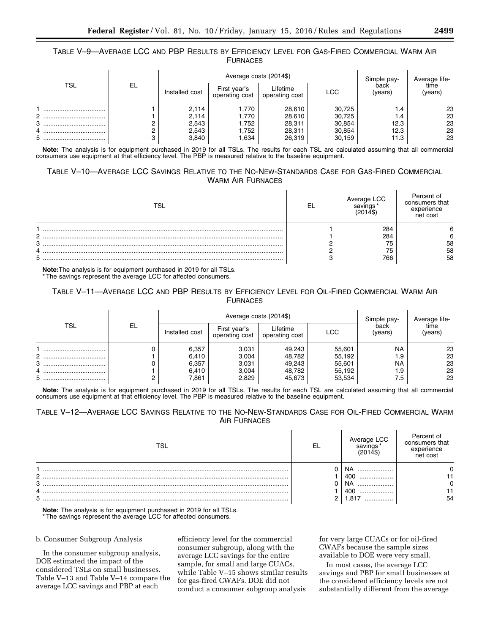### TABLE V–9—AVERAGE LCC AND PBP RESULTS BY EFFICIENCY LEVEL FOR GAS-FIRED COMMERCIAL WARM AIR **FURNACES**

|       |    |                |                                                                                                                                                                                                                                                                | Simple pay-     | Average life- |      |    |
|-------|----|----------------|----------------------------------------------------------------------------------------------------------------------------------------------------------------------------------------------------------------------------------------------------------------|-----------------|---------------|------|----|
| TSL   | EL | Installed cost | Average costs (2014\$)<br>back<br>Lifetime<br>First vear's<br>LCC<br>(years)<br>operating cost<br>operating cost<br>,770<br>30,725<br>28,610<br>، 4<br>,770<br>30,725<br>28,610<br>1.4<br>12.3<br>.752<br>30,854<br>28,311<br>12.3<br>.752<br>28,311<br>30,854 | time<br>(years) |               |      |    |
|       |    | 2,114          |                                                                                                                                                                                                                                                                |                 |               |      | 23 |
| 2<br> |    | 2,114          |                                                                                                                                                                                                                                                                |                 |               |      | 23 |
| 3<br> |    | 2,543          |                                                                                                                                                                                                                                                                |                 |               |      | 23 |
| 4<br> |    | 2,543          |                                                                                                                                                                                                                                                                |                 |               |      | 23 |
| 5<br> |    | 3,840          | .634                                                                                                                                                                                                                                                           | 26,319          | 30.159        | 11.3 | 23 |

**Note:** The analysis is for equipment purchased in 2019 for all TSLs. The results for each TSL are calculated assuming that all commercial consumers use equipment at that efficiency level. The PBP is measured relative to the baseline equipment.

## TABLE V–10—AVERAGE LCC SAVINGS RELATIVE TO THE NO-NEW-STANDARDS CASE FOR GAS-FIRED COMMERCIAL WARM AIR FURNACES

|   | ∟CC.<br>Average L<br>sav | Percent of<br>consumers that<br>experience<br>net cost |
|---|--------------------------|--------------------------------------------------------|
|   | 284                      |                                                        |
| c | 284                      |                                                        |
| 3 | 75<br>ن -                | 58                                                     |
| 4 | 75                       | 58                                                     |
| 5 | 766                      | 58                                                     |

**Note:**The analysis is for equipment purchased in 2019 for all TSLs.

\* The savings represent the average LCC for affected consumers.

## TABLE V–11—AVERAGE LCC AND PBP RESULTS BY EFFICIENCY LEVEL FOR OIL-FIRED COMMERCIAL WARM AIR FURNACES

| TSL   |    |                | Average costs (2014\$)         | Simple pay-                | Average life- |                   |                 |
|-------|----|----------------|--------------------------------|----------------------------|---------------|-------------------|-----------------|
|       | EL | Installed cost | First vear's<br>operating cost | Lifetime<br>operating cost | <b>LCC</b>    | back<br>(years)   | time<br>(years) |
|       |    | 6,357          | 3,031                          | 49,243                     | 55,601        | <b>NA</b>         | 23              |
| 2<br> |    | 6,410          | 3,004                          | 48.782                     | 55,192        | 1.9               | 23              |
| 3<br> |    | 6,357          | 3,031                          | 49,243                     | 55,601        | <b>NA</b>         | 23              |
| 4<br> |    | 6,410          | 3,004                          | 48,782                     | 55,192        | 1.9               | 23              |
| 5<br> |    | 7,861          | 2,829                          | 45,673                     | 53,534        | <b>7 E</b><br>7.5 | 23              |

**Note:** The analysis is for equipment purchased in 2019 for all TSLs. The results for each TSL are calculated assuming that all commercial consumers use equipment at that efficiency level. The PBP is measured relative to the baseline equipment.

## TABLE V–12—AVERAGE LCC SAVINGS RELATIVE TO THE NO-NEW-STANDARDS CASE FOR OIL-FIRED COMMERCIAL WARM AIR FURNACES

| TSL | FI. | LCC      | Percent of<br>consumers that<br>experience<br>cost<br>าeτ |
|-----|-----|----------|-----------------------------------------------------------|
|     |     | NÆ<br>   |                                                           |
| ◠   |     | 400<br>  |                                                           |
| 3   |     | NΑ<br>   |                                                           |
| 4   |     | 40C<br>. |                                                           |
| 5   |     |          | 54                                                        |

**Note:** The analysis is for equipment purchased in 2019 for all TSLs.

\* The savings represent the average LCC for affected consumers.

#### b. Consumer Subgroup Analysis

In the consumer subgroup analysis, DOE estimated the impact of the considered TSLs on small businesses. Table V–13 and Table V–14 compare the average LCC savings and PBP at each

efficiency level for the commercial consumer subgroup, along with the average LCC savings for the entire sample, for small and large CUACs, while Table V–15 shows similar results for gas-fired CWAFs. DOE did not conduct a consumer subgroup analysis

for very large CUACs or for oil-fired CWAFs because the sample sizes available to DOE were very small.

In most cases, the average LCC savings and PBP for small businesses at the considered efficiency levels are not substantially different from the average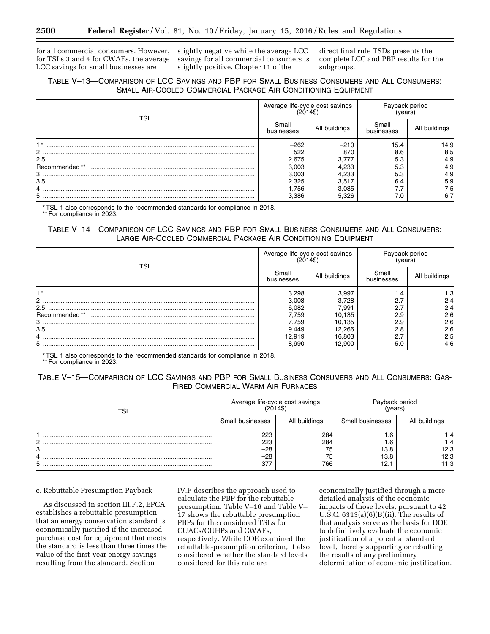for all commercial consumers. However, for TSLs 3 and 4 for CWAFs, the average LCC savings for small businesses are

slightly negative while the average LCC savings for all commercial consumers is slightly positive. Chapter 11 of the

direct final rule TSDs presents the complete LCC and PBP results for the subgroups.

## TABLE V–13—COMPARISON OF LCC SAVINGS AND PBP FOR SMALL BUSINESS CONSUMERS AND ALL CONSUMERS: SMALL AIR-COOLED COMMERCIAL PACKAGE AIR CONDITIONING EQUIPMENT

| TSL           | Average life-cycle cost savings | (2014\$)      | Payback period<br>vears) |               |  |
|---------------|---------------------------------|---------------|--------------------------|---------------|--|
|               | Small<br>businesses             | All buildings | Small<br>businesses      | All buildings |  |
| $+ *$         | $-262$                          | $-210$        | 15.4                     | 14.9          |  |
| $\mathbf{2}$  | 522                             | 870           | 8.6                      | 8.5           |  |
| 2.5           | 2.675                           | 3.777         | 5.3                      | 4.9           |  |
| Recommended** | 3.003                           | 4.233         | 5.3                      | 4.9           |  |
| $3$           | 3.003                           | 4.233         | 5.3                      | 4.9           |  |
| 3.5           | 2.325                           | 3.517         | 6.4                      | 5.9           |  |
|               | .756                            | 3.035         |                          | 7.5           |  |
| 5             | 3.386                           | 5.326         | 7.C                      | 6.7           |  |

\* TSL 1 also corresponds to the recommended standards for compliance in 2018.

\*\* For compliance in 2023.

## TABLE V–14—COMPARISON OF LCC SAVINGS AND PBP FOR SMALL BUSINESS CONSUMERS AND ALL CONSUMERS: LARGE AIR-COOLED COMMERCIAL PACKAGE AIR CONDITIONING EQUIPMENT

| TSL           | Average life-cycle cost savings<br>(2014\$) |               | avpack period-<br>vears |               |  |
|---------------|---------------------------------------------|---------------|-------------------------|---------------|--|
|               | Small<br>businesses                         | All buildings | Small<br>businesses     | All buildings |  |
| $+ *$         | 3.298                                       | 3.997         | .4                      | 1.3           |  |
|               | 3.008                                       | 3.728         | 2.7                     | 2.4           |  |
| 2.5           | 6.082                                       | 7.991         | 2.7                     | 2.4           |  |
| Recommended** | 7.759                                       | 10,135        | 2.9                     | 2.6           |  |
|               | 7.759                                       | 10.135        | 2.9                     | 2.6           |  |
| 3.5           | 9.449                                       | 12.266        | 2.8                     | 2.6           |  |
|               | 12.919                                      | 16.803        | 2.7                     | 2.5           |  |
| 5             | 8.990                                       | 2.900         | 5.0                     | 4.6           |  |

\* TSL 1 also corresponds to the recommended standards for compliance in 2018.

\*\* For compliance in 2023.

### TABLE V–15—COMPARISON OF LCC SAVINGS AND PBP FOR SMALL BUSINESS CONSUMERS AND ALL CONSUMERS: GAS-FIRED COMMERCIAL WARM AIR FURNACES

| ™SL | Average life-cycle cost savings |               | Payback period<br>vears. |               |  |
|-----|---------------------------------|---------------|--------------------------|---------------|--|
|     | Small businesses                | All buildings | Small businesses         | All buildings |  |
| ◠   | 223<br>223                      | 284<br>284    | i.b                      |               |  |
| 3   | $-28$                           | 75            | 13.8                     | 12.3          |  |
| 4   | $-28$                           | 75            | 13.8                     | 12.3          |  |
| 5   | 37                              | 766           | 12.1                     | 11.3          |  |

#### c. Rebuttable Presumption Payback

As discussed in section III.F.2, EPCA establishes a rebuttable presumption that an energy conservation standard is economically justified if the increased purchase cost for equipment that meets the standard is less than three times the value of the first-year energy savings resulting from the standard. Section

IV.F describes the approach used to calculate the PBP for the rebuttable presumption. Table V–16 and Table V– 17 shows the rebuttable presumption PBPs for the considered TSLs for CUACs/CUHPs and CWAFs, respectively. While DOE examined the rebuttable-presumption criterion, it also considered whether the standard levels considered for this rule are

economically justified through a more detailed analysis of the economic impacts of those levels, pursuant to 42 U.S.C.  $6313(a)(6)(B)(ii)$ . The results of that analysis serve as the basis for DOE to definitively evaluate the economic justification of a potential standard level, thereby supporting or rebutting the results of any preliminary determination of economic justification.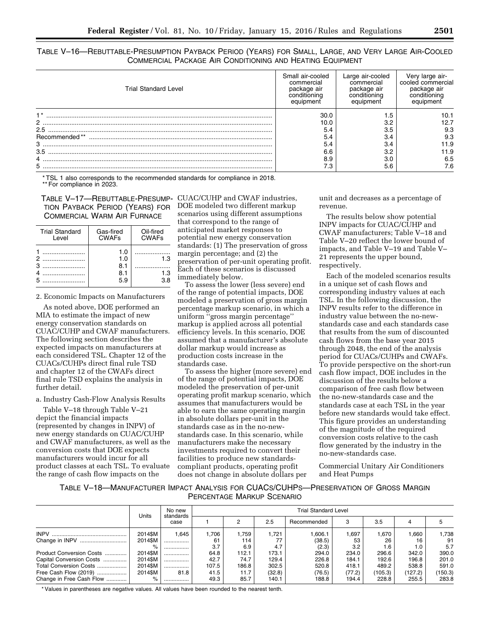TABLE V–16—REBUTTABLE-PRESUMPTION PAYBACK PERIOD (YEARS) FOR SMALL, LARGE, AND VERY LARGE AIR-COOLED COMMERCIAL PACKAGE AIR CONDITIONING AND HEATING EQUIPMENT

| <b>Trial Standard Level</b> | Small air-cooled<br>commercial<br>package air<br>conditioning | Large air-cooled<br>commercial<br>package air<br>conditionina<br>eauinment | Very large air-<br>cooled commercial<br>package air<br>conditioning<br>eauıpmen |
|-----------------------------|---------------------------------------------------------------|----------------------------------------------------------------------------|---------------------------------------------------------------------------------|
| $1^*$                       | 30.0                                                          | ۱.5                                                                        | 10.1                                                                            |
| 2.                          | 10.0                                                          | 3.2                                                                        | 12.7                                                                            |
| 2.5                         | 5.4                                                           | 3.5                                                                        | 9.3                                                                             |
| Recommended**               | 5.4                                                           | 3.4                                                                        | 9.3                                                                             |
| $3$                         | 5.4                                                           | 3.4                                                                        | 11.9                                                                            |
|                             | 6.6                                                           | 3.2                                                                        | 11.9                                                                            |
| 4                           | 8.9                                                           | 3.0                                                                        | 6.5                                                                             |
|                             | 7.3                                                           | 5.6                                                                        | 7.6                                                                             |

\* TSL 1 also corresponds to the recommended standards for compliance in 2018. \*\* For compliance in 2023.

TABLE V–17—REBUTTABLE-PRESUMP-CUAC/CUHP and CWAF industries, TION PAYBACK PERIOD (YEARS) FOR COMMERCIAL WARM AIR FURNACE

| <b>Trial Standard</b><br>I evel | Gas-fired<br><b>CWAFs</b> | Oil-fired<br><b>CWAFs</b> |
|---------------------------------|---------------------------|---------------------------|
|                                 | 1.0<br>1.0                | 1.3                       |
| 3                               | 8.1<br>8.1<br>5.9         | 1.3<br>ЗR                 |

2. Economic Impacts on Manufacturers

As noted above, DOE performed an MIA to estimate the impact of new energy conservation standards on CUAC/CUHP and CWAF manufacturers. The following section describes the expected impacts on manufacturers at each considered TSL. Chapter 12 of the CUACs/CUHPs direct final rule TSD and chapter 12 of the CWAFs direct final rule TSD explains the analysis in further detail.

#### a. Industry Cash-Flow Analysis Results

Table V–18 through Table V–21 depict the financial impacts (represented by changes in INPV) of new energy standards on CUAC/CUHP and CWAF manufacturers, as well as the conversion costs that DOE expects manufacturers would incur for all product classes at each TSL. To evaluate the range of cash flow impacts on the

DOE modeled two different markup scenarios using different assumptions that correspond to the range of anticipated market responses to potential new energy conservation standards: (1) The preservation of gross margin percentage; and (2) the preservation of per-unit operating profit. Each of these scenarios is discussed immediately below.

To assess the lower (less severe) end of the range of potential impacts, DOE modeled a preservation of gross margin percentage markup scenario, in which a uniform ''gross margin percentage'' markup is applied across all potential efficiency levels. In this scenario, DOE assumed that a manufacturer's absolute dollar markup would increase as production costs increase in the standards case.

To assess the higher (more severe) end of the range of potential impacts, DOE modeled the preservation of per-unit operating profit markup scenario, which assumes that manufacturers would be able to earn the same operating margin in absolute dollars per-unit in the standards case as in the no-newstandards case. In this scenario, while manufacturers make the necessary investments required to convert their facilities to produce new standardscompliant products, operating profit does not change in absolute dollars per

unit and decreases as a percentage of revenue.

The results below show potential INPV impacts for CUAC/CUHP and CWAF manufacturers; Table V–18 and Table V–20 reflect the lower bound of impacts, and Table V–19 and Table V– 21 represents the upper bound, respectively.

Each of the modeled scenarios results in a unique set of cash flows and corresponding industry values at each TSL. In the following discussion, the INPV results refer to the difference in industry value between the no-newstandards case and each standards case that results from the sum of discounted cash flows from the base year 2015 through 2048, the end of the analysis period for CUACs/CUHPs and CWAFs. To provide perspective on the short-run cash flow impact, DOE includes in the discussion of the results below a comparison of free cash flow between the no-new-standards case and the standards case at each TSL in the year before new standards would take effect. This figure provides an understanding of the magnitude of the required conversion costs relative to the cash flow generated by the industry in the no-new-standards case.

Commercial Unitary Air Conditioners and Heat Pumps

TABLE V–18—MANUFACTURER IMPACT ANALYSIS FOR CUACS/CUHPS—PRESERVATION OF GROSS MARGIN PERCENTAGE MARKUP SCENARIO

|                          | Units   |                   |       | No new | <b>Trial Standard Level</b> |             |        |         |         |         |  |  |  |
|--------------------------|---------|-------------------|-------|--------|-----------------------------|-------------|--------|---------|---------|---------|--|--|--|
|                          |         | standards<br>case |       |        | 2.5                         | Recommended | 3      | 3.5     |         |         |  |  |  |
| <b>INPV</b>              | 2014\$M | 1.645             | .706  | .759.  | 1.721                       | .606.1      | 1.697  | 1.670   | 1.660   | 1.738   |  |  |  |
|                          | 2014\$M |                   | 61    | 114    |                             | (38.5)      | 53     | 26      | 16      | 91      |  |  |  |
|                          | %       |                   | 3.7   | 6.9    | 4.7                         | (2.3)       | 3.2    | 1.6     | 1.0     | 5.7     |  |  |  |
| Product Conversion Costs | 2014\$M |                   | 64.8  | 112.1  | 173.1                       | 294.0       | 234.0  | 296.6   | 342.0   | 390.0   |  |  |  |
| Capital Conversion Costs | 2014\$M |                   | 42.7  | 74.7   | 129.4                       | 226.8       | 184.1  | 192.6   | 196.8   | 201.0   |  |  |  |
| Total Conversion Costs   | 2014\$M |                   | 107.5 | 186.8  | 302.5                       | 520.8       | 418.1  | 489.2   | 538.8   | 591.0   |  |  |  |
| Free Cash Flow (2019)    | 2014\$M | 81.8              | 41.5  | 11.7   | (32.8)                      | (76.5)      | (77.2) | (105.3) | (127.2) | (150.3) |  |  |  |
| Change in Free Cash Flow | %       |                   | 49.3  | 85.7   | 140.1                       | 188.8       | 194.4  | 228.8   | 255.5   | 283.8   |  |  |  |

\* Values in parentheses are negative values. All values have been rounded to the nearest tenth.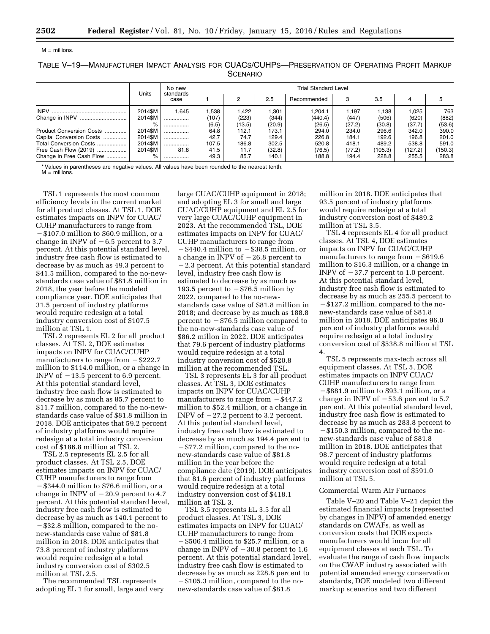#### $M =$  millions.

TABLE V–19—MANUFACTURER IMPACT ANALYSIS FOR CUACS/CUHPS—PRESERVATION OF OPERATING PROFIT MARKUP **SCENARIO** 

|                          | Units   | No new            | <b>Trial Standard Level</b> |        |        |             |        |         |         |         |  |
|--------------------------|---------|-------------------|-----------------------------|--------|--------|-------------|--------|---------|---------|---------|--|
|                          |         | standards<br>case |                             |        | 2.5    | Recommended | 3      | 3.5     |         |         |  |
| <b>INPV</b>              | 2014\$M | 1.645             | .538                        | .422   | 1,301  | .204.1      | 1.197  | 1.138   | 1.025   | 763     |  |
|                          | 2014\$M |                   | (107)                       | (223)  | (344)  | (440.4)     | (447)  | (506)   | (620)   | (882)   |  |
|                          | %       |                   | (6.5)                       | (13.5) | (20.9) | (26.5)      | (27.2) | (30.8)  | (37.7)  | (53.6)  |  |
| Product Conversion Costs | 2014\$M |                   | 64.8                        | 112.1  | 173.1  | 294.0       | 234.0  | 296.6   | 342.0   | 390.0   |  |
| Capital Conversion Costs | 2014\$M |                   | 42.7                        | 74.7   | 129.4  | 226.8       | 184.1  | 192.6   | 196.8   | 201.0   |  |
| Total Conversion Costs   | 2014\$M |                   | 107.5                       | 186.8  | 302.5  | 520.8       | 418.1  | 489.2   | 538.8   | 591.0   |  |
| Free Cash Flow (2019)    | 2014\$M | 81.8              | 41.5                        | 11.7   | (32.8) | (76.5)      | (77.2) | (105.3) | (127.2) | (150.3) |  |
| Change in Free Cash Flow | %       |                   | 49.3                        | 85.7   | 140.1  | 188.8       | 194.4  | 228.8   | 255.5   | 283.8   |  |

\* Values in parentheses are negative values. All values have been rounded to the nearest tenth.  $M =$  millions.

TSL 1 represents the most common efficiency levels in the current market for all product classes. At TSL 1, DOE estimates impacts on INPV for CUAC/ CUHP manufacturers to range from  $-$ \$107.0 million to \$60.9 million, or a change in INPV of  $-6.5$  percent to 3.7 percent. At this potential standard level, industry free cash flow is estimated to decrease by as much as 49.3 percent to \$41.5 million, compared to the no-newstandards case value of \$81.8 million in 2018, the year before the modeled compliance year. DOE anticipates that 31.5 percent of industry platforms would require redesign at a total industry conversion cost of \$107.5 million at TSL 1.

TSL 2 represents EL 2 for all product classes. At TSL 2, DOE estimates impacts on INPV for CUAC/CUHP manufacturers to range from  $-$  \$222.7 million to \$114.0 million, or a change in INPV of  $-13.5$  percent to 6.9 percent. At this potential standard level, industry free cash flow is estimated to decrease by as much as 85.7 percent to \$11.7 million, compared to the no-newstandards case value of \$81.8 million in 2018. DOE anticipates that 59.2 percent of industry platforms would require redesign at a total industry conversion cost of \$186.8 million at TSL 2.

TSL 2.5 represents EL 2.5 for all product classes. At TSL 2.5, DOE estimates impacts on INPV for CUAC/ CUHP manufacturers to range from  $-$ \$344.0 million to \$76.6 million, or a change in INPV of  $-20.9$  percent to 4.7 percent. At this potential standard level, industry free cash flow is estimated to decrease by as much as 140.1 percent to  $-$ \$32.8 million, compared to the nonew-standards case value of \$81.8 million in 2018. DOE anticipates that 73.8 percent of industry platforms would require redesign at a total industry conversion cost of \$302.5 million at TSL 2.5.

The recommended TSL represents adopting EL 1 for small, large and very

large CUAC/CUHP equipment in 2018; and adopting EL 3 for small and large CUAC/CUHP equipment and EL 2.5 for very large CUAC/CUHP equipment in 2023. At the recommended TSL, DOE estimates impacts on INPV for CUAC/ CUHP manufacturers to range from  $-\$440.4$  million to  $-\$38.5$  million, or a change in INPV of  $-26.8$  percent to  $-2.3$  percent. At this potential standard level, industry free cash flow is estimated to decrease by as much as 193.5 percent to  $-$  \$76.5 million by 2022, compared to the no-newstandards case value of \$81.8 million in 2018; and decrease by as much as 188.8 percent to  $-$  \$76.5 million compared to the no-new-standards case value of \$86.2 millon in 2022. DOE anticipates that 79.6 percent of industry platforms would require redesign at a total industry conversion cost of \$520.8 million at the recommended TSL.

TSL 3 represents EL 3 for all product classes. At TSL 3, DOE estimates impacts on INPV for CUAC/CUHP manufacturers to range from  $-$  \$447.2 million to \$52.4 million, or a change in INPV of  $-27.2$  percent to 3.2 percent. At this potential standard level, industry free cash flow is estimated to decrease by as much as 194.4 percent to  $-$ \$77.2 million, compared to the nonew-standards case value of \$81.8 million in the year before the compliance date (2019). DOE anticipates that 81.6 percent of industry platforms would require redesign at a total industry conversion cost of \$418.1 million at TSL 3.

TSL 3.5 represents EL 3.5 for all product classes. At TSL 3, DOE estimates impacts on INPV for CUAC/ CUHP manufacturers to range from  $-$ \$506.4 million to \$25.7 million, or a change in INPV of  $-30.8$  percent to 1.6 percent. At this potential standard level, industry free cash flow is estimated to decrease by as much as 228.8 percent to  $-$ \$105.3 million, compared to the nonew-standards case value of \$81.8

million in 2018. DOE anticipates that 93.5 percent of industry platforms would require redesign at a total industry conversion cost of \$489.2 million at TSL 3.5.

TSL 4 represents EL 4 for all product classes. At TSL 4, DOE estimates impacts on INPV for CUAC/CUHP manufacturers to range from  $-$  \$619.6 million to \$16.3 million, or a change in INPV of  $-37.7$  percent to 1.0 percent. At this potential standard level, industry free cash flow is estimated to decrease by as much as 255.5 percent to  $-$ \$127.2 million, compared to the nonew-standards case value of \$81.8 million in 2018. DOE anticipates 96.0 percent of industry platforms would require redesign at a total industry conversion cost of \$538.8 million at TSL 4.

TSL 5 represents max-tech across all equipment classes. At TSL 5, DOE estimates impacts on INPV CUAC/ CUHP manufacturers to range from  $-$ \$881.9 million to \$93.1 million, or a change in INPV of  $-53.6$  percent to 5.7 percent. At this potential standard level, industry free cash flow is estimated to decrease by as much as 283.8 percent to  $-$ \$150.3 million, compared to the nonew-standards case value of \$81.8 million in 2018. DOE anticipates that 98.7 percent of industry platforms would require redesign at a total industry conversion cost of \$591.0 million at TSL 5.

#### Commercial Warm Air Furnaces

Table V–20 and Table V–21 depict the estimated financial impacts (represented by changes in INPV) of amended energy standards on CWAFs, as well as conversion costs that DOE expects manufacturers would incur for all equipment classes at each TSL. To evaluate the range of cash flow impacts on the CWAF industry associated with potential amended energy conservation standards, DOE modeled two different markup scenarios and two different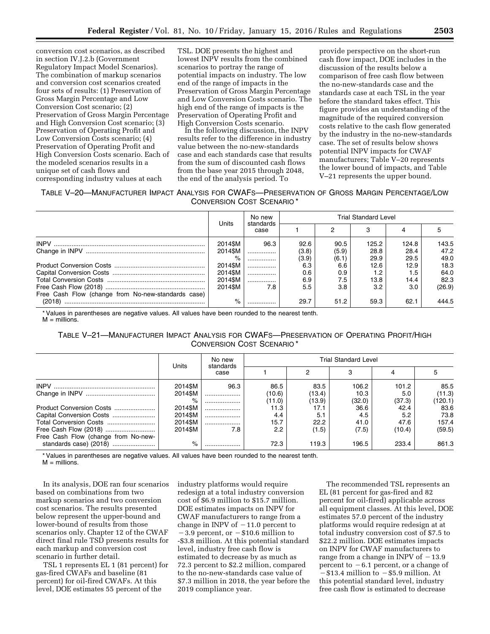conversion cost scenarios, as described in section IV.J.2.b (Government Regulatory Impact Model Scenarios). The combination of markup scenarios and conversion cost scenarios created four sets of results: (1) Preservation of Gross Margin Percentage and Low Conversion Cost scenario; (2) Preservation of Gross Margin Percentage and High Conversion Cost scenario; (3) Preservation of Operating Profit and Low Conversion Costs scenario; (4) Preservation of Operating Profit and High Conversion Costs scenario. Each of the modeled scenarios results in a unique set of cash flows and corresponding industry values at each

TSL. DOE presents the highest and lowest INPV results from the combined scenarios to portray the range of potential impacts on industry. The low end of the range of impacts in the Preservation of Gross Margin Percentage and Low Conversion Costs scenario. The high end of the range of impacts is the Preservation of Operating Profit and High Conversion Costs scenario.

In the following discussion, the INPV results refer to the difference in industry value between the no-new-standards case and each standards case that results from the sum of discounted cash flows from the base year 2015 through 2048, the end of the analysis period. To

provide perspective on the short-run cash flow impact, DOE includes in the discussion of the results below a comparison of free cash flow between the no-new-standards case and the standards case at each TSL in the year before the standard takes effect. This figure provides an understanding of the magnitude of the required conversion costs relative to the cash flow generated by the industry in the no-new-standards case. The set of results below shows potential INPV impacts for CWAF manufacturers; Table V–20 represents the lower bound of impacts, and Table V–21 represents the upper bound.

TABLE V–20—MANUFACTURER IMPACT ANALYSIS FOR CWAFS—PRESERVATION OF GROSS MARGIN PERCENTAGE/LOW CONVERSION COST SCENARIO \*

|                                                    | Units   | No new            |                                                                                                                                                                                         | <b>Trial Standard Level</b> |  |       |        |  |
|----------------------------------------------------|---------|-------------------|-----------------------------------------------------------------------------------------------------------------------------------------------------------------------------------------|-----------------------------|--|-------|--------|--|
|                                                    |         | standards<br>case | 92.6<br>90.5<br>125.2<br>(3.8)<br>(5.9)<br>28.8<br>(3.9)<br>(6.1)<br>29.9<br>6.3<br>6.6<br>12.6<br>0.6<br>0.9<br>7.5<br>6.9<br>13.8<br>5.5<br>3.8<br>3.2<br>7.8<br>29.7<br>51.2<br>59.3 |                             |  |       |        |  |
|                                                    | 2014\$M | 96.3              |                                                                                                                                                                                         |                             |  | 124.8 | 143.5  |  |
|                                                    | 2014\$M |                   |                                                                                                                                                                                         |                             |  | 28.4  | 47.2   |  |
|                                                    | $\%$    |                   |                                                                                                                                                                                         |                             |  | 29.5  | 49.0   |  |
|                                                    | 2014\$M |                   |                                                                                                                                                                                         |                             |  | 12.9  | 18.3   |  |
|                                                    | 2014\$M |                   |                                                                                                                                                                                         |                             |  | 1.5   | 64.0   |  |
|                                                    | 2014\$M |                   |                                                                                                                                                                                         |                             |  | 14.4  | 82.3   |  |
|                                                    | 2014\$M |                   |                                                                                                                                                                                         |                             |  | 3.0   | (26.9) |  |
| Free Cash Flow (change from No-new-standards case) |         |                   |                                                                                                                                                                                         |                             |  |       |        |  |
| (2018)                                             | $\%$    |                   |                                                                                                                                                                                         |                             |  | 62.1  | 444.5  |  |

\* Values in parentheses are negative values. All values have been rounded to the nearest tenth.

 $M =$  millions.

## TABLE V–21—MANUFACTURER IMPACT ANALYSIS FOR CWAFS—PRESERVATION OF OPERATING PROFIT/HIGH CONVERSION COST SCENARIO \*

|                                     | Units   | <b>Trial Standard Level</b><br>No new |        |        |        |        |         |
|-------------------------------------|---------|---------------------------------------|--------|--------|--------|--------|---------|
|                                     |         | standards<br>case                     |        | 2      |        |        |         |
|                                     | 2014\$M | 96.3                                  | 86.5   | 83.5   | 106.2  | 101.2  | 85.5    |
|                                     | 2014\$M |                                       | (10.6) | (13.4) | 10.3   | 5.0    | (11.3)  |
|                                     | $\%$    |                                       | (11.0) | (13.9) | (32.0) | (37.3) | (120.1) |
| Product Conversion Costs            | 2014\$M |                                       | 11.3   | 17.1   | 36.6   | 42.4   | 83.6    |
| Capital Conversion Costs            | 2014\$M |                                       | 4.4    | 5.1    | 4.5    | 5.2    | 73.8    |
| Total Conversion Costs              | 2014\$M |                                       | 15.7   | 22.2   | 41.0   | 47.6   | 157.4   |
|                                     | 2014\$M | 7.8                                   | 2.2    | (1.5)  | (7.5)  | (10.4) | (59.5)  |
| Free Cash Flow (change from No-new- |         |                                       |        |        |        |        |         |
| standards case) (2018)              | $\%$    |                                       | 72.3   | 119.3  | 196.5  | 233.4  | 861.3   |

\* Values in parentheses are negative values. All values have been rounded to the nearest tenth.  $M =$  millions.

In its analysis, DOE ran four scenarios based on combinations from two markup scenarios and two conversion cost scenarios. The results presented below represent the upper-bound and lower-bound of results from those scenarios only. Chapter 12 of the CWAF direct final rule TSD presents results for each markup and conversion cost scenario in further detail.

TSL 1 represents EL 1 (81 percent) for gas-fired CWAFs and baseline (81 percent) for oil-fired CWAFs. At this level, DOE estimates 55 percent of the

industry platforms would require redesign at a total industry conversion cost of \$6.9 million to \$15.7 million. DOE estimates impacts on INPV for CWAF manufacturers to range from a change in INPV of  $-11.0$  percent to  $-3.9$  percent, or  $-\$10.6$  million to -\$3.8 million. At this potential standard level, industry free cash flow is estimated to decrease by as much as 72.3 percent to \$2.2 million, compared to the no-new-standards case value of \$7.3 million in 2018, the year before the 2019 compliance year.

The recommended TSL represents an EL (81 percent for gas-fired and 82 percent for oil-fired) applicable across all equipment classes. At this level, DOE estimates 57.0 percent of the industry platforms would require redesign at at total industry conversion cost of \$7.5 to \$22.2 million. DOE estimates impacts on INPV for CWAF manufacturers to range from a change in INPV of  $-13.9$ percent to  $-6.1$  percent, or a change of  $-$ \$13.4 million to  $-$ \$5.9 million. At this potential standard level, industry free cash flow is estimated to decrease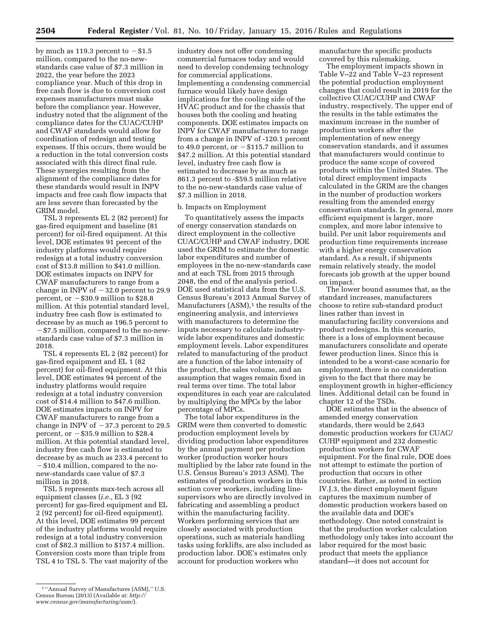by much as 119.3 percent to  $-$ \$1.5 million, compared to the no-newstandards case value of \$7.3 million in 2022, the year before the 2023 compliance year. Much of this drop in free cash flow is due to conversion cost expenses manufacturers must make before the compliance year. However, industry noted that the alignment of the compliance dates for the CUAC/CUHP and CWAF standards would allow for coordination of redesign and testing expenses. If this occurs, there would be a reduction in the total conversion costs associated with this direct final rule. These synergies resulting from the alignment of the compliance dates for these standards would result in INPV impacts and free cash flow impacts that are less severe than forecasted by the GRIM model.

TSL 3 represents EL 2 (82 percent) for gas-fired equipment and baseline (81 percent) for oil-fired equipment. At this level, DOE estimates 91 percent of the industry platforms would require redesign at a total industry conversion cost of \$13.8 million to \$41.0 million. DOE estimates impacts on INPV for CWAF manufacturers to range from a change in INPV of  $-32.0$  percent to 29.9 percent, or  $-$  \$30.9 million to \$28.8 million. At this potential standard level, industry free cash flow is estimated to decrease by as much as 196.5 percent to  $-$  \$7.5 million, compared to the no-newstandards case value of \$7.3 million in 2018.

TSL 4 represents EL 2 (82 percent) for gas-fired equipment and EL 1 (82 percent) for oil-fired equipment. At this level, DOE estimates 94 percent of the industry platforms would require redesign at a total industry conversion cost of \$14.4 million to \$47.6 million. DOE estimates impacts on INPV for CWAF manufacturers to range from a change in INPV of  $-37.3$  percent to 29.5 percent, or  $-$  \$35.9 million to \$28.4 million. At this potential standard level, industry free cash flow is estimated to decrease by as much as 233.4 percent to  $-$ \$10.4 million, compared to the nonew-standards case value of \$7.3 million in 2018.

TSL 5 represents max-tech across all equipment classes (*i.e.,* EL 3 (92 percent) for gas-fired equipment and EL 2 (92 percent) for oil-fired equipment). At this level, DOE estimates 99 percent of the industry platforms would require redesign at a total industry conversion cost of \$82.3 million to \$157.4 million. Conversion costs more than triple from TSL 4 to TSL 5. The vast majority of the

#### b. Impacts on Employment

To quantitatively assess the impacts of energy conservation standards on direct employment in the collective CUAC/CUHP and CWAF industry, DOE used the GRIM to estimate the domestic labor expenditures and number of employees in the no-new-standards case and at each TSL from 2015 through 2048, the end of the analysis period. DOE used statistical data from the U.S. Census Bureau's 2013 Annual Survey of Manufacturers  $(ASM),<sup>1</sup>$  the results of the engineering analysis, and interviews with manufacturers to determine the inputs necessary to calculate industrywide labor expenditures and domestic employment levels. Labor expenditures related to manufacturing of the product are a function of the labor intensity of the product, the sales volume, and an assumption that wages remain fixed in real terms over time. The total labor expenditures in each year are calculated by multiplying the MPCs by the labor percentage of MPCs.

The total labor expenditures in the GRIM were then converted to domestic production employment levels by dividing production labor expenditures by the annual payment per production worker (production worker hours multiplied by the labor rate found in the U.S. Census Bureau's 2013 ASM). The estimates of production workers in this section cover workers, including linesupervisors who are directly involved in fabricating and assembling a product within the manufacturing facility. Workers performing services that are closely associated with production operations, such as materials handling tasks using forklifts, are also included as production labor. DOE's estimates only account for production workers who

manufacture the specific products covered by this rulemaking.

The employment impacts shown in Table V– $22$  and Table V–23 represent the potential production employment changes that could result in 2019 for the collective CUAC/CUHP and CWAF industry, respectively. The upper end of the results in the table estimates the maximum increase in the number of production workers after the implementation of new energy conservation standards, and it assumes that manufacturers would continue to produce the same scope of covered products within the United States. The total direct employment impacts calculated in the GRIM are the changes in the number of production workers resulting from the amended energy conservation standards. In general, more efficient equipment is larger, more complex, and more labor intensive to build. Per unit labor requirements and production time requirements increase with a higher energy conservation standard. As a result, if shipments remain relatively steady, the model forecasts job growth at the upper bound on impact.

The lower bound assumes that, as the standard increases, manufacturers choose to retire sub-standard product lines rather than invest in manufacturing facility conversions and product redesigns. In this scenario, there is a loss of employment because manufacturers consolidate and operate fewer production lines. Since this is intended to be a worst-case scenario for employment, there is no consideration given to the fact that there may be employment growth in higher-efficiency lines. Additional detail can be found in chapter 12 of the TSDs.

DOE estimates that in the absence of amended energy conservation standards, there would be 2,643 domestic production workers for CUAC/ CUHP equipment and 232 domestic production workers for CWAF equipment. For the final rule, DOE does not attempt to estimate the portion of production that occurs in other countries. Rather, as noted in section IV.J.3, the direct employment figure captures the maximum number of domestic production workers based on the available data and DOE's methodology. One noted constraint is that the production worker calculation methodology only takes into account the labor required for the most basic product that meets the appliance standard—it does not account for

industry does not offer condensing commercial furnaces today and would need to develop condensing technology for commercial applications. Implementing a condensing commercial furnace would likely have design implications for the cooling side of the HVAC product and for the chassis that houses both the cooling and heating components. DOE estimates impacts on INPV for CWAF manufacturers to range from a change in INPV of -120.1 percent to 49.0 percent, or  $-\$115.7$  million to \$47.2 million. At this potential standard level, industry free cash flow is estimated to decrease by as much as 861.3 percent to -\$59.5 million relative to the no-new-standards case value of \$7.3 million in 2018.

<sup>1</sup> ''Annual Survey of Manufactures (ASM),'' U.S. Census Bureau (2013) (Available at: *[http://](http://www.census.gov/manufacturing/asm/) [www.census.gov/manufacturing/asm/](http://www.census.gov/manufacturing/asm/)*).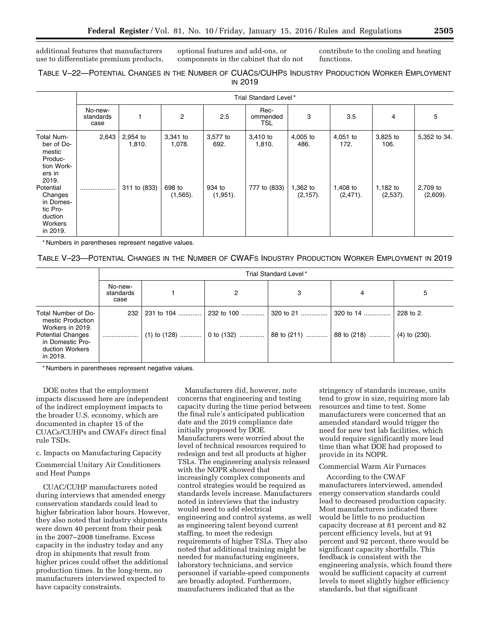additional features that manufacturers use to differentiate premium products,

optional features and add-ons, or components in the cabinet that do not contribute to the cooling and heating functions.

## TABLE V–22—POTENTIAL CHANGES IN THE NUMBER OF CUACS/CUHPS INDUSTRY PRODUCTION WORKER EMPLOYMENT IN 2019

|                                                                                       |                              |                    |                        |                       | Trial Standard Level*   |                          |                         |                         |                      |
|---------------------------------------------------------------------------------------|------------------------------|--------------------|------------------------|-----------------------|-------------------------|--------------------------|-------------------------|-------------------------|----------------------|
|                                                                                       | No-new-<br>standards<br>case |                    | $\overline{c}$         | 2.5                   | Rec-<br>ommended<br>TSL | 3                        | 3.5                     | 4                       | 5                    |
| <b>Total Num-</b><br>ber of Do-<br>mestic<br>Produc-<br>tion Work-<br>ers in<br>2019. | 2,643                        | 2,954 to<br>1,810. | $3,341$ to<br>1,078.   | 3,577 to<br>692.      | 3,410 to<br>1,810.      | 4,005 to<br>486.         | $4,051$ to<br>172.      | 3,825 to<br>106.        | 5,352 to 34.         |
| Potential<br>Changes<br>in Domes-<br>tic Pro-<br>duction<br>Workers<br>in 2019.       |                              | 311 to (833)       | 698 to<br>$(1, 565)$ . | 934 to<br>$(1,951)$ . | 777 to (833)            | 1,362 to<br>$(2, 157)$ . | 1,408 to<br>$(2,471)$ . | 1,182 to<br>$(2,537)$ . | 2,709 to<br>(2,609). |

\* Numbers in parentheses represent negative values.

## TABLE V–23—POTENTIAL CHANGES IN THE NUMBER OF CWAFS INDUSTRY PRODUCTION WORKER EMPLOYMENT IN 2019

|                                                                                                                                             |                              | Trial Standard Level*                          |   |                                                   |                   |                                 |  |  |  |  |  |
|---------------------------------------------------------------------------------------------------------------------------------------------|------------------------------|------------------------------------------------|---|---------------------------------------------------|-------------------|---------------------------------|--|--|--|--|--|
|                                                                                                                                             | No-new-<br>standards<br>case |                                                | 2 | 3                                                 | 4                 | 5                               |  |  |  |  |  |
| Total Number of Do-<br>mestic Production<br>Workers in 2019.<br><b>Potential Changes</b><br>in Domestic Pro-<br>duction Workers<br>in 2019. | . 1                          | 232 231 to 104  232 to 100<br>$(1)$ to $(128)$ |   | 320 to 21<br>0 to (132)  88 to (211)  88 to (218) | $\vert$ 320 to 14 | 228 to 2.<br>$(4)$ to $(230)$ . |  |  |  |  |  |

\* Numbers in parentheses represent negative values.

DOE notes that the employment impacts discussed here are independent of the indirect employment impacts to the broader U.S. economy, which are documented in chapter 15 of the CUACs/CUHPs and CWAFs direct final rule TSDs.

c. Impacts on Manufacturing Capacity Commercial Unitary Air Conditioners

and Heat Pumps

CUAC/CUHP manufacturers noted during interviews that amended energy conservation standards could lead to higher fabrication labor hours. However, they also noted that industry shipments were down 40 percent from their peak in the 2007–2008 timeframe. Excess capacity in the industry today and any drop in shipments that result from higher prices could offset the additional production times. In the long-term, no manufacturers interviewed expected to have capacity constraints.

Manufacturers did, however, note concerns that engineering and testing capacity during the time period between the final rule's anticipated publication date and the 2019 compliance date initially proposed by DOE. Manufacturers were worried about the level of technical resources required to redesign and test all products at higher TSLs. The engineering analysis released with the NOPR showed that increasingly complex components and control strategies would be required as standards levels increase. Manufacturers noted in interviews that the industry would need to add electrical engineering and control systems, as well as engineering talent beyond current staffing, to meet the redesign requirements of higher TSLs. They also noted that additional training might be needed for manufacturing engineers, laboratory technicians, and service personnel if variable-speed components are broadly adopted. Furthermore, manufacturers indicated that as the

stringency of standards increase, units tend to grow in size, requiring more lab resources and time to test. Some manufacturers were concerned that an amended standard would trigger the need for new test lab facilities, which would require significantly more lead time than what DOE had proposed to provide in its NOPR.

#### Commercial Warm Air Furnaces

According to the CWAF manufacturers interviewed, amended energy conservation standards could lead to decreased production capacity. Most manufacturers indicated there would be little to no production capacity decrease at 81 percent and 82 percent efficiency levels, but at 91 percent and 92 percent, there would be significant capacity shortfalls. This feedback is consistent with the engineering analysis, which found there would be sufficient capacity at current levels to meet slightly higher efficiency standards, but that significant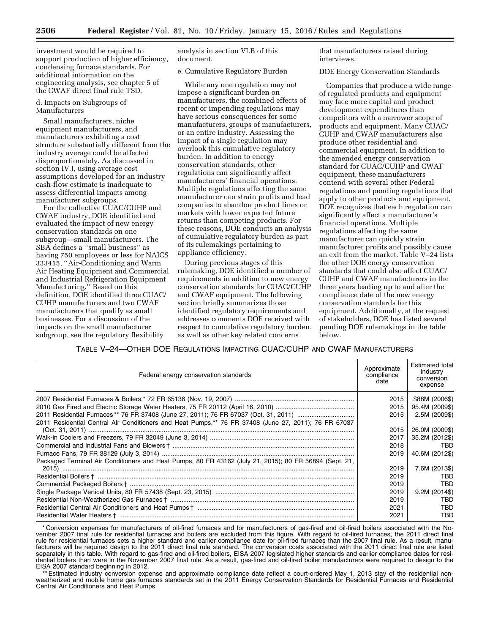investment would be required to support production of higher efficiency, condensing furnace standards. For additional information on the engineering analysis, see chapter 5 of the CWAF direct final rule TSD.

#### d. Impacts on Subgroups of Manufacturers

Small manufacturers, niche equipment manufacturers, and manufacturers exhibiting a cost structure substantially different from the industry average could be affected disproportionately. As discussed in section IV.J, using average cost assumptions developed for an industry cash-flow estimate is inadequate to assess differential impacts among manufacturer subgroups.

For the collective CUAC/CUHP and CWAF industry, DOE identified and evaluated the impact of new energy conservation standards on one subgroup—small manufacturers. The SBA defines a ''small business'' as having 750 employees or less for NAICS 333415, ''Air-Conditioning and Warm Air Heating Equipment and Commercial and Industrial Refrigeration Equipment Manufacturing.'' Based on this definition, DOE identified three CUAC/ CUHP manufacturers and two CWAF manufacturers that qualify as small businesses. For a discussion of the impacts on the small manufacturer subgroup, see the regulatory flexibility

analysis in section VI.B of this document.

e. Cumulative Regulatory Burden

While any one regulation may not impose a significant burden on manufacturers, the combined effects of recent or impending regulations may have serious consequences for some manufacturers, groups of manufacturers, or an entire industry. Assessing the impact of a single regulation may overlook this cumulative regulatory burden. In addition to energy conservation standards, other regulations can significantly affect manufacturers' financial operations. Multiple regulations affecting the same manufacturer can strain profits and lead companies to abandon product lines or markets with lower expected future returns than competing products. For these reasons, DOE conducts an analysis of cumulative regulatory burden as part of its rulemakings pertaining to appliance efficiency.

During previous stages of this rulemaking, DOE identified a number of requirements in addition to new energy conservation standards for CUAC/CUHP and CWAF equipment. The following section briefly summarizes those identified regulatory requirements and addresses comments DOE received with respect to cumulative regulatory burden, as well as other key related concerns

that manufacturers raised during interviews.

DOE Energy Conservation Standards

Companies that produce a wide range of regulated products and equipment may face more capital and product development expenditures than competitors with a narrower scope of products and equipment. Many CUAC/ CUHP and CWAF manufacturers also produce other residential and commercial equipment. In addition to the amended energy conservation standard for CUAC/CUHP and CWAF equipment, these manufacturers contend with several other Federal regulations and pending regulations that apply to other products and equipment. DOE recognizes that each regulation can significantly affect a manufacturer's financial operations. Multiple regulations affecting the same manufacturer can quickly strain manufacturer profits and possibly cause an exit from the market. Table V–24 lists the other DOE energy conservation standards that could also affect CUAC/ CUHP and CWAF manufacturers in the three years leading up to and after the compliance date of the new energy conservation standards for this equipment. Additionally, at the request of stakeholders, DOE has listed several pending DOE rulemakings in the table below.

TABLE V–24—OTHER DOE REGULATIONS IMPACTING CUAC/CUHP AND CWAF MANUFACTURERS

| Federal energy conservation standards                                                                  | Approximate<br>compliance<br>date | <b>Estimated total</b><br>industry<br>conversion<br>expense |
|--------------------------------------------------------------------------------------------------------|-----------------------------------|-------------------------------------------------------------|
|                                                                                                        | 2015                              | \$88M (2006\$)                                              |
|                                                                                                        | 2015                              | 95.4M (2009\$)                                              |
|                                                                                                        | 2015                              | 2.5M (2009\$)                                               |
| 2011 Residential Central Air Conditioners and Heat Pumps,** 76 FR 37408 (June 27, 2011); 76 FR 67037   |                                   |                                                             |
|                                                                                                        | 2015                              | 26.0M (2009\$)                                              |
|                                                                                                        | 2017                              | 35.2M (2012\$)                                              |
|                                                                                                        | 2018                              | TBD                                                         |
|                                                                                                        | 2019                              | 40.6M (2012\$)                                              |
| Packaged Terminal Air Conditioners and Heat Pumps, 80 FR 43162 (July 21, 2015); 80 FR 56894 (Sept. 21, |                                   |                                                             |
|                                                                                                        | 2019                              | 7.6M (2013\$)                                               |
|                                                                                                        | 2019                              | TBD                                                         |
|                                                                                                        | 2019                              | TBD                                                         |
|                                                                                                        | 2019                              | $9.2M(2014\$                                                |
|                                                                                                        | 2019                              | TBD                                                         |
|                                                                                                        | 2021                              | TRD.                                                        |
|                                                                                                        | 2021                              | TBD                                                         |

\* Conversion expenses for manufacturers of oil-fired furnaces and for manufacturers of gas-fired and oil-fired boilers associated with the November 2007 final rule for residential furnaces and boilers are excluded from this figure. With regard to oil-fired furnaces, the 2011 direct final rule for residential furnaces sets a higher standard and earlier compliance date for oil-fired furnaces than the 2007 final rule. As a result, manufacturers will be required design to the 2011 direct final rule standard. The conversion costs associated with the 2011 direct final rule are listed separately in this table. With regard to gas-fired and oil-fired boilers, EISA 2007 legislated higher standards and earlier compliance dates for residential boilers than were in the November 2007 final rule. As a result, gas-fired and oil-fired boiler manufacturers were required to design to the EISA 2007 standard beginning in 2012.

\*\* Estimated industry conversion expense and approximate compliance date reflect a court-ordered May 1, 2013 stay of the residential nonweatherized and mobile home gas furnaces standards set in the 2011 Energy Conservation Standards for Residential Furnaces and Residential Central Air Conditioners and Heat Pumps.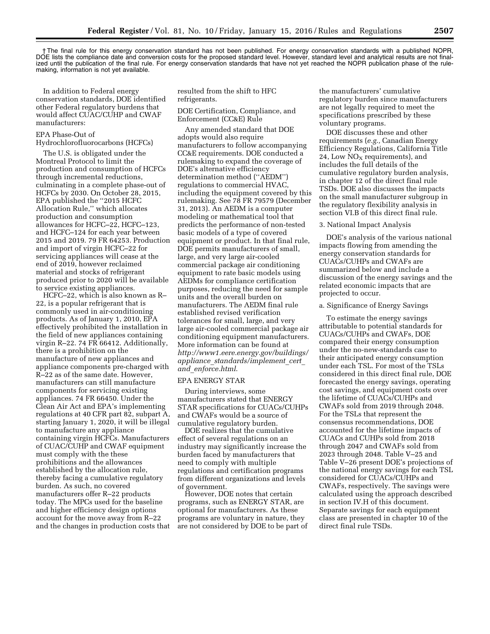† The final rule for this energy conservation standard has not been published. For energy conservation standards with a published NOPR, DOE lists the compliance date and conversion costs for the proposed standard level. However, standard level and analytical results are not finalized until the publication of the final rule. For energy conservation standards that have not yet reached the NOPR publication phase of the rulemaking, information is not yet available.

In addition to Federal energy conservation standards, DOE identified other Federal regulatory burdens that would affect CUAC/CUHP and CWAF manufacturers:

#### EPA Phase-Out of

Hydrochlorofluorocarbons (HCFCs)

The U.S. is obligated under the Montreal Protocol to limit the production and consumption of HCFCs through incremental reductions, culminating in a complete phase-out of HCFCs by 2030. On October 28, 2015, EPA published the ''2015 HCFC Allocation Rule,'' which allocates production and consumption allowances for HCFC–22, HCFC–123, and HCFC–124 for each year between 2015 and 2019. 79 FR 64253. Production and import of virgin HCFC–22 for servicing appliances will cease at the end of 2019, however reclaimed material and stocks of refrigerant produced prior to 2020 will be available to service existing appliances.

HCFC–22, which is also known as R– 22, is a popular refrigerant that is commonly used in air-conditioning products. As of January 1, 2010, EPA effectively prohibited the installation in the field of new appliances containing virgin R–22. 74 FR 66412. Additionally, there is a prohibition on the manufacture of new appliances and appliance components pre-charged with R–22 as of the same date. However, manufacturers can still manufacture components for servicing existing appliances. 74 FR 66450. Under the Clean Air Act and EPA's implementing regulations at 40 CFR part 82, subpart A, starting January 1, 2020, it will be illegal to manufacture any appliance containing virgin HCFCs. Manufacturers of CUAC/CUHP and CWAF equipment must comply with the these prohibitions and the allowances established by the allocation rule, thereby facing a cumulative regulatory burden. As such, no covered manufacturers offer R–22 products today. The MPCs used for the baseline and higher efficiency design options account for the move away from R–22 and the changes in production costs that resulted from the shift to HFC refrigerants.

DOE Certification, Compliance, and Enforcement (CC&E) Rule

Any amended standard that DOE adopts would also require manufacturers to follow accompanying CC&E requirements. DOE conducted a rulemaking to expand the coverage of DOE's alternative efficiency determination method (''AEDM'') regulations to commercial HVAC, including the equipment covered by this rulemaking. See 78 FR 79579 (December 31, 2013). An AEDM is a computer modeling or mathematical tool that predicts the performance of non-tested basic models of a type of covered equipment or product. In that final rule, DOE permits manufacturers of small, large, and very large air-cooled commercial package air conditioning equipment to rate basic models using AEDMs for compliance certification purposes, reducing the need for sample units and the overall burden on manufacturers. The AEDM final rule established revised verification tolerances for small, large, and very large air-cooled commercial package air conditioning equipment manufacturers. More information can be found at *[http://www1.eere.energy.gov/buildings/](http://www1.eere.energy.gov/buildings/appliance_standards/implement_cert_and_enforce.html) appliance*\_*[standards/implement](http://www1.eere.energy.gov/buildings/appliance_standards/implement_cert_and_enforce.html)*\_*cert*\_ *and*\_*[enforce.html](http://www1.eere.energy.gov/buildings/appliance_standards/implement_cert_and_enforce.html)*.

#### EPA ENERGY STAR

During interviews, some manufacturers stated that ENERGY STAR specifications for CUACs/CUHPs and CWAFs would be a source of cumulative regulatory burden.

DOE realizes that the cumulative effect of several regulations on an industry may significantly increase the burden faced by manufacturers that need to comply with multiple regulations and certification programs from different organizations and levels of government.

However, DOE notes that certain programs, such as ENERGY STAR, are optional for manufacturers. As these programs are voluntary in nature, they are not considered by DOE to be part of

the manufacturers' cumulative regulatory burden since manufacturers are not legally required to meet the specifications prescribed by these voluntary programs.

DOE discusses these and other requirements (*e.g.,* Canadian Energy Efficiency Regulations, California Title 24, Low  $NO<sub>x</sub>$  requirements), and includes the full details of the cumulative regulatory burden analysis, in chapter 12 of the direct final rule TSDs. DOE also discusses the impacts on the small manufacturer subgroup in the regulatory flexibility analysis in section VI.B of this direct final rule.

#### 3. National Impact Analysis

DOE's analysis of the various national impacts flowing from amending the energy conservation standards for CUACs/CUHPs and CWAFs are summarized below and include a discussion of the energy savings and the related economic impacts that are projected to occur.

#### a. Significance of Energy Savings

To estimate the energy savings attributable to potential standards for CUACs/CUHPs and CWAFs, DOE compared their energy consumption under the no-new-standards case to their anticipated energy consumption under each TSL. For most of the TSLs considered in this direct final rule, DOE forecasted the energy savings, operating cost savings, and equipment costs over the lifetime of CUACs/CUHPs and CWAFs sold from 2019 through 2048. For the TSLs that represent the consensus recommendations, DOE accounted for the lifetime impacts of CUACs and CUHPs sold from 2018 through 2047 and CWAFs sold from 2023 through 2048. Table V–25 and Table V–26 present DOE's projections of the national energy savings for each TSL considered for CUACs/CUHPs and CWAFs, respectively. The savings were calculated using the approach described in section IV.H of this document. Separate savings for each equipment class are presented in chapter 10 of the direct final rule TSDs.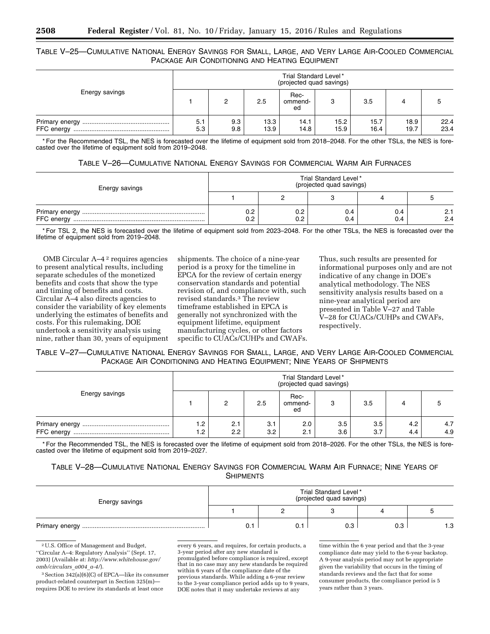### TABLE V–25—CUMULATIVE NATIONAL ENERGY SAVINGS FOR SMALL, LARGE, AND VERY LARGE AIR-COOLED COMMERCIAL PACKAGE AIR CONDITIONING AND HEATING EQUIPMENT

|                | Trial Standard Level*<br>(projected quad savings) |            |              |                       |              |              |              |              |  |  |
|----------------|---------------------------------------------------|------------|--------------|-----------------------|--------------|--------------|--------------|--------------|--|--|
| Energy savings |                                                   | 2          | 2.5          | Rec-<br>ommend-<br>ed |              | 3.5          | 4            |              |  |  |
|                | 5.1<br>5.3                                        | 9.3<br>9.8 | 13.3<br>13.9 | 14.1<br>14.8          | 15.2<br>15.9 | 15.7<br>16.4 | 18.9<br>19.7 | 22.4<br>23.4 |  |  |

\* For the Recommended TSL, the NES is forecasted over the lifetime of equipment sold from 2018–2048. For the other TSLs, the NES is forecasted over the lifetime of equipment sold from 2019–2048.

#### TABLE V–26—CUMULATIVE NATIONAL ENERGY SAVINGS FOR COMMERCIAL WARM AIR FURNACES

| Energy savings |            | Trial Standard Level*<br>(projected quad savings) |            |            |            |  |  |  |
|----------------|------------|---------------------------------------------------|------------|------------|------------|--|--|--|
|                |            |                                                   |            |            |            |  |  |  |
|                | 0.2<br>0.2 | 0.2<br>0.2                                        | 0.4<br>0.4 | 0.4<br>0.4 | 2.1<br>2.4 |  |  |  |

\* For TSL 2, the NES is forecasted over the lifetime of equipment sold from 2023–2048. For the other TSLs, the NES is forecasted over the lifetime of equipment sold from 2019–2048.

OMB Circular A–4 2 requires agencies to present analytical results, including separate schedules of the monetized benefits and costs that show the type and timing of benefits and costs. Circular A–4 also directs agencies to consider the variability of key elements underlying the estimates of benefits and costs. For this rulemaking, DOE undertook a sensitivity analysis using nine, rather than 30, years of equipment

shipments. The choice of a nine-year period is a proxy for the timeline in EPCA for the review of certain energy conservation standards and potential revision of, and compliance with, such revised standards.3 The review timeframe established in EPCA is generally not synchronized with the equipment lifetime, equipment manufacturing cycles, or other factors specific to CUACs/CUHPs and CWAFs.

Thus, such results are presented for informational purposes only and are not indicative of any change in DOE's analytical methodology. The NES sensitivity analysis results based on a nine-year analytical period are presented in Table V–27 and Table V–28 for CUACs/CUHPs and CWAFs, respectively.

## TABLE V–27—CUMULATIVE NATIONAL ENERGY SAVINGS FOR SMALL, LARGE, AND VERY LARGE AIR-COOLED COMMERCIAL PACKAGE AIR CONDITIONING AND HEATING EQUIPMENT; NINE YEARS OF SHIPMENTS

|                | Trial Standard Level*<br>(projected quad savings) |            |            |                       |            |            |            |            |  |  |
|----------------|---------------------------------------------------|------------|------------|-----------------------|------------|------------|------------|------------|--|--|
| Energy savings |                                                   |            | 2.5        | Rec-<br>ommend-<br>ed |            | 3.5<br>4   |            |            |  |  |
|                | 1.2<br>1.2                                        | 2.1<br>2.2 | 3.1<br>3.2 | 2.0<br>2.1            | 3.5<br>3.6 | 3.5<br>3.7 | 4.2<br>4.4 | 4.7<br>4.9 |  |  |

\* For the Recommended TSL, the NES is forecasted over the lifetime of equipment sold from 2018–2026. For the other TSLs, the NES is forecasted over the lifetime of equipment sold from 2019–2027.

## TABLE V–28—CUMULATIVE NATIONAL ENERGY SAVINGS FOR COMMERCIAL WARM AIR FURNACE; NINE YEARS OF **SHIPMENTS**

| Energy savings | Trial Standard Level*<br>(projected quad savings) |  |     |     |     |  |  |  |
|----------------|---------------------------------------------------|--|-----|-----|-----|--|--|--|
|                |                                                   |  |     |     |     |  |  |  |
|                | 0.1                                               |  | 0.3 | 0.3 | 1.3 |  |  |  |

2U.S. Office of Management and Budget, ''Circular A–4: Regulatory Analysis'' (Sept. 17, 2003) (Available at: *[http://www.whitehouse.gov/](http://www.whitehouse.gov/omb/circulars_a004_a-4/) [omb/circulars](http://www.whitehouse.gov/omb/circulars_a004_a-4/)*\_*a004*\_*a-4/*).

3Section 342(a)(6)(C) of EPCA—like its consumer product-related counterpart in Section 325(m) requires DOE to review its standards at least once

every 6 years, and requires, for certain products, a 3-year period after any new standard is promulgated before compliance is required, except that in no case may any new standards be required within 6 years of the compliance date of the previous standards. While adding a 6-year review to the 3-year compliance period adds up to 9 years, DOE notes that it may undertake reviews at any

time within the 6 year period and that the 3-year compliance date may yield to the 6-year backstop. A 9-year analysis period may not be appropriate given the variability that occurs in the timing of standards reviews and the fact that for some consumer products, the compliance period is 5 years rather than 3 years.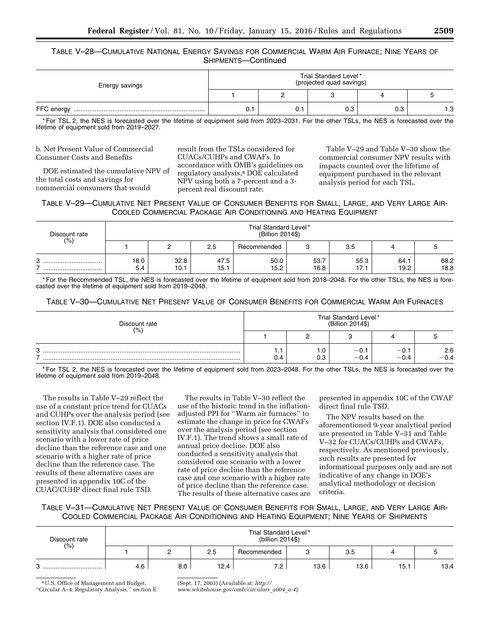TABLE V–28—CUMULATIVE NATIONAL ENERGY SAVINGS FOR COMMERCIAL WARM AIR FURNACE; NINE YEARS OF SHIPMENTS—Continued

| Energy savings |     | Trial Standard Level*<br>(projected quad savings) |     |     |     |  |  |  |  |
|----------------|-----|---------------------------------------------------|-----|-----|-----|--|--|--|--|
|                |     |                                                   |     |     |     |  |  |  |  |
|                | 0.1 | U.                                                | 0.3 | 0.3 | 1.3 |  |  |  |  |

\* For TSL 2, the NES is forecasted over the lifetime of equipment sold from 2023–2031. For the other TSLs, the NES is forecasted over the lifetime of equipment sold from 2019–2027.

b. Net Present Value of Commercial Consumer Costs and Benefits

DOE estimated the cumulative NPV of the total costs and savings for commercial consumers that would

result from the TSLs considered for CUACs/CUHPs and CWAFs. In accordance with OMB's guidelines on regulatory analysis,4 DOE calculated NPV using both a 7-percent and a 3 percent real discount rate.

Table V–29 and Table V–30 show the commercial consumer NPV results with impacts counted over the lifetime of equipment purchased in the relevant analysis period for each TSL.

## TABLE V–29—CUMULATIVE NET PRESENT VALUE OF CONSUMER BENEFITS FOR SMALL, LARGE, AND VERY LARGE AIR-COOLED COMMERCIAL PACKAGE AIR CONDITIONING AND HEATING EQUIPMENT

| Discount rate<br>$(\% )$ |                          | Trial Standard Level*<br>(Billion 2014\$) |              |              |              |              |              |              |  |  |  |
|--------------------------|--------------------------|-------------------------------------------|--------------|--------------|--------------|--------------|--------------|--------------|--|--|--|
|                          |                          |                                           | 2.5          | Recommended  |              | 3.5          |              |              |  |  |  |
| 3<br><br>                | 18.0 <sub>1</sub><br>5.4 | 32.8<br>10.1                              | 47.5<br>15.1 | 50.0<br>15.2 | 53.7<br>16.8 | 55.3<br>17.1 | 64.1<br>19.2 | 68.2<br>18.8 |  |  |  |

\* For the Recommended TSL, the NES is forecasted over the lifetime of equipment sold from 2018–2048. For the other TSLs, the NES is forecasted over the lifetime of equipment sold from 2019–2048.

TABLE V–30—CUMULATIVE NET PRESENT VALUE OF CONSUMER BENEFITS FOR COMMERCIAL WARM AIR FURNACES

| Discount rate<br>(% ) | Trial Standard Level*<br>(Billion 2014\$) |            |                 |                |               |  |  |
|-----------------------|-------------------------------------------|------------|-----------------|----------------|---------------|--|--|
|                       |                                           |            |                 |                |               |  |  |
| 3<br>-                | . .<br>J.4                                | 1.U<br>υ.ο | $-0.$<br>$-0.4$ | — U.<br>$-0.4$ | 2.6<br>$-0.4$ |  |  |

\* For TSL 2, the NES is forecasted over the lifetime of equipment sold from 2023–2048. For the other TSLs, the NES is forecasted over the lifetime of equipment sold from 2019–2048.

The results in Table V–29 reflect the use of a constant price trend for CUACs and CUHPs over the analysis period (see section IV.F.1). DOE also conducted a sensitivity analysis that considered one scenario with a lower rate of price decline than the reference case and one scenario with a higher rate of price decline than the reference case. The results of these alternative cases are presented in appendix 10C of the CUAC/CUHP direct final rule TSD.

The results in Table V–30 reflect the use of the historic trend in the inflationadjusted PPI for ''Warm air furnaces'' to estimate the change in price for CWAFs over the analysis period (see section IV.F.1). The trend shows a small rate of annual price decline. DOE also conducted a sensitivity analysis that considered one scenario with a lower rate of price decline than the reference case and one scenario with a higher rate of price decline than the reference case. The results of these alternative cases are presented in appendix 10C of the CWAF direct final rule TSD.

The NPV results based on the aforementioned 9-year analytical period are presented in Table V–31 and Table V–32 for CUACs/CUHPs and CWAFs, respectively. As mentioned previously, such results are presented for informational purposes only and are not indicative of any change in DOE's analytical methodology or decision criteria.

TABLE V–31—CUMULATIVE NET PRESENT VALUE OF CONSUMER BENEFITS FOR SMALL, LARGE, AND VERY LARGE AIR-COOLED COMMERCIAL PACKAGE AIR CONDITIONING AND HEATING EQUIPMENT; NINE YEARS OF SHIPMENTS

| Discount rate<br>(% ) |     | Trial Standard Level*<br>(billion 2014\$) |      |             |      |      |      |      |  |  |  |
|-----------------------|-----|-------------------------------------------|------|-------------|------|------|------|------|--|--|--|
|                       |     |                                           | 2.5  | Recommended |      | 3.5  |      |      |  |  |  |
| C<br>                 | 4.6 | 8.0                                       | 12.4 | 7.2         | 13.6 | 13.6 | 15.1 | 13.4 |  |  |  |

4U.S. Office of Management and Budget, ''Circular A–4: Regulatory Analysis,'' section E (Sept. 17, 2003) (Available at: *[http://](http://www.whitehouse.gov/omb/circulars_a004_a-4)*

*[www.whitehouse.gov/omb/circulars](http://www.whitehouse.gov/omb/circulars_a004_a-4)*\_*a004*\_*a-4*).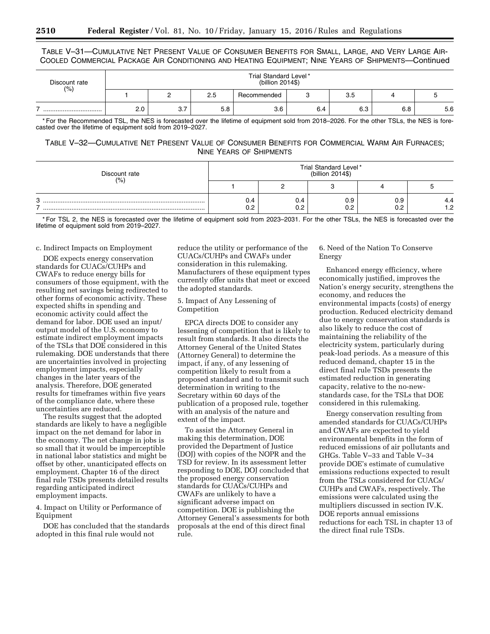TABLE V–31—CUMULATIVE NET PRESENT VALUE OF CONSUMER BENEFITS FOR SMALL, LARGE, AND VERY LARGE AIR-COOLED COMMERCIAL PACKAGE AIR CONDITIONING AND HEATING EQUIPMENT; NINE YEARS OF SHIPMENTS—Continued

| Discount rate<br>(% ) |     | Trial Standard Level*<br>(billion 2014\$) |     |             |     |     |     |     |  |  |  |  |
|-----------------------|-----|-------------------------------------------|-----|-------------|-----|-----|-----|-----|--|--|--|--|
|                       |     |                                           | 2.5 | Recommended |     | 3.5 |     |     |  |  |  |  |
|                       | 2.0 | 3.7                                       | 5.8 | 3.6         | 6.4 | 6.3 | 6.8 | 5.6 |  |  |  |  |

\* For the Recommended TSL, the NES is forecasted over the lifetime of equipment sold from 2018–2026. For the other TSLs, the NES is forecasted over the lifetime of equipment sold from 2019–2027.

#### TABLE V–32—CUMULATIVE NET PRESENT VALUE OF CONSUMER BENEFITS FOR COMMERCIAL WARM AIR FURNACES; NINE YEARS OF SHIPMENTS

| Discount rate<br>(% ) | Trial Standard Level*<br>(billion 2014\$) |            |            |     |                 |  |  |  |
|-----------------------|-------------------------------------------|------------|------------|-----|-----------------|--|--|--|
|                       |                                           |            |            |     |                 |  |  |  |
| ₽<br>ັ<br>-           | 0.4<br>0.2                                | J.4<br>v.z | 0.9<br>0.2 | 0.9 | 4.4<br>- 0<br>. |  |  |  |

\* For TSL 2, the NES is forecasted over the lifetime of equipment sold from 2023–2031. For the other TSLs, the NES is forecasted over the lifetime of equipment sold from 2019–2027.

#### c. Indirect Impacts on Employment

DOE expects energy conservation standards for CUACs/CUHPs and CWAFs to reduce energy bills for consumers of those equipment, with the resulting net savings being redirected to other forms of economic activity. These expected shifts in spending and economic activity could affect the demand for labor. DOE used an input/ output model of the U.S. economy to estimate indirect employment impacts of the TSLs that DOE considered in this rulemaking. DOE understands that there are uncertainties involved in projecting employment impacts, especially changes in the later years of the analysis. Therefore, DOE generated results for timeframes within five years of the compliance date, where these uncertainties are reduced.

The results suggest that the adopted standards are likely to have a negligible impact on the net demand for labor in the economy. The net change in jobs is so small that it would be imperceptible in national labor statistics and might be offset by other, unanticipated effects on employment. Chapter 16 of the direct final rule TSDs presents detailed results regarding anticipated indirect employment impacts.

4. Impact on Utility or Performance of Equipment

DOE has concluded that the standards adopted in this final rule would not

reduce the utility or performance of the CUACs/CUHPs and CWAFs under consideration in this rulemaking. Manufacturers of these equipment types currently offer units that meet or exceed the adopted standards.

#### 5. Impact of Any Lessening of Competition

EPCA directs DOE to consider any lessening of competition that is likely to result from standards. It also directs the Attorney General of the United States (Attorney General) to determine the impact, if any, of any lessening of competition likely to result from a proposed standard and to transmit such determination in writing to the Secretary within 60 days of the publication of a proposed rule, together with an analysis of the nature and extent of the impact.

To assist the Attorney General in making this determination, DOE provided the Department of Justice (DOJ) with copies of the NOPR and the TSD for review. In its assessment letter responding to DOE, DOJ concluded that the proposed energy conservation standards for CUACs/CUHPs and CWAFs are unlikely to have a significant adverse impact on competition. DOE is publishing the Attorney General's assessments for both proposals at the end of this direct final rule.

#### 6. Need of the Nation To Conserve Energy

Enhanced energy efficiency, where economically justified, improves the Nation's energy security, strengthens the economy, and reduces the environmental impacts (costs) of energy production. Reduced electricity demand due to energy conservation standards is also likely to reduce the cost of maintaining the reliability of the electricity system, particularly during peak-load periods. As a measure of this reduced demand, chapter 15 in the direct final rule TSDs presents the estimated reduction in generating capacity, relative to the no-newstandards case, for the TSLs that DOE considered in this rulemaking.

Energy conservation resulting from amended standards for CUACs/CUHPs and CWAFs are expected to yield environmental benefits in the form of reduced emissions of air pollutants and GHGs. Table V–33 and Table V–34 provide DOE's estimate of cumulative emissions reductions expected to result from the TSLs considered for CUACs/ CUHPs and CWAFs, respectively. The emissions were calculated using the multipliers discussed in section IV.K. DOE reports annual emissions reductions for each TSL in chapter 13 of the direct final rule TSDs.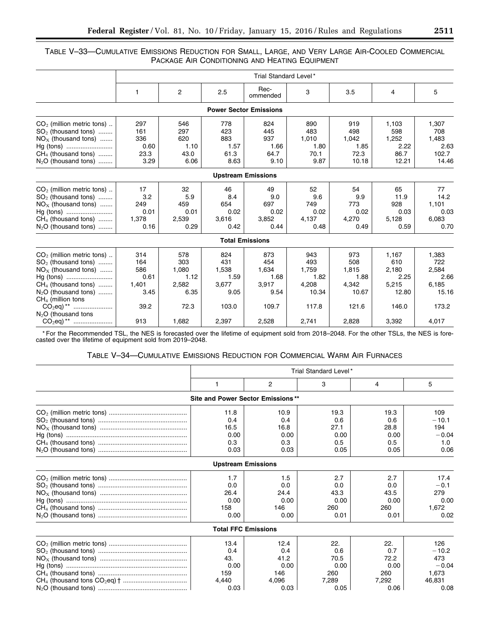## TABLE V–33—CUMULATIVE EMISSIONS REDUCTION FOR SMALL, LARGE, AND VERY LARGE AIR-COOLED COMMERCIAL PACKAGE AIR CONDITIONING AND HEATING EQUIPMENT

|                                                                                                                                                                      |                                            |                                              |                                              | Trial Standard Level*                        |                                               |                                               |                                                 |                                                 |
|----------------------------------------------------------------------------------------------------------------------------------------------------------------------|--------------------------------------------|----------------------------------------------|----------------------------------------------|----------------------------------------------|-----------------------------------------------|-----------------------------------------------|-------------------------------------------------|-------------------------------------------------|
|                                                                                                                                                                      | 1                                          | $\overline{2}$                               | 2.5                                          | Rec-<br>ommended                             | 3                                             | 3.5                                           | 4                                               | 5                                               |
|                                                                                                                                                                      |                                            |                                              |                                              | <b>Power Sector Emissions</b>                |                                               |                                               |                                                 |                                                 |
| $CO2$ (million metric tons)<br>$SO2$ (thousand tons)<br>$NOx$ (thousand tons)<br>Hg (tons)<br>$CH4$ (thousand tons)                                                  | 297<br>161<br>336<br>0.60<br>23.3          | 546<br>297<br>620<br>1.10<br>43.0            | 778<br>423<br>883<br>1.57<br>61.3            | 824<br>445<br>937<br>1.66<br>64.7            | 890<br>483<br>1,010<br>1.80<br>70.1           | 919<br>498<br>1,042<br>1.85<br>72.3           | 1,103<br>598<br>1,252<br>2.22<br>86.7           | 1,307<br>708<br>1,483<br>2.63<br>102.7          |
| $N_2O$ (thousand tons)                                                                                                                                               | 3.29                                       | 6.06                                         | 8.63                                         | 9.10                                         | 9.87                                          | 10.18                                         | 12.21                                           | 14.46                                           |
|                                                                                                                                                                      |                                            |                                              |                                              | <b>Upstream Emissions</b>                    |                                               |                                               |                                                 |                                                 |
| $CO2$ (million metric tons)<br>$SO2$ (thousand tons)<br>$NOx$ (thousand tons)<br>Hg (tons)<br>$CH4$ (thousand tons)<br>$N_2O$ (thousand tons)                        | 17<br>3.2<br>249<br>0.01<br>1,378<br>0.16  | 32<br>5.9<br>459<br>0.01<br>2,539<br>0.29    | 46<br>8.4<br>654<br>0.02<br>3,616<br>0.42    | 49<br>9.0<br>697<br>0.02<br>3,852<br>0.44    | 52<br>9.6<br>749<br>0.02<br>4,137<br>0.48     | 54<br>9.9<br>773<br>0.02<br>4,270<br>0.49     | 65<br>11.9<br>928<br>0.03<br>5,128<br>0.59      | 77<br>14.2<br>1,101<br>0.03<br>6,083<br>0.70    |
|                                                                                                                                                                      |                                            |                                              |                                              | <b>Total Emissions</b>                       |                                               |                                               |                                                 |                                                 |
| $CO2$ (million metric tons)<br>$SO2$ (thousand tons)<br>$NOx$ (thousand tons)<br>Hg (tons)<br>$CH4$ (thousand tons)<br>$N_2O$ (thousand tons)<br>$CH4$ (million tons | 314<br>164<br>586<br>0.61<br>1,401<br>3.45 | 578<br>303<br>1,080<br>1.12<br>2,582<br>6.35 | 824<br>431<br>1,538<br>1.59<br>3,677<br>9.05 | 873<br>454<br>1,634<br>1.68<br>3,917<br>9.54 | 943<br>493<br>1,759<br>1.82<br>4,208<br>10.34 | 973<br>508<br>1,815<br>1.88<br>4,342<br>10.67 | 1,167<br>610<br>2,180<br>2.25<br>5,215<br>12.80 | 1,383<br>722<br>2,584<br>2.66<br>6,185<br>15.16 |
| $N2O$ (thousand tons<br>$CO_2$ eq) **                                                                                                                                | 39.2<br>913                                | 72.3<br>1,682                                | 103.0<br>2,397                               | 109.7<br>2,528                               | 117.8<br>2,741                                | 121.6<br>2,828                                | 146.0<br>3,392                                  | 173.2<br>4,017                                  |

\* For the Recommended TSL, the NES is forecasted over the lifetime of equipment sold from 2018–2048. For the other TSLs, the NES is forecasted over the lifetime of equipment sold from 2019–2048.

## TABLE V–34—CUMULATIVE EMISSIONS REDUCTION FOR COMMERCIAL WARM AIR FURNACES

|                                   |       | Trial Standard Level* |       |         |
|-----------------------------------|-------|-----------------------|-------|---------|
| 1                                 | 2     | 3                     | 4     | 5       |
| Site and Power Sector Emissions** |       |                       |       |         |
| 11.8                              | 10.9  | 19.3                  | 19.3  | 109     |
| 0.4                               | 0.4   | 0.6                   | 0.6   | $-10.1$ |
| 16.5                              | 16.8  | 27.1                  | 28.8  | 194     |
| 0.00                              | 0.00  | 0.00                  | 0.00  | $-0.04$ |
| 0.3                               | 0.3   | 0.5                   | 0.5   | 1.0     |
| 0.03                              | 0.03  | 0.05                  | 0.05  | 0.06    |
| <b>Upstream Emissions</b>         |       |                       |       |         |
| 1.7                               | 1.5   | 2.7                   | 2.7   | 17.4    |
| 0.0                               | 0.0   | 0.0                   | 0.0   | $-0.1$  |
| 26.4                              | 24.4  | 43.3                  | 43.5  | 279     |
| 0.00                              | 0.00  | 0.00                  | 0.00  | 0.00    |
| 158                               | 146   | 260                   | 260   | 1,672   |
| 0.00                              | 0.00  | 0.01                  | 0.01  | 0.02    |
| <b>Total FFC Emissions</b>        |       |                       |       |         |
| 13.4                              | 12.4  | 22.                   | 22.   | 126     |
| 0.4                               | 0.4   | 0.6                   | 0.7   | $-10.2$ |
| 43.                               | 41.2  | 70.5                  | 72.2  | 473     |
| 0.00                              | 0.00  | 0.00                  | 0.00  | $-0.04$ |
| 159                               | 146   | 260                   | 260   | 1,673   |
| 4.440                             | 4,096 | 7,289                 | 7,292 | 46,831  |
| 0.03                              | 0.03  | 0.05                  | 0.06  | 0.08    |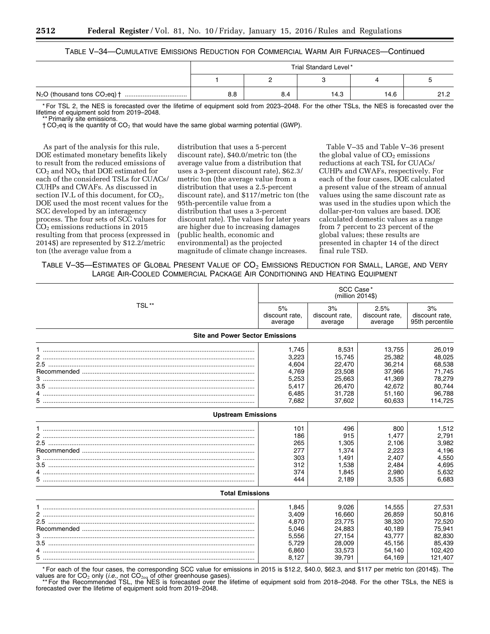## TABLE V–34—CUMULATIVE EMISSIONS REDUCTION FOR COMMERCIAL WARM AIR FURNACES—Continued

|     |     | Trial Standard Level* |      |  |
|-----|-----|-----------------------|------|--|
|     |     |                       |      |  |
| 8.8 | 8.4 | 14.3                  | 14.6 |  |

\* For TSL 2, the NES is forecasted over the lifetime of equipment sold from 2023–2048. For the other TSLs, the NES is forecasted over the lifetime of equipment sold from 2019–2048. Primarily site emissions

 $\dagger$  CO<sub>2</sub>eq is the quantity of CO<sub>2</sub> that would have the same global warming potential (GWP).

As part of the analysis for this rule, DOE estimated monetary benefits likely to result from the reduced emissions of  $CO<sub>2</sub>$  and  $NO<sub>X</sub>$  that DOE estimated for each of the considered TSLs for CUACs/ CUHPs and CWAFs. As discussed in section IV.L of this document, for  $CO<sub>2</sub>$ , DOE used the most recent values for the SCC developed by an interagency process. The four sets of SCC values for CO2 emissions reductions in 2015 resulting from that process (expressed in 2014\$) are represented by \$12.2/metric ton (the average value from a

distribution that uses a 5-percent discount rate), \$40.0/metric ton (the average value from a distribution that uses a 3-percent discount rate), \$62.3/ metric ton (the average value from a distribution that uses a 2.5-percent discount rate), and \$117/metric ton (the 95th-percentile value from a distribution that uses a 3-percent discount rate). The values for later years are higher due to increasing damages (public health, economic and environmental) as the projected magnitude of climate change increases.

Table V–35 and Table V–36 present the global value of  $CO<sub>2</sub>$  emissions reductions at each TSL for CUACs/ CUHPs and CWAFs, respectively. For each of the four cases, DOE calculated a present value of the stream of annual values using the same discount rate as was used in the studies upon which the dollar-per-ton values are based. DOE calculated domestic values as a range from 7 percent to 23 percent of the global values; these results are presented in chapter 14 of the direct final rule TSD.

TABLE V-35-ESTIMATES OF GLOBAL PRESENT VALUE OF CO<sub>2</sub> EMISSIONS REDUCTION FOR SMALL, LARGE, AND VERY LARGE AIR-COOLED COMMERCIAL PACKAGE AIR CONDITIONING AND HEATING EQUIPMENT

|                                        |                                 | SCC Case*<br>(million 2014\$)   |                                   |                                         |
|----------------------------------------|---------------------------------|---------------------------------|-----------------------------------|-----------------------------------------|
| TSL**                                  | 5%<br>discount rate,<br>average | 3%<br>discount rate,<br>average | 2.5%<br>discount rate.<br>average | 3%<br>discount rate,<br>95th percentile |
| <b>Site and Power Sector Emissions</b> |                                 |                                 |                                   |                                         |
|                                        | 1,745                           | 8,531                           | 13,755                            | 26,019                                  |
|                                        | 3,223                           | 15,745                          | 25,382                            | 48,025                                  |
|                                        | 4,604                           | 22,470                          | 36,214                            | 68,538                                  |
|                                        | 4,769                           | 23,508                          | 37,966                            | 71,745                                  |
|                                        | 5,253                           | 25,663                          | 41.369                            | 78,279                                  |
|                                        | 5,417                           | 26,470                          | 42,672                            | 80,744                                  |
|                                        | 6,485                           | 31.728                          | 51.160                            | 96,788                                  |
|                                        | 7,682                           | 37,602                          | 60,633                            | 114,725                                 |
| <b>Upstream Emissions</b>              |                                 |                                 |                                   |                                         |
|                                        | 101                             | 496                             | 800                               | 1,512                                   |
|                                        | 186                             | 915                             | 1.477                             | 2,791                                   |
|                                        | 265                             | 1,305                           | 2,106                             | 3,982                                   |
|                                        | 277                             | 1,374                           | 2,223                             | 4,196                                   |
|                                        | 303                             | 1,491                           | 2.407                             | 4,550                                   |
|                                        | 312                             | 1,538                           | 2,484                             | 4,695                                   |
|                                        | 374                             | 1.845                           | 2.980                             | 5,632                                   |
|                                        | 444                             | 2,189                           | 3,535                             | 6,683                                   |
| <b>Total Emissions</b>                 |                                 |                                 |                                   |                                         |
|                                        | 1,845                           | 9,026                           | 14,555                            | 27,531                                  |
|                                        | 3,409                           | 16,660                          | 26,859                            | 50,816                                  |
|                                        | 4.870                           | 23.775                          | 38,320                            | 72,520                                  |
|                                        | 5,046                           | 24,883                          | 40,189                            | 75,941                                  |
|                                        | 5,556                           | 27,154                          | 43.777                            | 82,830                                  |
|                                        | 5,729                           | 28,009                          | 45,156                            | 85,439                                  |
|                                        | 6,860                           | 33.573                          | 54.140                            | 102,420                                 |
|                                        | 8.127                           | 39,791                          | 64.169                            | 121,407                                 |

\* For each of the four cases, the corresponding SCC value for emissions in 2015 is \$12.2, \$40.0, \$62.3, and \$117 per metric ton (2014\$). The values are for CO<sub>2</sub> only (*i.e.,* not CO<sub>2eq</sub> of other greenhouse gases).<br>\*\* For the Recommended TSL, the NES is forecasted over the lifetime of equipment sold from 2018–2048. For the other TSLs, the NES is

forecasted over the lifetime of equipment sold from 2019–2048.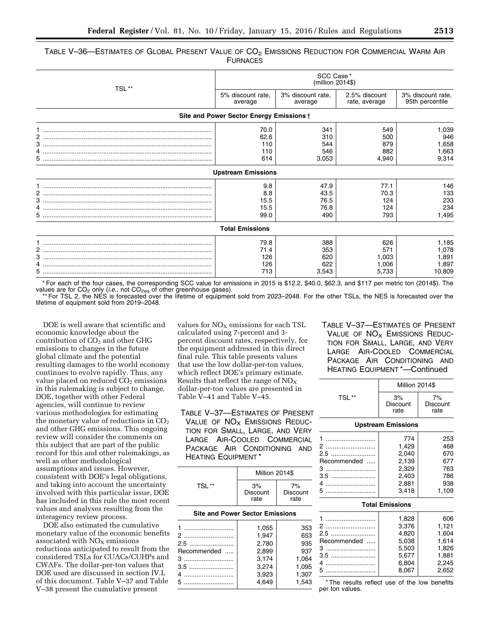TABLE V-36—ESTIMATES OF GLOBAL PRESENT VALUE OF  $\text{CO}_2$  EMISSIONS REDUCTION FOR COMMERCIAL WARM AIR FURNACES

| TSL** |                                          | SCC Case*<br>(million 2014\$) |                                |                                      |
|-------|------------------------------------------|-------------------------------|--------------------------------|--------------------------------------|
|       | 5% discount rate,<br>average             | 3% discount rate,<br>average  | 2.5% discount<br>rate, average | 3% discount rate,<br>95th percentile |
|       | Site and Power Sector Energy Emissions + |                               |                                |                                      |
|       | 70.0                                     | 341                           | 549                            | 1,039                                |
|       | 62.6                                     | 310                           | 500                            | 946                                  |
|       | 110                                      | 544                           | 879                            | 1,658                                |
|       | 110                                      | 546                           | 882                            | 1,663                                |
|       | 614                                      | 3,053                         | 4,940                          | 9,314                                |
|       | <b>Upstream Emissions</b>                |                               |                                |                                      |
|       | 9.8                                      | 47.9                          | 77.1                           | 146                                  |
|       | 8.8                                      | 43.5                          | 70.3                           | 133                                  |
|       | 15.5                                     | 76.5                          | 124                            | 233                                  |
|       | 15.5                                     | 76.8                          | 124                            | 234                                  |
|       | 99.0                                     | 490                           | 793                            | 1,495                                |
|       | <b>Total Emissions</b>                   |                               |                                |                                      |
|       | 79.8                                     | 388                           | 626                            | 1,185                                |
|       | 71.4                                     | 353                           | 571                            | 1,078                                |
|       | 126                                      | 620                           | 1,003                          | 1,891                                |
|       | 126                                      | 622                           | 1,006                          | 1,897                                |
|       | 713                                      | 3,543                         | 5,733                          | 10,809                               |

\* For each of the four cases, the corresponding SCC value for emissions in 2015 is \$12.2, \$40.0, \$62.3, and \$117 per metric ton (2014\$). The values are for CO<sub>2</sub> only (*i.e.*, not CO<sub>2eq</sub> of other greenhouse gases).<br>\*\* For TSL 2, the NES is forecasted over the lifetime of equipment sold from 2023–2048. For the other TSLs, the NES is forecasted over the

lifetime of equipment sold from 2019–2048.

DOE is well aware that scientific and economic knowledge about the contribution of  $CO<sub>2</sub>$  and other GHG emissions to changes in the future global climate and the potential resulting damages to the world economy continues to evolve rapidly. Thus, any value placed on reduced CO<sub>2</sub> emissions in this rulemaking is subject to change. DOE, together with other Federal agencies, will continue to review various methodologies for estimating the monetary value of reductions in  $CO<sub>2</sub>$ and other GHG emissions. This ongoing review will consider the comments on this subject that are part of the public record for this and other rulemakings, as well as other methodological assumptions and issues. However, consistent with DOE's legal obligations, and taking into account the uncertainty involved with this particular issue, DOE has included in this rule the most recent values and analyses resulting from the interagency review process.

DOE also estimated the cumulative monetary value of the economic benefits associated with NO<sub>X</sub> emissions reductions anticipated to result from the considered TSLs for CUACs/CUHPs and CWAFs. The dollar-per-ton values that DOE used are discussed in section IV.L of this document. Table V–37 and Table V–38 present the cumulative present

values for  $NO<sub>X</sub>$  emissions for each TSL calculated using 7-percent and 3 percent discount rates, respectively, for the equipment addressed in this direct final rule. This table presents values that use the low dollar-per-ton values, which reflect DOE's primary estimate. Results that reflect the range of  $NO<sub>x</sub>$ dollar-per-ton values are presented in Table V–41 and Table V–45.

TABLE V–37—ESTIMATES OF PRESENT VALUE OF  $NO<sub>X</sub>$  EMISSIONS REDUC-TION FOR SMALL, LARGE, AND VERY LARGE AIR-COOLED COMMERCIAL PACKAGE AIR CONDITIONING AND HEATING EQUIPMENT \*

|                   | Million 2014\$                |                        |
|-------------------|-------------------------------|------------------------|
| TSI <sup>**</sup> | 3%<br><b>Discount</b><br>rate | 7%<br>Discount<br>rate |

#### **Site and Power Sector Emissions**

|             | 1.055 | 353   |
|-------------|-------|-------|
| 2           | 1.947 | 653   |
| 2.5         | 2,780 | 935   |
| Recommended | 2.899 | 937   |
| 3           | 3.174 | 1.064 |
|             | 3.274 | 1.095 |
| 4           | 3,923 | 1.307 |
|             | 4.649 | 1.543 |
|             |       |       |

TABLE V–37—ESTIMATES OF PRESENT VALUE OF  $NO<sub>X</sub>$  EMISSIONS REDUC-TION FOR SMALL, LARGE, AND VERY LARGE AIR-COOLED COMMERCIAL PACKAGE AIR CONDITIONING AND HEATING EQUIPMENT \*—Continued

|             | Million 2014\$            |                               |
|-------------|---------------------------|-------------------------------|
| TSL**       | 3%<br>Discount<br>rate    | 7%<br><b>Discount</b><br>rate |
|             | <b>Upstream Emissions</b> |                               |
|             | 774                       | 253                           |
| 2           | 1,429                     | 468                           |
| 2.5         | 2,040                     | 670                           |
| Recommended | 2,139                     | 677                           |
| 3           | 2,329                     | 763                           |
| 3.5         | 2,403                     | 786                           |
| 4           | 2,881                     | 938                           |
| 5           | 3,418                     | 1,109                         |
|             | <b>Total Emissions</b>    |                               |

|             | 1.828 | 606   |
|-------------|-------|-------|
| 2           | 3.376 | 1.121 |
| 2.5         | 4.820 | 1.604 |
| Recommended | 5.038 | 1.614 |
|             | 5.503 | 1.826 |
| $3.5$       | 5.677 | 1.881 |
|             | 6.804 | 2.245 |
| 5           | 8.067 | 2.652 |
|             |       |       |

\* The results reflect use of the low benefits per ton values.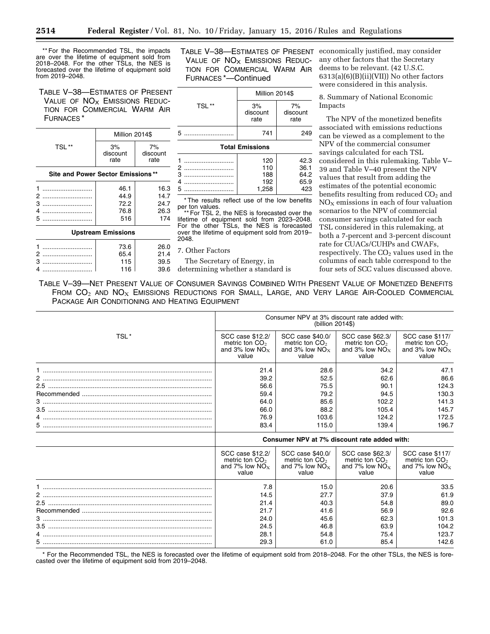\*\* For the Recommended TSL, the impacts are over the lifetime of equipment sold from 2018–2048. For the other TSLs, the NES is forecasted over the lifetime of equipment sold from 2019–2048.

TABLE V–38—ESTIMATES OF PRESENT VALUE OF  $NO<sub>X</sub>$  EMISSIONS REDUC-TION FOR COMMERCIAL WARM AIR FURNACES \*

|                                   | Million 2014\$            |                        |
|-----------------------------------|---------------------------|------------------------|
| TSL**                             | 3%<br>discount<br>rate    | 7%<br>discount<br>rate |
| Site and Power Sector Emissions** |                           |                        |
|                                   | 46.1                      | 16.3                   |
| 2                                 | 44.9                      | 14.7                   |
| з                                 | 72.2                      | 24.7                   |
| 4                                 | 76.8                      | 26.3                   |
| 5                                 | 516                       | 174                    |
|                                   | <b>Upstream Emissions</b> |                        |
|                                   | 73.6                      | 26.0                   |
| 2                                 | 65.4                      | 21.4                   |
| з                                 | 115                       | 39.5                   |

4 ............................ 116 39.6

TABLE V–38—ESTIMATES OF PRESENT VALUE OF  $NO<sub>X</sub>$  EMISSIONS REDUC-TION FOR COMMERCIAL WARM AIR FURNACES \*—Continued



\* The results reflect use of the low benefits per ton values.

\*\* For TSL 2, the NES is forecasted over the lifetime of equipment sold from 2023–2048. For the other TSLs, the NES is forecasted over the lifetime of equipment sold from 2019– 2048.

7. Other Factors

The Secretary of Energy, in

determining whether a standard is

economically justified, may consider any other factors that the Secretary deems to be relevant. (42 U.S.C.  $6313(a)(6)(B)(ii)(VII))$  No other factors were considered in this analysis.

8. Summary of National Economic Impacts

The NPV of the monetized benefits associated with emissions reductions can be viewed as a complement to the NPV of the commercial consumer savings calculated for each TSL considered in this rulemaking. Table V– 39 and Table V–40 present the NPV values that result from adding the estimates of the potential economic benefits resulting from reduced  $CO<sub>2</sub>$  and  $NO<sub>x</sub>$  emissions in each of four valuation scenarios to the NPV of commercial consumer savings calculated for each TSL considered in this rulemaking, at both a 7-percent and 3-percent discount rate for CUACs/CUHPs and CWAFs, respectively. The  $CO<sub>2</sub>$  values used in the columns of each table correspond to the four sets of SCC values discussed above.

TABLE V–39—NET PRESENT VALUE OF CONSUMER SAVINGS COMBINED WITH PRESENT VALUE OF MONETIZED BENEFITS FROM CO<sub>2</sub> AND NO<sub>X</sub> EMISSIONS REDUCTIONS FOR SMALL, LARGE, AND VERY LARGE AIR-COOLED COMMERCIAL PACKAGE AIR CONDITIONING AND HEATING EQUIPMENT

|      |                                                                    | (billion 2014\$)                                                   | Consumer NPV at 3% discount rate added with:                       |                                                                   |
|------|--------------------------------------------------------------------|--------------------------------------------------------------------|--------------------------------------------------------------------|-------------------------------------------------------------------|
| TSL* | SCC case \$12.2/<br>metric ton $CO2$<br>and 3% low $NO_x$<br>value | SCC case \$40.0/<br>metric ton $CO2$<br>and 3% low $NO_x$<br>value | SCC case \$62.3/<br>metric ton $CO2$<br>and 3% low $NO_x$<br>value | SCC case \$117/<br>metric ton $CO2$<br>and 3% low $NO_x$<br>value |
|      | 21.4                                                               | 28.6                                                               | 34.2                                                               | 47.1                                                              |
|      | 39.2                                                               | 52.5                                                               | 62.6                                                               | 86.6                                                              |
|      | 56.6                                                               | 75.5                                                               | 90.1                                                               | 124.3                                                             |
|      | 59.4                                                               | 79.2                                                               | 94.5                                                               | 130.3                                                             |
|      | 64.0                                                               | 85.6                                                               | 102.2                                                              | 141.3                                                             |
|      | 66.0                                                               | 88.2                                                               | 105.4                                                              | 145.7                                                             |
|      | 76.9                                                               | 103.6                                                              | 124.2                                                              | 172.5                                                             |
|      | 83.4                                                               | 115.0                                                              | 139.4                                                              | 196.7                                                             |
|      |                                                                    |                                                                    | Consumer NPV at 7% discount rate added with:                       |                                                                   |
|      |                                                                    |                                                                    |                                                                    |                                                                   |
|      | SCC case \$12.2/<br>metric ton $CO2$<br>and 7% low $NO_x$<br>value | SCC case \$40.0/<br>metric ton $CO2$<br>and 7% low $NO_x$<br>value | SCC case \$62.3/<br>metric ton $CO2$<br>and 7% low $NO_x$<br>value | SCC case \$117/<br>metric ton $CO2$<br>and 7% low $NO_x$<br>value |
|      | 7.8                                                                | 15.0                                                               | 20.6                                                               | 33.5                                                              |
|      | 14.5                                                               | 27.7                                                               | 37.9                                                               | 61.9                                                              |
|      | 21.4                                                               | 40.3                                                               | 54.8                                                               | 89.0                                                              |
|      | 21.7                                                               | 41.6                                                               | 56.9                                                               | 92.6                                                              |
|      | 24.0                                                               | 45.6                                                               | 62.3                                                               | 101.3                                                             |
|      | 24.5                                                               | 46.8                                                               | 63.9                                                               | 104.2                                                             |
|      | 28.1                                                               | 54.8                                                               | 75.4                                                               | 123.7                                                             |

\* For the Recommended TSL, the NES is forecasted over the lifetime of equipment sold from 2018–2048. For the other TSLs, the NES is forecasted over the lifetime of equipment sold from 2019–2048.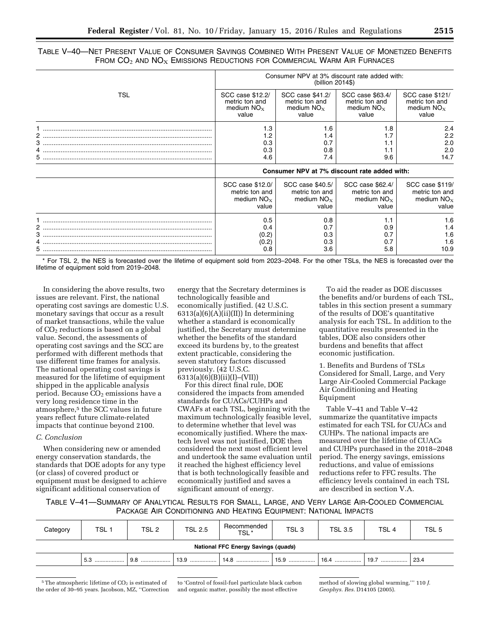TABLE V–40—NET PRESENT VALUE OF CONSUMER SAVINGS COMBINED WITH PRESENT VALUE OF MONETIZED BENEFITS FROM  $CO<sub>2</sub>$  and  $NO<sub>X</sub>$  Emissions Reductions for Commercial Warm Air Furnaces

|             |                                                              | (billion 2014\$)                                             | Consumer NPV at 3% discount rate added with:                 |                                                            |
|-------------|--------------------------------------------------------------|--------------------------------------------------------------|--------------------------------------------------------------|------------------------------------------------------------|
| TSL         | SCC case \$12.2/<br>metric ton and<br>medium $NOx$<br>value  | SCC case \$41.2/<br>metric ton and<br>medium $NOx$<br>value  | SCC case \$63.4/<br>metric ton and<br>medium $NOx$<br>value  | SCC case \$121/<br>metric ton and<br>medium $NOx$<br>value |
| 2<br>3<br>5 | 1.3<br>1.2<br>0.3<br>0.3<br>4.6                              | 1.6<br>1.4<br>0.7<br>0.8<br>7.4                              | 1.8<br>1.7<br>1.1<br>l .1<br>9.6                             | 2.4<br>2.2<br>2.0<br>2.0<br>14.7                           |
|             |                                                              |                                                              |                                                              |                                                            |
|             |                                                              |                                                              | Consumer NPV at 7% discount rate added with:                 |                                                            |
|             | SCC case \$12.0/<br>metric ton and<br>medium $NO_x$<br>value | SCC case \$40.5/<br>metric ton and<br>medium $NO_x$<br>value | SCC case \$62.4/<br>metric ton and<br>medium $NO_x$<br>value | SCC case \$119/<br>metric ton and<br>medium $NOx$<br>value |

\* For TSL 2, the NES is forecasted over the lifetime of equipment sold from 2023–2048. For the other TSLs, the NES is forecasted over the lifetime of equipment sold from 2019–2048.

In considering the above results, two issues are relevant. First, the national operating cost savings are domestic U.S. monetary savings that occur as a result of market transactions, while the value of CO2 reductions is based on a global value. Second, the assessments of operating cost savings and the SCC are performed with different methods that use different time frames for analysis. The national operating cost savings is measured for the lifetime of equipment shipped in the applicable analysis period. Because  $CO<sub>2</sub>$  emissions have a very long residence time in the atmosphere,5 the SCC values in future years reflect future climate-related impacts that continue beyond 2100.

#### *C. Conclusion*

When considering new or amended energy conservation standards, the standards that DOE adopts for any type (or class) of covered product or equipment must be designed to achieve significant additional conservation of

energy that the Secretary determines is technologically feasible and economically justified. (42 U.S.C.  $6313(a)(6)(A)(ii)(II)$  In determining whether a standard is economically justified, the Secretary must determine whether the benefits of the standard exceed its burdens by, to the greatest extent practicable, considering the seven statutory factors discussed previously. (42 U.S.C. 6313(a)(6)(B)(ii)(I)–(VII))

For this direct final rule, DOE considered the impacts from amended standards for CUACs/CUHPs and CWAFs at each TSL, beginning with the maximum technologically feasible level, to determine whether that level was economically justified. Where the maxtech level was not justified, DOE then considered the next most efficient level and undertook the same evaluation until it reached the highest efficiency level that is both technologically feasible and economically justified and saves a significant amount of energy.

To aid the reader as DOE discusses the benefits and/or burdens of each TSL, tables in this section present a summary of the results of DOE's quantitative analysis for each TSL. In addition to the quantitative results presented in the tables, DOE also considers other burdens and benefits that affect economic justification.

1. Benefits and Burdens of TSLs Considered for Small, Large, and Very Large Air-Cooled Commercial Package Air Conditioning and Heating Equipment

Table V–41 and Table V–42 summarize the quantitative impacts estimated for each TSL for CUACs and CUHPs. The national impacts are measured over the lifetime of CUACs and CUHPs purchased in the 2018–2048 period. The energy savings, emissions reductions, and value of emissions reductions refer to FFC results. The efficiency levels contained in each TSL are described in section V.A.

TABLE V–41—SUMMARY OF ANALYTICAL RESULTS FOR SMALL, LARGE, AND VERY LARGE AIR-COOLED COMMERCIAL PACKAGE AIR CONDITIONING AND HEATING EQUIPMENT: NATIONAL IMPACTS

| Category                            | TSL 1 | TSL 2 | <b>TSL 2.5</b> | Recommended<br>TSL*                                                                                   | TSL <sub>3</sub> | <b>TSL 3.5</b> | TSL <sub>4</sub> | TSL <sub>5</sub> |
|-------------------------------------|-------|-------|----------------|-------------------------------------------------------------------------------------------------------|------------------|----------------|------------------|------------------|
| National FFC Energy Savings (quads) |       |       |                |                                                                                                       |                  |                |                  |                  |
|                                     |       |       |                | ,9.8 ………………    │13.9 ………………    │14.8 …………………    │15.9 ………………    │16.4 ………………    │19.7 ………………    │23.4 |                  |                |                  |                  |

 $5$ The atmospheric lifetime of  $CO<sub>2</sub>$  is estimated of the order of 30–95 years. Jacobson, MZ, ''Correction

to 'Control of fossil-fuel particulate black carbon and organic matter, possibly the most effective

method of slowing global warming,''' 110 *J. Geophys. Res.* D14105 (2005).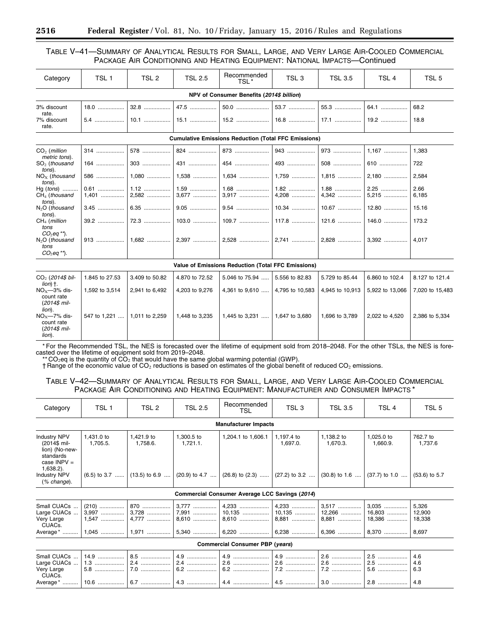## TABLE V–41—SUMMARY OF ANALYTICAL RESULTS FOR SMALL, LARGE, AND VERY LARGE AIR-COOLED COMMERCIAL PACKAGE AIR CONDITIONING AND HEATING EQUIPMENT: NATIONAL IMPACTS—Continued

| Category                                               | TSL <sub>1</sub>                                            | TSL <sub>2</sub>  | <b>TSL 2.5</b>    | Recommended<br>TSL*                                       | TSL <sub>3</sub>  | <b>TSL 3.5</b>    | TSL <sub>4</sub> | TSL <sub>5</sub> |  |
|--------------------------------------------------------|-------------------------------------------------------------|-------------------|-------------------|-----------------------------------------------------------|-------------------|-------------------|------------------|------------------|--|
|                                                        |                                                             |                   |                   | NPV of Consumer Benefits (2014\$ billion)                 |                   |                   |                  |                  |  |
| 3% discount<br>rate.                                   | $18.0$                                                      | 32.8              | $47.5$            | 50.0                                                      | 53.7              | 55.3              | 64.1             | 68.2             |  |
| 7% discount<br>rate.                                   | 5.4                                                         | 10.1              | $15.1$            |                                                           | $16.8$            | $17.1$            | 19.2             | 18.8             |  |
|                                                        | <b>Cumulative Emissions Reduction (Total FFC Emissions)</b> |                   |                   |                                                           |                   |                   |                  |                  |  |
| $CO2$ (million<br>metric tons).                        | 314                                                         | 578               | 824               | 873                                                       | 943               | 973               | $1.167$          | 1.383            |  |
| SO <sub>2</sub> (thousand<br>tons).                    | 164                                                         | $303$             | 431               | 454                                                       | 493               | 508               | 610              | 722              |  |
| $NOx$ (thousand<br>tons).                              | 586                                                         | $1.080$           | $1.538$           | $1.634$                                                   | $1.759$           | $1.815$           | 2.180            | 2,584            |  |
| $Hq (tons)$<br>$CH4$ (thousand<br>tons).               | $0.61$<br>1.401                                             | $1.12$<br>$2.582$ | $1.59$<br>$3.677$ | 3.917                                                     | $1.82$<br>$4.208$ | $1.88$<br>$4.342$ | $2.25$<br>5.215  | 2.66<br>6,185    |  |
| $N2O$ (thousand<br>tons).                              | $3.45$                                                      | 6.35              | 9.05              | 9.54                                                      | $10.34$           | 10.67             | 12.80            | 15.16            |  |
| $CH4$ (million<br>tons<br>$CO_2$ eg **).               | $39.2$                                                      | $72.3$            | 103.0             | $109.7$                                                   | $117.8$           | $121.6$           | $146.0$          | 173.2            |  |
| $N2O$ (thousand<br>tons<br>$CO_2$ eq **).              | 913                                                         | $1.682$           | 2,397             | 2.528                                                     | $2.741$           | 2,828             | $3,392$          | 4.017            |  |
|                                                        |                                                             |                   |                   | <b>Value of Emissions Reduction (Total FFC Emissions)</b> |                   |                   |                  |                  |  |
| $CO2$ (2014\$ bil-<br>$I$ ion $)$ †.                   | 1.845 to 27.53                                              | 3.409 to 50.82    | 4.870 to 72.52    | 5.046 to 75.94                                            | 5.556 to 82.83    | 5.729 to 85.44    | 6.860 to 102.4   | 8.127 to 121.4   |  |
| $NOx$ -3% dis-<br>count rate<br>(2014\$ mil-<br>lion). | 1,592 to 3,514                                              | 2,941 to 6,492    | 4,203 to 9,276    | 4,361 to 9,610                                            | 4,795 to 10,583   | 4,945 to 10,913   | 5,922 to 13,066  | 7,020 to 15,483  |  |
| $NOx$ -7% dis-<br>count rate<br>(2014\$ mil-<br>lion). | 547 to 1.221                                                | 1.011 to 2.259    | 1.448 to 3.235    | 1.445 to $3.231$                                          | 1.647 to 3.680    | 1.696 to 3.789    | 2.022 to 4.520   | 2.386 to 5.334   |  |

\* For the Recommended TSL, the NES is forecasted over the lifetime of equipment sold from 2018–2048. For the other TSLs, the NES is forecasted over the lifetime of equipment sold from 2019–2048.

\*\* CO<sub>2</sub>eq is the quantity of CO<sub>2</sub> that would have the same global warming potential (GWP).

† Range of the economic value of CO<sub>2</sub> reductions is based on estimates of the global benefit of reduced CO<sub>2</sub> emissions.

## TABLE V–42—SUMMARY OF ANALYTICAL RESULTS FOR SMALL, LARGE, AND VERY LARGE AIR-COOLED COMMERCIAL PACKAGE AIR CONDITIONING AND HEATING EQUIPMENT: MANUFACTURER AND CONSUMER IMPACTS \*

| Category                                                                                            | TSL <sub>1</sub>               | TSL <sub>2</sub>                 | <b>TSL 2.5</b>           | Recommended<br>TSL                             | TSL <sub>3</sub>              | <b>TSL 3.5</b>                  | TSL <sub>4</sub>              | TSL 5                              |  |  |  |
|-----------------------------------------------------------------------------------------------------|--------------------------------|----------------------------------|--------------------------|------------------------------------------------|-------------------------------|---------------------------------|-------------------------------|------------------------------------|--|--|--|
|                                                                                                     | <b>Manufacturer Impacts</b>    |                                  |                          |                                                |                               |                                 |                               |                                    |  |  |  |
| <b>Industry NPV</b><br>(2014\$ mil-<br>lion) (No-new-<br>standards<br>case $INPV =$<br>$1,638.2$ ). | 1.431.0 to<br>1.705.5.         | 1.421.9 to<br>1.758.6.           | 1.300.5 to<br>1,721.1.   | 1,204.1 to 1,606.1                             | 1.197.4 to<br>1.697.0.        | 1.138.2 to<br>1.670.3.          | 1.025.0 to<br>1.660.9.        | 762.7 to<br>1,737.6                |  |  |  |
| <b>Industry NPV</b><br>$(% \mathcal{L}_{0})$ (% change).                                            | $(6.5)$ to 3.7                 | $(13.5)$ to 6.9                  |                          | $(20.9)$ to 4.7 $(26.8)$ to $(2.3)$            | $(27.2)$ to 3.2               | $(30.8)$ to 1.6                 | $(37.7)$ to 1.0               | $(53.6)$ to 5.7                    |  |  |  |
|                                                                                                     |                                |                                  |                          | Commercial Consumer Average LCC Savings (2014) |                               |                                 |                               |                                    |  |  |  |
| Small CUACs<br>Large CUACs<br>Very Large<br>CUACs.<br>Average *                                     | $(210)$<br>$3.997$<br>$1.045$  | 870<br>$3,728$<br>4.777<br>1.971 | 7,991   <br>8.610        | $10,135$                                       | 4,233<br>10,135<br>8,881      | 3,517<br>12,266<br>8,881        | $3,035$<br>16,803<br>$18.386$ | 5,326<br>12,900<br>18.338<br>8.697 |  |  |  |
|                                                                                                     |                                |                                  |                          | <b>Commercial Consumer PBP (years)</b>         |                               |                                 |                               |                                    |  |  |  |
| Small CUACs<br>Large CUACs<br>Very Large<br>CUACs.<br>Average *                                     | $14.9$<br>1.3<br>5.8<br>$10.6$ | 8.5<br>.<br>2.4<br>7.0<br>6.7    | 4.9<br>2.4<br>6.2<br>4.3 | 4.9<br>2.6<br>6.2                              | 4.9<br>2.6<br>.<br>7.2<br>4.5 | 2.6<br>.<br>2.6<br>7.2<br>$3.0$ | $2.5$<br>2.5<br>5.6<br>2.8    | 4.6<br>4.6<br>6.3<br>4.8           |  |  |  |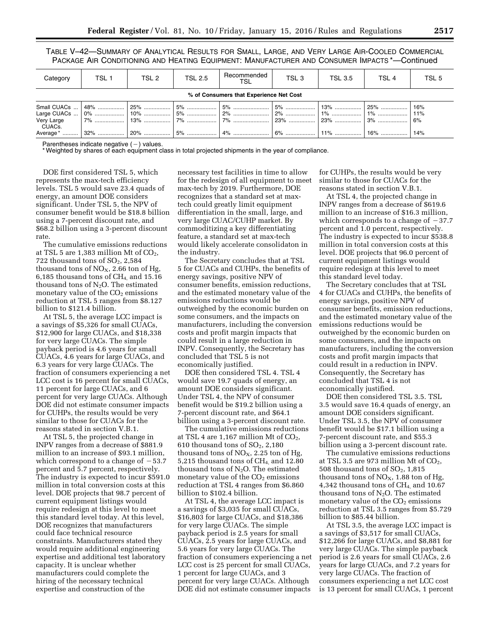TABLE V–42—SUMMARY OF ANALYTICAL RESULTS FOR SMALL, LARGE, AND VERY LARGE AIR-COOLED COMMERCIAL PACKAGE AIR CONDITIONING AND HEATING EQUIPMENT: MANUFACTURER AND CONSUMER IMPACTS \*—Continued

| Category                            | TSL <sub>1</sub> | TSL 2 | <b>TSL 2.5</b> | Recommended<br>TSL                                                                                                                                                                                                                                                                             | TSL <sub>3</sub> | <b>TSL 3.5</b> | TSL <sub>4</sub> | TSL <sub>5</sub> |
|-------------------------------------|------------------|-------|----------------|------------------------------------------------------------------------------------------------------------------------------------------------------------------------------------------------------------------------------------------------------------------------------------------------|------------------|----------------|------------------|------------------|
|                                     |                  |       |                | % of Consumers that Experience Net Cost                                                                                                                                                                                                                                                        |                  |                |                  |                  |
| Large CUACs<br>Very Large<br>CUACs. |                  |       |                | Small CUACs …   48% ………………   25% ………………   5% ………………   5% ……………………   5% …………………   13% ………………   25% ………………  <br>│0% …………………│10% ………………│5% …………………│2% ……………………│2% …………………│1% …………………│1% ………………… │<br>  7% …………………   13% ………………   7% …………………   7% ……………………   23% ………………   23% …………………   3% ………………… |                  |                |                  | 16%<br>11%<br>6% |
| Average *                           | 32%              |       |                |                                                                                                                                                                                                                                                                                                | 6%               |                | $16\%$           | 14%              |

Parentheses indicate negative  $(-)$  values.

\* Weighted by shares of each equipment class in total projected shipments in the year of compliance.

DOE first considered TSL 5, which represents the max-tech efficiency levels. TSL 5 would save 23.4 quads of energy, an amount DOE considers significant. Under TSL 5, the NPV of consumer benefit would be \$18.8 billion using a 7-percent discount rate, and \$68.2 billion using a 3-percent discount rate.

The cumulative emissions reductions at TSL 5 are 1,383 million Mt of  $CO<sub>2</sub>$ , 722 thousand tons of  $SO<sub>2</sub>$ , 2,584 thousand tons of  $NO<sub>X</sub>$ , 2.66 ton of Hg, 6,185 thousand tons of  $CH<sub>4</sub>$  and 15.16 thousand tons of  $N_2O$ . The estimated monetary value of the  $CO<sub>2</sub>$  emissions reduction at TSL 5 ranges from \$8.127 billion to \$121.4 billion.

At TSL 5, the average LCC impact is a savings of \$5,326 for small CUACs, \$12,900 for large CUACs, and \$18,338 for very large CUACs. The simple payback period is 4.6 years for small CUACs, 4.6 years for large CUACs, and 6.3 years for very large CUACs. The fraction of consumers experiencing a net LCC cost is 16 percent for small CUACs, 11 percent for large CUACs, and 6 percent for very large CUACs. Although DOE did not estimate consumer impacts for CUHPs, the results would be very similar to those for CUACs for the reasons stated in section V.B.1.

At TSL 5, the projected change in INPV ranges from a decrease of \$881.9 million to an increase of \$93.1 million, which correspond to a change of  $-53.7$ percent and 5.7 percent, respectively. The industry is expected to incur \$591.0 million in total conversion costs at this level. DOE projects that 98.7 percent of current equipment listings would require redesign at this level to meet this standard level today. At this level, DOE recognizes that manufacturers could face technical resource constraints. Manufacturers stated they would require additional engineering expertise and additional test laboratory capacity. It is unclear whether manufacturers could complete the hiring of the necessary technical expertise and construction of the

necessary test facilities in time to allow for the redesign of all equipment to meet max-tech by 2019. Furthermore, DOE recognizes that a standard set at maxtech could greatly limit equipment differentiation in the small, large, and very large CUAC/CUHP market. By commoditizing a key differentiating feature, a standard set at max-tech would likely accelerate consolidaton in the industry.

The Secretary concludes that at TSL 5 for CUACs and CUHPs, the benefits of energy savings, positive NPV of consumer benefits, emission reductions, and the estimated monetary value of the emissions reductions would be outweighed by the economic burden on some consumers, and the impacts on manufacturers, including the conversion costs and profit margin impacts that could result in a large reduction in INPV. Consequently, the Secretary has concluded that TSL 5 is not economically justified.

DOE then considered TSL 4. TSL 4 would save 19.7 quads of energy, an amount DOE considers significant. Under TSL 4, the NPV of consumer benefit would be \$19.2 billion using a 7-percent discount rate, and \$64.1 billion using a 3-percent discount rate.

The cumulative emissions reductions at TSL 4 are  $1,167$  million Mt of  $CO<sub>2</sub>$ , 610 thousand tons of  $SO<sub>2</sub>$ , 2,180 thousand tons of  $NO<sub>X</sub>$ , 2.25 ton of Hg, 5,215 thousand tons of  $CH<sub>4</sub>$  and 12.80 thousand tons of  $N_2O$ . The estimated monetary value of the  $CO<sub>2</sub>$  emissions reduction at TSL 4 ranges from \$6.860 billion to \$102.4 billion.

At TSL 4, the average LCC impact is a savings of \$3,035 for small CUACs, \$16,803 for large CUACs, and \$18,386 for very large CUACs. The simple payback period is 2.5 years for small CUACs, 2.5 years for large CUACs, and 5.6 years for very large CUACs. The fraction of consumers experiencing a net LCC cost is 25 percent for small CUACs, 1 percent for large CUACs, and 3 percent for very large CUACs. Although DOE did not estimate consumer impacts

for CUHPs, the results would be very similar to those for CUACs for the reasons stated in section V.B.1.

At TSL 4, the projected change in INPV ranges from a decrease of \$619.6 million to an increase of \$16.3 million, which corresponds to a change of  $-37.7$ percent and 1.0 percent, respectively. The industry is expected to incur \$538.8 million in total conversion costs at this level. DOE projects that 96.0 percent of current equipment listings would require redesign at this level to meet this standard level today.

The Secretary concludes that at TSL 4 for CUACs and CUHPs, the benefits of energy savings, positive NPV of consumer benefits, emission reductions, and the estimated monetary value of the emissions reductions would be outweighed by the economic burden on some consumers, and the impacts on manufacturers, including the conversion costs and profit margin impacts that could result in a reduction in INPV. Consequently, the Secretary has concluded that TSL 4 is not economically justified.

DOE then considered TSL 3.5. TSL 3.5 would save 16.4 quads of energy, an amount DOE considers significant. Under TSL 3.5, the NPV of consumer benefit would be \$17.1 billion using a 7-percent discount rate, and \$55.3 billion using a 3-percent discount rate.

The cumulative emissions reductions at TSL 3.5 are 973 million Mt of  $CO<sub>2</sub>$ , 508 thousand tons of  $SO<sub>2</sub>$ , 1,815 thousand tons of  $NO<sub>X</sub>$ , 1.88 ton of Hg, 4,342 thousand tons of  $CH<sub>4</sub>$  and 10.67 thousand tons of  $N_2O$ . The estimated monetary value of the  $CO<sub>2</sub>$  emissions reduction at TSL 3.5 ranges from \$5.729 billion to \$85.44 billion.

At TSL 3.5, the average LCC impact is a savings of \$3,517 for small CUACs, \$12,266 for large CUACs, and \$8,881 for very large CUACs. The simple payback period is 2.6 years for small CUACs, 2.6 years for large CUACs, and 7.2 years for very large CUACs. The fraction of consumers experiencing a net LCC cost is 13 percent for small CUACs, 1 percent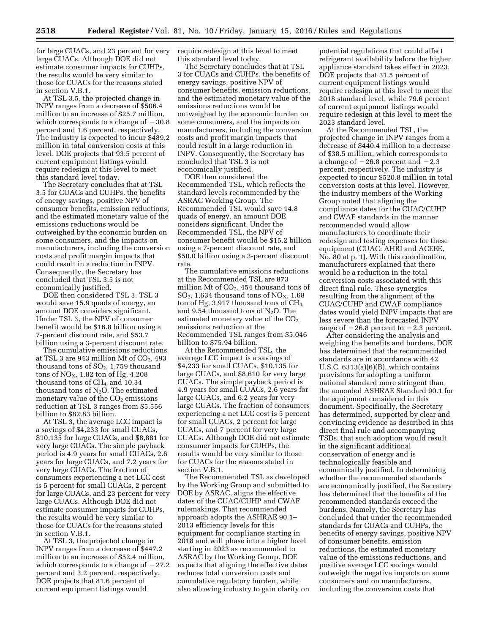for large CUACs, and 23 percent for very large CUACs. Although DOE did not estimate consumer impacts for CUHPs, the results would be very similar to those for CUACs for the reasons stated in section V.B.1.

At TSL 3.5, the projected change in INPV ranges from a decrease of \$506.4 million to an increase of \$25.7 million, which corresponds to a change of  $-30.8$ percent and 1.6 percent, respectively. The industry is expected to incur \$489.2 million in total conversion costs at this level. DOE projects that 93.5 percent of current equipment listings would require redesign at this level to meet this standard level today.

The Secretary concludes that at TSL 3.5 for CUACs and CUHPs, the benefits of energy savings, positive NPV of consumer benefits, emission reductions, and the estimated monetary value of the emissions reductions would be outweighed by the economic burden on some consumers, and the impacts on manufacturers, including the conversion costs and profit margin impacts that could result in a reduction in INPV. Consequently, the Secretary has concluded that TSL 3.5 is not economically justified.

DOE then considered TSL 3. TSL 3 would save 15.9 quads of energy, an amount DOE considers significant. Under TSL 3, the NPV of consumer benefit would be \$16.8 billion using a 7-percent discount rate, and \$53.7 billion using a 3-percent discount rate.

The cumulative emissions reductions at TSL 3 are  $943$  million Mt of  $CO<sub>2</sub>$ ,  $493$ thousand tons of  $SO_2$ , 1,759 thousand tons of  $NO<sub>X</sub>$ , 1.82 ton of Hg, 4,208 thousand tons of CH<sub>4</sub>, and 10.34 thousand tons of  $N_2O$ . The estimated monetary value of the  $CO<sub>2</sub>$  emissions reduction at TSL 3 ranges from \$5.556 billion to \$82.83 billion.

At TSL 3, the average LCC impact is a savings of \$4,233 for small CUACs, \$10,135 for large CUACs, and \$8,881 for very large CUACs. The simple payback period is 4.9 years for small CUACs, 2.6 years for large CUACs, and 7.2 years for very large CUACs. The fraction of consumers experiencing a net LCC cost is 5 percent for small CUACs, 2 percent for large CUACs, and 23 percent for very large CUACs. Although DOE did not estimate consumer impacts for CUHPs, the results would be very similar to those for CUACs for the reasons stated in section V.B.1.

At TSL 3, the projected change in INPV ranges from a decrease of \$447.2 million to an increase of \$52.4 million, which corresponds to a change of  $-27.2$ percent and 3.2 percent, respectively. DOE projects that 81.6 percent of current equipment listings would

require redesign at this level to meet this standard level today.

The Secretary concludes that at TSL 3 for CUACs and CUHPs, the benefits of energy savings, positive NPV of consumer benefits, emission reductions, and the estimated monetary value of the emissions reductions would be outweighed by the economic burden on some consumers, and the impacts on manufacturers, including the conversion costs and profit margin impacts that could result in a large reduction in INPV. Consequently, the Secretary has concluded that TSL 3 is not economically justified.

DOE then considered the Recommended TSL, which reflects the standard levels recommended by the ASRAC Working Group. The Recommended TSL would save 14.8 quads of energy, an amount DOE considers significant. Under the Recommended TSL, the NPV of consumer benefit would be \$15.2 billion using a 7-percent discount rate, and \$50.0 billion using a 3-percent discount rate.

The cumulative emissions reductions at the Recommended TSL are 873 million Mt of  $CO<sub>2</sub>$ , 454 thousand tons of  $SO_2$ , 1,634 thousand tons of  $NO<sub>X</sub>$ , 1.68 ton of Hg, 3,917 thousand tons of CH4, and 9.54 thousand tons of  $N_2O$ . The estimated monetary value of the  $CO<sub>2</sub>$ emissions reduction at the Recommended TSL ranges from \$5.046 billion to \$75.94 billion.

At the Recommended TSL, the average LCC impact is a savings of \$4,233 for small CUACs, \$10,135 for large CUACs, and \$8,610 for very large CUACs. The simple payback period is 4.9 years for small CUACs, 2.6 years for large CUACs, and 6.2 years for very large CUACs. The fraction of consumers experiencing a net LCC cost is 5 percent for small CUACs, 2 percent for large CUACs, and 7 percent for very large CUACs. Although DOE did not estimate consumer impacts for CUHPs, the results would be very similar to those for CUACs for the reasons stated in section V.B.1.

The Recommended TSL as developed by the Working Group and submitted to DOE by ASRAC, aligns the effective dates of the CUAC/CUHP and CWAF rulemakings. That recommended approach adopts the ASHRAE 90.1– 2013 efficiency levels for this equipment for compliance starting in 2018 and will phase into a higher level starting in 2023 as recommended to ASRAC by the Working Group. DOE expects that aligning the effective dates reduces total conversion costs and cumulative regulatory burden, while also allowing industry to gain clarity on

potential regulations that could affect refrigerant availability before the higher appliance standard takes effect in 2023. DOE projects that 31.5 percent of current equipment listings would require redesign at this level to meet the 2018 standard level, while 79.6 percent of current equipment listings would require redesign at this level to meet the 2023 standard level.

At the Recommended TSL, the projected change in INPV ranges from a decrease of \$440.4 million to a decrease of \$38.5 million, which corresponds to a change of  $-26.8$  percent and  $-2.3$ percent, respectively. The industry is expected to incur \$520.8 million in total conversion costs at this level. However, the industry members of the Working Group noted that aligning the compliance dates for the CUAC/CUHP and CWAF standards in the manner recommended would allow manufacturers to coordinate their redesign and testing expenses for these equipment (CUAC: AHRI and ACEEE, No. 80 at p. 1). With this coordination, manufacturers explained that there would be a reduction in the total conversion costs associated with this direct final rule. These synergies resulting from the alignment of the CUAC/CUHP and CWAF compliance dates would yield INPV impacts that are less severe than the forecasted INPV range of  $-26.8$  percent to  $-2.3$  percent.

After considering the analysis and weighing the benefits and burdens, DOE has determined that the recommended standards are in accordance with 42 U.S.C. 6313(a)(6)(B), which contains provisions for adopting a uniform national standard more stringent than the amended ASHRAE Standard 90.1 for the equipment considered in this document. Specifically, the Secretary has determined, supported by clear and convincing evidence as described in this direct final rule and accompanying TSDs, that such adoption would result in the significant additional conservation of energy and is technologically feasible and economically justified. In determining whether the recommended standards are economically justified, the Secretary has determined that the benefits of the recommended standards exceed the burdens. Namely, the Secretary has concluded that under the recommended standards for CUACs and CUHPs, the benefits of energy savings, positive NPV of consumer benefits, emission reductions, the estimated monetary value of the emissions reductions, and positive average LCC savings would outweigh the negative impacts on some consumers and on manufacturers, including the conversion costs that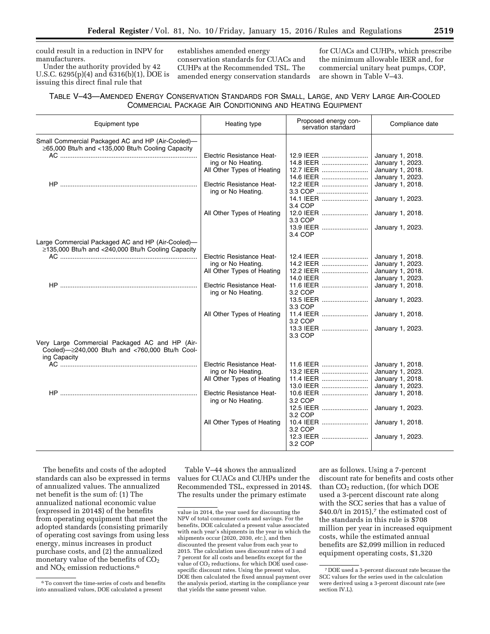could result in a reduction in INPV for manufacturers.

Under the authority provided by 42 U.S.C. 6295(p)(4) and 6316(b)(1), DOE is issuing this direct final rule that

establishes amended energy conservation standards for CUACs and CUHPs at the Recommended TSL. The amended energy conservation standards

for CUACs and CUHPs, which prescribe the minimum allowable IEER and, for commercial unitary heat pumps, COP, are shown in Table V–43.

## TABLE V–43—AMENDED ENERGY CONSERVATION STANDARDS FOR SMALL, LARGE, AND VERY LARGE AIR-COOLED COMMERCIAL PACKAGE AIR CONDITIONING AND HEATING EQUIPMENT

| Equipment type                                                                                                    | Heating type                                                                  | Proposed energy con-<br>servation standard       | Compliance date                                                              |  |
|-------------------------------------------------------------------------------------------------------------------|-------------------------------------------------------------------------------|--------------------------------------------------|------------------------------------------------------------------------------|--|
| Small Commercial Packaged AC and HP (Air-Cooled)-<br>$\geq$ 65,000 Btu/h and <135,000 Btu/h Cooling Capacity      | Electric Resistance Heat-                                                     | 12.9 IEER                                        | January 1, 2018.                                                             |  |
|                                                                                                                   | ing or No Heating.<br>All Other Types of Heating                              | 14.8 IEER<br>12.7 IEER<br>14.6 IEER              | January 1, 2023.<br>January 1, 2018.<br>January 1, 2023.                     |  |
|                                                                                                                   | Electric Resistance Heat-<br>ing or No Heating.                               | 12.2 IEER<br>3.3 COP<br>14.1 IEER<br>3.4 COP     | January 1, 2018.<br>January 1, 2023.                                         |  |
|                                                                                                                   | All Other Types of Heating                                                    | 12.0 IEER<br>3.3 COP<br>13.9 IEER                | January 1, 2018.<br>January 1, 2023.                                         |  |
| Large Commercial Packaged AC and HP (Air-Cooled)-<br>≥135,000 Btu/h and <240,000 Btu/h Cooling Capacity           |                                                                               | 3.4 COP                                          |                                                                              |  |
|                                                                                                                   | Electric Resistance Heat-<br>ing or No Heating.<br>All Other Types of Heating | 12.4 IEER<br>14.2 IEER<br>12.2 IEER              | January 1, 2018.<br>January 1, 2023.<br>January 1, 2018.                     |  |
|                                                                                                                   | Electric Resistance Heat-<br>ing or No Heating.                               | 14.0 IEER<br>11.6 IEER<br>3.2 COP<br>13.5 IEER   | January 1, 2023.<br>January 1, 2018.<br>January 1, 2023.                     |  |
|                                                                                                                   | All Other Types of Heating                                                    | 3.3 COP<br>11.4 IEER<br>3.2 COP<br>13.3 IEER     | January 1, 2018.<br>January 1, 2023.                                         |  |
| Very Large Commercial Packaged AC and HP (Air-<br>Cooled)-2240,000 Btu/h and <760,000 Btu/h Cool-<br>ing Capacity |                                                                               | 3.3 COP                                          |                                                                              |  |
|                                                                                                                   | Electric Resistance Heat-<br>ing or No Heating.<br>All Other Types of Heating | 11.6 IEER<br>13.2 IEER<br>11.4 IEER<br>13.0 IEER | January 1, 2018.<br>January 1, 2023.<br>January 1, 2018.<br>January 1, 2023. |  |
|                                                                                                                   | <b>Electric Resistance Heat-</b><br>ing or No Heating.                        | 10.6 IEER<br>3.2 COP<br>12.5 IEER                | January 1, 2018.<br>January 1, 2023.                                         |  |
|                                                                                                                   | All Other Types of Heating                                                    | 3.2 COP<br>10.4 IEER<br>3.2 COP<br>12.3 IEER     | January 1, 2018.<br>January 1, 2023.                                         |  |
|                                                                                                                   |                                                                               | 3.2 COP                                          |                                                                              |  |

The benefits and costs of the adopted standards can also be expressed in terms of annualized values. The annualized net benefit is the sum of: (1) The annualized national economic value (expressed in 2014\$) of the benefits from operating equipment that meet the adopted standards (consisting primarily of operating cost savings from using less energy, minus increases in product purchase costs, and (2) the annualized monetary value of the benefits of  $CO<sub>2</sub>$ and  $NO<sub>X</sub>$  emission reductions.<sup>6</sup>

Table V–44 shows the annualized values for CUACs and CUHPs under the Recommended TSL, expressed in 2014\$. The results under the primary estimate

are as follows. Using a 7-percent discount rate for benefits and costs other than  $CO<sub>2</sub>$  reduction, (for which DOE used a 3-percent discount rate along with the SCC series that has a value of  $$40.0/t$  in 2015),<sup>7</sup> the estimated cost of the standards in this rule is \$708 million per year in increased equipment costs, while the estimated annual benefits are \$2,099 million in reduced equipment operating costs, \$1,320

<sup>6</sup>To convert the time-series of costs and benefits into annualized values, DOE calculated a present

value in 2014, the year used for discounting the NPV of total consumer costs and savings. For the benefits, DOE calculated a present value associated with each year's shipments in the year in which the shipments occur (2020, 2030, *etc.*), and then discounted the present value from each year to 2015. The calculation uses discount rates of 3 and 7 percent for all costs and benefits except for the value of CO<sub>2</sub> reductions, for which DOE used casespecific discount rates. Using the present value, DOE then calculated the fixed annual payment over the analysis period, starting in the compliance year that yields the same present value.

<sup>7</sup> DOE used a 3-percent discount rate because the SCC values for the series used in the calculation were derived using a 3-percent discount rate (see section IV.L).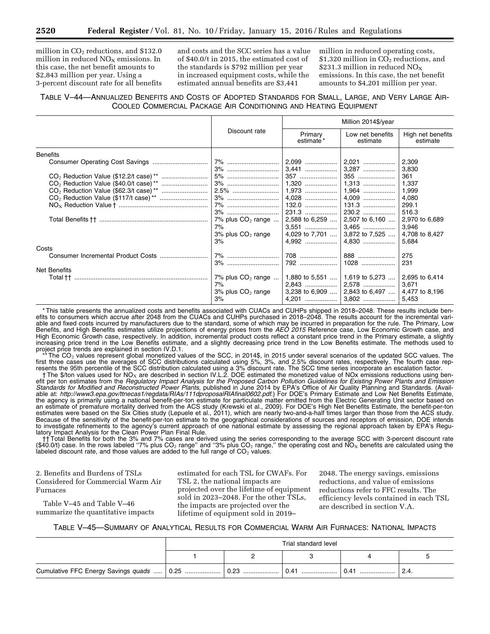million in CO2 reductions, and \$132.0 million in reduced  $NO<sub>x</sub>$  emissions. In this case, the net benefit amounts to \$2,843 million per year. Using a 3-percent discount rate for all benefits and costs and the SCC series has a value of \$40.0/t in 2015, the estimated cost of the standards is \$792 million per year in increased equipment costs, while the estimated annual benefits are \$3,441

million in reduced operating costs, \$1,320 million in  $CO<sub>2</sub>$  reductions, and \$231.3 million in reduced  $NO<sub>x</sub>$ emissions. In this case, the net benefit amounts to \$4,201 million per year.

## TABLE V–44—ANNUALIZED BENEFITS AND COSTS OF ADOPTED STANDARDS FOR SMALL, LARGE, AND VERY LARGE AIR-COOLED COMMERCIAL PACKAGE AIR CONDITIONING AND HEATING EQUIPMENT

|                                                   |                                                                                                |                      | Million 2014\$/year                                                                    |                                                                                                                 |
|---------------------------------------------------|------------------------------------------------------------------------------------------------|----------------------|----------------------------------------------------------------------------------------|-----------------------------------------------------------------------------------------------------------------|
|                                                   | Discount rate                                                                                  | Primary<br>estimate* | Low net benefits<br>estimate                                                           | High net benefits<br>estimate                                                                                   |
| <b>Benefits</b>                                   |                                                                                                |                      |                                                                                        |                                                                                                                 |
|                                                   | 7%                                                                                             |                      |                                                                                        | 2,309                                                                                                           |
|                                                   | 3%<br>5%<br>3%<br><b>3%</b><br>7%<br>7% plus $CO2$ range<br>7%<br>$3\%$ plus $CO2$ range<br>3% |                      | 1,313<br>2,588 to 6,259    2,507 to 6,160   <br>4,029 to 7,701  3,872 to 7,525         | 3,830<br>361<br>1,337<br>1,999<br>4,080<br>299.1<br>516.3<br>2,970 to 6,689<br>3,946<br>4,708 to 8,427<br>5,684 |
| Costs                                             | 7%<br>3%                                                                                       |                      | 1028                                                                                   | 275<br>231                                                                                                      |
| Net Benefits<br>Total †† ……………………………………………………………… | 7% plus $CO2$ range<br>7%<br>$3\%$ plus $CO2$ range<br>3%                                      |                      | 1,880 to 5,551    1,619 to 5,273    2,695 to 6,414<br>3,238 to 6,909    2,843 to 6,497 | 3,671<br>4,477 to 8,196<br>5,453                                                                                |

\* This table presents the annualized costs and benefits associated with CUACs and CUHPs shipped in 2018–2048. These results include benefits to consumers which accrue after 2048 from the CUACs and CUHPs purchased in 2018–2048. The results account for the incremental variable and fixed costs incurred by manufacturers due to the standard, some of which may be incurred in preparation for the rule. The Primary, Low Benefits, and High Benefits estimates utilize projections of energy prices from the *AEO 2015* Reference case, Low Economic Growth case, and High Economic Growth case, respectively. In addition, incremental product costs reflect a constant price trend in the Primary estimate, a slightly increasing price trend in the Low Benefits estimate, and a slightly decreasing price trend in the Low Benefits estimate. The methods used to project price trends are explained in section IV.D.1.

 $^*$  The CO<sub>2</sub> values represent global monetized values of the SCC, in 2014\$, in 2015 under several scenarios of the updated SCC values. The<br>first three cases use the averages of SCC distributions calculated using 5%, 3%, resents the 95th percentile of the SCC distribution calculated using a 3% discount rate. The SCC time series incorporate an escalation factor.

† The \$/ton values used for NO<sub>X</sub> are described in section IV.L.2. DOE estimated the monetized value of NOx emissions reductions using benefit per ton estimates from the *Regulatory Impact Analysis for the Proposed Carbon Pollution Guidelines for Existing Power Plants and Emission*  Standards for Modified and Reconstructed Power Plants, published in June 2014 by EPA's Office of Air Quality Planning and Standards. (Available at: *<http://www3.epa.gov/ttnecas1/regdata/RIAs/111dproposalRIAfinal0602.pdf>*.) For DOE's Primary Estimate and Low Net Benefits Estimate, the agency is primarily using a national benefit-per-ton estimate for particulate matter emitted from the Electric Generating Unit sector based on an estimate of premature mortality derived from the ACS study (Krewski et al., 2009). For DOE's High Net Benefits Estimate, the benefit-per-ton estimates were based on the Six Cities study (Lepuele et al., 2011), which are nearly two-and-a-half times larger than those from the ACS study. Because of the sensitivity of the benefit-per-ton estimate to the geographical considerations of sources and receptors of emission, DOE intends<br>to investigate refinements to the agency's current approach of one national es latory Impact Analysis for the Clean Power Plan Final Rule.

† Total Benefits for both the 3% and 7% cases are derived using the series corresponding to the average SCC with 3-percent discount rate<br>(\$40.0/t) case. In the rows labeled "7% plus CO<sub>2</sub> range" and "3% plus CO<sub>2</sub> range," labeled discount rate, and those values are added to the full range of  $CO<sub>2</sub>$  values.

2. Benefits and Burdens of TSLs Considered for Commercial Warm Air Furnaces

Table V–45 and Table V–46 summarize the quantitative impacts estimated for each TSL for CWAFs. For TSL 2, the national impacts are projected over the lifetime of equipment sold in 2023–2048. For the other TSLs, the impacts are projected over the lifetime of equipment sold in 2019–

2048. The energy savings, emissions reductions, and value of emissions reductions refer to FFC results. The efficiency levels contained in each TSL are described in section V.A.

#### TABLE V–45—SUMMARY OF ANALYTICAL RESULTS FOR COMMERCIAL WARM AIR FURNACES: NATIONAL IMPACTS

|                                                     | Trial standard level |      |           |      |  |  |
|-----------------------------------------------------|----------------------|------|-----------|------|--|--|
|                                                     |                      |      |           |      |  |  |
| Cumulative FFC Energy Savings quads    0.25    0.23 |                      | 0.41 | 0.41<br>. | 2.4. |  |  |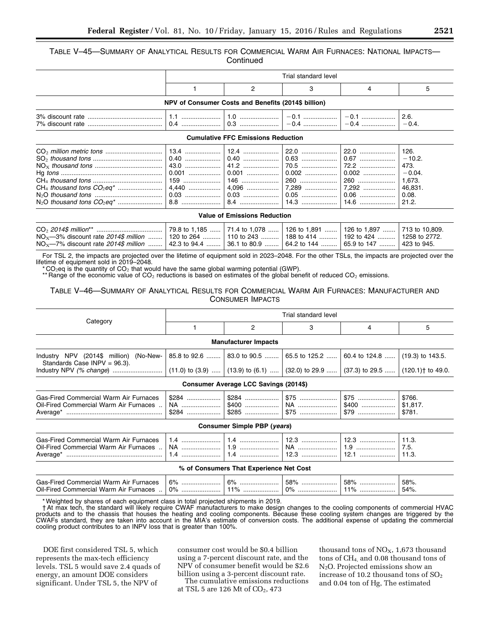TABLE V–45—SUMMARY OF ANALYTICAL RESULTS FOR COMMERCIAL WARM AIR FURNACES: NATIONAL IMPACTS— **Continued** 

|                                                                                                                                                                                                                                                                                                                                                        | Trial standard level |  |  |  |  |  |  |  |  |
|--------------------------------------------------------------------------------------------------------------------------------------------------------------------------------------------------------------------------------------------------------------------------------------------------------------------------------------------------------|----------------------|--|--|--|--|--|--|--|--|
|                                                                                                                                                                                                                                                                                                                                                        |                      |  |  |  |  |  |  |  |  |
| NPV of Consumer Costs and Benefits (2014\$ billion)                                                                                                                                                                                                                                                                                                    |                      |  |  |  |  |  |  |  |  |
| 3% discount rate $\ldots$ $\ldots$ $\ldots$ $\ldots$ $\ldots$ $\ldots$ $\ldots$ 1.1 $\ldots$ $\ldots$ 1.0 $\ldots$ $\ldots$ $\ldots$ $\ldots$ $\ldots$ $\ldots$ $\ldots$ $\ldots$ $\ldots$ $\ldots$ $\ldots$ $\ldots$ 2.6.<br>$\begin{vmatrix} 0.3 & \dots & \dots & \dots & \dots \\ -0.4 & \dots & \dots & \dots & \dots \end{vmatrix}$ -0.4 $\dots$ |                      |  |  |  |  |  |  |  |  |
| <b>Cumulative FFC Emissions Reduction</b>                                                                                                                                                                                                                                                                                                              |                      |  |  |  |  |  |  |  |  |

#### **Value of Emissions Reduction**

|                                                                                                                  |  | .   79.8 to 1.185 ……   71.4 to 1.078 ……   126 to 1.891 ……   126 to 1.897 …….   713 to 10.809. |  |
|------------------------------------------------------------------------------------------------------------------|--|-----------------------------------------------------------------------------------------------|--|
| $NO_x$ —3% discount rate 2014\$ million    120 to 264    110 to 243    188 to 414    192 to 424    1258 to 2772. |  |                                                                                               |  |
| $NO_x$ —7% discount rate 2014\$ million  42.3 to 94.4  36.1 to 80.9  64.2 to 144  65.9 to 147  423 to 945.       |  |                                                                                               |  |

For TSL 2, the impacts are projected over the lifetime of equipment sold in 2023–2048. For the other TSLs, the impacts are projected over the lifetime of equipment sold in 2019–2048.

\* CO<sub>2</sub>eq is the quantity of CO<sub>2</sub> that would have the same global warming potential (GWP).

\*\* Range of the economic value of  $CO<sub>2</sub>$  reductions is based on estimates of the global benefit of reduced  $CO<sub>2</sub>$  emissions.

TABLE V–46—SUMMARY OF ANALYTICAL RESULTS FOR COMMERCIAL WARM AIR FURNACES: MANUFACTURER AND CONSUMER IMPACTS

|                                                                                  |                        | Trial standard level                    |                                                                            |                                                      |                              |  |  |  |
|----------------------------------------------------------------------------------|------------------------|-----------------------------------------|----------------------------------------------------------------------------|------------------------------------------------------|------------------------------|--|--|--|
| Category                                                                         |                        | 2                                       | 3                                                                          | 4                                                    | 5                            |  |  |  |
|                                                                                  |                        | <b>Manufacturer Impacts</b>             |                                                                            |                                                      |                              |  |  |  |
| Industry NPV (2014\$ million) (No-New-                                           |                        |                                         | 85.8 to 92.6  83.0 to 90.5  65.5 to 125.2  60.4 to 124.8  (19.3) to 143.5. |                                                      |                              |  |  |  |
| Standards Case INPV = 96.3).                                                     |                        | $(11.0)$ to $(3.9)$ $(13.9)$ to $(6.1)$ |                                                                            | $(32.0)$ to 29.9 $(37.3)$ to 29.5 $(120.1)$ to 49.0. |                              |  |  |  |
|                                                                                  |                        | Consumer Average LCC Savings (2014\$)   |                                                                            |                                                      |                              |  |  |  |
| Gas-Fired Commercial Warm Air Furnaces<br>Oil-Fired Commercial Warm Air Furnaces | $$284$<br>NA<br>$$284$ | \$284   <br>$$285$                      | $$75$                                                                      | $$75$<br>$$400$<br>\$79                              | \$766.<br>\$1,817.<br>\$781. |  |  |  |
|                                                                                  |                        | Consumer Simple PBP (years)             |                                                                            |                                                      |                              |  |  |  |
| Gas-Fired Commercial Warm Air Furnaces<br>Oil-Fired Commercial Warm Air Furnaces | NA                     |                                         | 12.3                                                                       | 12.1                                                 | 11.3.<br>7.5.<br>11.3.       |  |  |  |

#### **% of Consumers That Experience Net Cost**

| asټ<br>Aır<br>-----     | 6% | co,    | 58%    | 58% | 58%.         |
|-------------------------|----|--------|--------|-----|--------------|
| Oil-Fired<br>Marn<br>∩m | n° | $\sim$ | $\sim$ |     | 54%<br>, 70. |

\* Weighted by shares of each equipment class in total projected shipments in 2019.

† At max tech, the standard will likely require CWAF manufacturers to make design changes to the cooling components of commercial HVAC products and to the chassis that houses the heating and cooling components. Because these cooling system changes are triggered by the CWAFs standard, they are taken into account in the MIA's estimate of conversion costs. The additional expense of updating the commercial cooling product contributes to an INPV loss that is greater than 100%.

DOE first considered TSL 5, which represents the max-tech efficiency levels. TSL 5 would save 2.4 quads of energy, an amount DOE considers significant. Under TSL 5, the NPV of

consumer cost would be \$0.4 billion using a 7-percent discount rate, and the NPV of consumer benefit would be \$2.6 billion using a 3-percent discount rate.

The cumulative emissions reductions at TSL 5 are 126 Mt of CO2, 473

thousand tons of  $NO<sub>X</sub>$ , 1,673 thousand tons of CH4, and 0.08 thousand tons of N2O. Projected emissions show an increase of 10.2 thousand tons of  $SO<sub>2</sub>$ and 0.04 ton of Hg, The estimated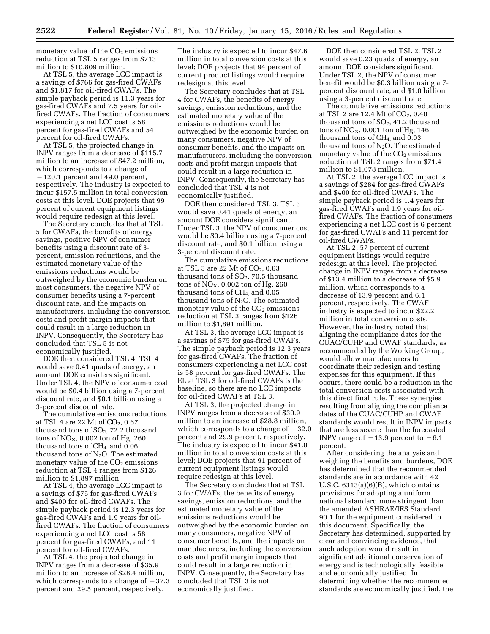monetary value of the  $CO<sub>2</sub>$  emissions reduction at TSL 5 ranges from \$713 million to \$10,809 million.

At TSL 5, the average LCC impact is a savings of \$766 for gas-fired CWAFs and \$1,817 for oil-fired CWAFs. The simple payback period is 11.3 years for gas-fired CWAFs and 7.5 years for oilfired CWAFs. The fraction of consumers experiencing a net LCC cost is 58 percent for gas-fired CWAFs and 54 percent for oil-fired CWAFs.

At TSL 5, the projected change in INPV ranges from a decrease of \$115.7 million to an increase of \$47.2 million, which corresponds to a change of  $-120.1$  percent and 49.0 percent, respectively. The industry is expected to incur \$157.5 million in total conversion costs at this level. DOE projects that 99 percent of current equipment listings would require redesign at this level.

The Secretary concludes that at TSL 5 for CWAFs, the benefits of energy savings, positive NPV of consumer benefits using a discount rate of 3 percent, emission reductions, and the estimated monetary value of the emissions reductions would be outweighed by the economic burden on most consumers, the negative NPV of consumer benefits using a 7-percent discount rate, and the impacts on manufacturers, including the conversion costs and profit margin impacts that could result in a large reduction in INPV. Consequently, the Secretary has concluded that TSL 5 is not economically justified.

DOE then considered TSL 4. TSL 4 would save 0.41 quads of energy, an amount DOE considers significant. Under TSL 4, the NPV of consumer cost would be \$0.4 billion using a 7-percent discount rate, and \$0.1 billion using a 3-percent discount rate.

The cumulative emissions reductions at TSL 4 are 22 Mt of  $CO<sub>2</sub>$ , 0.67 thousand tons of  $SO<sub>2</sub>$ , 72.2 thousand tons of  $NO<sub>X</sub>$ , 0.002 ton of Hg, 260 thousand tons of  $CH<sub>4</sub>$  and 0.06 thousand tons of  $N_2O$ . The estimated monetary value of the  $CO<sub>2</sub>$  emissions reduction at TSL 4 ranges from \$126 million to \$1,897 million.

At TSL 4, the average LCC impact is a savings of \$75 for gas-fired CWAFs and \$400 for oil-fired CWAFs. The simple payback period is 12.3 years for gas-fired CWAFs and 1.9 years for oilfired CWAFs. The fraction of consumers experiencing a net LCC cost is 58 percent for gas-fired CWAFs, and 11 percent for oil-fired CWAFs.

At TSL 4, the projected change in INPV ranges from a decrease of \$35.9 million to an increase of \$28.4 million, which corresponds to a change of  $-37.3$ percent and 29.5 percent, respectively.

The industry is expected to incur \$47.6 million in total conversion costs at this level; DOE projects that 94 percent of current product listings would require redesign at this level.

The Secretary concludes that at TSL 4 for CWAFs, the benefits of energy savings, emission reductions, and the estimated monetary value of the emissions reductions would be outweighed by the economic burden on many consumers, negative NPV of consumer benefits, and the impacts on manufacturers, including the conversion costs and profit margin impacts that could result in a large reduction in INPV. Consequently, the Secretary has concluded that TSL 4 is not economically justified.

DOE then considered TSL 3. TSL 3 would save 0.41 quads of energy, an amount DOE considers significant. Under TSL 3, the NPV of consumer cost would be \$0.4 billion using a 7-percent discount rate, and \$0.1 billion using a 3-percent discount rate.

The cumulative emissions reductions at TSL 3 are 22 Mt of  $CO<sub>2</sub>$ , 0.63 thousand tons of  $SO<sub>2</sub>$ , 70.5 thousand tons of  $NO<sub>X</sub>$ , 0.002 ton of Hg, 260 thousand tons of CH4, and 0.05 thousand tons of  $N_2O$ . The estimated monetary value of the  $CO<sub>2</sub>$  emissions reduction at TSL 3 ranges from \$126 million to \$1,891 million.

At TSL 3, the average LCC impact is a savings of \$75 for gas-fired CWAFs. The simple payback period is 12.3 years for gas-fired CWAFs. The fraction of consumers experiencing a net LCC cost is 58 percent for gas-fired CWAFs. The EL at TSL 3 for oil-fired CWAFs is the baseline, so there are no LCC impacts for oil-fired CWAFs at TSL 3.

At TSL 3, the projected change in INPV ranges from a decrease of \$30.9 million to an increase of \$28.8 million, which corresponds to a change of  $-32.0$ percent and 29.9 percent, respectively. The industry is expected to incur \$41.0 million in total conversion costs at this level; DOE projects that 91 percent of current equipment listings would require redesign at this level.

The Secretary concludes that at TSL 3 for CWAFs, the benefits of energy savings, emission reductions, and the estimated monetary value of the emissions reductions would be outweighed by the economic burden on many consumers, negative NPV of consumer benefits, and the impacts on manufacturers, including the conversion costs and profit margin impacts that could result in a large reduction in INPV. Consequently, the Secretary has concluded that TSL 3 is not economically justified.

DOE then considered TSL 2. TSL 2. would save 0.23 quads of energy, an amount DOE considers significant. Under TSL 2, the NPV of consumer benefit would be \$0.3 billion using a 7 percent discount rate, and \$1.0 billion using a 3-percent discount rate.

The cumulative emissions reductions at TSL 2 are  $12.4$  Mt of  $CO<sub>2</sub>$ , 0.40 thousand tons of  $SO<sub>2</sub>$ , 41.2 thousand tons of  $NO<sub>X</sub>$ , 0.001 ton of Hg, 146 thousand tons of  $CH<sub>4</sub>$  and 0.03 thousand tons of  $N_2O$ . The estimated monetary value of the  $CO<sub>2</sub>$  emissions reduction at TSL 2 ranges from \$71.4 million to \$1,078 million.

At TSL 2, the average LCC impact is a savings of \$284 for gas-fired CWAFs and \$400 for oil-fired CWAFs. The simple payback period is 1.4 years for gas-fired CWAFs and 1.9 years for oilfired CWAFs. The fraction of consumers experiencing a net LCC cost is 6 percent for gas-fired CWAFs and 11 percent for oil-fired CWAFs.

At TSL 2, 57 percent of current equipment listings would require redesign at this level. The projected change in INPV ranges from a decrease of \$13.4 million to a decrease of \$5.9 million, which corresponds to a decrease of 13.9 percent and 6.1 percent, respectively. The CWAF industry is expected to incur \$22.2 million in total conversion costs. However, the industry noted that aligning the compliance dates for the CUAC/CUHP and CWAF standards, as recommended by the Working Group, would allow manufacturers to coordinate their redesign and testing expenses for this equipment. If this occurs, there could be a reduction in the total conversion costs associated with this direct final rule. These synergies resulting from aligning the compliance dates of the CUAC/CUHP and CWAF standards would result in INPV impacts that are less severe than the forecasted INPV range of  $-13.9$  percent to  $-6.1$ percent.

After considering the analysis and weighing the benefits and burdens, DOE has determined that the recommended standards are in accordance with 42 U.S.C. 6313(a)(6)(B), which contains provisions for adopting a uniform national standard more stringent than the amended ASHRAE/IES Standard 90.1 for the equipment considered in this document. Specifically, the Secretary has determined, supported by clear and convincing evidence, that such adoption would result in significant additional conservation of energy and is technologically feasible and economically justified. In determining whether the recommended standards are economically justified, the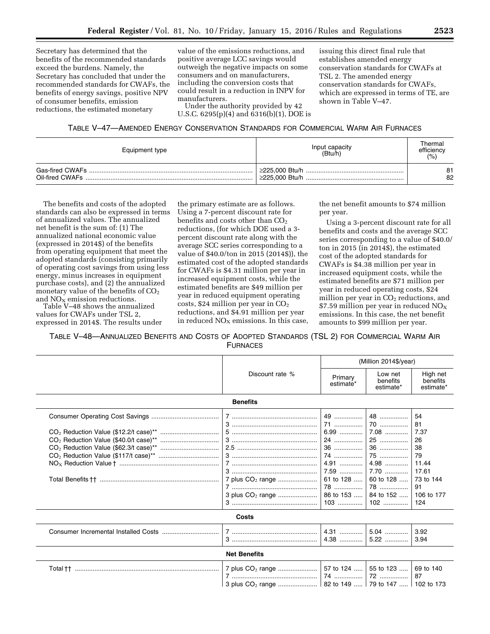Secretary has determined that the benefits of the recommended standards exceed the burdens. Namely, the Secretary has concluded that under the recommended standards for CWAFs, the benefits of energy savings, positive NPV of consumer benefits, emission reductions, the estimated monetary

value of the emissions reductions, and positive average LCC savings would outweigh the negative impacts on some consumers and on manufacturers, including the conversion costs that could result in a reduction in INPV for manufacturers.

Under the authority provided by 42 U.S.C. 6295(p)(4) and 6316(b)(1), DOE is

issuing this direct final rule that establishes amended energy conservation standards for CWAFs at TSL 2. The amended energy conservation standards for CWAFs, which are expressed in terms of TE, are shown in Table V–47.

## TABLE V–47—AMENDED ENERGY CONSERVATION STANDARDS FOR COMMERCIAL WARM AIR FURNACES

| Equipment type | Input capacity<br>(Btu/h) | Thermal<br>efficiency<br>(%) |
|----------------|---------------------------|------------------------------|
|                |                           | 81                           |
|                |                           | 82                           |

The benefits and costs of the adopted standards can also be expressed in terms of annualized values. The annualized net benefit is the sum of: (1) The annualized national economic value (expressed in 2014\$) of the benefits from operating equipment that meet the adopted standards (consisting primarily of operating cost savings from using less energy, minus increases in equipment purchase costs), and (2) the annualized monetary value of the benefits of  $CO<sub>2</sub>$ and  $NO<sub>x</sub>$  emission reductions.

Table V–48 shows the annualized values for CWAFs under TSL 2, expressed in 2014\$. The results under

the primary estimate are as follows. Using a 7-percent discount rate for benefits and costs other than  $CO<sub>2</sub>$ reductions, (for which DOE used a 3 percent discount rate along with the average SCC series corresponding to a value of \$40.0/ton in 2015 (2014\$)), the estimated cost of the adopted standards for CWAFs is \$4.31 million per year in increased equipment costs, while the estimated benefits are \$49 million per year in reduced equipment operating costs, \$24 million per year in  $CO<sub>2</sub>$ reductions, and \$4.91 million per year in reduced  $NO<sub>x</sub>$  emissions. In this case, the net benefit amounts to \$74 million per year.

Using a 3-percent discount rate for all benefits and costs and the average SCC series corresponding to a value of \$40.0/ ton in 2015 (in 2014\$), the estimated cost of the adopted standards for CWAFs is \$4.38 million per year in increased equipment costs, while the estimated benefits are \$71 million per year in reduced operating costs, \$24 million per year in  $CO<sub>2</sub>$  reductions, and \$7.59 million per year in reduced  $NO<sub>x</sub>$ emissions. In this case, the net benefit amounts to \$99 million per year.

TABLE V–48—ANNUALIZED BENEFITS AND COSTS OF ADOPTED STANDARDS (TSL 2) FOR COMMERCIAL WARM AIR FURNACES

|                     |                              | (Million 2014\$/year)                 |                                       |                                      |  |  |
|---------------------|------------------------------|---------------------------------------|---------------------------------------|--------------------------------------|--|--|
| Discount rate %     |                              | Primary<br>estimate*                  | Low net<br>benefits<br>estimate*      | High net<br>benefits<br>estimate*    |  |  |
| <b>Benefits</b>     |                              |                                       |                                       |                                      |  |  |
|                     |                              | 49<br>71<br>$6.99$<br>24<br>36        | 48<br>70<br>$7.08$<br>25<br>36        | 54<br>81<br>7.37<br>26<br>38         |  |  |
|                     |                              | 74<br>$4.91$<br>7.59                  | 75<br>$4.98$<br>7.70                  | 79<br>11.44<br>17.61                 |  |  |
|                     | 7 plus CO <sub>2</sub> range | 61 to 128<br>78<br>86 to 153<br>$103$ | 60 to 128<br>78<br>84 to 152<br>$102$ | 73 to 144<br>91<br>106 to 177<br>124 |  |  |
| Costs               |                              |                                       |                                       |                                      |  |  |
|                     |                              | 4.31<br>$4.38$                        | $5.04$<br>5.22                        | 3.92<br>3.94                         |  |  |
| <b>Net Benefits</b> |                              |                                       |                                       |                                      |  |  |
|                     | 7 plus $CO2$ range           | 57 to 124                             | 55 to 123                             | 69 to 140<br>87                      |  |  |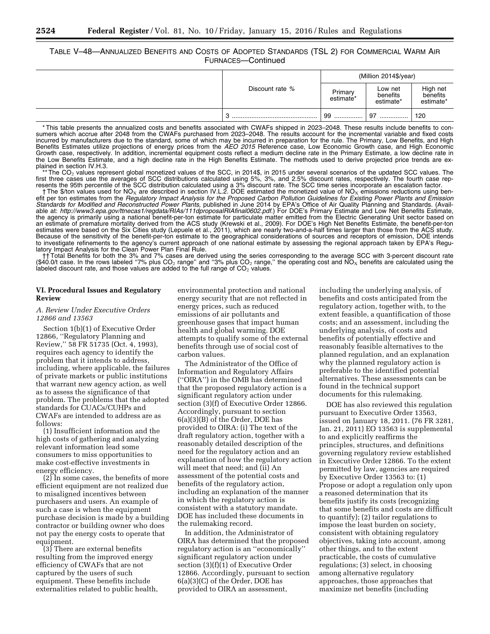#### TABLE V–48—ANNUALIZED BENEFITS AND COSTS OF ADOPTED STANDARDS (TSL 2) FOR COMMERCIAL WARM AIR FURNACES—Continued

|  | Discount rate % | (Million 2014\$/year) |                                  |                                   |
|--|-----------------|-----------------------|----------------------------------|-----------------------------------|
|  |                 | Primary<br>estimate*  | Low net<br>benefits<br>estimate* | High net<br>benefits<br>estimate* |
|  |                 | 99<br>                | 97<br>                           | 120                               |

\* This table presents the annualized costs and benefits associated with CWAFs shipped in 2023–2048. These results include benefits to consumers which accrue after 2048 from the CWAFs purchased from 2023–2048. The results account for the incremental variable and fixed costs incurred by manufacturers due to the standard, some of which may be incurred in preparation for the rule. The Primary, Low Benefits, and High Benefits Estimates utilize projections of energy prices from the *AEO 2015* Reference case, Low Economic Growth case, and High Economic Growth case, respectively. In addition, incremental equipment costs reflect a medium decline rate in the Primary Estimate, a low decline rate in the Low Benefits Estimate, and a high decline rate in the High Benefits Estimate. The methods used to derive projected price trends are explained in section IV.H.3.

The CO<sub>2</sub> values represent global monetized values of the SCC, in 2014\$, in 2015 under several scenarios of the updated SCC values. The first three cases use the averages of SCC distributions calculated using 5%, 3%, and 2.5% discount rates, respectively. The fourth case represents the 95th percentile of the SCC distribution calculated using a 3% discount rate. The SCC time series incorporate an escalation factor.

† The \$/ton values used for NO<sub>X</sub> are described in section IV.L.2. DOE estimated the monetized value of NO<sub>X</sub> emissions reductions using benefit per ton estimates from the *Regulatory Impact Analysis for the Proposed Carbon Pollution Guidelines for Existing Power Plants and Emission*  Standards for Modified and Reconstructed Power Plants, published in June 2014 by EPA's Office of Air Quality Planning and Standards. (Available at: *<http://www3.epa.gov/ttnecas1/regdata/RIAs/111dproposalRIAfinal0602.pdf>*.) For DOE's Primary Estimate and Low Net Benefits Estimate, the agency is primarily using a national benefit-per-ton estimate for particulate matter emitted from the Electric Generating Unit sector based on an estimate of premature mortality derived from the ACS study (Krewski et al., 2009). For DOE's High Net Benefits Estimate, the benefit-per-ton estimates were based on the Six Cities study (Lepuele et al., 2011), which are nearly two-and-a-half times larger than those from the ACS study. Because of the sensitivity of the benefit-per-ton estimate to the geographical considerations of sources and receptors of emission, DOE intends to investigate refinements to the agency's current approach of one national estimate by assessing the regional approach taken by EPA's Regulatory Impact Analysis for the Clean Power Plan Final Rule.

† Total Benefits for both the 3% and 7% cases are derived using the series corresponding to the average SCC with 3-percent discount rate<br>(\$40.0/t case. In the rows labeled "7% plus CO<sub>2</sub> range" and "3% plus CO<sub>2</sub> range," labeled discount rate, and those values are added to the full range of  $CO<sub>2</sub>$  values.

#### **VI. Procedural Issues and Regulatory Review**

#### *A. Review Under Executive Orders 12866 and 13563*

Section 1(b)(1) of Executive Order 12866, ''Regulatory Planning and Review,'' 58 FR 51735 (Oct. 4, 1993), requires each agency to identify the problem that it intends to address, including, where applicable, the failures of private markets or public institutions that warrant new agency action, as well as to assess the significance of that problem. The problems that the adopted standards for CUACs/CUHPs and CWAFs are intended to address are as follows:

(1) Insufficient information and the high costs of gathering and analyzing relevant information lead some consumers to miss opportunities to make cost-effective investments in energy efficiency.

(2) In some cases, the benefits of more efficient equipment are not realized due to misaligned incentives between purchasers and users. An example of such a case is when the equipment purchase decision is made by a building contractor or building owner who does not pay the energy costs to operate that equipment.

(3) There are external benefits resulting from the improved energy efficiency of CWAFs that are not captured by the users of such equipment. These benefits include externalities related to public health, environmental protection and national energy security that are not reflected in energy prices, such as reduced emissions of air pollutants and greenhouse gases that impact human health and global warming. DOE attempts to qualify some of the external benefits through use of social cost of carbon values.

The Administrator of the Office of Information and Regulatory Affairs (''OIRA'') in the OMB has determined that the proposed regulatory action is a significant regulatory action under section (3)(f) of Executive Order 12866. Accordingly, pursuant to section 6(a)(3)(B) of the Order, DOE has provided to OIRA: (i) The text of the draft regulatory action, together with a reasonably detailed description of the need for the regulatory action and an explanation of how the regulatory action will meet that need; and (ii) An assessment of the potential costs and benefits of the regulatory action, including an explanation of the manner in which the regulatory action is consistent with a statutory mandate. DOE has included these documents in the rulemaking record.

In addition, the Administrator of OIRA has determined that the proposed regulatory action is an ''economically'' significant regulatory action under section (3)(f)(1) of Executive Order 12866. Accordingly, pursuant to section 6(a)(3)(C) of the Order, DOE has provided to OIRA an assessment,

including the underlying analysis, of benefits and costs anticipated from the regulatory action, together with, to the extent feasible, a quantification of those costs; and an assessment, including the underlying analysis, of costs and benefits of potentially effective and reasonably feasible alternatives to the planned regulation, and an explanation why the planned regulatory action is preferable to the identified potential alternatives. These assessments can be found in the technical support documents for this rulemaking.

DOE has also reviewed this regulation pursuant to Executive Order 13563, issued on January 18, 2011. (76 FR 3281, Jan. 21, 2011) EO 13563 is supplemental to and explicitly reaffirms the principles, structures, and definitions governing regulatory review established in Executive Order 12866. To the extent permitted by law, agencies are required by Executive Order 13563 to: (1) Propose or adopt a regulation only upon a reasoned determination that its benefits justify its costs (recognizing that some benefits and costs are difficult to quantify); (2) tailor regulations to impose the least burden on society, consistent with obtaining regulatory objectives, taking into account, among other things, and to the extent practicable, the costs of cumulative regulations; (3) select, in choosing among alternative regulatory approaches, those approaches that maximize net benefits (including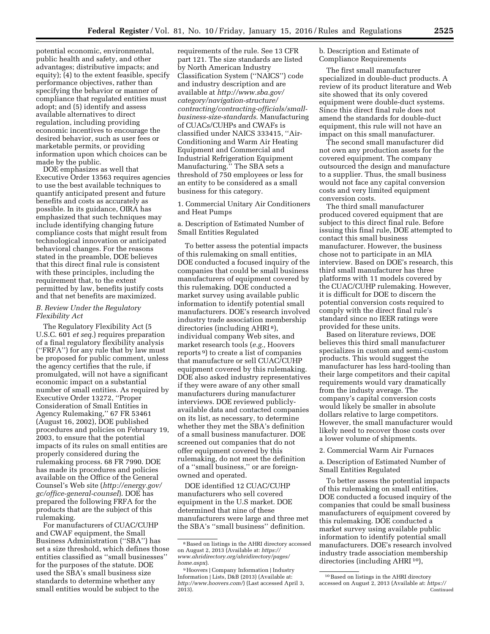potential economic, environmental, public health and safety, and other advantages; distributive impacts; and equity); (4) to the extent feasible, specify performance objectives, rather than specifying the behavior or manner of compliance that regulated entities must adopt; and (5) identify and assess available alternatives to direct regulation, including providing economic incentives to encourage the desired behavior, such as user fees or marketable permits, or providing information upon which choices can be made by the public.

DOE emphasizes as well that Executive Order 13563 requires agencies to use the best available techniques to quantify anticipated present and future benefits and costs as accurately as possible. In its guidance, OIRA has emphasized that such techniques may include identifying changing future compliance costs that might result from technological innovation or anticipated behavioral changes. For the reasons stated in the preamble, DOE believes that this direct final rule is consistent with these principles, including the requirement that, to the extent permitted by law, benefits justify costs and that net benefits are maximized.

#### *B. Review Under the Regulatory Flexibility Act*

The Regulatory Flexibility Act (5 U.S.C. 601 *et seq.*) requires preparation of a final regulatory flexibility analysis (''FRFA'') for any rule that by law must be proposed for public comment, unless the agency certifies that the rule, if promulgated, will not have a significant economic impact on a substantial number of small entities. As required by Executive Order 13272, ''Proper Consideration of Small Entities in Agency Rulemaking,'' 67 FR 53461 (August 16, 2002), DOE published procedures and policies on February 19, 2003, to ensure that the potential impacts of its rules on small entities are properly considered during the rulemaking process. 68 FR 7990. DOE has made its procedures and policies available on the Office of the General Counsel's Web site (*[http://energy.gov/](http://energy.gov/gc/office-general-counsel) [gc/office-general-counsel](http://energy.gov/gc/office-general-counsel)*). DOE has prepared the following FRFA for the products that are the subject of this rulemaking.

For manufacturers of CUAC/CUHP and CWAF equipment, the Small Business Administration (''SBA'') has set a size threshold, which defines those entities classified as ''small businesses'' for the purposes of the statute. DOE used the SBA's small business size standards to determine whether any small entities would be subject to the

requirements of the rule. See 13 CFR part 121. The size standards are listed by North American Industry Classification System (''NAICS'') code and industry description and are available at *[http://www.sba.gov/](http://www.sba.gov/category/navigation-structure/contracting/contracting-officials/small-business-size-standards) [category/navigation-structure/](http://www.sba.gov/category/navigation-structure/contracting/contracting-officials/small-business-size-standards) [contracting/contracting-officials/small](http://www.sba.gov/category/navigation-structure/contracting/contracting-officials/small-business-size-standards)[business-size-standards](http://www.sba.gov/category/navigation-structure/contracting/contracting-officials/small-business-size-standards)*. Manufacturing of CUACs/CUHPs and CWAFs is classified under NAICS 333415, ''Air-Conditioning and Warm Air Heating Equipment and Commercial and Industrial Refrigeration Equipment Manufacturing." The SBA sets a threshold of 750 employees or less for an entity to be considered as a small business for this category.

1. Commercial Unitary Air Conditioners and Heat Pumps

a. Description of Estimated Number of Small Entities Regulated

To better assess the potential impacts of this rulemaking on small entities, DOE conducted a focused inquiry of the companies that could be small business manufacturers of equipment covered by this rulemaking. DOE conducted a market survey using available public information to identify potential small manufacturers. DOE's research involved industry trade association membership directories (including AHRI 8), individual company Web sites, and market research tools (*e.g.,* Hoovers reports 9) to create a list of companies that manufacture or sell CUAC/CUHP equipment covered by this rulemaking. DOE also asked industry representatives if they were aware of any other small manufacturers during manufacturer interviews. DOE reviewed publiclyavailable data and contacted companies on its list, as necessary, to determine whether they met the SBA's definition of a small business manufacturer. DOE screened out companies that do not offer equipment covered by this rulemaking, do not meet the definition of a ''small business,'' or are foreignowned and operated.

DOE identified 12 CUAC/CUHP manufacturers who sell covered equipment in the U.S market. DOE determined that nine of these manufacturers were large and three met the SBA's ''small business'' definition.

b. Description and Estimate of Compliance Requirements

The first small manufacturer specialized in double-duct products. A review of its product literature and Web site showed that its only covered equipment were double-duct systems. Since this direct final rule does not amend the standards for double-duct equipment, this rule will not have an impact on this small manufacturer.

The second small manufacturer did not own any production assets for the covered equipment. The company outsourced the design and manufacture to a supplier. Thus, the small business would not face any capital conversion costs and very limited equipment conversion costs.

The third small manufacturer produced covered equipment that are subject to this direct final rule. Before issuing this final rule, DOE attempted to contact this small business manufacturer. However, the business chose not to participate in an MIA interview. Based on DOE's research, this third small manufacturer has three platforms with 11 models covered by the CUAC/CUHP rulemaking. However, it is difficult for DOE to discern the potential conversion costs required to comply with the direct final rule's standard since no IEER ratings were provided for these units.

Based on literature reviews, DOE believes this third small manufacturer specializes in custom and semi-custom products. This would suggest the manufacturer has less hard-tooling than their large competitors and their capital requirements would vary dramatically from the industy average. The company's capital conversion costs would likely be smaller in absolute dollars relative to large competitors. However, the small manufacturer would likely need to recover those costs over a lower volume of shipments.

2. Commercial Warm Air Furnaces

a. Description of Estimated Number of Small Entities Regulated

To better assess the potential impacts of this rulemaking on small entities, DOE conducted a focused inquiry of the companies that could be small business manufacturers of equipment covered by this rulemaking. DOE conducted a market survey using available public information to identify potential small manufacturers. DOE's research involved industry trade association membership directories (including AHRI 10),

<sup>8</sup>Based on listings in the AHRI directory accessed on August 2, 2013 (Available at: *[https://](https://www.ahridirectory.org/ahridirectory/pages/home.aspx) [www.ahridirectory.org/ahridirectory/pages/](https://www.ahridirectory.org/ahridirectory/pages/home.aspx) [home.aspx](https://www.ahridirectory.org/ahridirectory/pages/home.aspx)*).

<sup>9</sup>Hoovers | Company Information | Industry Information | Lists, D&B (2013) (Available at: *<http://www.hoovers.com/>*) (Last accessed April 3, 2013).

<sup>10</sup>Based on listings in the AHRI directory accessed on August 2, 2013 (Available at: *<https://>* **Continued**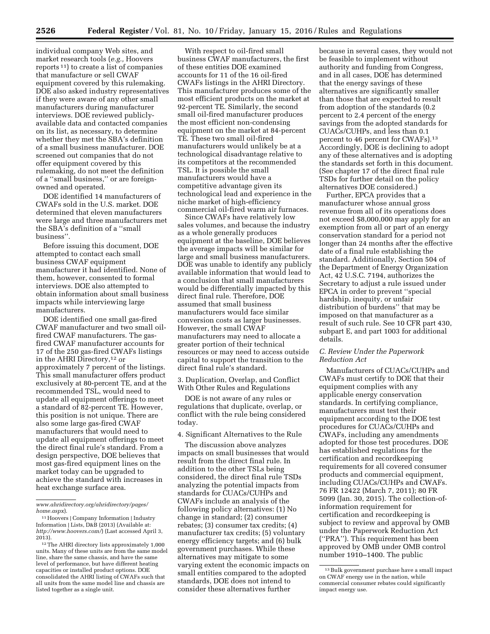individual company Web sites, and market research tools (*e.g.,* Hoovers reports 11) to create a list of companies that manufacture or sell CWAF equipment covered by this rulemaking. DOE also asked industry representatives if they were aware of any other small manufacturers during manufacturer interviews. DOE reviewed publiclyavailable data and contacted companies on its list, as necessary, to determine whether they met the SBA's definition of a small business manufacturer. DOE screened out companies that do not offer equipment covered by this rulemaking, do not meet the definition of a ''small business,'' or are foreignowned and operated.

DOE identified 14 manufacturers of CWAFs sold in the U.S. market. DOE determined that eleven manufacturers were large and three manufacturers met the SBA's definition of a ''small business''.

Before issuing this document, DOE attempted to contact each small business CWAF equipment manufacturer it had identified. None of them, however, consented to formal interviews. DOE also attempted to obtain information about small business impacts while interviewing large manufacturers.

DOE identified one small gas-fired CWAF manufacturer and two small oilfired CWAF manufacturers. The gasfired CWAF manufacturer accounts for 17 of the 250 gas-fired CWAFs listings in the AHRI Directory,12 or approximately 7 percent of the listings. This small manufacturer offers product exclusively at 80-percent TE, and at the recommended TSL, would need to update all equipment offerings to meet a standard of 82-percent TE. However, this position is not unique. There are also some large gas-fired CWAF manufacturers that would need to update all equipment offerings to meet the direct final rule's standard. From a design perspective, DOE believes that most gas-fired equipment lines on the market today can be upgraded to achieve the standard with increases in heat exchange surface area.

With respect to oil-fired small business CWAF manufacturers, the first of these entities DOE examined accounts for 11 of the 16 oil-fired CWAFs listings in the AHRI Directory. This manufacturer produces some of the most efficient products on the market at 92-percent TE. Similarly, the second small oil-fired manufacturer produces the most efficient non-condensing equipment on the market at 84-percent TE. These two small oil-fired manufacturers would unlikely be at a technological disadvantage relative to its competitors at the recommended TSL. It is possible the small manufacturers would have a competitive advantage given its technological lead and experience in the niche market of high-efficiency commercial oil-fired warm air furnaces.

Since CWAFs have relatively low sales volumes, and because the industry as a whole generally produces equipment at the baseline, DOE believes the average impacts will be similar for large and small business manufacturers. DOE was unable to identify any publicly available information that would lead to a conclusion that small manufacturers would be differentially impacted by this direct final rule. Therefore, DOE assumed that small business manufacturers would face similar conversion costs as larger businesses. However, the small CWAF manufacturers may need to allocate a greater portion of their technical resources or may need to access outside capital to support the transition to the direct final rule's standard.

3. Duplication, Overlap, and Conflict With Other Rules and Regulations

DOE is not aware of any rules or regulations that duplicate, overlap, or conflict with the rule being considered today.

4. Significant Alternatives to the Rule

The discussion above analyzes impacts on small businesses that would result from the direct final rule. In addition to the other TSLs being considered, the direct final rule TSDs analyzing the potential impacts from standards for CUACs/CUHPs and CWAFs include an analysis of the following policy alternatives: (1) No change in standard; (2) consumer rebates; (3) consumer tax credits; (4) manufacturer tax credits; (5) voluntary energy efficiency targets; and (6) bulk government purchases. While these alternatives may mitigate to some varying extent the economic impacts on small entities compared to the adopted standards, DOE does not intend to consider these alternatives further

because in several cases, they would not be feasible to implement without authority and funding from Congress, and in all cases, DOE has determined that the energy savings of these alternatives are significantly smaller than those that are expected to result from adoption of the standards (0.2 percent to 2.4 percent of the energy savings from the adopted standards for CUACs/CUHPs, and less than 0.1 percent to 46 percent for CWAFs).13 Accordingly, DOE is declining to adopt any of these alternatives and is adopting the standards set forth in this document. (See chapter 17 of the direct final rule TSDs for further detail on the policy alternatives DOE considered.)

Further, EPCA provides that a manufacturer whose annual gross revenue from all of its operations does not exceed \$8,000,000 may apply for an exemption from all or part of an energy conservation standard for a period not longer than 24 months after the effective date of a final rule establishing the standard. Additionally, Section 504 of the Department of Energy Organization Act, 42 U.S.C. 7194, authorizes the Secretary to adjust a rule issued under EPCA in order to prevent ''special hardship, inequity, or unfair distribution of burdens'' that may be imposed on that manufacturer as a result of such rule. See 10 CFR part 430, subpart E, and part 1003 for additional details.

#### *C. Review Under the Paperwork Reduction Act*

Manufacturers of CUACs/CUHPs and CWAFs must certify to DOE that their equipment complies with any applicable energy conservation standards. In certifying compliance, manufacturers must test their equipment according to the DOE test procedures for CUACs/CUHPs and CWAFs, including any amendments adopted for those test procedures. DOE has established regulations for the certification and recordkeeping requirements for all covered consumer products and commercial equipment, including CUACs/CUHPs and CWAFs. 76 FR 12422 (March 7, 2011); 80 FR 5099 (Jan. 30, 2015). The collection-ofinformation requirement for certification and recordkeeping is subject to review and approval by OMB under the Paperwork Reduction Act (''PRA''). This requirement has been approved by OMB under OMB control number 1910–1400. The public

*[www.ahridirectory.org/ahridirectory/pages/](http://www.ahridirectory.org/ahridirectory/pages/home.aspx) [home.aspx](http://www.ahridirectory.org/ahridirectory/pages/home.aspx)*).

<sup>11</sup>Hoovers | Company Information | Industry Information | Lists, D&B (2013) (Available at: *<http://www.hoovers.com/>*) (Last accessed April 3, 2013).

<sup>12</sup>The AHRI directory lists approximately 1,000 units. Many of these units are from the same model line, share the same chassis, and have the same level of performance, but have different heating capacities or installed product options. DOE consolidated the AHRI listing of CWAFs such that all units from the same model line and chassis are listed together as a single unit.

<sup>13</sup>Bulk government purchase have a small impact on CWAF energy use in the nation, while commercial consumer rebates could significantly impact energy use.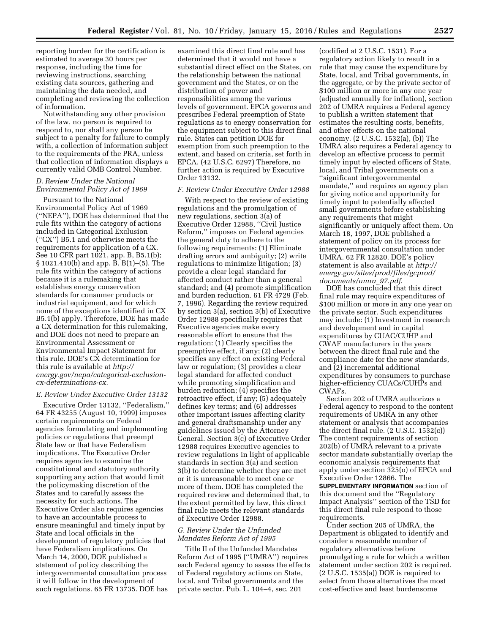reporting burden for the certification is estimated to average 30 hours per response, including the time for reviewing instructions, searching existing data sources, gathering and maintaining the data needed, and completing and reviewing the collection of information.

Notwithstanding any other provision of the law, no person is required to respond to, nor shall any person be subject to a penalty for failure to comply with, a collection of information subject to the requirements of the PRA, unless that collection of information displays a currently valid OMB Control Number.

## *D. Review Under the National Environmental Policy Act of 1969*

Pursuant to the National Environmental Policy Act of 1969 (''NEPA''), DOE has determined that the rule fits within the category of actions included in Categorical Exclusion (''CX'') B5.1 and otherwise meets the requirements for application of a CX. See 10 CFR part 1021, app. B, B5.1(b); § 1021.410(b) and app. B, B(1)–(5). The rule fits within the category of actions because it is a rulemaking that establishes energy conservation standards for consumer products or industrial equipment, and for which none of the exceptions identified in CX B5.1(b) apply. Therefore, DOE has made a CX determination for this rulemaking, and DOE does not need to prepare an Environmental Assessment or Environmental Impact Statement for this rule. DOE's CX determination for this rule is available at *[http://](http://energy.gov/nepa/categorical-exclusion-cx-determinations-cx) [energy.gov/nepa/categorical-exclusion](http://energy.gov/nepa/categorical-exclusion-cx-determinations-cx)[cx-determinations-cx.](http://energy.gov/nepa/categorical-exclusion-cx-determinations-cx)* 

#### *E. Review Under Executive Order 13132*

Executive Order 13132, ''Federalism,'' 64 FR 43255 (August 10, 1999) imposes certain requirements on Federal agencies formulating and implementing policies or regulations that preempt State law or that have Federalism implications. The Executive Order requires agencies to examine the constitutional and statutory authority supporting any action that would limit the policymaking discretion of the States and to carefully assess the necessity for such actions. The Executive Order also requires agencies to have an accountable process to ensure meaningful and timely input by State and local officials in the development of regulatory policies that have Federalism implications. On March 14, 2000, DOE published a statement of policy describing the intergovernmental consultation process it will follow in the development of such regulations. 65 FR 13735. DOE has

examined this direct final rule and has determined that it would not have a substantial direct effect on the States, on the relationship between the national government and the States, or on the distribution of power and responsibilities among the various levels of government. EPCA governs and prescribes Federal preemption of State regulations as to energy conservation for the equipment subject to this direct final rule. States can petition DOE for exemption from such preemption to the extent, and based on criteria, set forth in EPCA. (42 U.S.C. 6297) Therefore, no further action is required by Executive Order 13132.

#### *F. Review Under Executive Order 12988*

With respect to the review of existing regulations and the promulgation of new regulations, section 3(a) of Executive Order 12988, ''Civil Justice Reform,'' imposes on Federal agencies the general duty to adhere to the following requirements: (1) Eliminate drafting errors and ambiguity; (2) write regulations to minimize litigation; (3) provide a clear legal standard for affected conduct rather than a general standard; and (4) promote simplification and burden reduction. 61 FR 4729 (Feb. 7, 1996). Regarding the review required by section 3(a), section 3(b) of Executive Order 12988 specifically requires that Executive agencies make every reasonable effort to ensure that the regulation: (1) Clearly specifies the preemptive effect, if any; (2) clearly specifies any effect on existing Federal law or regulation; (3) provides a clear legal standard for affected conduct while promoting simplification and burden reduction; (4) specifies the retroactive effect, if any; (5) adequately defines key terms; and (6) addresses other important issues affecting clarity and general draftsmanship under any guidelines issued by the Attorney General. Section 3(c) of Executive Order 12988 requires Executive agencies to review regulations in light of applicable standards in section 3(a) and section 3(b) to determine whether they are met or it is unreasonable to meet one or more of them. DOE has completed the required review and determined that, to the extent permitted by law, this direct final rule meets the relevant standards of Executive Order 12988.

#### *G. Review Under the Unfunded Mandates Reform Act of 1995*

Title II of the Unfunded Mandates Reform Act of 1995 (''UMRA'') requires each Federal agency to assess the effects of Federal regulatory actions on State, local, and Tribal governments and the private sector. Pub. L. 104–4, sec. 201

(codified at 2 U.S.C. 1531). For a regulatory action likely to result in a rule that may cause the expenditure by State, local, and Tribal governments, in the aggregate, or by the private sector of \$100 million or more in any one year (adjusted annually for inflation), section 202 of UMRA requires a Federal agency to publish a written statement that estimates the resulting costs, benefits, and other effects on the national economy. (2 U.S.C. 1532(a), (b)) The UMRA also requires a Federal agency to develop an effective process to permit timely input by elected officers of State, local, and Tribal governments on a ''significant intergovernmental mandate,'' and requires an agency plan for giving notice and opportunity for timely input to potentially affected small governments before establishing any requirements that might significantly or uniquely affect them. On March 18, 1997, DOE published a statement of policy on its process for intergovernmental consultation under UMRA. 62 FR 12820. DOE's policy statement is also available at *[http://](http://energy.gov/sites/prod/files/gcprod/documents/umra_97.pdf) [energy.gov/sites/prod/files/gcprod/](http://energy.gov/sites/prod/files/gcprod/documents/umra_97.pdf) [documents/umra](http://energy.gov/sites/prod/files/gcprod/documents/umra_97.pdf)*\_*97.pdf*.

DOE has concluded that this direct final rule may require expenditures of \$100 million or more in any one year on the private sector. Such expenditures may include: (1) Investment in research and development and in capital expenditures by CUAC/CUHP and CWAF manufacturers in the years between the direct final rule and the compliance date for the new standards, and (2) incremental additional expenditures by consumers to purchase higher-efficiency CUACs/CUHPs and CWAFs.

Section 202 of UMRA authorizes a Federal agency to respond to the content requirements of UMRA in any other statement or analysis that accompanies the direct final rule. (2 U.S.C. 1532(c)) The content requirements of section 202(b) of UMRA relevant to a private sector mandate substantially overlap the economic analysis requirements that apply under section 325(o) of EPCA and Executive Order 12866. The **SUPPLEMENTARY INFORMATION** section of this document and the ''Regulatory Impact Analysis'' section of the TSD for this direct final rule respond to those requirements.

Under section 205 of UMRA, the Department is obligated to identify and consider a reasonable number of regulatory alternatives before promulgating a rule for which a written statement under section 202 is required. (2 U.S.C. 1535(a)) DOE is required to select from those alternatives the most cost-effective and least burdensome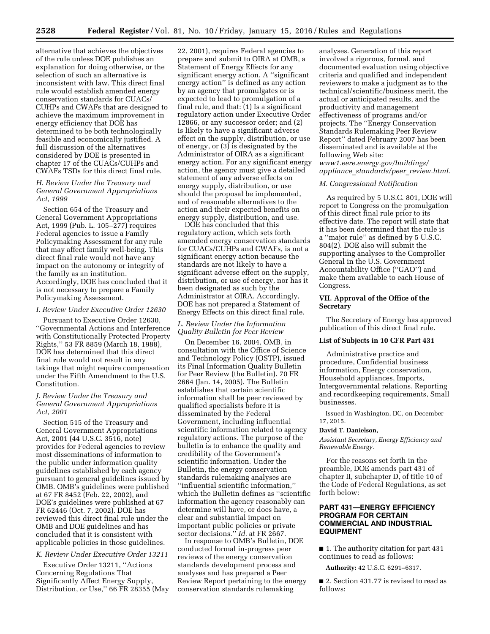alternative that achieves the objectives of the rule unless DOE publishes an explanation for doing otherwise, or the selection of such an alternative is inconsistent with law. This direct final rule would establish amended energy conservation standards for CUACs/ CUHPs and CWAFs that are designed to achieve the maximum improvement in energy efficiency that DOE has determined to be both technologically feasible and economically justified. A full discussion of the alternatives considered by DOE is presented in chapter 17 of the CUACs/CUHPs and CWAFs TSDs for this direct final rule.

## *H. Review Under the Treasury and General Government Appropriations Act, 1999*

Section 654 of the Treasury and General Government Appropriations Act, 1999 (Pub. L. 105–277) requires Federal agencies to issue a Family Policymaking Assessment for any rule that may affect family well-being. This direct final rule would not have any impact on the autonomy or integrity of the family as an institution. Accordingly, DOE has concluded that it is not necessary to prepare a Family Policymaking Assessment.

#### *I. Review Under Executive Order 12630*

Pursuant to Executive Order 12630, ''Governmental Actions and Interference with Constitutionally Protected Property Rights,'' 53 FR 8859 (March 18, 1988), DOE has determined that this direct final rule would not result in any takings that might require compensation under the Fifth Amendment to the U.S. Constitution.

#### *J. Review Under the Treasury and General Government Appropriations Act, 2001*

Section 515 of the Treasury and General Government Appropriations Act, 2001 (44 U.S.C. 3516, note) provides for Federal agencies to review most disseminations of information to the public under information quality guidelines established by each agency pursuant to general guidelines issued by OMB. OMB's guidelines were published at 67 FR 8452 (Feb. 22, 2002), and DOE's guidelines were published at 67 FR 62446 (Oct. 7, 2002). DOE has reviewed this direct final rule under the OMB and DOE guidelines and has concluded that it is consistent with applicable policies in those guidelines.

## *K. Review Under Executive Order 13211*

Executive Order 13211, ''Actions Concerning Regulations That Significantly Affect Energy Supply, Distribution, or Use,'' 66 FR 28355 (May

22, 2001), requires Federal agencies to prepare and submit to OIRA at OMB, a Statement of Energy Effects for any significant energy action. A ''significant energy action'' is defined as any action by an agency that promulgates or is expected to lead to promulgation of a final rule, and that: (1) Is a significant regulatory action under Executive Order 12866, or any successor order; and (2) is likely to have a significant adverse effect on the supply, distribution, or use of energy, or (3) is designated by the Administrator of OIRA as a significant energy action. For any significant energy action, the agency must give a detailed statement of any adverse effects on energy supply, distribution, or use should the proposal be implemented, and of reasonable alternatives to the action and their expected benefits on energy supply, distribution, and use.

DOE has concluded that this regulatory action, which sets forth amended energy conservation standards for CUACs/CUHPs and CWAFs, is not a significant energy action because the standards are not likely to have a significant adverse effect on the supply, distribution, or use of energy, nor has it been designated as such by the Administrator at OIRA. Accordingly, DOE has not prepared a Statement of Energy Effects on this direct final rule.

## *L. Review Under the Information Quality Bulletin for Peer Review*

On December 16, 2004, OMB, in consultation with the Office of Science and Technology Policy (OSTP), issued its Final Information Quality Bulletin for Peer Review (the Bulletin). 70 FR 2664 (Jan. 14, 2005). The Bulletin establishes that certain scientific information shall be peer reviewed by qualified specialists before it is disseminated by the Federal Government, including influential scientific information related to agency regulatory actions. The purpose of the bulletin is to enhance the quality and credibility of the Government's scientific information. Under the Bulletin, the energy conservation standards rulemaking analyses are ''influential scientific information,'' which the Bulletin defines as ''scientific information the agency reasonably can determine will have, or does have, a clear and substantial impact on important public policies or private sector decisions.'' *Id.* at FR 2667.

In response to OMB's Bulletin, DOE conducted formal in-progress peer reviews of the energy conservation standards development process and analyses and has prepared a Peer Review Report pertaining to the energy conservation standards rulemaking

analyses. Generation of this report involved a rigorous, formal, and documented evaluation using objective criteria and qualified and independent reviewers to make a judgment as to the technical/scientific/business merit, the actual or anticipated results, and the productivity and management effectiveness of programs and/or projects. The ''Energy Conservation Standards Rulemaking Peer Review Report'' dated February 2007 has been disseminated and is available at the following Web site: *[www1.eere.energy.gov/buildings/](http://www1.eere.energy.gov/buildings/appliance_standards/peer_review.html) appliance*\_*[standards/peer](http://www1.eere.energy.gov/buildings/appliance_standards/peer_review.html)*\_*review.html*.

## *M. Congressional Notification*

As required by 5 U.S.C. 801, DOE will report to Congress on the promulgation of this direct final rule prior to its effective date. The report will state that it has been determined that the rule is a ''major rule'' as defined by 5 U.S.C. 804(2). DOE also will submit the supporting analyses to the Comproller General in the U.S. Government Accountability Office (''GAO'') and make them available to each House of Congress.

### **VII. Approval of the Office of the Secretary**

The Secretary of Energy has approved publication of this direct final rule.

#### **List of Subjects in 10 CFR Part 431**

Administrative practice and procedure, Confidential business information, Energy conservation, Household appliances, Imports, Intergovernmental relations, Reporting and recordkeeping requirements, Small businesses.

Issued in Washington, DC, on December 17, 2015.

## **David T. Danielson,**

*Assistant Secretary, Energy Efficiency and Renewable Energy.* 

For the reasons set forth in the preamble, DOE amends part 431 of chapter II, subchapter D, of title 10 of the Code of Federal Regulations, as set forth below:

## **PART 431—ENERGY EFFICIENCY PROGRAM FOR CERTAIN COMMERCIAL AND INDUSTRIAL EQUIPMENT**

■ 1. The authority citation for part 431 continues to read as follows:

**Authority:** 42 U.S.C. 6291–6317.

■ 2. Section 431.77 is revised to read as follows: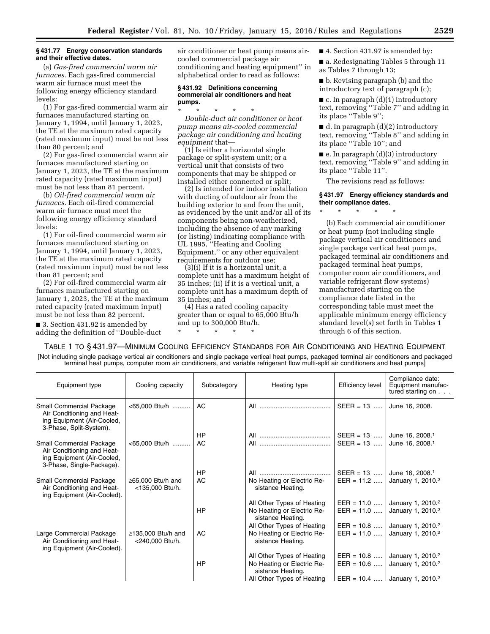#### **§ 431.77 Energy conservation standards and their effective dates.**

(a) *Gas-fired commercial warm air furnaces.* Each gas-fired commercial warm air furnace must meet the following energy efficiency standard levels:

(1) For gas-fired commercial warm air furnaces manufactured starting on January 1, 1994, until January 1, 2023, the TE at the maximum rated capacity (rated maximum input) must be not less than 80 percent; and

(2) For gas-fired commercial warm air furnaces manufactured starting on January 1, 2023, the TE at the maximum rated capacity (rated maximum input) must be not less than 81 percent.

(b) *Oil-fired commercial warm air furnaces.* Each oil-fired commercial warm air furnace must meet the following energy efficiency standard levels:

(1) For oil-fired commercial warm air furnaces manufactured starting on January 1, 1994, until January 1, 2023, the TE at the maximum rated capacity (rated maximum input) must be not less than 81 percent; and

(2) For oil-fired commercial warm air furnaces manufactured starting on January 1, 2023, the TE at the maximum rated capacity (rated maximum input) must be not less than 82 percent.

■ 3. Section 431.92 is amended by adding the definition of ''Double-duct

air conditioner or heat pump means aircooled commercial package air conditioning and heating equipment'' in alphabetical order to read as follows:

#### **§ 431.92 Definitions concerning commercial air conditioners and heat pumps.**

\* \* \* \* \* *Double-duct air conditioner or heat pump means air-cooled commercial package air conditioning and heating equipment* that—

(1) Is either a horizontal single package or split-system unit; or a vertical unit that consists of two components that may be shipped or installed either connected or split;

(2) Is intended for indoor installation with ducting of outdoor air from the building exterior to and from the unit, as evidenced by the unit and/or all of its components being non-weatherized, including the absence of any marking (or listing) indicating compliance with UL 1995, "Heating and Cooling Equipment,'' or any other equivalent requirements for outdoor use;

(3)(i) If it is a horizontal unit, a complete unit has a maximum height of 35 inches; (ii) If it is a vertical unit, a complete unit has a maximum depth of 35 inches; and

(4) Has a rated cooling capacity greater than or equal to 65,000 Btu/h and up to 300,000 Btu/h. \* \* \* \* \*

■ 4. Section 431.97 is amended by:

■ a. Redesignating Tables 5 through 11 as Tables 7 through 13;

■ b. Revising paragraph (b) and the introductory text of paragraph (c);

■ c. In paragraph (d)(1) introductory text, removing ''Table 7'' and adding in its place ''Table 9'';

 $\blacksquare$  d. In paragraph (d)(2) introductory text, removing ''Table 8'' and adding in its place ''Table 10''; and

■ e. In paragraph (d)(3) introductory text, removing ''Table 9'' and adding in its place ''Table 11''.

The revisions read as follows:

### **§ 431.97 Energy efficiency standards and their compliance dates.**

\* \* \* \* \*

(b) Each commercial air conditioner or heat pump (not including single package vertical air conditioners and single package vertical heat pumps, packaged terminal air conditioners and packaged terminal heat pumps, computer room air conditioners, and variable refrigerant flow systems) manufactured starting on the compliance date listed in the corresponding table must meet the applicable minimum energy efficiency standard level(s) set forth in Tables 1 through 6 of this section.

TABLE 1 TO § 431.97—MINIMUM COOLING EFFICIENCY STANDARDS FOR AIR CONDITIONING AND HEATING EQUIPMENT [Not including single package vertical air conditioners and single package vertical heat pumps, packaged terminal air conditioners and packaged terminal heat pumps, computer room air conditioners, and variable refrigerant flow multi-split air conditioners and heat pumps]

| Equipment type                                                                                                    | Cooling capacity                            | Subcategory | Heating type                                    | <b>Efficiency level</b>                  | Compliance date:<br>Equipment manufac-<br>tured starting on |
|-------------------------------------------------------------------------------------------------------------------|---------------------------------------------|-------------|-------------------------------------------------|------------------------------------------|-------------------------------------------------------------|
| Small Commercial Package<br>Air Conditioning and Heat-<br>ing Equipment (Air-Cooled,<br>3-Phase, Split-System).   | <65,000 Btu/h                               | AC          |                                                 | SEER = $13$                              | June 16, 2008.                                              |
|                                                                                                                   |                                             | <b>HP</b>   |                                                 | SEER = 13    June 16, 2008. <sup>1</sup> |                                                             |
| Small Commercial Package<br>Air Conditioning and Heat-<br>ing Equipment (Air-Cooled,<br>3-Phase, Single-Package). | <65,000 Btu/h                               | AC          |                                                 | SEER = 13                                | June 16, 2008. <sup>1</sup>                                 |
|                                                                                                                   |                                             | <b>HP</b>   |                                                 | SEER = 13                                | June 16, 2008. <sup>1</sup>                                 |
| Small Commercial Package<br>Air Conditioning and Heat-<br>ing Equipment (Air-Cooled).                             | $\geq$ 65,000 Btu/h and<br><135,000 Btu/h.  | AC          | No Heating or Electric Re-<br>sistance Heating. | EER = $11.2$                             | January 1, 2010. <sup>2</sup>                               |
|                                                                                                                   |                                             |             | All Other Types of Heating                      |                                          | EER = 11.0    January 1, 2010. <sup>2</sup>                 |
|                                                                                                                   |                                             | <b>HP</b>   | No Heating or Electric Re-<br>sistance Heating. | $EER = 11.0$                             | January 1, 2010. <sup>2</sup>                               |
|                                                                                                                   |                                             |             | All Other Types of Heating                      |                                          | EER = 10.8    January 1, 2010. <sup>2</sup>                 |
| Large Commercial Package<br>Air Conditioning and Heat-<br>ing Equipment (Air-Cooled).                             | $\geq$ 135,000 Btu/h and<br><240,000 Btu/h. | AC          | No Heating or Electric Re-<br>sistance Heating. | $EER = 11.0$                             | January 1, 2010. <sup>2</sup>                               |
|                                                                                                                   |                                             |             | All Other Types of Heating                      |                                          | EER = 10.8  January 1, 2010. <sup>2</sup>                   |
|                                                                                                                   |                                             | <b>HP</b>   | No Heating or Electric Re-<br>sistance Heating. | $EER = 10.6$                             | January 1, 2010. <sup>2</sup>                               |
|                                                                                                                   |                                             |             | All Other Types of Heating                      |                                          | EER = 10.4  January 1, 2010. <sup>2</sup>                   |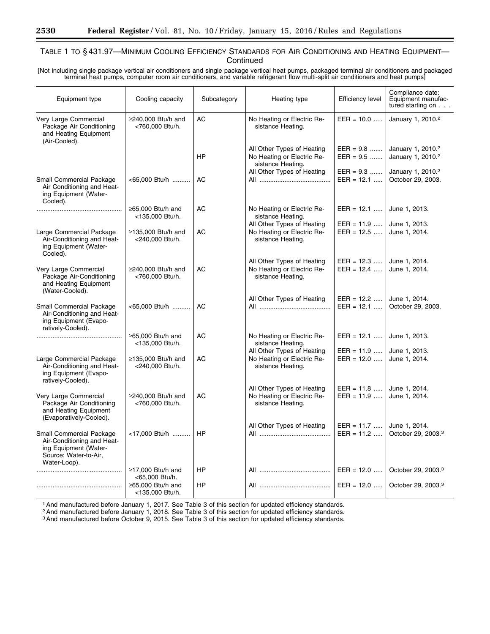۳

# TABLE 1 TO § 431.97—MINIMUM COOLING EFFICIENCY STANDARDS FOR AIR CONDITIONING AND HEATING EQUIPMENT— **Continued**

[Not including single package vertical air conditioners and single package vertical heat pumps, packaged terminal air conditioners and packaged terminal heat pumps, computer room air conditioners, and variable refrigerant flow multi-split air conditioners and heat pumps]

| Equipment type                                                                                                           | Cooling capacity                            | Subcategory | Heating type                                    | <b>Efficiency level</b> | Compliance date:<br>Equipment manufac-<br>tured starting on |
|--------------------------------------------------------------------------------------------------------------------------|---------------------------------------------|-------------|-------------------------------------------------|-------------------------|-------------------------------------------------------------|
| Very Large Commercial<br>Package Air Conditioning<br>and Heating Equipment<br>(Air-Cooled).                              | $\geq$ 240.000 Btu/h and<br><760,000 Btu/h. | AC          | No Heating or Electric Re-<br>sistance Heating. | $EER = 10.0$            | January 1, 2010. <sup>2</sup>                               |
|                                                                                                                          |                                             |             | All Other Types of Heating                      | EER = $9.8$             | January 1, 2010. <sup>2</sup>                               |
|                                                                                                                          |                                             | HP          | No Heating or Electric Re-<br>sistance Heating. | $EER = 9.5$             | January 1, 2010. <sup>2</sup>                               |
|                                                                                                                          |                                             |             | All Other Types of Heating                      | $EER = 9.3$             | January 1, 2010. <sup>2</sup>                               |
| Small Commercial Package<br>Air Conditioning and Heat-<br>ing Equipment (Water-<br>Cooled).                              | <65,000 Btu/h                               | AC          |                                                 | $EER = 12.1$            | October 29, 2003.                                           |
|                                                                                                                          | ≥65,000 Btu/h and<br><135,000 Btu/h.        | АC          | No Heating or Electric Re-<br>sistance Heating. | $EER = 12.1$            | June 1, 2013.                                               |
|                                                                                                                          |                                             |             | All Other Types of Heating                      | $EER = 11.9$            | June 1, 2013.                                               |
| Large Commercial Package<br>Air-Conditioning and Heat-<br>ing Equipment (Water-<br>Cooled).                              | ≥135,000 Btu/h and<br><240,000 Btu/h.       | AC          | No Heating or Electric Re-<br>sistance Heating. | $EER = 12.5$            | June 1, 2014.                                               |
|                                                                                                                          |                                             |             | All Other Types of Heating                      | $EER = 12.3$            | June 1, 2014.                                               |
| Very Large Commercial<br>Package Air-Conditioning<br>and Heating Equipment<br>(Water-Cooled).                            | $\geq$ 240.000 Btu/h and<br><760,000 Btu/h. | AC          | No Heating or Electric Re-<br>sistance Heating. | $EER = 12.4$            | June 1, 2014.                                               |
|                                                                                                                          |                                             |             | All Other Types of Heating                      | $EER = 12.2$            | June 1, 2014.                                               |
| Small Commercial Package<br>Air-Conditioning and Heat-<br>ing Equipment (Evapo-<br>ratively-Cooled).                     | <65,000 Btu/h                               | AC          |                                                 | $EER = 12.1$            | October 29, 2003.                                           |
|                                                                                                                          | $\geq$ 65.000 Btu/h and<br><135,000 Btu/h.  | AC          | No Heating or Electric Re-<br>sistance Heating. | $EER = 12.1$            | June 1, 2013.                                               |
|                                                                                                                          |                                             |             | All Other Types of Heating                      | $EER = 11.9$            | June 1, 2013.                                               |
| Large Commercial Package<br>Air-Conditioning and Heat-<br>ing Equipment (Evapo-<br>ratively-Cooled).                     | $\geq$ 135,000 Btu/h and<br><240,000 Btu/h. | AC          | No Heating or Electric Re-<br>sistance Heating. | $EER = 12.0$            | June 1, 2014.                                               |
|                                                                                                                          |                                             |             | All Other Types of Heating                      | $EER = 11.8$            | June 1, 2014.                                               |
| Very Large Commercial<br>Package Air Conditioning<br>and Heating Equipment<br>(Evaporatively-Cooled).                    | ≥240,000 Btu/h and<br><760,000 Btu/h.       | АC          | No Heating or Electric Re-<br>sistance Heating. | $EER = 11.9$            | June 1, 2014.                                               |
|                                                                                                                          |                                             |             | All Other Types of Heating                      | $EER = 11.7$            | June 1, 2014.                                               |
| Small Commercial Package<br>Air-Conditioning and Heat-<br>ing Equipment (Water-<br>Source: Water-to-Air,<br>Water-Loop). | <17,000 Btu/h                               | HP          |                                                 | $EER = 11.2$            | October 29, 2003. <sup>3</sup>                              |
|                                                                                                                          | $\geq$ 17,000 Btu/h and<br><65,000 Btu/h.   | HP          |                                                 | $EER = 12.0$            | October 29, 2003. <sup>3</sup>                              |
|                                                                                                                          | $\geq$ 65,000 Btu/h and<br><135,000 Btu/h.  | <b>HP</b>   |                                                 | $EER = 12.0$            | October 29, 2003.3                                          |

1And manufactured before January 1, 2017. See Table 3 of this section for updated efficiency standards.

<sup>2</sup> And manufactured before January 1, 2018. See Table 3 of this section for updated efficiency standards.

<sup>3</sup> And manufactured before October 9, 2015. See Table 3 of this section for updated efficiency standards.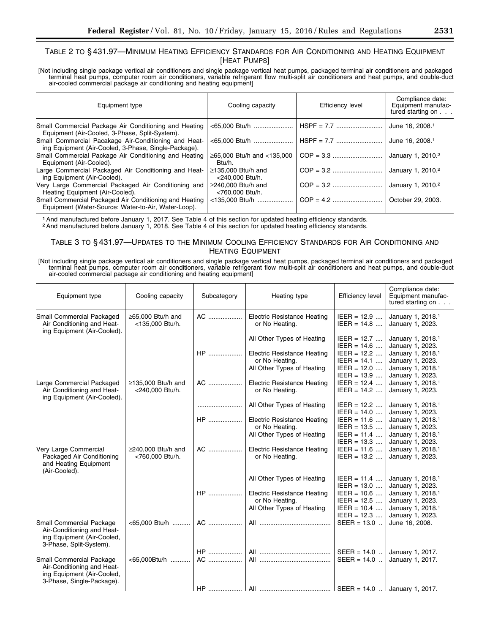# TABLE 2 TO § 431.97—MINIMUM HEATING EFFICIENCY STANDARDS FOR AIR CONDITIONING AND HEATING EQUIPMENT [HEAT PUMPS]

[Not including single package vertical air conditioners and single package vertical heat pumps, packaged terminal air conditioners and packaged terminal heat pumps, computer room air conditioners, variable refrigerant flow multi-split air conditioners and heat pumps, and double-duct air-cooled commercial package air conditioning and heating equipment]

| Equipment type                                                                                                | Cooling capacity                            | Efficiency level | Compliance date:<br>Equipment manufac-<br>tured starting on |
|---------------------------------------------------------------------------------------------------------------|---------------------------------------------|------------------|-------------------------------------------------------------|
| Small Commercial Package Air Conditioning and Heating<br>Equipment (Air-Cooled, 3-Phase, Split-System).       | $<65.000$ Btu/h                             |                  | June 16, 2008. <sup>1</sup>                                 |
| Small Commercial Pacakage Air-Conditioning and Heat-<br>ing Equipment (Air-Cooled, 3-Phase, Single-Package).  | <65,000 Btu/h                               |                  | June 16, 2008. <sup>1</sup>                                 |
| Small Commercial Package Air Conditioning and Heating<br>Equipment (Air-Cooled).                              | $\geq$ 65.000 Btu/h and <135.000<br>Btu/h.  |                  | January 1, 2010. <sup>2</sup>                               |
| Large Commercial Packaged Air Conditioning and Heat-<br>ing Equipment (Air-Cooled).                           | $\geq$ 135.000 Btu/h and<br><240,000 Btu/h. |                  | January 1, 2010. <sup>2</sup>                               |
| Very Large Commercial Packaged Air Conditioning and<br>Heating Equipment (Air-Cooled).                        | $\geq$ 240.000 Btu/h and<br><760.000 Btu/h. |                  | January 1, 2010. <sup>2</sup>                               |
| Small Commercial Packaged Air Conditioning and Heating<br>Equipment (Water-Source: Water-to-Air, Water-Loop). | $<$ 135.000 Btu/h                           |                  | October 29, 2003.                                           |

1And manufactured before January 1, 2017. See Table 4 of this section for updated heating efficiency standards.

2And manufactured before January 1, 2018. See Table 4 of this section for updated heating efficiency standards.

## TABLE 3 TO § 431.97—UPDATES TO THE MINIMUM COOLING EFFICIENCY STANDARDS FOR AIR CONDITIONING AND HEATING EQUIPMENT

[Not including single package vertical air conditioners and single package vertical heat pumps, packaged terminal air conditioners and packaged terminal heat pumps, computer room air conditioners, variable refrigerant flow multi-split air conditioners and heat pumps, and double-duct air-cooled commercial package air conditioning and heating equipment]

| Equipment type                                                                                                    | Cooling capacity                      | Subcategory | Heating type                                                                       | <b>Efficiency level</b>                         | Compliance date:<br>Equipment manufac-<br>tured starting on                        |
|-------------------------------------------------------------------------------------------------------------------|---------------------------------------|-------------|------------------------------------------------------------------------------------|-------------------------------------------------|------------------------------------------------------------------------------------|
| Small Commercial Packaged<br>Air Conditioning and Heat-<br>ing Equipment (Air-Cooled).                            | ≥65,000 Btu/h and<br><135,000 Btu/h.  | AC          | <b>Electric Resistance Heating</b><br>or No Heating.                               | $IEER = 12.9$<br>$IEER = 14.8$                  | January 1, 2018. <sup>1</sup><br>January 1, 2023.                                  |
|                                                                                                                   |                                       |             | All Other Types of Heating                                                         | $IEER = 12.7$<br>$IEER = 14.6$                  | January 1, 2018. <sup>1</sup><br>January 1, 2023.                                  |
|                                                                                                                   |                                       | <b>HP</b>   | <b>Electric Resistance Heating</b><br>or No Heating.<br>All Other Types of Heating | $IEER = 12.2$<br>$IEER = 14.1$<br>$IEER = 12.0$ | January 1, 2018. <sup>1</sup><br>January 1, 2023.<br>January 1, 2018. <sup>1</sup> |
|                                                                                                                   |                                       |             |                                                                                    | $IEER = 13.9$                                   | January 1, 2023.                                                                   |
| Large Commercial Packaged<br>Air Conditioning and Heat-<br>ing Equipment (Air-Cooled).                            | ≥135,000 Btu/h and<br><240,000 Btu/h. | AC          | <b>Electric Resistance Heating</b><br>or No Heating.                               | $IEER = 12.4$<br>$IEER = 14.2$                  | January 1, 2018. <sup>1</sup><br>January 1, 2023.                                  |
|                                                                                                                   |                                       |             | All Other Types of Heating                                                         | $IEER = 12.2$<br>$IEER = 14.0$                  | January 1, 2018. <sup>1</sup><br>January 1, 2023.                                  |
|                                                                                                                   |                                       | <b>HP</b>   | <b>Electric Resistance Heating</b><br>or No Heating.                               | $IEER = 11.6$<br>$IEER = 13.5$                  | January 1, 2018. <sup>1</sup><br>January 1, 2023.                                  |
|                                                                                                                   |                                       |             | All Other Types of Heating                                                         | $IEER = 11.4$<br>$IEER = 13.3$                  | January 1, 2018. <sup>1</sup><br>January 1, 2023.                                  |
| Very Large Commercial<br>Packaged Air Conditioning<br>and Heating Equipment<br>(Air-Cooled).                      | ≥240,000 Btu/h and<br><760,000 Btu/h. | AC          | <b>Electric Resistance Heating</b><br>or No Heating.                               | $IEER = 11.6$<br>$IEER = 13.2$                  | January 1, 2018. <sup>1</sup><br>January 1, 2023.                                  |
|                                                                                                                   |                                       |             | All Other Types of Heating                                                         | $IEER = 11.4$<br>$IEER = 13.0$                  | January 1, 2018. <sup>1</sup><br>January 1, 2023.                                  |
|                                                                                                                   |                                       | <b>HP</b>   | <b>Electric Resistance Heating</b><br>or No Heating.                               | $IEER = 10.6$<br>$IEER = 12.5$                  | January 1, 2018. <sup>1</sup><br>January 1, 2023.                                  |
|                                                                                                                   |                                       |             | All Other Types of Heating                                                         | $IEER = 10.4$<br>$IEER = 12.3$                  | January 1, 2018.1<br>January 1, 2023.                                              |
| Small Commercial Package<br>Air-Conditioning and Heat-<br>ing Equipment (Air-Cooled,<br>3-Phase, Split-System).   | <65,000 Btu/h    AC                   |             |                                                                                    | $SEER = 13.0$                                   | June 16, 2008.                                                                     |
|                                                                                                                   |                                       | $HP$        |                                                                                    | $SEER = 14.0$                                   | January 1, 2017.                                                                   |
| Small Commercial Package<br>Air-Conditioning and Heat-<br>ing Equipment (Air-Cooled,<br>3-Phase, Single-Package). | <65,000Btu/h                          | AC          |                                                                                    | $SEER = 14.0$                                   | January 1, 2017.                                                                   |
|                                                                                                                   |                                       |             |                                                                                    |                                                 |                                                                                    |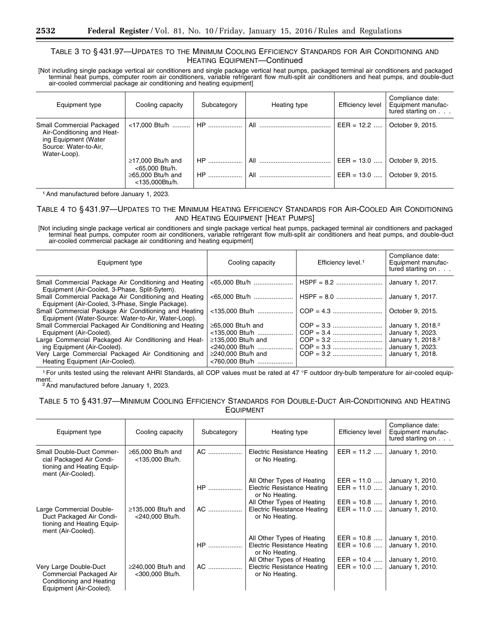## TABLE 3 TO § 431.97—UPDATES TO THE MINIMUM COOLING EFFICIENCY STANDARDS FOR AIR CONDITIONING AND HEATING EQUIPMENT—Continued

[Not including single package vertical air conditioners and single package vertical heat pumps, packaged terminal air conditioners and packaged terminal heat pumps, computer room air conditioners, variable refrigerant flow multi-split air conditioners and heat pumps, and double-duct air-cooled commercial package air conditioning and heating equipment]

| Equipment type                                                                                                           | Cooling capacity                             | Subcategory | Heating type | Efficiency level | Compliance date:<br>Equipment manufac-<br>tured starting on |
|--------------------------------------------------------------------------------------------------------------------------|----------------------------------------------|-------------|--------------|------------------|-------------------------------------------------------------|
| Small Commercial Packaged<br>Air-Conditioning and Heat-<br>ing Equipment (Water<br>Source: Water-to-Air,<br>Water-Loop). | $\lt$ 17,000 Btu/h    HP                     |             |              | $EER = 12.2$     | October 9, 2015.                                            |
|                                                                                                                          | $\geq$ 17,000 Btu/h and<br><65,000 Btu/h.    | <b>HP</b>   |              | $EER = 13.0$     | October 9, 2015.                                            |
|                                                                                                                          | $\geq$ 65,000 Btu/h and<br>$<$ 135.000Btu/h. | $HP$        |              | $EER = 13.0$     | October 9, 2015.                                            |

1And manufactured before January 1, 2023.

# TABLE 4 TO § 431.97—UPDATES TO THE MINIMUM HEATING EFFICIENCY STANDARDS FOR AIR-COOLED AIR CONDITIONING AND HEATING EQUIPMENT [HEAT PUMPS]

[Not including single package vertical air conditioners and single package vertical heat pumps, packaged terminal air conditioners and packaged terminal heat pumps, computer room air conditioners, variable refrigerant flow multi-split air conditioners and heat pumps, and double-duct air-cooled commercial package air conditioning and heating equipment]

| Equipment type                                                                                               | Cooling capacity                             | Efficiency level. <sup>1</sup> | Compliance date:<br>Equipment manufac-<br>tured starting on |
|--------------------------------------------------------------------------------------------------------------|----------------------------------------------|--------------------------------|-------------------------------------------------------------|
| Small Commercial Package Air Conditioning and Heating<br>Equipment (Air-Cooled, 3-Phase, Split-Sytem).       | $<65.000$ Btu/h                              |                                | January 1, 2017.                                            |
| Small Commercial Package Air Conditioning and Heating<br>Equipment (Air-Cooled, 3-Phase, Single Package).    | $<65,000$ Btu/h                              |                                | January 1, 2017.                                            |
| Small Commercial Package Air Conditioning and Heating<br>Equipment (Water-Source: Water-to-Air, Water-Loop). | $<$ 135.000 Btu/h                            |                                | October 9, 2015.                                            |
| Small Commercial Packaged Air Conditioning and Heating<br>Equipment (Air-Cooled).                            | $\geq$ 65.000 Btu/h and<br>$<$ 135.000 Btu/h |                                | January 1, 2018. <sup>2</sup><br>January 1, 2023.           |
| Large Commercial Packaged Air Conditioning and Heat-<br>ing Equipment (Air-Cooled).                          | $\geq$ 135.000 Btu/h and<br><240.000 Btu/h   |                                | January 1, 2018. <sup>2</sup><br>January 1, 2023.           |
| Very Large Commercial Packaged Air Conditioning and<br>Heating Equipment (Air-Cooled).                       | $\geq$ 240.000 Btu/h and<br><760,000 Btu/h   |                                | January 1, 2018.                                            |

 $1$  For units tested using the relevant AHRI Standards, all COP values must be rated at 47  $\degree$ F outdoor dry-bulb temperature for air-cooled equip-<br>ment.

<sup>2</sup> And manufactured before January 1, 2023.

# TABLE 5 TO § 431.97—MINIMUM COOLING EFFICIENCY STANDARDS FOR DOUBLE-DUCT AIR-CONDITIONING AND HEATING EQUIPMENT

| Equipment type                                                                                            | Cooling capacity                            | Subcategory | Heating type                                         | Efficiency level | Compliance date:<br>Equipment manufac-<br>tured starting on |
|-----------------------------------------------------------------------------------------------------------|---------------------------------------------|-------------|------------------------------------------------------|------------------|-------------------------------------------------------------|
| Small Double-Duct Commer-<br>cial Packaged Air Condi-<br>tioning and Heating Equip-<br>ment (Air-Cooled). | $\geq$ 65,000 Btu/h and<br><135,000 Btu/h.  | AC          | <b>Electric Resistance Heating</b><br>or No Heating. | EER = $11.2$     | January 1, 2010.                                            |
|                                                                                                           |                                             |             | All Other Types of Heating                           |                  | EER = 11.0    January 1, 2010.                              |
|                                                                                                           |                                             | HP          | <b>Electric Resistance Heating</b><br>or No Heating. | $EER = 11.0$     | January 1, 2010.                                            |
|                                                                                                           |                                             |             | All Other Types of Heating                           | EER = $10.8$     | January 1, 2010.                                            |
| Large Commercial Double-<br>Duct Packaged Air Condi-<br>tioning and Heating Equip-<br>ment (Air-Cooled).  | $\geq$ 135,000 Btu/h and<br><240,000 Btu/h. | AC          | <b>Electric Resistance Heating</b><br>or No Heating. | $EER = 11.0$     | January 1, 2010.                                            |
|                                                                                                           |                                             |             | All Other Types of Heating                           | $EER = 10.8$     | January 1, 2010.                                            |
|                                                                                                           |                                             | <b>HP</b>   | Electric Resistance Heating<br>or No Heating.        | $EER = 10.6$     | January 1, 2010.                                            |
|                                                                                                           |                                             |             | All Other Types of Heating                           | $EER = 10.4$     | January 1, 2010.                                            |
| Very Large Double-Duct<br>Commercial Packaged Air<br>Conditioning and Heating                             | $\geq$ 240,000 Btu/h and<br><300,000 Btu/h. | AC          | Electric Resistance Heating<br>or No Heating.        | $EER = 10.0$     | January 1, 2010.                                            |
| Equipment (Air-Cooled).                                                                                   |                                             |             |                                                      |                  |                                                             |